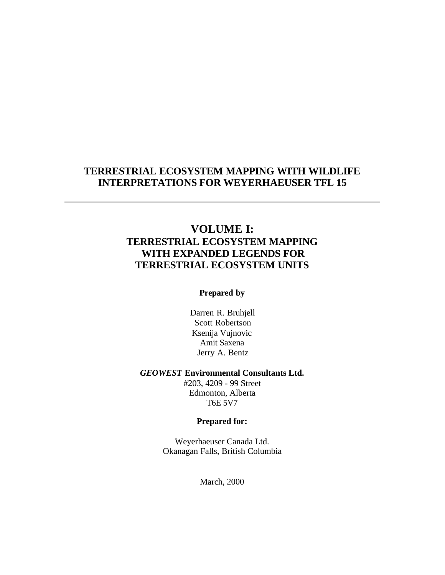### **TERRESTRIAL ECOSYSTEM MAPPING WITH WILDLIFE INTERPRETATIONS FOR WEYERHAEUSER TFL 15**

### **VOLUME I: TERRESTRIAL ECOSYSTEM MAPPING WITH EXPANDED LEGENDS FOR TERRESTRIAL ECOSYSTEM UNITS**

#### **Prepared by**

Darren R. Bruhjell Scott Robertson Ksenija Vujnovic Amit Saxena Jerry A. Bentz

#### *GEOWEST* **Environmental Consultants Ltd.**

#203, 4209 - 99 Street Edmonton, Alberta T6E 5V7

#### **Prepared for:**

Weyerhaeuser Canada Ltd. Okanagan Falls, British Columbia

March, 2000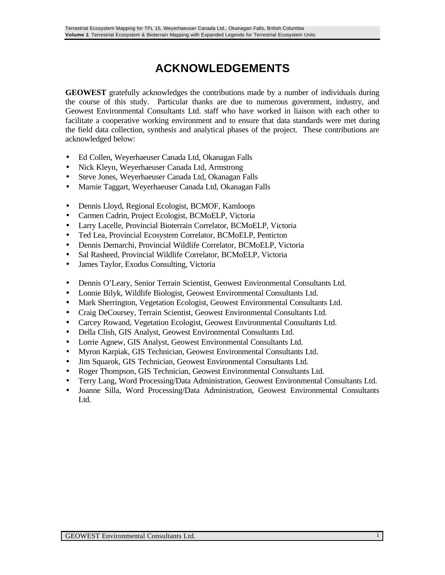# **ACKNOWLEDGEMENTS**

**GEOWEST** gratefully acknowledges the contributions made by a number of individuals during the course of this study. Particular thanks are due to numerous government, industry, and Geowest Environmental Consultants Ltd. staff who have worked in liaison with each other to facilitate a cooperative working environment and to ensure that data standards were met during the field data collection, synthesis and analytical phases of the project. These contributions are acknowledged below:

- Ed Collen, Weyerhaeuser Canada Ltd, Okanagan Falls
- Nick Kleyn, Weyerhaeuser Canada Ltd, Armstrong
- Steve Jones, Weyerhaeuser Canada Ltd, Okanagan Falls
- Marnie Taggart, Weyerhaeuser Canada Ltd, Okanagan Falls
- Dennis Lloyd, Regional Ecologist, BCMOF, Kamloops
- Carmen Cadrin, Project Ecologist, BCMoELP, Victoria
- Larry Lacelle, Provincial Bioterrain Correlator, BCMoELP, Victoria
- Ted Lea, Provincial Ecosystem Correlator, BCMoELP, Penticton
- Dennis Demarchi, Provincial Wildlife Correlator, BCMoELP, Victoria
- Sal Rasheed, Provincial Wildlife Correlator, BCMoELP, Victoria
- James Taylor, Exodus Consulting, Victoria
- Dennis O'Leary, Senior Terrain Scientist, Geowest Environmental Consultants Ltd.
- Lonnie Bilyk, Wildlife Biologist, Geowest Environmental Consultants Ltd.
- Mark Sherrington, Vegetation Ecologist, Geowest Environmental Consultants Ltd.
- Craig DeCoursey, Terrain Scientist, Geowest Environmental Consultants Ltd.
- Carcey Rowand, Vegetation Ecologist, Geowest Environmental Consultants Ltd.
- Della Clish, GIS Analyst, Geowest Environmental Consultants Ltd.
- Lorrie Agnew, GIS Analyst, Geowest Environmental Consultants Ltd.
- Myron Karpiak, GIS Technician, Geowest Environmental Consultants Ltd.
- Jim Squarok, GIS Technician, Geowest Environmental Consultants Ltd.
- Roger Thompson, GIS Technician, Geowest Environmental Consultants Ltd.
- Terry Lang, Word Processing/Data Administration, Geowest Environmental Consultants Ltd.
- Joanne Silla, Word Processing/Data Administration, Geowest Environmental Consultants Ltd.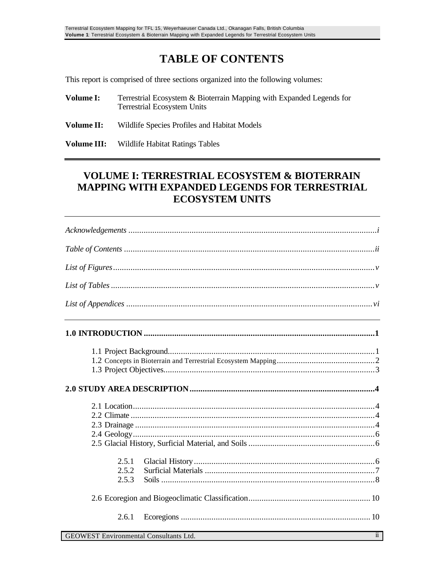# **TABLE OF CONTENTS**

This report is comprised of three sections organized into the following volumes:

- **Volume I:** Terrestrial Ecosystem & Bioterrain Mapping with Expanded Legends for Terrestrial Ecosystem Units
- **Volume II:** Wildlife Species Profiles and Habitat Models

**Volume III:** Wildlife Habitat Ratings Tables

### **VOLUME I: TERRESTRIAL ECOSYSTEM & BIOTERRAIN MAPPING WITH EXPANDED LEGENDS FOR TERRESTRIAL ECOSYSTEM UNITS**

|                                        | <u> 1989 - Johann Barbara, martxa alemaniar amerikan a</u> |
|----------------------------------------|------------------------------------------------------------|
|                                        |                                                            |
|                                        |                                                            |
|                                        |                                                            |
|                                        |                                                            |
|                                        |                                                            |
|                                        |                                                            |
|                                        |                                                            |
| 2.5.1                                  |                                                            |
| 2.5.2                                  |                                                            |
| 2.5.3                                  |                                                            |
|                                        |                                                            |
| 2.6.1                                  |                                                            |
| GEOWEST Environmental Consultants I td | $\overline{ii}$                                            |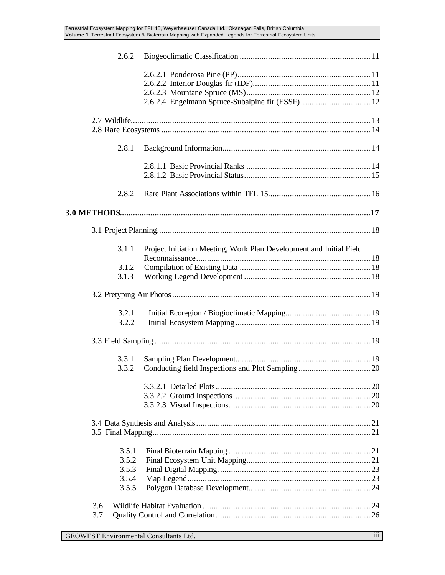| 2.6.2          |                                                                     |  |
|----------------|---------------------------------------------------------------------|--|
|                |                                                                     |  |
|                | 2.6.2.4 Engelmann Spruce-Subalpine fir (ESSF) 12                    |  |
|                |                                                                     |  |
| 2.8.1          |                                                                     |  |
|                |                                                                     |  |
| 2.8.2          |                                                                     |  |
|                |                                                                     |  |
|                |                                                                     |  |
| 3.1.1          | Project Initiation Meeting, Work Plan Development and Initial Field |  |
| 3.1.2          |                                                                     |  |
| 3.1.3          |                                                                     |  |
|                |                                                                     |  |
|                |                                                                     |  |
| 3.2.1          |                                                                     |  |
| 3.2.2          |                                                                     |  |
|                |                                                                     |  |
| 3.3.1          |                                                                     |  |
| 3.3.2          |                                                                     |  |
|                |                                                                     |  |
|                |                                                                     |  |
|                |                                                                     |  |
|                |                                                                     |  |
|                |                                                                     |  |
|                |                                                                     |  |
|                |                                                                     |  |
| 3.5.1          |                                                                     |  |
| 3.5.2<br>3.5.3 |                                                                     |  |
| 3.5.4          |                                                                     |  |
| 3.5.5          |                                                                     |  |
|                |                                                                     |  |
| 3.6            |                                                                     |  |
| 3.7            |                                                                     |  |
|                |                                                                     |  |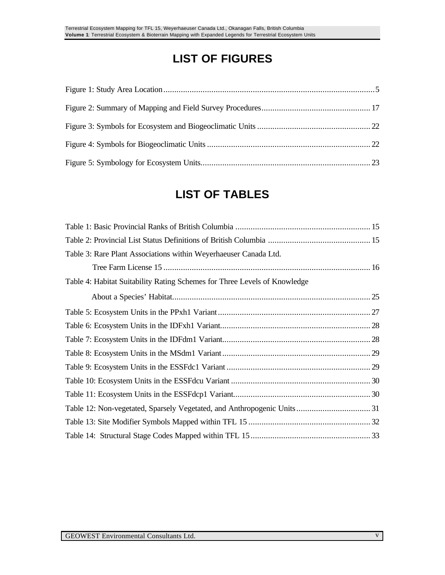# **LIST OF FIGURES**

# **LIST OF TABLES**

| Table 3: Rare Plant Associations within Weyerhaeuser Canada Ltd.          |  |
|---------------------------------------------------------------------------|--|
|                                                                           |  |
| Table 4: Habitat Suitability Rating Schemes for Three Levels of Knowledge |  |
|                                                                           |  |
|                                                                           |  |
|                                                                           |  |
|                                                                           |  |
|                                                                           |  |
|                                                                           |  |
|                                                                           |  |
|                                                                           |  |
|                                                                           |  |
|                                                                           |  |
|                                                                           |  |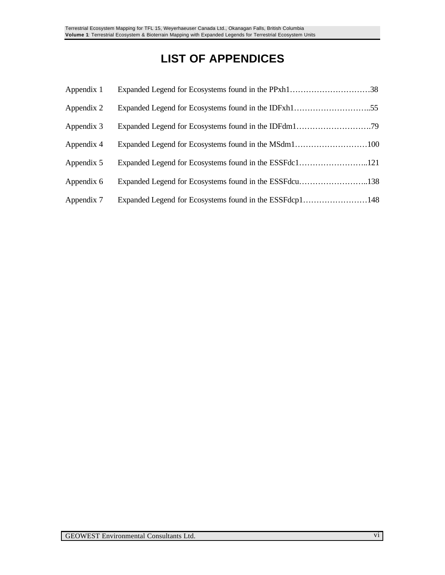# **LIST OF APPENDICES**

| Appendix 1 | Expanded Legend for Ecosystems found in the PPxh138     |  |
|------------|---------------------------------------------------------|--|
| Appendix 2 |                                                         |  |
| Appendix 3 |                                                         |  |
| Appendix 4 |                                                         |  |
| Appendix 5 |                                                         |  |
| Appendix 6 | Expanded Legend for Ecosystems found in the ESSFdcu138  |  |
| Appendix 7 | Expanded Legend for Ecosystems found in the ESSFdcp1148 |  |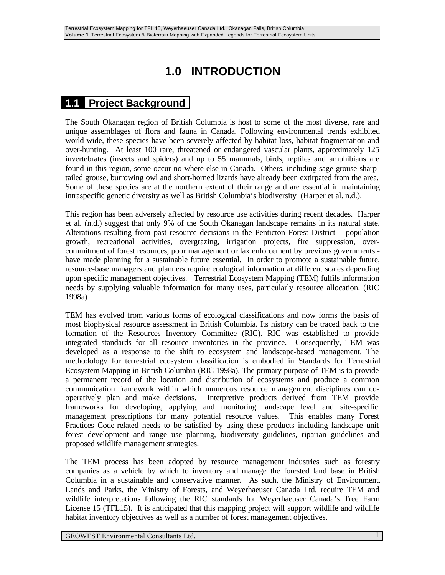# **1.0 INTRODUCTION**

### **1.1 Project Background**

The South Okanagan region of British Columbia is host to some of the most diverse, rare and unique assemblages of flora and fauna in Canada. Following environmental trends exhibited world-wide, these species have been severely affected by habitat loss, habitat fragmentation and over-hunting. At least 100 rare, threatened or endangered vascular plants, approximately 125 invertebrates (insects and spiders) and up to 55 mammals, birds, reptiles and amphibians are found in this region, some occur no where else in Canada. Others, including sage grouse sharptailed grouse, burrowing owl and short-horned lizards have already been extirpated from the area. Some of these species are at the northern extent of their range and are essential in maintaining intraspecific genetic diversity as well as British Columbia's biodiversity (Harper et al. n.d.).

This region has been adversely affected by resource use activities during recent decades. Harper et al. (n.d.) suggest that only 9% of the South Okanagan landscape remains in its natural state. Alterations resulting from past resource decisions in the Penticton Forest District – population growth, recreational activities, overgrazing, irrigation projects, fire suppression, overcommitment of forest resources, poor management or lax enforcement by previous governments have made planning for a sustainable future essential. In order to promote a sustainable future, resource-base managers and planners require ecological information at different scales depending upon specific management objectives. Terrestrial Ecosystem Mapping (TEM) fulfils information needs by supplying valuable information for many uses, particularly resource allocation. (RIC 1998a)

TEM has evolved from various forms of ecological classifications and now forms the basis of most biophysical resource assessment in British Columbia. Its history can be traced back to the formation of the Resources Inventory Committee (RIC). RIC was established to provide integrated standards for all resource inventories in the province. Consequently, TEM was developed as a response to the shift to ecosystem and landscape-based management. The methodology for terrestrial ecosystem classification is embodied in Standards for Terrestrial Ecosystem Mapping in British Columbia (RIC 1998a). The primary purpose of TEM is to provide a permanent record of the location and distribution of ecosystems and produce a common communication framework within which numerous resource management disciplines can cooperatively plan and make decisions. Interpretive products derived from TEM provide frameworks for developing, applying and monitoring landscape level and site-specific management prescriptions for many potential resource values. This enables many Forest Practices Code-related needs to be satisfied by using these products including landscape unit forest development and range use planning, biodiversity guidelines, riparian guidelines and proposed wildlife management strategies.

The TEM process has been adopted by resource management industries such as forestry companies as a vehicle by which to inventory and manage the forested land base in British Columbia in a sustainable and conservative manner. As such, the Ministry of Environment, Lands and Parks, the Ministry of Forests, and Weyerhaeuser Canada Ltd. require TEM and wildlife interpretations following the RIC standards for Weyerhaeuser Canada's Tree Farm License 15 (TFL15). It is anticipated that this mapping project will support wildlife and wildlife habitat inventory objectives as well as a number of forest management objectives.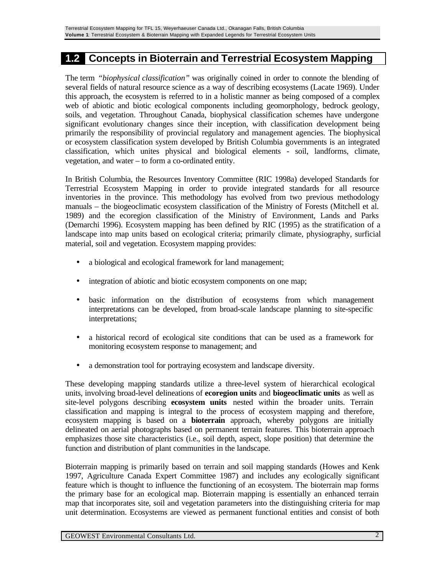### **1.2 Concepts in Bioterrain and Terrestrial Ecosystem Mapping**

The term *"biophysical classification"* was originally coined in order to connote the blending of several fields of natural resource science as a way of describing ecosystems (Lacate 1969). Under this approach, the ecosystem is referred to in a holistic manner as being composed of a complex web of abiotic and biotic ecological components including geomorphology, bedrock geology, soils, and vegetation. Throughout Canada, biophysical classification schemes have undergone significant evolutionary changes since their inception, with classification development being primarily the responsibility of provincial regulatory and management agencies. The biophysical or ecosystem classification system developed by British Columbia governments is an integrated classification, which unites physical and biological elements - soil, landforms, climate, vegetation, and water – to form a co-ordinated entity.

In British Columbia, the Resources Inventory Committee (RIC 1998a) developed Standards for Terrestrial Ecosystem Mapping in order to provide integrated standards for all resource inventories in the province. This methodology has evolved from two previous methodology manuals – the biogeoclimatic ecosystem classification of the Ministry of Forests (Mitchell et al. 1989) and the ecoregion classification of the Ministry of Environment, Lands and Parks (Demarchi 1996). Ecosystem mapping has been defined by RIC (1995) as the stratification of a landscape into map units based on ecological criteria; primarily climate, physiography, surficial material, soil and vegetation. Ecosystem mapping provides:

- a biological and ecological framework for land management;
- integration of abiotic and biotic ecosystem components on one map;
- basic information on the distribution of ecosystems from which management interpretations can be developed, from broad-scale landscape planning to site-specific interpretations;
- a historical record of ecological site conditions that can be used as a framework for monitoring ecosystem response to management; and
- a demonstration tool for portraying ecosystem and landscape diversity.

These developing mapping standards utilize a three-level system of hierarchical ecological units, involving broad-level delineations of **ecoregion units** and **biogeoclimatic units** as well as site-level polygons describing **ecosystem units** nested within the broader units. Terrain classification and mapping is integral to the process of ecosystem mapping and therefore, ecosystem mapping is based on a **bioterrain** approach, whereby polygons are initially delineated on aerial photographs based on permanent terrain features. This bioterrain approach emphasizes those site characteristics (i.e., soil depth, aspect, slope position) that determine the function and distribution of plant communities in the landscape.

Bioterrain mapping is primarily based on terrain and soil mapping standards (Howes and Kenk 1997, Agriculture Canada Expert Committee 1987) and includes any ecologically significant feature which is thought to influence the functioning of an ecosystem. The bioterrain map forms the primary base for an ecological map. Bioterrain mapping is essentially an enhanced terrain map that incorporates site, soil and vegetation parameters into the distinguishing criteria for map unit determination. Ecosystems are viewed as permanent functional entities and consist of both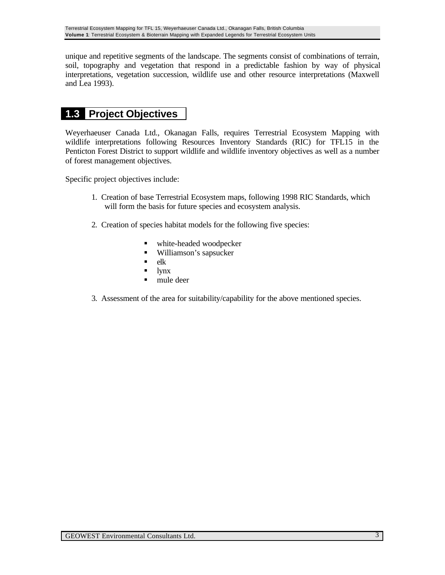unique and repetitive segments of the landscape. The segments consist of combinations of terrain, soil, topography and vegetation that respond in a predictable fashion by way of physical interpretations, vegetation succession, wildlife use and other resource interpretations (Maxwell and Lea 1993).

## **1.3 Project Objectives**

Weyerhaeuser Canada Ltd., Okanagan Falls, requires Terrestrial Ecosystem Mapping with wildlife interpretations following Resources Inventory Standards (RIC) for TFL15 in the Penticton Forest District to support wildlife and wildlife inventory objectives as well as a number of forest management objectives.

Specific project objectives include:

- 1. Creation of base Terrestrial Ecosystem maps, following 1998 RIC Standards, which will form the basis for future species and ecosystem analysis.
- 2. Creation of species habitat models for the following five species:
	- white-headed woodpecker
	- Williamson's sapsucker
	- $\blacksquare$  elk
	- lynx
	- $\blacksquare$  mule deer
- 3. Assessment of the area for suitability/capability for the above mentioned species.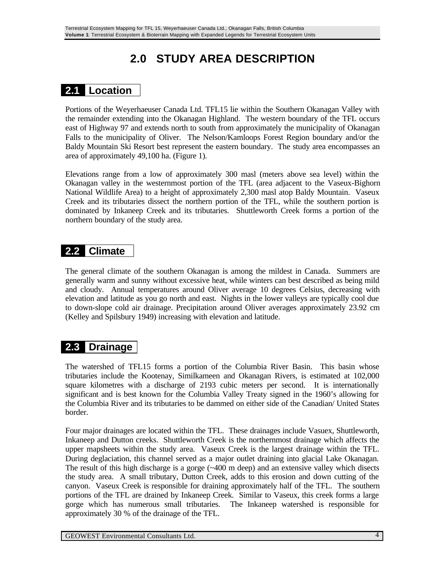# **2.0 STUDY AREA DESCRIPTION**

## **2.1 Location**

Portions of the Weyerhaeuser Canada Ltd. TFL15 lie within the Southern Okanagan Valley with the remainder extending into the Okanagan Highland. The western boundary of the TFL occurs east of Highway 97 and extends north to south from approximately the municipality of Okanagan Falls to the municipality of Oliver. The Nelson/Kamloops Forest Region boundary and/or the Baldy Mountain Ski Resort best represent the eastern boundary. The study area encompasses an area of approximately 49,100 ha. (Figure 1).

Elevations range from a low of approximately 300 masl (meters above sea level) within the Okanagan valley in the westernmost portion of the TFL (area adjacent to the Vaseux-Bighorn National Wildlife Area) to a height of approximately 2,300 masl atop Baldy Mountain. Vaseux Creek and its tributaries dissect the northern portion of the TFL, while the southern portion is dominated by Inkaneep Creek and its tributaries. Shuttleworth Creek forms a portion of the northern boundary of the study area.

### **2.2 Climate**

The general climate of the southern Okanagan is among the mildest in Canada. Summers are generally warm and sunny without excessive heat, while winters can best described as being mild and cloudy. Annual temperatures around Oliver average 10 degrees Celsius, decreasing with elevation and latitude as you go north and east. Nights in the lower valleys are typically cool due to down-slope cold air drainage. Precipitation around Oliver averages approximately 23.92 cm (Kelley and Spilsbury 1949) increasing with elevation and latitude.

## **2.3 Drainage**

The watershed of TFL15 forms a portion of the Columbia River Basin. This basin whose tributaries include the Kootenay, Similkameen and Okanagan Rivers, is estimated at 102,000 square kilometres with a discharge of 2193 cubic meters per second. It is internationally significant and is best known for the Columbia Valley Treaty signed in the 1960's allowing for the Columbia River and its tributaries to be dammed on either side of the Canadian/ United States border.

Four major drainages are located within the TFL. These drainages include Vasuex, Shuttleworth, Inkaneep and Dutton creeks. Shuttleworth Creek is the northernmost drainage which affects the upper mapsheets within the study area. Vaseux Creek is the largest drainage within the TFL. During deglaciation, this channel served as a major outlet draining into glacial Lake Okanagan. The result of this high discharge is a gorge  $(\sim 400 \text{ m}$  deep) and an extensive valley which disects the study area. A small tributary, Dutton Creek, adds to this erosion and down cutting of the canyon. Vaseux Creek is responsible for draining approximately half of the TFL. The southern portions of the TFL are drained by Inkaneep Creek. Similar to Vaseux, this creek forms a large gorge which has numerous small tributaries. The Inkaneep watershed is responsible for approximately 30 % of the drainage of the TFL.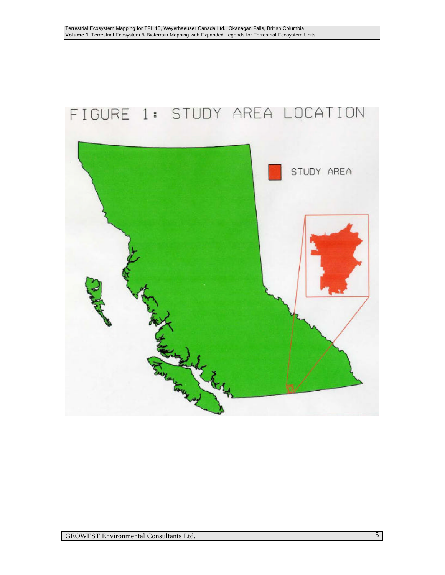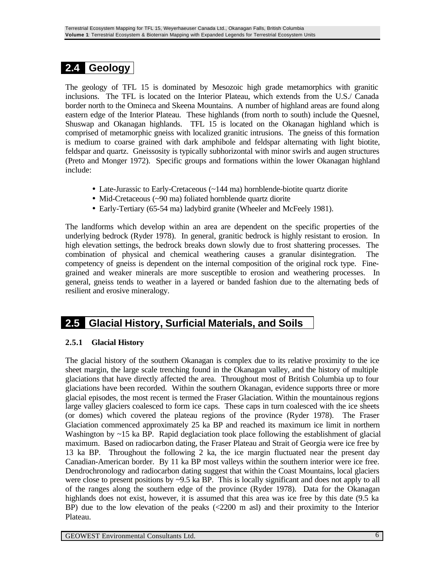## **2.4 Geology**

The geology of TFL 15 is dominated by Mesozoic high grade metamorphics with granitic inclusions. The TFL is located on the Interior Plateau, which extends from the U.S./ Canada border north to the Omineca and Skeena Mountains. A number of highland areas are found along eastern edge of the Interior Plateau. These highlands (from north to south) include the Quesnel, Shuswap and Okanagan highlands. TFL 15 is located on the Okanagan highland which is comprised of metamorphic gneiss with localized granitic intrusions. The gneiss of this formation is medium to coarse grained with dark amphibole and feldspar alternating with light biotite, feldspar and quartz. Gneissosity is typically subhorizontal with minor swirls and augen structures (Preto and Monger 1972). Specific groups and formations within the lower Okanagan highland include:

- Late-Jurassic to Early-Cretaceous (~144 ma) hornblende-biotite quartz diorite
- Mid-Cretaceous (~90 ma) foliated hornblende quartz diorite
- Early-Tertiary (65-54 ma) ladybird granite (Wheeler and McFeely 1981).

The landforms which develop within an area are dependent on the specific properties of the underlying bedrock (Ryder 1978). In general, granitic bedrock is highly resistant to erosion. In high elevation settings, the bedrock breaks down slowly due to frost shattering processes. The combination of physical and chemical weathering causes a granular disintegration. The competency of gneiss is dependent on the internal composition of the original rock type. Finegrained and weaker minerals are more susceptible to erosion and weathering processes. In general, gneiss tends to weather in a layered or banded fashion due to the alternating beds of resilient and erosive mineralogy.

### **2.5 Glacial History, Surficial Materials, and Soils**

#### **2.5.1 Glacial History**

The glacial history of the southern Okanagan is complex due to its relative proximity to the ice sheet margin, the large scale trenching found in the Okanagan valley, and the history of multiple glaciations that have directly affected the area. Throughout most of British Columbia up to four glaciations have been recorded. Within the southern Okanagan, evidence supports three or more glacial episodes, the most recent is termed the Fraser Glaciation. Within the mountainous regions large valley glaciers coalesced to form ice caps. These caps in turn coalesced with the ice sheets (or domes) which covered the plateau regions of the province (Ryder 1978). The Fraser Glaciation commenced approximately 25 ka BP and reached its maximum ice limit in northern Washington by ~15 ka BP. Rapid deglaciation took place following the establishment of glacial maximum. Based on radiocarbon dating, the Fraser Plateau and Strait of Georgia were ice free by 13 ka BP. Throughout the following 2 ka, the ice margin fluctuated near the present day Canadian-American border. By 11 ka BP most valleys within the southern interior were ice free. Dendrochronology and radiocarbon dating suggest that within the Coast Mountains, local glaciers were close to present positions by  $\sim$ 9.5 ka BP. This is locally significant and does not apply to all of the ranges along the southern edge of the province (Ryder 1978). Data for the Okanagan highlands does not exist, however, it is assumed that this area was ice free by this date (9.5 ka BP) due to the low elevation of the peaks (<2200 m asl) and their proximity to the Interior Plateau.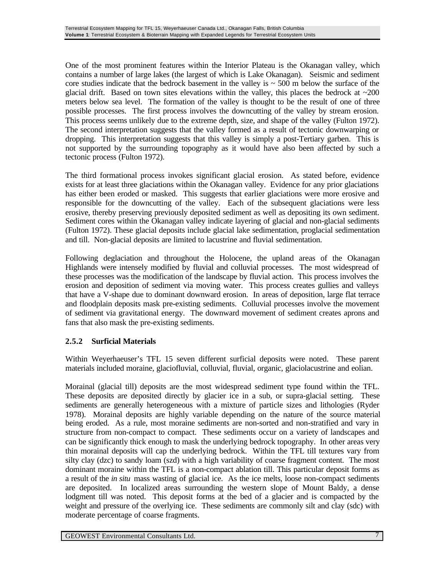One of the most prominent features within the Interior Plateau is the Okanagan valley, which contains a number of large lakes (the largest of which is Lake Okanagan). Seismic and sediment core studies indicate that the bedrock basement in the valley is  $\sim$  500 m below the surface of the glacial drift. Based on town sites elevations within the valley, this places the bedrock at  $\sim$ 200 meters below sea level. The formation of the valley is thought to be the result of one of three possible processes. The first process involves the downcutting of the valley by stream erosion. This process seems unlikely due to the extreme depth, size, and shape of the valley (Fulton 1972). The second interpretation suggests that the valley formed as a result of tectonic downwarping or dropping. This interpretation suggests that this valley is simply a post-Tertiary garben. This is not supported by the surrounding topography as it would have also been affected by such a tectonic process (Fulton 1972).

The third formational process invokes significant glacial erosion. As stated before, evidence exists for at least three glaciations within the Okanagan valley. Evidence for any prior glaciations has either been eroded or masked. This suggests that earlier glaciations were more erosive and responsible for the downcutting of the valley. Each of the subsequent glaciations were less erosive, thereby preserving previously deposited sediment as well as depositing its own sediment. Sediment cores within the Okanagan valley indicate layering of glacial and non-glacial sediments (Fulton 1972). These glacial deposits include glacial lake sedimentation, proglacial sedimentation and till. Non-glacial deposits are limited to lacustrine and fluvial sedimentation.

Following deglaciation and throughout the Holocene, the upland areas of the Okanagan Highlands were intensely modified by fluvial and colluvial processes. The most widespread of these processes was the modification of the landscape by fluvial action. This process involves the erosion and deposition of sediment via moving water. This process creates gullies and valleys that have a V-shape due to dominant downward erosion. In areas of deposition, large flat terrace and floodplain deposits mask pre-existing sediments. Colluvial processes involve the movement of sediment via gravitational energy. The downward movement of sediment creates aprons and fans that also mask the pre-existing sediments.

#### **2.5.2 Surficial Materials**

Within Weyerhaeuser's TFL 15 seven different surficial deposits were noted. These parent materials included moraine, glaciofluvial, colluvial, fluvial, organic, glaciolacustrine and eolian.

Morainal (glacial till) deposits are the most widespread sediment type found within the TFL. These deposits are deposited directly by glacier ice in a sub, or supra-glacial setting. These sediments are generally heterogeneous with a mixture of particle sizes and lithologies (Ryder 1978). Morainal deposits are highly variable depending on the nature of the source material being eroded. As a rule, most moraine sediments are non-sorted and non-stratified and vary in structure from non-compact to compact. These sediments occur on a variety of landscapes and can be significantly thick enough to mask the underlying bedrock topography. In other areas very thin morainal deposits will cap the underlying bedrock. Within the TFL till textures vary from silty clay (dzc) to sandy loam (szd) with a high variability of coarse fragment content. The most dominant moraine within the TFL is a non-compact ablation till. This particular deposit forms as a result of the *in situ* mass wasting of glacial ice. As the ice melts, loose non-compact sediments are deposited. In localized areas surrounding the western slope of Mount Baldy, a dense lodgment till was noted. This deposit forms at the bed of a glacier and is compacted by the weight and pressure of the overlying ice. These sediments are commonly silt and clay (sdc) with moderate percentage of coarse fragments.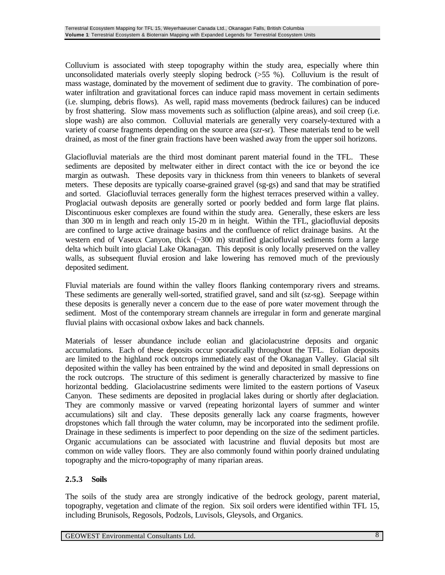Colluvium is associated with steep topography within the study area, especially where thin unconsolidated materials overly steeply sloping bedrock  $(555 \%)$ . Colluvium is the result of mass wastage, dominated by the movement of sediment due to gravity. The combination of porewater infiltration and gravitational forces can induce rapid mass movement in certain sediments (i.e. slumping, debris flows). As well, rapid mass movements (bedrock failures) can be induced by frost shattering. Slow mass movements such as solifluction (alpine areas), and soil creep (i.e. slope wash) are also common. Colluvial materials are generally very coarsely-textured with a variety of coarse fragments depending on the source area (szr-sr). These materials tend to be well drained, as most of the finer grain fractions have been washed away from the upper soil horizons.

Glaciofluvial materials are the third most dominant parent material found in the TFL. These sediments are deposited by meltwater either in direct contact with the ice or beyond the ice margin as outwash. These deposits vary in thickness from thin veneers to blankets of several meters. These deposits are typically coarse-grained gravel (sg-gs) and sand that may be stratified and sorted. Glaciofluvial terraces generally form the highest terraces preserved within a valley. Proglacial outwash deposits are generally sorted or poorly bedded and form large flat plains. Discontinuous esker complexes are found within the study area. Generally, these eskers are less than 300 m in length and reach only 15-20 m in height. Within the TFL, glaciofluvial deposits are confined to large active drainage basins and the confluence of relict drainage basins. At the western end of Vaseux Canyon, thick  $(\sim 300 \text{ m})$  stratified glaciofluvial sediments form a large delta which built into glacial Lake Okanagan. This deposit is only locally preserved on the valley walls, as subsequent fluvial erosion and lake lowering has removed much of the previously deposited sediment.

Fluvial materials are found within the valley floors flanking contemporary rivers and streams. These sediments are generally well-sorted, stratified gravel, sand and silt (sz-sg). Seepage within these deposits is generally never a concern due to the ease of pore water movement through the sediment. Most of the contemporary stream channels are irregular in form and generate marginal fluvial plains with occasional oxbow lakes and back channels.

Materials of lesser abundance include eolian and glaciolacustrine deposits and organic accumulations. Each of these deposits occur sporadically throughout the TFL. Eolian deposits are limited to the highland rock outcrops immediately east of the Okanagan Valley. Glacial silt deposited within the valley has been entrained by the wind and deposited in small depressions on the rock outcrops. The structure of this sediment is generally characterized by massive to fine horizontal bedding. Glaciolacustrine sediments were limited to the eastern portions of Vaseux Canyon. These sediments are deposited in proglacial lakes during or shortly after deglaciation. They are commonly massive or varved (repeating horizontal layers of summer and winter accumulations) silt and clay. These deposits generally lack any coarse fragments, however dropstones which fall through the water column, may be incorporated into the sediment profile. Drainage in these sediments is imperfect to poor depending on the size of the sediment particles. Organic accumulations can be associated with lacustrine and fluvial deposits but most are common on wide valley floors. They are also commonly found within poorly drained undulating topography and the micro-topography of many riparian areas.

#### **2.5.3 Soils**

The soils of the study area are strongly indicative of the bedrock geology, parent material, topography, vegetation and climate of the region. Six soil orders were identified within TFL 15, including Brunisols, Regosols, Podzols, Luvisols, Gleysols, and Organics.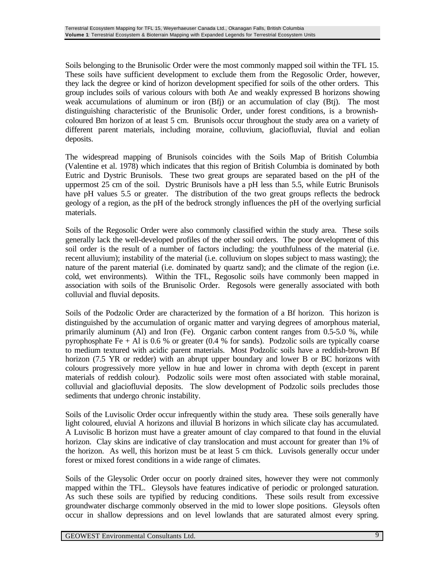Soils belonging to the Brunisolic Order were the most commonly mapped soil within the TFL 15. These soils have sufficient development to exclude them from the Regosolic Order, however, they lack the degree or kind of horizon development specified for soils of the other orders. This group includes soils of various colours with both Ae and weakly expressed B horizons showing weak accumulations of aluminum or iron (Bfj) or an accumulation of clay (Btj). The most distinguishing characteristic of the Brunisolic Order, under forest conditions, is a brownishcoloured Bm horizon of at least 5 cm. Brunisols occur throughout the study area on a variety of different parent materials, including moraine, colluvium, glaciofluvial, fluvial and eolian deposits.

The widespread mapping of Brunisols coincides with the Soils Map of British Columbia (Valentine et al. 1978) which indicates that this region of British Columbia is dominated by both Eutric and Dystric Brunisols. These two great groups are separated based on the pH of the uppermost 25 cm of the soil. Dystric Brunisols have a pH less than 5.5, while Eutric Brunisols have pH values 5.5 or greater. The distribution of the two great groups reflects the bedrock geology of a region, as the pH of the bedrock strongly influences the pH of the overlying surficial materials.

Soils of the Regosolic Order were also commonly classified within the study area. These soils generally lack the well-developed profiles of the other soil orders. The poor development of this soil order is the result of a number of factors including: the youthfulness of the material (i.e. recent alluvium); instability of the material (i.e. colluvium on slopes subject to mass wasting); the nature of the parent material (i.e. dominated by quartz sand); and the climate of the region (i.e. cold, wet environments). Within the TFL, Regosolic soils have commonly been mapped in association with soils of the Brunisolic Order. Regosols were generally associated with both colluvial and fluvial deposits.

Soils of the Podzolic Order are characterized by the formation of a Bf horizon. This horizon is distinguished by the accumulation of organic matter and varying degrees of amorphous material, primarily aluminum (Al) and Iron (Fe). Organic carbon content ranges from 0.5-5.0 %, while pyrophosphate Fe  $+$  Al is 0.6 % or greater (0.4 % for sands). Podzolic soils are typically coarse to medium textured with acidic parent materials. Most Podzolic soils have a reddish-brown Bf horizon (7.5 YR or redder) with an abrupt upper boundary and lower B or BC horizons with colours progressively more yellow in hue and lower in chroma with depth (except in parent materials of reddish colour). Podzolic soils were most often associated with stable morainal, colluvial and glaciofluvial deposits. The slow development of Podzolic soils precludes those sediments that undergo chronic instability.

Soils of the Luvisolic Order occur infrequently within the study area. These soils generally have light coloured, eluvial A horizons and illuvial B horizons in which silicate clay has accumulated. A Luvisolic B horizon must have a greater amount of clay compared to that found in the eluvial horizon. Clay skins are indicative of clay translocation and must account for greater than 1% of the horizon. As well, this horizon must be at least 5 cm thick. Luvisols generally occur under forest or mixed forest conditions in a wide range of climates.

Soils of the Gleysolic Order occur on poorly drained sites, however they were not commonly mapped within the TFL. Gleysols have features indicative of periodic or prolonged saturation. As such these soils are typified by reducing conditions. These soils result from excessive groundwater discharge commonly observed in the mid to lower slope positions. Gleysols often occur in shallow depressions and on level lowlands that are saturated almost every spring.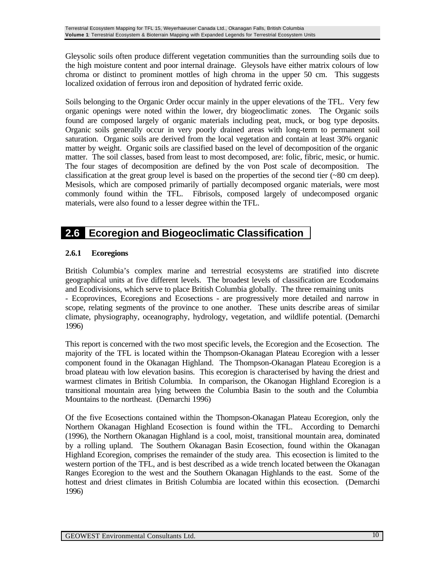Gleysolic soils often produce different vegetation communities than the surrounding soils due to the high moisture content and poor internal drainage. Gleysols have either matrix colours of low chroma or distinct to prominent mottles of high chroma in the upper 50 cm. This suggests localized oxidation of ferrous iron and deposition of hydrated ferric oxide.

Soils belonging to the Organic Order occur mainly in the upper elevations of the TFL. Very few organic openings were noted within the lower, dry biogeoclimatic zones. The Organic soils found are composed largely of organic materials including peat, muck, or bog type deposits. Organic soils generally occur in very poorly drained areas with long-term to permanent soil saturation. Organic soils are derived from the local vegetation and contain at least 30% organic matter by weight. Organic soils are classified based on the level of decomposition of the organic matter. The soil classes, based from least to most decomposed, are: folic, fibric, mesic, or humic. The four stages of decomposition are defined by the von Post scale of decomposition. The classification at the great group level is based on the properties of the second tier (~80 cm deep). Mesisols, which are composed primarily of partially decomposed organic materials, were most commonly found within the TFL. Fibrisols, composed largely of undecomposed organic materials, were also found to a lesser degree within the TFL.

## **2.6 Ecoregion and Biogeoclimatic Classification**

#### **2.6.1 Ecoregions**

British Columbia's complex marine and terrestrial ecosystems are stratified into discrete geographical units at five different levels. The broadest levels of classification are Ecodomains and Ecodivisions, which serve to place British Columbia globally. The three remaining units - Ecoprovinces, Ecoregions and Ecosections - are progressively more detailed and narrow in scope, relating segments of the province to one another. These units describe areas of similar climate, physiography, oceanography, hydrology, vegetation, and wildlife potential. (Demarchi 1996)

This report is concerned with the two most specific levels, the Ecoregion and the Ecosection. The majority of the TFL is located within the Thompson-Okanagan Plateau Ecoregion with a lesser component found in the Okanagan Highland. The Thompson-Okanagan Plateau Ecoregion is a broad plateau with low elevation basins. This ecoregion is characterised by having the driest and warmest climates in British Columbia. In comparison, the Okanogan Highland Ecoregion is a transitional mountain area lying between the Columbia Basin to the south and the Columbia Mountains to the northeast. (Demarchi 1996)

Of the five Ecosections contained within the Thompson-Okanagan Plateau Ecoregion, only the Northern Okanagan Highland Ecosection is found within the TFL. According to Demarchi (1996), the Northern Okanagan Highland is a cool, moist, transitional mountain area, dominated by a rolling upland. The Southern Okanagan Basin Ecosection, found within the Okanagan Highland Ecoregion, comprises the remainder of the study area. This ecosection is limited to the western portion of the TFL, and is best described as a wide trench located between the Okanagan Ranges Ecoregion to the west and the Southern Okanagan Highlands to the east. Some of the hottest and driest climates in British Columbia are located within this ecosection. (Demarchi 1996)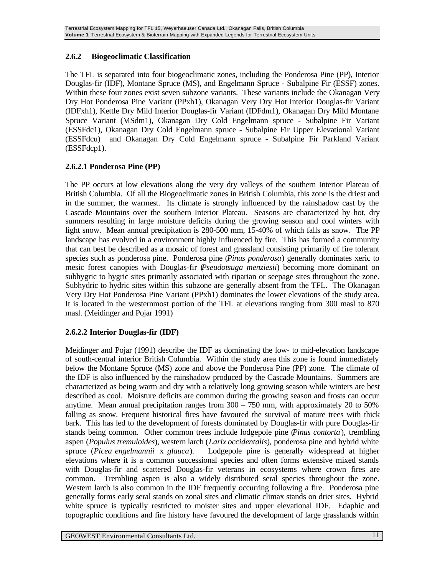#### **2.6.2 Biogeoclimatic Classification**

The TFL is separated into four biogeoclimatic zones, including the Ponderosa Pine (PP), Interior Douglas-fir (IDF), Montane Spruce (MS), and Engelmann Spruce - Subalpine Fir (ESSF) zones. Within these four zones exist seven subzone variants. These variants include the Okanagan Very Dry Hot Ponderosa Pine Variant (PPxh1), Okanagan Very Dry Hot Interior Douglas-fir Variant (IDFxh1), Kettle Dry Mild Interior Douglas-fir Variant (IDFdm1), Okanagan Dry Mild Montane Spruce Variant (MSdm1), Okanagan Dry Cold Engelmann spruce - Subalpine Fir Variant (ESSFdc1), Okanagan Dry Cold Engelmann spruce - Subalpine Fir Upper Elevational Variant (ESSFdcu) and Okanagan Dry Cold Engelmann spruce - Subalpine Fir Parkland Variant (ESSFdcp1).

#### **2.6.2.1 Ponderosa Pine (PP)**

The PP occurs at low elevations along the very dry valleys of the southern Interior Plateau of British Columbia. Of all the Biogeoclimatic zones in British Columbia, this zone is the driest and in the summer, the warmest. Its climate is strongly influenced by the rainshadow cast by the Cascade Mountains over the southern Interior Plateau. Seasons are characterized by hot, dry summers resulting in large moisture deficits during the growing season and cool winters with light snow. Mean annual precipitation is 280-500 mm, 15-40% of which falls as snow. The PP landscape has evolved in a environment highly influenced by fire. This has formed a community that can best be described as a mosaic of forest and grassland consisting primarily of fire tolerant species such as ponderosa pine. Ponderosa pine (*Pinus ponderosa*) generally dominates xeric to mesic forest canopies with Douglas-fir (*Pseudotsuga menziesii*) becoming more dominant on subhygric to hygric sites primarily associated with riparian or seepage sites throughout the zone. Subhydric to hydric sites within this subzone are generally absent from the TFL. The Okanagan Very Dry Hot Ponderosa Pine Variant (PPxh1) dominates the lower elevations of the study area. It is located in the westernmost portion of the TFL at elevations ranging from 300 masl to 870 masl. (Meidinger and Pojar 1991)

#### **2.6.2.2 Interior Douglas-fir (IDF)**

Meidinger and Pojar (1991) describe the IDF as dominating the low- to mid-elevation landscape of south-central interior British Columbia. Within the study area this zone is found immediately below the Montane Spruce (MS) zone and above the Ponderosa Pine (PP) zone. The climate of the IDF is also influenced by the rainshadow produced by the Cascade Mountains. Summers are characterized as being warm and dry with a relatively long growing season while winters are best described as cool. Moisture deficits are common during the growing season and frosts can occur anytime. Mean annual precipitation ranges from 300 – 750 mm, with approximately 20 to 50% falling as snow. Frequent historical fires have favoured the survival of mature trees with thick bark. This has led to the development of forests dominated by Douglas-fir with pure Douglas-fir stands being common. Other common trees include lodgepole pine (*Pinus contorta*), trembling aspen (*Populus tremuloides*), western larch (*Larix occidentalis*), ponderosa pine and hybrid white spruce (*Picea engelmannii* x *glauca*). Lodgepole pine is generally widespread at higher elevations where it is a common successional species and often forms extensive mixed stands with Douglas-fir and scattered Douglas-fir veterans in ecosystems where crown fires are common. Trembling aspen is also a widely distributed seral species throughout the zone. Western larch is also common in the IDF frequently occurring following a fire. Ponderosa pine generally forms early seral stands on zonal sites and climatic climax stands on drier sites. Hybrid white spruce is typically restricted to moister sites and upper elevational IDF. Edaphic and topographic conditions and fire history have favoured the development of large grasslands within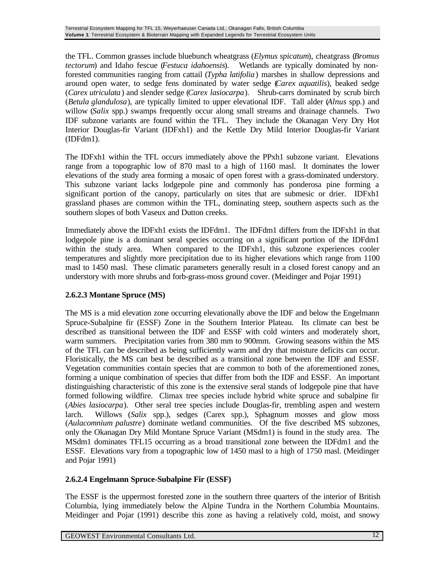the TFL. Common grasses include bluebunch wheatgrass (*Elymus spicatum*), cheatgrass (*Bromus tectorum*) and Idaho fescue (*Festuca idahoensis*). Wetlands are typically dominated by nonforested communities ranging from cattail (*Typha latifolia*) marshes in shallow depressions and around open water, to sedge fens dominated by water sedge (*Carex aquatilis*), beaked sedge (*Carex utriculata*) and slender sedge (*Carex lasiocarpa*). Shrub-carrs dominated by scrub birch (*Betula glandulosa*), are typically limited to upper elevational IDF. Tall alder (*Alnus* spp.) and willow (*Salix* spp.) swamps frequently occur along small streams and drainage channels. Two IDF subzone variants are found within the TFL. They include the Okanagan Very Dry Hot Interior Douglas-fir Variant (IDFxh1) and the Kettle Dry Mild Interior Douglas-fir Variant (IDFdm1).

The IDFxh1 within the TFL occurs immediately above the PPxh1 subzone variant. Elevations range from a topographic low of 870 masl to a high of 1160 masl. It dominates the lower elevations of the study area forming a mosaic of open forest with a grass-dominated understory. This subzone variant lacks lodgepole pine and commonly has ponderosa pine forming a significant portion of the canopy, particularly on sites that are submesic or drier. IDFxh1 grassland phases are common within the TFL, dominating steep, southern aspects such as the southern slopes of both Vaseux and Dutton creeks.

Immediately above the IDFxh1 exists the IDFdm1. The IDFdm1 differs from the IDFxh1 in that lodgepole pine is a dominant seral species occurring on a significant portion of the IDFdm1 within the study area. When compared to the IDFxh1, this subzone experiences cooler temperatures and slightly more precipitation due to its higher elevations which range from 1100 masl to 1450 masl. These climatic parameters generally result in a closed forest canopy and an understory with more shrubs and forb-grass-moss ground cover. (Meidinger and Pojar 1991)

#### **2.6.2.3 Montane Spruce (MS)**

The MS is a mid elevation zone occurring elevationally above the IDF and below the Engelmann Spruce-Subalpine fir (ESSF) Zone in the Southern Interior Plateau. Its climate can best be described as transitional between the IDF and ESSF with cold winters and moderately short, warm summers. Precipitation varies from 380 mm to 900mm. Growing seasons within the MS of the TFL can be described as being sufficiently warm and dry that moisture deficits can occur. Floristically, the MS can best be described as a transitional zone between the IDF and ESSF. Vegetation communities contain species that are common to both of the aforementioned zones, forming a unique combination of species that differ from both the IDF and ESSF. An important distinguishing characteristic of this zone is the extensive seral stands of lodgepole pine that have formed following wildfire. Climax tree species include hybrid white spruce and subalpine fir (*Abies lasiocarpa*). Other seral tree species include Douglas-fir, trembling aspen and western larch. Willows (*Salix* spp.), sedges (Carex spp.), Sphagnum mosses and glow moss (*Aulacomnium palustre*) dominate wetland communities. Of the five described MS subzones, only the Okanagan Dry Mild Montane Spruce Variant (MSdm1) is found in the study area. The MSdm1 dominates TFL15 occurring as a broad transitional zone between the IDFdm1 and the ESSF. Elevations vary from a topographic low of 1450 masl to a high of 1750 masl. (Meidinger and Pojar 1991)

#### **2.6.2.4 Engelmann Spruce-Subalpine Fir (ESSF)**

The ESSF is the uppermost forested zone in the southern three quarters of the interior of British Columbia, lying immediately below the Alpine Tundra in the Northern Columbia Mountains. Meidinger and Pojar (1991) describe this zone as having a relatively cold, moist, and snowy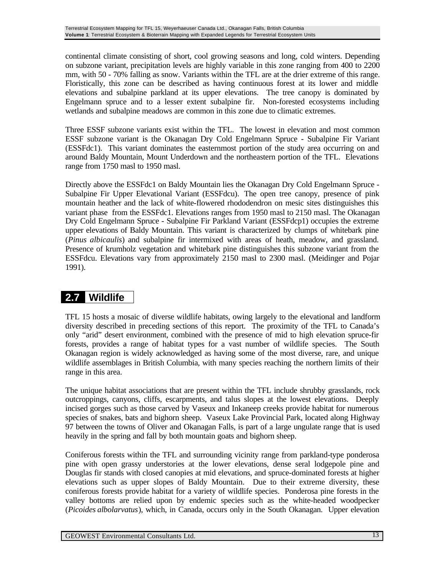continental climate consisting of short, cool growing seasons and long, cold winters. Depending on subzone variant, precipitation levels are highly variable in this zone ranging from 400 to 2200 mm, with 50 - 70% falling as snow. Variants within the TFL are at the drier extreme of this range. Floristically, this zone can be described as having continuous forest at its lower and middle elevations and subalpine parkland at its upper elevations. The tree canopy is dominated by Engelmann spruce and to a lesser extent subalpine fir. Non-forested ecosystems including wetlands and subalpine meadows are common in this zone due to climatic extremes.

Three ESSF subzone variants exist within the TFL. The lowest in elevation and most common ESSF subzone variant is the Okanagan Dry Cold Engelmann Spruce - Subalpine Fir Variant (ESSFdc1). This variant dominates the easternmost portion of the study area occurring on and around Baldy Mountain, Mount Underdown and the northeastern portion of the TFL. Elevations range from 1750 masl to 1950 masl.

Directly above the ESSFdc1 on Baldy Mountain lies the Okanagan Dry Cold Engelmann Spruce - Subalpine Fir Upper Elevational Variant (ESSFdcu). The open tree canopy, presence of pink mountain heather and the lack of white-flowered rhododendron on mesic sites distinguishes this variant phase from the ESSFdc1. Elevations ranges from 1950 masl to 2150 masl. The Okanagan Dry Cold Engelmann Spruce - Subalpine Fir Parkland Variant (ESSFdcp1) occupies the extreme upper elevations of Baldy Mountain. This variant is characterized by clumps of whitebark pine (*Pinus albicaulis*) and subalpine fir intermixed with areas of heath, meadow, and grassland. Presence of krumholz vegetation and whitebark pine distinguishes this subzone variant from the ESSFdcu. Elevations vary from approximately 2150 masl to 2300 masl. (Meidinger and Pojar 1991).

## **2.7 Wildlife**

TFL 15 hosts a mosaic of diverse wildlife habitats, owing largely to the elevational and landform diversity described in preceding sections of this report. The proximity of the TFL to Canada's only "arid" desert environment, combined with the presence of mid to high elevation spruce-fir forests, provides a range of habitat types for a vast number of wildlife species. The South Okanagan region is widely acknowledged as having some of the most diverse, rare, and unique wildlife assemblages in British Columbia, with many species reaching the northern limits of their range in this area.

The unique habitat associations that are present within the TFL include shrubby grasslands, rock outcroppings, canyons, cliffs, escarpments, and talus slopes at the lowest elevations. Deeply incised gorges such as those carved by Vaseux and Inkaneep creeks provide habitat for numerous species of snakes, bats and bighorn sheep. Vaseux Lake Provincial Park, located along Highway 97 between the towns of Oliver and Okanagan Falls, is part of a large ungulate range that is used heavily in the spring and fall by both mountain goats and bighorn sheep.

Coniferous forests within the TFL and surrounding vicinity range from parkland-type ponderosa pine with open grassy understories at the lower elevations, dense seral lodgepole pine and Douglas fir stands with closed canopies at mid elevations, and spruce-dominated forests at higher elevations such as upper slopes of Baldy Mountain. Due to their extreme diversity, these coniferous forests provide habitat for a variety of wildlife species. Ponderosa pine forests in the valley bottoms are relied upon by endemic species such as the white-headed woodpecker (*Picoides albolarvatus*), which, in Canada, occurs only in the South Okanagan. Upper elevation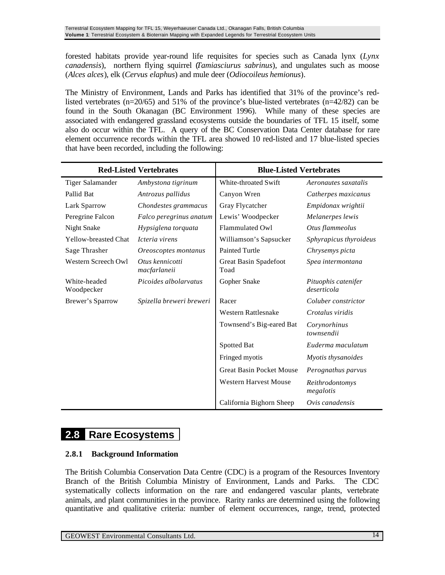forested habitats provide year-round life requisites for species such as Canada lynx (*Lynx canadensis*), northern flying squirrel (*Tamiasciurus sabrinus*), and ungulates such as moose (*Alces alces*), elk (*Cervus elaphus*) and mule deer (*Odiocoileus hemionus*).

The Ministry of Environment, Lands and Parks has identified that 31% of the province's redlisted vertebrates (n=20/65) and 51% of the province's blue-listed vertebrates (n=42/82) can be found in the South Okanagan (BC Environment 1996). While many of these species are associated with endangered grassland ecosystems outside the boundaries of TFL 15 itself, some also do occur within the TFL. A query of the BC Conservation Data Center database for rare element occurrence records within the TFL area showed 10 red-listed and 17 blue-listed species that have been recorded, including the following:

| <b>Red-Listed Vertebrates</b> |                                 | <b>Blue-Listed Vertebrates</b> |                                    |  |
|-------------------------------|---------------------------------|--------------------------------|------------------------------------|--|
| Tiger Salamander              | Ambystona tigrinum              | White-throated Swift           | Aeronautes saxatalis               |  |
| Pallid Bat                    | Antrozus pallidus               | Canyon Wren                    | Catherpes maxicanus                |  |
| Lark Sparrow                  | Chondestes grammacus            | Gray Flycatcher                | Empidonax wrightii                 |  |
| Peregrine Falcon              | Falco peregrinus anatum         | Lewis' Woodpecker              | Melanerpes lewis                   |  |
| Night Snake                   | Hypsiglena torquata             | Flammulated Owl                | Otus flammeolus                    |  |
| <b>Yellow-breasted Chat</b>   | Icteria virens                  | Williamson's Sapsucker         | Sphyrapicus thyroideus             |  |
| Sage Thrasher                 | Oreoscoptes montanus            | <b>Painted Turtle</b>          | Chrysemys picta                    |  |
| Western Screech Owl           | Otus kennicotti<br>macfarlaneii | Great Basin Spadefoot<br>Toad  | Spea intermontana                  |  |
| White-headed<br>Woodpecker    | Picoides albolarvatus           | Gopher Snake                   | Pituophis catenifer<br>deserticola |  |
| Brewer's Sparrow              | Spizella breweri breweri        | Racer                          | Coluber constrictor                |  |
|                               |                                 | <b>Western Rattlesnake</b>     | Crotalus viridis                   |  |
|                               |                                 | Townsend's Big-eared Bat       | Corynorhinus<br>townsendii         |  |
|                               |                                 | Spotted Bat                    | Euderma maculatum                  |  |
|                               |                                 | Fringed myotis                 | Myotis thysanoides                 |  |
|                               |                                 | Great Basin Pocket Mouse       | Perognathus parvus                 |  |
|                               |                                 | <b>Western Harvest Mouse</b>   | Reithrodontomys<br>megalotis       |  |
|                               |                                 | California Bighorn Sheep       | Ovis canadensis                    |  |

## **2.8 Rare Ecosystems**

#### **2.8.1 Background Information**

The British Columbia Conservation Data Centre (CDC) is a program of the Resources Inventory Branch of the British Columbia Ministry of Environment, Lands and Parks. The CDC systematically collects information on the rare and endangered vascular plants, vertebrate animals, and plant communities in the province. Rarity ranks are determined using the following quantitative and qualitative criteria: number of element occurrences, range, trend, protected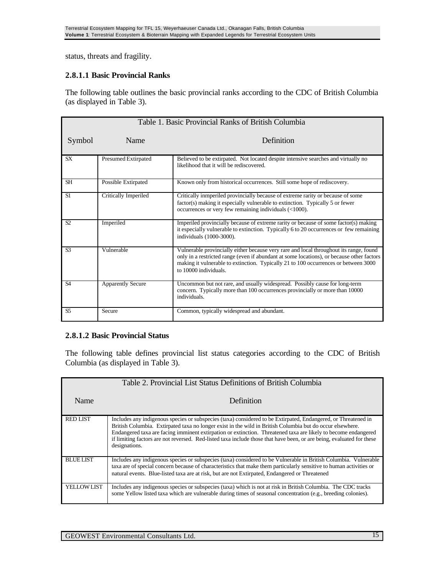status, threats and fragility.

#### **2.8.1.1 Basic Provincial Ranks**

The following table outlines the basic provincial ranks according to the CDC of British Columbia (as displayed in Table 3).

|                |                          | Table 1. Basic Provincial Ranks of British Columbia                                                                                                                                                                                                                                                 |
|----------------|--------------------------|-----------------------------------------------------------------------------------------------------------------------------------------------------------------------------------------------------------------------------------------------------------------------------------------------------|
| Symbol         | Name                     | Definition                                                                                                                                                                                                                                                                                          |
| <b>SX</b>      | Presumed Extirpated      | Believed to be extirpated. Not located despite intensive searches and virtually no<br>likelihood that it will be rediscovered.                                                                                                                                                                      |
| <b>SH</b>      | Possible Extirpated      | Known only from historical occurrences. Still some hope of rediscovery.                                                                                                                                                                                                                             |
| S1             | Critically Imperiled     | Critically inmperiled provincially because of extreme rarity or because of some<br>factor(s) making it especially vulnerable to extinction. Typically 5 or fewer<br>occurrences or very few remaining individuals $(\leq 1000)$ .                                                                   |
| S2             | Imperiled                | Imperiled provincially because of extreme rarity or because of some factor(s) making<br>it especially vulnerable to extinction. Typically 6 to 20 occurrences or few remaining<br>individuals (1000-3000).                                                                                          |
| S <sub>3</sub> | Vulnerable               | Vulnerable provincially either because very rare and local throughout its range, found<br>only in a restricted range (even if abundant at some locations), or because other factors<br>making it vulnerable to extinction. Typically 21 to 100 occurrences or between 3000<br>to 10000 individuals. |
| S <sub>4</sub> | <b>Apparently Secure</b> | Uncommon but not rare, and usually widespread. Possibly cause for long-term<br>concern. Typically more than 100 occurrences provincially or more than 10000<br>individuals.                                                                                                                         |
| S <sub>5</sub> | Secure                   | Common, typically widespread and abundant.                                                                                                                                                                                                                                                          |

#### **2.8.1.2 Basic Provincial Status**

The following table defines provincial list status categories according to the CDC of British Columbia (as displayed in Table 3).

|                   | Table 2. Provincial List Status Definitions of British Columbia                                                                                                                                                                                                                                                                                                                                                                                                                         |
|-------------------|-----------------------------------------------------------------------------------------------------------------------------------------------------------------------------------------------------------------------------------------------------------------------------------------------------------------------------------------------------------------------------------------------------------------------------------------------------------------------------------------|
| Name              | Definition                                                                                                                                                                                                                                                                                                                                                                                                                                                                              |
| <b>RED LIST</b>   | Includes any indigenous species or subspecies (taxa) considered to be Extirpated, Endangered, or Threatened in<br>British Columbia. Extirpated taxa no longer exist in the wild in British Columbia but do occur elsewhere.<br>Endangered taxa are facing imminent extirpation or extinction. Threatened taxa are likely to become endangered<br>if limiting factors are not reversed. Red-listed taxa include those that have been, or are being, evaluated for these<br>designations. |
| <b>BLUELIST</b>   | Includes any indigenous species or subspecies (taxa) considered to be Vulnerable in British Columbia. Vulnerable<br>taxa are of special concern because of characteristics that make them particularly sensitive to human activities or<br>natural events. Blue-listed taxa are at risk, but are not Extirpated, Endangered or Threatened                                                                                                                                               |
| <b>YELLOWLIST</b> | Includes any indigenous species or subspecies (taxa) which is not at risk in British Columbia. The CDC tracks<br>some Yellow listed taxa which are vulnerable during times of seasonal concentration (e.g., breeding colonies).                                                                                                                                                                                                                                                         |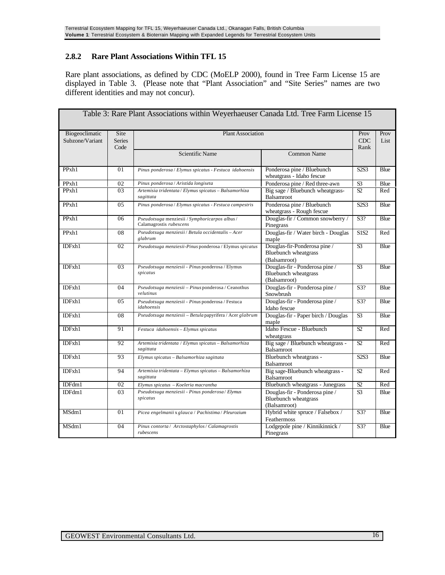#### **2.8.2 Rare Plant Associations Within TFL 15**

Rare plant associations, as defined by CDC (MoELP 2000), found in Tree Farm License 15 are displayed in Table 3. (Please note that "Plant Association" and "Site Series" names are two different identities and may not concur).

|                                   |                               | Table 3: Rare Plant Associations within Weyerhaeuser Canada Ltd. Tree Farm License 15 |                                                                               |                               |              |
|-----------------------------------|-------------------------------|---------------------------------------------------------------------------------------|-------------------------------------------------------------------------------|-------------------------------|--------------|
| Biogeoclimatic<br>Subzone/Variant | Site<br><b>Series</b><br>Code | <b>Plant Association</b>                                                              |                                                                               |                               | Prov<br>List |
|                                   |                               | Scientific Name                                                                       | <b>Common Name</b>                                                            |                               |              |
| PPxh1                             | 01                            | Pinus ponderosa / Elymus spicatus - Festuca idahoensis                                | Ponderosa pine / Bluebunch<br>wheatgrass - Idaho fescue                       | S <sub>2</sub> S <sub>3</sub> | Blue         |
| PPxh1                             | 02                            | Pinus ponderosa / Aristida longiseta                                                  | Ponderosa pine / Red three-awn                                                | S <sub>3</sub>                | Blue         |
| PPxh1                             | 03                            | Artemisia tridentata / Elymus spicatus - Balsamorhiza<br>sagittata                    | Big sage / Bluebunch wheatgrass-<br>Balsamroot                                | $\overline{S2}$               | Red          |
| PP <sub>xh1</sub>                 | 05                            | Pinus ponderosa / Elymus spicatus - Festuca campestris                                | Ponderosa pine / Bluebunch<br>wheatgrass - Rough fescue                       | S <sub>2</sub> S <sub>3</sub> | Blue         |
| PP <sub>xh1</sub>                 | 06                            | Pseudotsuga menziesii / Symphoricarpos albus /<br>Calamagrostis rubescens             | Douglas-fir / Common snowberry /<br>Pinegrass                                 | S <sub>3</sub> ?              | Blue         |
| PPxh1                             | 08                            | Pseudotsuga menziesii / Betula occidentalis - Acer<br>glabrum                         | Douglas-fir / Water birch - Douglas<br>maple                                  | <b>S1S2</b>                   | Red          |
| IDFxh1                            | $\overline{02}$               | Pseudotsuga menziesii-Pinus ponderosa / Elymus spicatus                               | Douglas-fir-Ponderosa pine /<br>Bluebunch wheatgrass<br>(Balsamroot)          | $\overline{S3}$               | Blue         |
| IDFxh1                            | 03                            | Pseudotsuga menziesii - Pinus ponderosa / Elymus<br>spicatus                          | Douglas-fir - Ponderosa pine /<br><b>Bluebunch</b> wheatgrass<br>(Balsamroot) | $\overline{S3}$               | <b>Blue</b>  |
| IDFxh1                            | 04                            | Pseudotsuga menziesii - Pinus ponderosa / Ceanothus<br>velutinus                      | Douglas-fir - Ponderosa pine /<br>Snowbrush                                   | S3?                           | Blue         |
| IDFxh1                            | 0 <sub>5</sub>                | Pseudotsuga menziesii - Pinus ponderosa / Festuca<br>idahoensis                       | Douglas-fir - Ponderosa pine /<br>Idaho fescue                                | S3?                           | Blue         |
| IDFxh1                            | 08                            | Pseudotsuga menziesii - Betula papyrifera / Acer glabrum                              | Douglas-fir - Paper birch / Douglas<br>maple                                  | $\overline{S3}$               | Blue         |
| IDFxh1                            | 91                            | Festuca idahoensis - Elymus spicatus                                                  | Idaho Fescue - Bluebunch<br>wheatgrass                                        | S2                            | Red          |
| IDFxh1                            | 92                            | Artemisia tridentata / Elymus spicatus - Balsamorhiza<br>sagittata                    | Big sage / Bluebunch wheatgrass -<br>Balsamroot                               | $\overline{S2}$               | Red          |
| IDFxh1                            | 93                            | Elymus spicatus - Balsamorhiza sagittata                                              | Bluebunch wheatgrass -<br>Balsamroot                                          | S <sub>2</sub> S <sub>3</sub> | Blue         |
| IDFxh1                            | 94                            | Artemisia tridentata - Elymus spicatus - Balsamorhiza<br>sagittata                    | Big sage-Bluebunch wheatgrass -<br>Balsamroot                                 | S2                            | Red          |
| IDFdm1                            | 02                            | Elymus spicatus - Koeleria macrantha                                                  | Bluebunch wheatgrass - Junegrass                                              | $\overline{S2}$               | Red          |
| IDFdm1                            | 03                            | Pseudotsuga menziesii - Pinus ponderosa / Elymus<br>spicatus                          | Douglas-fir - Ponderosa pine /<br><b>Bluebunch</b> wheatgrass<br>(Balsamroot) | S <sub>3</sub>                | Blue         |
| MSdm1                             | 01                            | Picea engelmanii x glauca / Pachistima / Pleurozium                                   | Hybrid white spruce / Falsebox /<br>Feathermoss                               | S3?                           | Blue         |
| MSdm1                             | 04                            | Pinus contorta / Arctostaphylos / Calamagrostis<br>rubescens                          | Lodgepole pine / Kinnikinnick /<br>Pinegrass                                  | S3?                           | Blue         |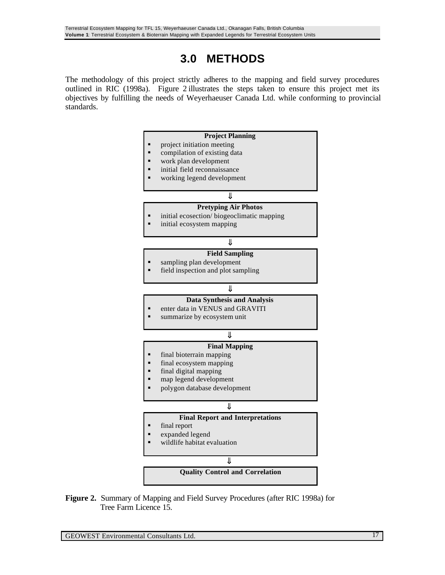## **3.0 METHODS**

The methodology of this project strictly adheres to the mapping and field survey procedures outlined in RIC (1998a). Figure 2 illustrates the steps taken to ensure this project met its objectives by fulfilling the needs of Weyerhaeuser Canada Ltd. while conforming to provincial standards.



**Figure 2.** Summary of Mapping and Field Survey Procedures (after RIC 1998a) for Tree Farm Licence 15.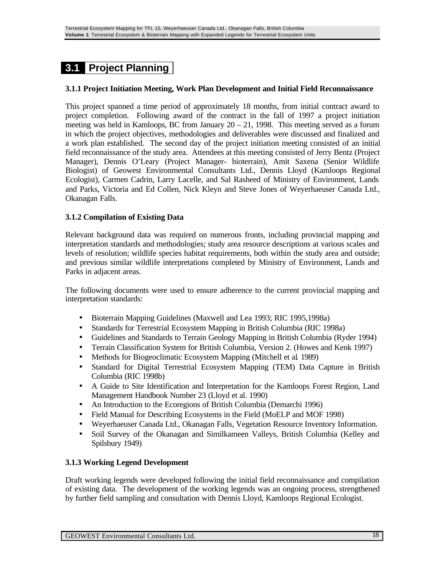## **3.1 Project Planning**

#### **3.1.1 Project Initiation Meeting, Work Plan Development and Initial Field Reconnaissance**

This project spanned a time period of approximately 18 months, from initial contract award to project completion. Following award of the contract in the fall of 1997 a project initiation meeting was held in Kamloops, BC from January  $20 - 21$ , 1998. This meeting served as a forum in which the project objectives, methodologies and deliverables were discussed and finalized and a work plan established. The second day of the project initiation meeting consisted of an initial field reconnaissance of the study area. Attendees at this meeting consisted of Jerry Bentz (Project Manager), Dennis O'Leary (Project Manager- bioterrain), Amit Saxena (Senior Wildlife Biologist) of Geowest Environmental Consultants Ltd., Dennis Lloyd (Kamloops Regional Ecologist), Carmen Cadrin, Larry Lacelle, and Sal Rasheed of Ministry of Environment, Lands and Parks, Victoria and Ed Collen, Nick Kleyn and Steve Jones of Weyerhaeuser Canada Ltd., Okanagan Falls.

#### **3.1.2 Compilation of Existing Data**

Relevant background data was required on numerous fronts, including provincial mapping and interpretation standards and methodologies; study area resource descriptions at various scales and levels of resolution; wildlife species habitat requirements, both within the study area and outside; and previous similar wildlife interpretations completed by Ministry of Environment, Lands and Parks in adjacent areas.

The following documents were used to ensure adherence to the current provincial mapping and interpretation standards:

- Bioterrain Mapping Guidelines (Maxwell and Lea 1993; RIC 1995,1998a)
- Standards for Terrestrial Ecosystem Mapping in British Columbia (RIC 1998a)
- Guidelines and Standards to Terrain Geology Mapping in British Columbia (Ryder 1994)
- Terrain Classification System for British Columbia, Version 2. (Howes and Kenk 1997)
- Methods for Biogeoclimatic Ecosystem Mapping (Mitchell et al*.* 1989)
- Standard for Digital Terrestrial Ecosystem Mapping (TEM) Data Capture in British Columbia (RIC 1998b)
- A Guide to Site Identification and Interpretation for the Kamloops Forest Region, Land Management Handbook Number 23 (Lloyd et al. 1990)
- An Introduction to the Ecoregions of British Columbia (Demarchi 1996)
- Field Manual for Describing Ecosystems in the Field (MoELP and MOF 1998)
- Weyerhaeuser Canada Ltd., Okanagan Falls, Vegetation Resource Inventory Information.
- Soil Survey of the Okanagan and Similkameen Valleys, British Columbia (Kelley and Spilsbury 1949)

#### **3.1.3 Working Legend Development**

Draft working legends were developed following the initial field reconnaissance and compilation of existing data. The development of the working legends was an ongoing process, strengthened by further field sampling and consultation with Dennis Lloyd, Kamloops Regional Ecologist.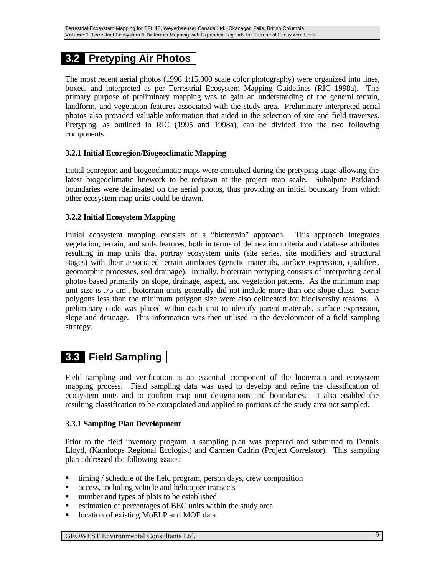## **3.2 Pretyping Air Photos**

The most recent aerial photos (1996 1:15,000 scale color photography) were organized into lines, boxed, and interpreted as per Terrestrial Ecosystem Mapping Guidelines (RIC 1998a). The primary purpose of preliminary mapping was to gain an understanding of the general terrain, landform, and vegetation features associated with the study area. Preliminary interpreted aerial photos also provided valuable information that aided in the selection of site and field traverses. Pretyping, as outlined in RIC (1995 and 1998a), can be divided into the two following components.

#### **3.2.1 Initial Ecoregion/Biogeoclimatic Mapping**

Initial ecoregion and biogeoclimatic maps were consulted during the pretyping stage allowing the latest biogeoclimatic linework to be redrawn at the project map scale. Subalpine Parkland boundaries were delineated on the aerial photos, thus providing an initial boundary from which other ecosystem map units could be drawn.

#### **3.2.2 Initial Ecosystem Mapping**

Initial ecosystem mapping consists of a "bioterrain" approach. This approach integrates vegetation, terrain, and soils features, both in terms of delineation criteria and database attributes resulting in map units that portray ecosystem units (site series, site modifiers and structural stages) with their associated terrain attributes (genetic materials, surface expression, qualifiers, geomorphic processes, soil drainage). Initially, bioterrain pretyping consists of interpreting aerial photos based primarily on slope, drainage, aspect, and vegetation patterns. As the minimum map unit size is  $.75 \text{ cm}^2$ , bioterrain units generally did not include more than one slope class. Some polygons less than the minimum polygon size were also delineated for biodiversity reasons. A preliminary code was placed within each unit to identify parent materials, surface expression, slope and drainage. This information was then utilised in the development of a field sampling strategy.

### **3.3 Field Sampling**

Field sampling and verification is an essential component of the bioterrain and ecosystem mapping process. Field sampling data was used to develop and refine the classification of ecosystem units and to confirm map unit designations and boundaries. It also enabled the resulting classification to be extrapolated and applied to portions of the study area not sampled.

#### **3.3.1 Sampling Plan Development**

Prior to the field inventory program, a sampling plan was prepared and submitted to Dennis Lloyd, (Kamloops Regional Ecologist) and Carmen Cadrin (Project Correlator). This sampling plan addressed the following issues:

- ß timing / schedule of the field program, person days, crew composition
- ß access, including vehicle and helicopter transects
- number and types of plots to be established
- **Example 1** estimation of percentages of BEC units within the study area
- location of existing MoELP and MOF data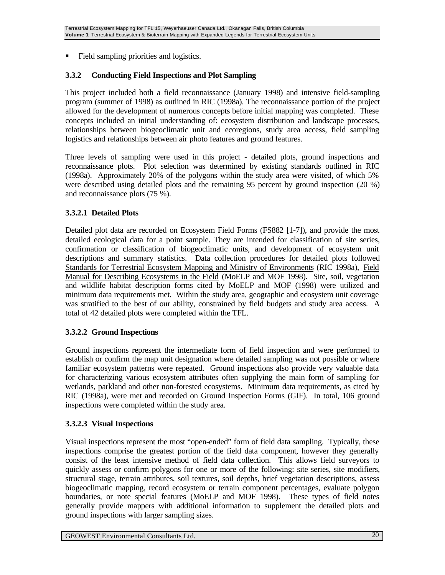ß Field sampling priorities and logistics.

#### **3.3.2 Conducting Field Inspections and Plot Sampling**

This project included both a field reconnaissance (January 1998) and intensive field-sampling program (summer of 1998) as outlined in RIC (1998a). The reconnaissance portion of the project allowed for the development of numerous concepts before initial mapping was completed. These concepts included an initial understanding of: ecosystem distribution and landscape processes, relationships between biogeoclimatic unit and ecoregions, study area access, field sampling logistics and relationships between air photo features and ground features.

Three levels of sampling were used in this project - detailed plots, ground inspections and reconnaissance plots. Plot selection was determined by existing standards outlined in RIC (1998a). Approximately 20% of the polygons within the study area were visited, of which 5% were described using detailed plots and the remaining 95 percent by ground inspection (20 %) and reconnaissance plots (75 %).

#### **3.3.2.1 Detailed Plots**

Detailed plot data are recorded on Ecosystem Field Forms (FS882 [1-7]), and provide the most detailed ecological data for a point sample. They are intended for classification of site series, confirmation or classification of biogeoclimatic units, and development of ecosystem unit descriptions and summary statistics. Data collection procedures for detailed plots followed Standards for Terrestrial Ecosystem Mapping and Ministry of Environments (RIC 1998a), Field Manual for Describing Ecosystems in the Field (MoELP and MOF 1998). Site, soil, vegetation and wildlife habitat description forms cited by MoELP and MOF (1998) were utilized and minimum data requirements met. Within the study area, geographic and ecosystem unit coverage was stratified to the best of our ability, constrained by field budgets and study area access. A total of 42 detailed plots were completed within the TFL.

#### **3.3.2.2 Ground Inspections**

Ground inspections represent the intermediate form of field inspection and were performed to establish or confirm the map unit designation where detailed sampling was not possible or where familiar ecosystem patterns were repeated. Ground inspections also provide very valuable data for characterizing various ecosystem attributes often supplying the main form of sampling for wetlands, parkland and other non-forested ecosystems. Minimum data requirements, as cited by RIC (1998a), were met and recorded on Ground Inspection Forms (GIF). In total, 106 ground inspections were completed within the study area.

#### **3.3.2.3 Visual Inspections**

Visual inspections represent the most "open-ended" form of field data sampling. Typically, these inspections comprise the greatest portion of the field data component, however they generally consist of the least intensive method of field data collection. This allows field surveyors to quickly assess or confirm polygons for one or more of the following: site series, site modifiers, structural stage, terrain attributes, soil textures, soil depths, brief vegetation descriptions, assess biogeoclimatic mapping, record ecosystem or terrain component percentages, evaluate polygon boundaries, or note special features (MoELP and MOF 1998). These types of field notes generally provide mappers with additional information to supplement the detailed plots and ground inspections with larger sampling sizes.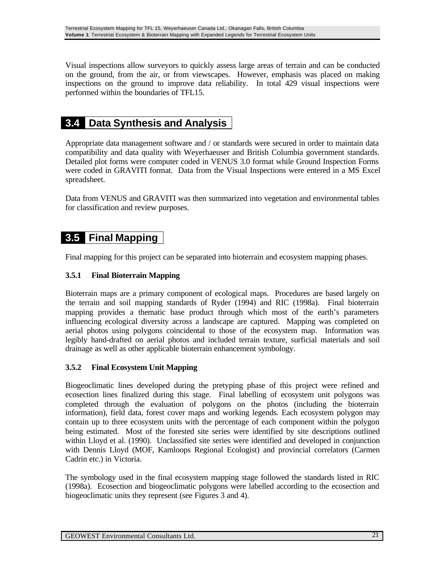Visual inspections allow surveyors to quickly assess large areas of terrain and can be conducted on the ground, from the air, or from viewscapes. However, emphasis was placed on making inspections on the ground to improve data reliability. In total 429 visual inspections were performed within the boundaries of TFL15.

### **3.4 Data Synthesis and Analysis**

Appropriate data management software and / or standards were secured in order to maintain data compatibility and data quality with Weyerhaeuser and British Columbia government standards. Detailed plot forms were computer coded in VENUS 3.0 format while Ground Inspection Forms were coded in GRAVITI format. Data from the Visual Inspections were entered in a MS Excel spreadsheet.

Data from VENUS and GRAVITI was then summarized into vegetation and environmental tables for classification and review purposes.

### **3.5 Final Mapping**

Final mapping for this project can be separated into bioterrain and ecosystem mapping phases.

#### **3.5.1 Final Bioterrain Mapping**

Bioterrain maps are a primary component of ecological maps. Procedures are based largely on the terrain and soil mapping standards of Ryder (1994) and RIC (1998a). Final bioterrain mapping provides a thematic base product through which most of the earth's parameters influencing ecological diversity across a landscape are captured. Mapping was completed on aerial photos using polygons coincidental to those of the ecosystem map. Information was legibly hand-drafted on aerial photos and included terrain texture, surficial materials and soil drainage as well as other applicable bioterrain enhancement symbology.

#### **3.5.2 Final Ecosystem Unit Mapping**

Biogeoclimatic lines developed during the pretyping phase of this project were refined and ecosection lines finalized during this stage. Final labelling of ecosystem unit polygons was completed through the evaluation of polygons on the photos (including the bioterrain information), field data, forest cover maps and working legends. Each ecosystem polygon may contain up to three ecosystem units with the percentage of each component within the polygon being estimated. Most of the forested site series were identified by site descriptions outlined within Lloyd et al. (1990). Unclassified site series were identified and developed in conjunction with Dennis Lloyd (MOF, Kamloops Regional Ecologist) and provincial correlators (Carmen Cadrin etc.) in Victoria.

The symbology used in the final ecosystem mapping stage followed the standards listed in RIC (1998a). Ecosection and biogeoclimatic polygons were labelled according to the ecosection and biogeoclimatic units they represent (see Figures 3 and 4).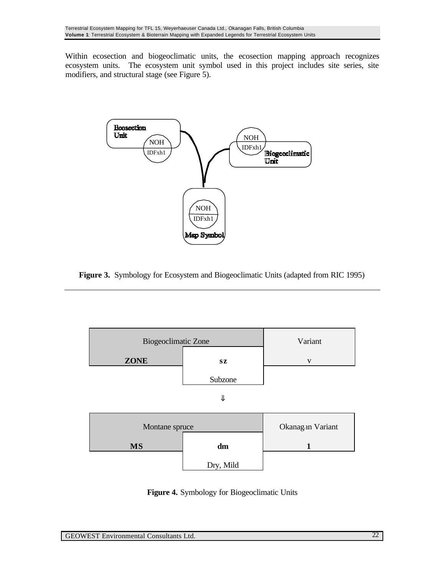Within ecosection and biogeoclimatic units, the ecosection mapping approach recognizes ecosystem units. The ecosystem unit symbol used in this project includes site series, site modifiers, and structural stage (see Figure 5).



**Figure 3.** Symbology for Ecosystem and Biogeoclimatic Units (adapted from RIC 1995)



**Figure 4.** Symbology for Biogeoclimatic Units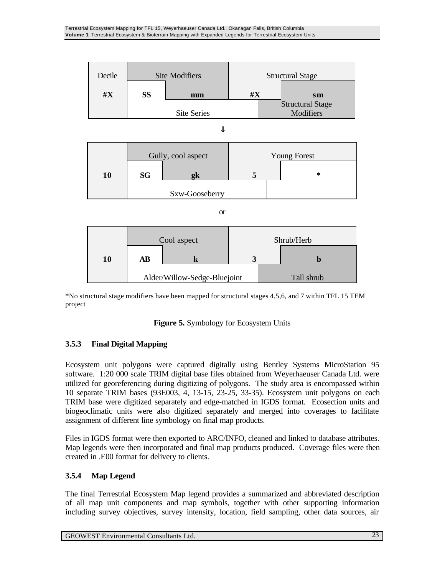

\*No structural stage modifiers have been mapped for structural stages 4,5,6, and 7 within TFL 15 TEM project

#### **Figure 5.** Symbology for Ecosystem Units

#### **3.5.3 Final Digital Mapping**

Ecosystem unit polygons were captured digitally using Bentley Systems MicroStation 95 software. 1:20 000 scale TRIM digital base files obtained from Weyerhaeuser Canada Ltd. were utilized for georeferencing during digitizing of polygons. The study area is encompassed within 10 separate TRIM bases (93E003, 4, 13-15, 23-25, 33-35). Ecosystem unit polygons on each TRIM base were digitized separately and edge-matched in IGDS format. Ecosection units and biogeoclimatic units were also digitized separately and merged into coverages to facilitate assignment of different line symbology on final map products.

Files in IGDS format were then exported to ARC/INFO, cleaned and linked to database attributes. Map legends were then incorporated and final map products produced. Coverage files were then created in .E00 format for delivery to clients.

#### **3.5.4 Map Legend**

The final Terrestrial Ecosystem Map legend provides a summarized and abbreviated description of all map unit components and map symbols, together with other supporting information including survey objectives, survey intensity, location, field sampling, other data sources, air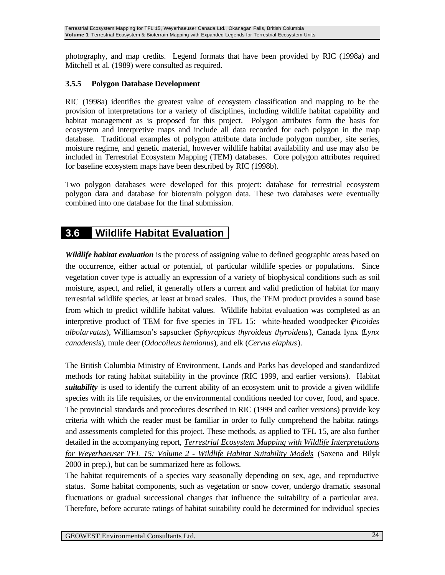photography, and map credits. Legend formats that have been provided by RIC (1998a) and Mitchell et al. (1989) were consulted as required.

#### **3.5.5 Polygon Database Development**

RIC (1998a) identifies the greatest value of ecosystem classification and mapping to be the provision of interpretations for a variety of disciplines, including wildlife habitat capability and habitat management as is proposed for this project. Polygon attributes form the basis for ecosystem and interpretive maps and include all data recorded for each polygon in the map database. Traditional examples of polygon attribute data include polygon number, site series, moisture regime, and genetic material, however wildlife habitat availability and use may also be included in Terrestrial Ecosystem Mapping (TEM) databases. Core polygon attributes required for baseline ecosystem maps have been described by RIC (1998b).

Two polygon databases were developed for this project: database for terrestrial ecosystem polygon data and database for bioterrain polygon data. These two databases were eventually combined into one database for the final submission.

### **3.6 Wildlife Habitat Evaluation**

*Wildlife habitat evaluation* is the process of assigning value to defined geographic areas based on the occurrence, either actual or potential, of particular wildlife species or populations. Since vegetation cover type is actually an expression of a variety of biophysical conditions such as soil moisture, aspect, and relief, it generally offers a current and valid prediction of habitat for many terrestrial wildlife species, at least at broad scales. Thus, the TEM product provides a sound base from which to predict wildlife habitat values. Wildlife habitat evaluation was completed as an interpretive product of TEM for five species in TFL 15: white-headed woodpecker (*Picoides albolarvatus*), Williamson's sapsucker (*Sphyrapicus thyroideus thyroideus*), Canada lynx (*Lynx canadensis*), mule deer (*Odocoileus hemionus*), and elk (*Cervus elaphus*).

The British Columbia Ministry of Environment, Lands and Parks has developed and standardized methods for rating habitat suitability in the province (RIC 1999, and earlier versions). Habitat *suitability* is used to identify the current ability of an ecosystem unit to provide a given wildlife species with its life requisites, or the environmental conditions needed for cover, food, and space. The provincial standards and procedures described in RIC (1999 and earlier versions) provide key criteria with which the reader must be familiar in order to fully comprehend the habitat ratings and assessments completed for this project. These methods, as applied to TFL 15, are also further detailed in the accompanying report, *Terrestrial Ecosystem Mapping with Wildlife Interpretations for Weyerhaeuser TFL 15: Volume 2 - Wildlife Habitat Suitability Models* (Saxena and Bilyk 2000 in prep.), but can be summarized here as follows.

The habitat requirements of a species vary seasonally depending on sex, age, and reproductive status. Some habitat components, such as vegetation or snow cover, undergo dramatic seasonal fluctuations or gradual successional changes that influence the suitability of a particular area. Therefore, before accurate ratings of habitat suitability could be determined for individual species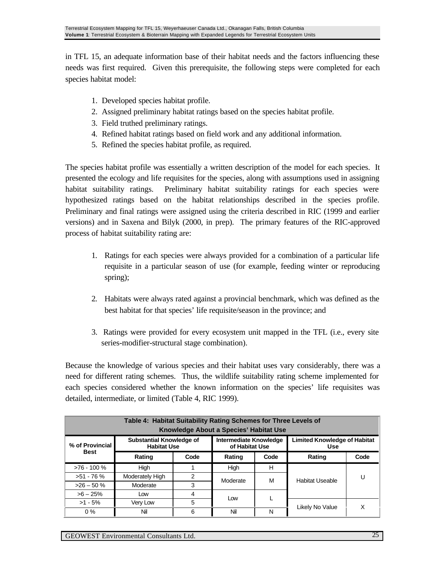in TFL 15, an adequate information base of their habitat needs and the factors influencing these needs was first required. Given this prerequisite, the following steps were completed for each species habitat model:

- 1. Developed species habitat profile.
- 2. Assigned preliminary habitat ratings based on the species habitat profile.
- 3. Field truthed preliminary ratings.
- 4. Refined habitat ratings based on field work and any additional information.
- 5. Refined the species habitat profile, as required.

The species habitat profile was essentially a written description of the model for each species. It presented the ecology and life requisites for the species, along with assumptions used in assigning habitat suitability ratings. Preliminary habitat suitability ratings for each species were hypothesized ratings based on the habitat relationships described in the species profile. Preliminary and final ratings were assigned using the criteria described in RIC (1999 and earlier versions) and in Saxena and Bilyk (2000, in prep). The primary features of the RIC-approved process of habitat suitability rating are:

- 1. Ratings for each species were always provided for a combination of a particular life requisite in a particular season of use (for example, feeding winter or reproducing spring);
- 2. Habitats were always rated against a provincial benchmark, which was defined as the best habitat for that species' life requisite/season in the province; and
- 3. Ratings were provided for every ecosystem unit mapped in the TFL (i.e., every site series-modifier-structural stage combination).

Because the knowledge of various species and their habitat uses vary considerably, there was a need for different rating schemes. Thus, the wildlife suitability rating scheme implemented for each species considered whether the known information on the species' life requisites was detailed, intermediate, or limited (Table 4, RIC 1999).

| Table 4: Habitat Suitability Rating Schemes for Three Levels of<br>Knowledge About a Species' Habitat Use |                                                       |                                          |          |                                            |                        |      |
|-----------------------------------------------------------------------------------------------------------|-------------------------------------------------------|------------------------------------------|----------|--------------------------------------------|------------------------|------|
| % of Provincial                                                                                           | <b>Substantial Knowledge of</b><br><b>Habitat Use</b> | Intermediate Knowledge<br>of Habitat Use |          | <b>Limited Knowledge of Habitat</b><br>Use |                        |      |
| Best                                                                                                      | Rating                                                | Code                                     | Rating   | Code                                       | Rating                 | Code |
| $>76 - 100 \%$                                                                                            | High                                                  |                                          | High     | H                                          |                        |      |
| $>51 - 76$ %                                                                                              | Moderately High                                       | 2                                        | Moderate | М                                          | <b>Habitat Useable</b> | U    |
| $>26 - 50$ %                                                                                              | Moderate                                              | 3                                        |          |                                            |                        |      |
| $>6 - 25\%$                                                                                               | Low                                                   | 4                                        | Low      |                                            |                        |      |
| $>1 - 5%$                                                                                                 | Very Low                                              | 5                                        |          |                                            | Likely No Value        | Χ    |
| $0\%$                                                                                                     | Nil                                                   | 6                                        | Nil      | N                                          |                        |      |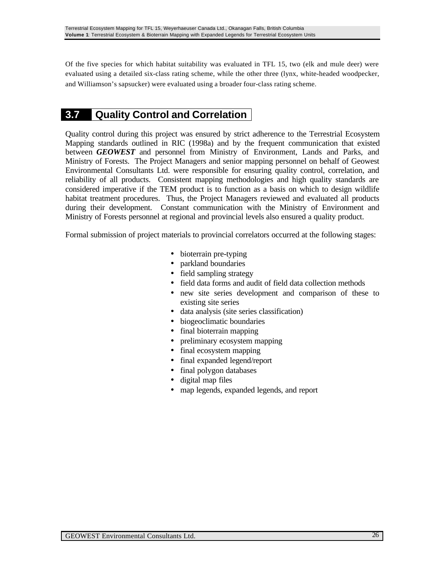Of the five species for which habitat suitability was evaluated in TFL 15, two (elk and mule deer) were evaluated using a detailed six-class rating scheme, while the other three (lynx, white-headed woodpecker, and Williamson's sapsucker) were evaluated using a broader four-class rating scheme.

### **3.7 Quality Control and Correlation**

Quality control during this project was ensured by strict adherence to the Terrestrial Ecosystem Mapping standards outlined in RIC (1998a) and by the frequent communication that existed between *GEOWEST* and personnel from Ministry of Environment, Lands and Parks, and Ministry of Forests. The Project Managers and senior mapping personnel on behalf of Geowest Environmental Consultants Ltd. were responsible for ensuring quality control, correlation, and reliability of all products. Consistent mapping methodologies and high quality standards are considered imperative if the TEM product is to function as a basis on which to design wildlife habitat treatment procedures. Thus, the Project Managers reviewed and evaluated all products during their development. Constant communication with the Ministry of Environment and Ministry of Forests personnel at regional and provincial levels also ensured a quality product.

Formal submission of project materials to provincial correlators occurred at the following stages:

- bioterrain pre-typing
- parkland boundaries
- field sampling strategy
- field data forms and audit of field data collection methods
- new site series development and comparison of these to existing site series
- data analysis (site series classification)
- biogeoclimatic boundaries
- final bioterrain mapping
- preliminary ecosystem mapping
- final ecosystem mapping
- final expanded legend/report
- final polygon databases
- digital map files
- map legends, expanded legends, and report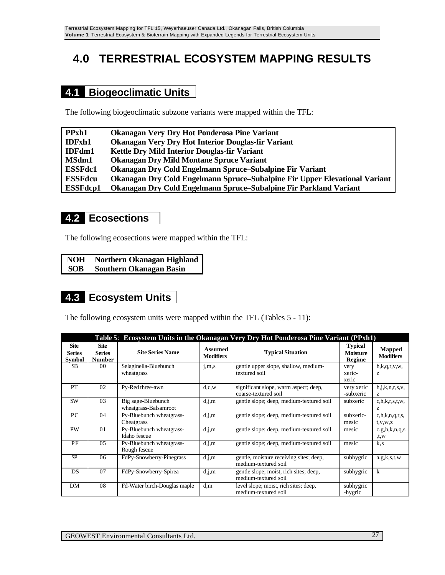# **4.0 TERRESTRIAL ECOSYSTEM MAPPING RESULTS**

## **4.1 Biogeoclimatic Units**

The following biogeoclimatic subzone variants were mapped within the TFL:

| PPxh1           | Okanagan Very Dry Hot Ponderosa Pine Variant                               |
|-----------------|----------------------------------------------------------------------------|
| <b>IDFxh1</b>   | Okanagan Very Dry Hot Interior Douglas-fir Variant                         |
| <b>IDFdm1</b>   | Kettle Dry Mild Interior Douglas-fir Variant                               |
| MSdm1           | <b>Okanagan Dry Mild Montane Spruce Variant</b>                            |
| <b>ESSFdc1</b>  | Okanagan Dry Cold Engelmann Spruce–Subalpine Fir Variant                   |
| <b>ESSFdcu</b>  | Okanagan Dry Cold Engelmann Spruce–Subalpine Fir Upper Elevational Variant |
| <b>ESSFdcp1</b> | Okanagan Dry Cold Engelmann Spruce–Subalpine Fir Parkland Variant          |

### **4.2 Ecosections**

The following ecosections were mapped within the TFL:

| <b>NOH</b> | Northern Okanagan Highland     |
|------------|--------------------------------|
| <b>SOB</b> | <b>Southern Okanagan Basin</b> |

## **4.3 Ecosystem Units**

The following ecosystem units were mapped within the TFL (Tables 5 - 11):

|                                               | Table 5: Ecosystem Units in the Okanagan Very Dry Hot Ponderosa Pine Variant (PPxh1) |                                             |                                    |                                                                 |                                             |                                               |  |
|-----------------------------------------------|--------------------------------------------------------------------------------------|---------------------------------------------|------------------------------------|-----------------------------------------------------------------|---------------------------------------------|-----------------------------------------------|--|
| <b>Site</b><br><b>Series</b><br><b>Symbol</b> | <b>Site</b><br><b>Series</b><br><b>Number</b>                                        | <b>Site Series Name</b>                     | <b>Assumed</b><br><b>Modifiers</b> | <b>Typical Situation</b>                                        | <b>Typical</b><br><b>Moisture</b><br>Regime | <b>Mapped</b><br><b>Modifiers</b>             |  |
| <b>SB</b>                                     | 00                                                                                   | Selaginella-Bluebunch<br>wheatgrass         | j, m, s                            | gentle upper slope, shallow, medium-<br>textured soil           | very<br>xeric-<br>xeric                     | h, k, q, r, v, w,<br>z                        |  |
| PT                                            | 02                                                                                   | Py-Red three-awn                            | d,c,w                              | significant slope, warm aspect; deep,<br>coarse-textured soil   | very xeric<br>-subxeric                     | h, j, k, n, r, s, v,<br>z                     |  |
| SW                                            | 03                                                                                   | Big sage-Bluebunch<br>wheatgrass-Balsamroot | d,j,m                              | gentle slope; deep, medium-textured soil                        | subxeric                                    | c, h, k, r, s, t, w,<br>Z                     |  |
| PC                                            | 04                                                                                   | Py-Bluebunch wheatgrass-<br>Cheatgrass      | d,j,m                              | gentle slope; deep, medium-textured soil                        | subxeric-<br>mesic                          | c, h, k, n, q, r, s,<br>$t$ , $v$ , $w$ , $z$ |  |
| <b>PW</b>                                     | 01                                                                                   | Py-Bluebunch wheatgrass-<br>Idaho fescue    | d,j,m                              | gentle slope; deep, medium-textured soil                        | mesic                                       | c, g, h, k, n, q, s<br>,t,w                   |  |
| PF                                            | 05                                                                                   | Py-Bluebunch wheatgrass-<br>Rough fescue    | d,j,m                              | gentle slope; deep, medium-textured soil                        | mesic                                       | k,s                                           |  |
| SP                                            | 06                                                                                   | FdPy-Snowberry-Pinegrass                    | d,j,m                              | gentle, moisture receiving sites; deep,<br>medium-textured soil | subhygric                                   | a,g,k,s,t,w                                   |  |
| DS                                            | 07                                                                                   | FdPy-Snowberry-Spirea                       | d,j,m                              | gentle slope; moist, rich sites; deep,<br>medium-textured soil  | subhygric                                   | k                                             |  |
| DM                                            | 08                                                                                   | Fd-Water birch-Douglas maple                | d,m                                | level slope; moist, rich sites; deep,<br>medium-textured soil   | subhygric<br>-hygric                        |                                               |  |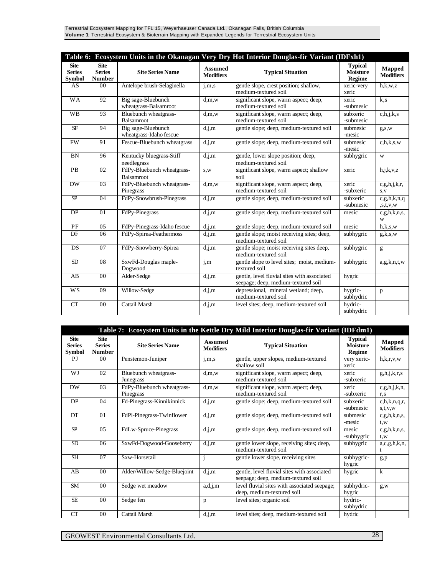| Table 6: Ecosystem Units in the Okanagan Very Dry Hot Interior Douglas-fir Variant (IDFxh1) |                                               |                                                 |                                    |                                                                                    |                                                    |                                   |  |
|---------------------------------------------------------------------------------------------|-----------------------------------------------|-------------------------------------------------|------------------------------------|------------------------------------------------------------------------------------|----------------------------------------------------|-----------------------------------|--|
| <b>Site</b><br><b>Series</b><br><b>Symbol</b>                                               | <b>Site</b><br><b>Series</b><br><b>Number</b> | <b>Site Series Name</b>                         | <b>Assumed</b><br><b>Modifiers</b> | <b>Typical Situation</b>                                                           | <b>Typical</b><br><b>Moisture</b><br><b>Regime</b> | <b>Mapped</b><br><b>Modifiers</b> |  |
| AS                                                                                          | 00                                            | Antelope brush-Selaginella                      | j, m, s                            | gentle slope, crest position; shallow,<br>medium-textured soil                     | xeric-very<br>xeric                                | h,k,w,z                           |  |
| <b>WA</b>                                                                                   | 92                                            | Big sage-Bluebunch<br>wheatgrass-Balsamroot     | d,m,w                              | significant slope, warm aspect; deep,<br>medium-textured soil                      | xeric<br>-submesic                                 | k, s                              |  |
| <b>WB</b>                                                                                   | 93                                            | Bluebunch wheatgrass-<br>Balsamroot             | d,m,w                              | significant slope, warm aspect; deep,<br>medium-textured soil                      | subxeric<br>-submesic                              | c,h,j,k,s                         |  |
| <b>SF</b>                                                                                   | 94                                            | Big sage-Bluebunch<br>wheatgrass-Idaho fescue   | d,j,m                              | gentle slope; deep, medium-textured soil                                           | submesic<br>-mesic                                 | $g_{,S,W}$                        |  |
| <b>FW</b>                                                                                   | 91                                            | Fescue-Bluebunch wheatgrass                     | d,j,m                              | gentle slope; deep, medium-textured soil                                           | submesic<br>-mesic                                 | c,h,k,s,w                         |  |
| <b>BN</b>                                                                                   | 96                                            | Kentucky bluegrass-Stiff<br>needlegrass         | d,j,m                              | gentle, lower slope position; deep,<br>medium-textured soil                        | subhygric                                          | W                                 |  |
| $\overline{PB}$                                                                             | $\overline{02}$                               | FdPy-Bluebunch wheatgrass-<br><b>Balsamroot</b> | s,w                                | significant slope, warm aspect; shallow<br>soil                                    | xeric                                              | h,j,k,v,z                         |  |
| $\overline{DW}$                                                                             | $\overline{03}$                               | FdPy-Bluebunch wheatgrass-<br>Pinegrass         | d,m,w                              | significant slope, warm aspect; deep,<br>medium-textured soil                      | xeric<br>-subxeric                                 | c.g,h,j,k,r,<br>S, V              |  |
| $\overline{SP}$                                                                             | 04                                            | FdPy-Snowbrush-Pinegrass                        | d,j,m                              | gentle slope; deep, medium-textured soil                                           | subxeric<br>-submesic                              | c.g,h,k,n,q<br>s,t,v,w            |  |
| DP                                                                                          | $\overline{01}$                               | FdPy-Pinegrass                                  | d,j,m                              | gentle slope; deep, medium-textured soil                                           | mesic                                              | c.g,h,k,n,s,<br>W                 |  |
| PF                                                                                          | 05                                            | FdPy-Pinegrass-Idaho fescue                     | d,j,m                              | gentle slope; deep, medium-textured soil                                           | mesic                                              | h,k,s,w                           |  |
| DF                                                                                          | 06                                            | FdPy-Spirea-Feathermoss                         | d,j,m                              | gentle slope; moist receiving sites; deep,<br>medium-textured soil                 | subhygric                                          | g,k,s,w                           |  |
| DS                                                                                          | 07                                            | FdPy-Snowberry-Spirea                           | d,j,m                              | gentle slope; moist receiving sites deep,<br>medium-textured soil                  | subhygric                                          | g                                 |  |
| SD                                                                                          | $\overline{08}$                               | SxwFd-Douglas maple-<br>Dogwood                 | i,m                                | gentle slope to level sites; moist, medium-<br>textured soil                       | subhygric                                          | a,g,k,n,t,w                       |  |
| AB                                                                                          | 00                                            | Alder-Sedge                                     | $\overline{d}$ , j, m              | gentle, level fluvial sites with associated<br>seepage; deep, medium-textured soil | hygric                                             |                                   |  |
| <b>WS</b>                                                                                   | 09                                            | Willow-Sedge                                    | d,j,m                              | depressional, mineral wetland; deep,<br>medium-textured soil                       | hygric-<br>subhydric                               | p                                 |  |
| CT                                                                                          | 00                                            | Cattail Marsh                                   | d,j,m                              | level sites; deep, medium-textured soil                                            | hydric-<br>subhydric                               |                                   |  |

| Table 7: Ecosystem Units in the Kettle Dry Mild Interior Douglas-fir Variant (IDFdm1) |                                               |                                         |                             |                                                                                    |                                             |                                   |  |
|---------------------------------------------------------------------------------------|-----------------------------------------------|-----------------------------------------|-----------------------------|------------------------------------------------------------------------------------|---------------------------------------------|-----------------------------------|--|
| <b>Site</b><br><b>Series</b><br><b>Symbol</b>                                         | <b>Site</b><br><b>Series</b><br><b>Number</b> | <b>Site Series Name</b>                 | Assumed<br><b>Modifiers</b> | <b>Typical Situation</b>                                                           | <b>Typical</b><br><b>Moisture</b><br>Regime | <b>Mapped</b><br><b>Modifiers</b> |  |
| PI                                                                                    | 00 <sup>°</sup>                               | Penstemon-Juniper                       | j, m, s                     | gentle, upper slopes, medium-textured<br>shallow soil                              | very xeric-<br>xeric                        | h, k, r, v, w                     |  |
| WJ                                                                                    | 02                                            | Bluebunch wheatgrass-<br>Junegrass      | d,m,w                       | significant slope, warm aspect; deep,<br>medium-textured soil                      | xeric<br>-subxeric                          | g,h,j,k,r,s                       |  |
| <b>DW</b>                                                                             | 03                                            | FdPy-Bluebunch wheatgrass-<br>Pinegrass | d,m,w                       | significant slope, warm aspect; deep,<br>medium-textured soil                      | xeric<br>-subxeric                          | c, g, h, j, k, n,<br>r,s          |  |
| DP                                                                                    | 04                                            | Fd-Pinegrass-Kinnikinnick               | d,j,m                       | gentle slope; deep, medium-textured soil                                           | subxeric<br>-submesic                       | c, h, k, n, q, r<br>s,t,v,w       |  |
| DT                                                                                    | 0 <sub>1</sub>                                | FdPl-Pinegrass-Twinflower               | d,j,m                       | gentle slope; deep, medium-textured soil                                           | submesic<br>-mesic                          | c.g,h,k,n,s,<br>t, w              |  |
| SP                                                                                    | 05                                            | FdLw-Spruce-Pinegrass                   | d,j,m                       | gentle slope; deep, medium-textured soil                                           | mesic<br>-subhygric                         | c, g, h, k, n, s,<br>t, w         |  |
| SD                                                                                    | 06                                            | SxwFd-Dogwood-Gooseberry                | d,j,m                       | gentle lower slope, receiving sites; deep,<br>medium-textured soil                 | subhygric                                   | a,c,g,h,k,n,                      |  |
| <b>SH</b>                                                                             | 07                                            | Sxw-Horsetail                           |                             | gentle lower slope, receiving sites                                                | subhygric-<br>hygric                        | g,p                               |  |
| AB                                                                                    | 0 <sub>0</sub>                                | Alder/Willow-Sedge-Bluejoint            | d,j,m                       | gentle, level fluvial sites with associated<br>seepage; deep, medium-textured soil | hygric                                      | $\mathbf{k}$                      |  |
| <b>SM</b>                                                                             | 0 <sub>0</sub>                                | Sedge wet meadow                        | a,d,j,m                     | level fluvial sites with associated seepage;<br>deep, medium-textured soil         | subhydric-<br>hygric                        | $g_{,W}$                          |  |
| <b>SE</b>                                                                             | $00\,$                                        | Sedge fen                               | p                           | level sites; organic soil                                                          | hydric-<br>subhydric                        |                                   |  |
| CT                                                                                    | 00                                            | Cattail Marsh                           | d,j,m                       | level sites; deep, medium-textured soil                                            | hydric                                      |                                   |  |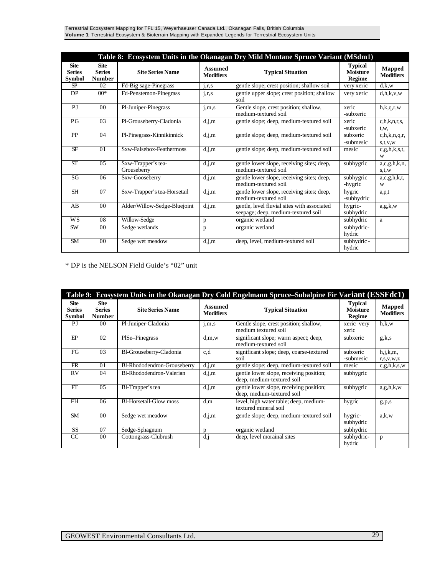| Terrestrial Ecosystem Mapping for TFL 15, Weyerhaeuser Canada Ltd., Okanagan Falls, British Columbia       |  |
|------------------------------------------------------------------------------------------------------------|--|
| Volume 1: Terrestrial Ecosystem & Bioterrain Mapping with Expanded Legends for Terrestrial Ecosystem Units |  |

| Table 8: Ecosystem Units in the Okanagan Dry Mild Montane Spruce Variant (MSdm1) |                                               |                                   |                                    |                                                                                    |                                                    |                             |  |
|----------------------------------------------------------------------------------|-----------------------------------------------|-----------------------------------|------------------------------------|------------------------------------------------------------------------------------|----------------------------------------------------|-----------------------------|--|
| <b>Site</b><br><b>Series</b><br><b>Symbol</b>                                    | <b>Site</b><br><b>Series</b><br><b>Number</b> | <b>Site Series Name</b>           | <b>Assumed</b><br><b>Modifiers</b> | <b>Typical Situation</b>                                                           | <b>Typical</b><br><b>Moisture</b><br><b>Regime</b> | Mapped<br><b>Modifiers</b>  |  |
| SP                                                                               | 02                                            | Fd-Big sage-Pinegrass             | j,r,s                              | gentle slope; crest position; shallow soil                                         | very xeric                                         | d.k.w                       |  |
| <b>DP</b>                                                                        | $00*$                                         | Fd-Penstemon-Pinegrass            | j,r,s                              | gentle upper slope; crest position; shallow<br>soil                                | very xeric                                         | d,h,k,v,w                   |  |
| P <sub>J</sub>                                                                   | 0 <sub>0</sub>                                | Pl-Juniper-Pinegrass              | j, m, s                            | Gentle slope, crest position; shallow,<br>medium-textured soil                     | xeric<br>-subxeric                                 | h, k, q, r, w               |  |
| P <sub>G</sub>                                                                   | 03                                            | Pl-Grouseberry-Cladonia           | d,j,m                              | gentle slope; deep, medium-textured soil                                           | xeric<br>-subxeric                                 | c, h, k, n, r, s,<br>t,w,   |  |
| <b>PP</b>                                                                        | 04                                            | Pl-Pinegrass-Kinnikinnick         | d,j,m                              | gentle slope; deep, medium-textured soil                                           | subxeric<br>-submesic                              | c, h, k, n, q, r<br>s,t,v,w |  |
| <b>SF</b>                                                                        | 0 <sub>1</sub>                                | Sxw-Falsebox-Feathermoss          | d,j,m                              | gentle slope; deep, medium-textured soil                                           | mesic                                              | c.g,h,k,s,t,<br>W           |  |
| <b>ST</b>                                                                        | 0.5                                           | Sxw-Trapper's tea-<br>Grouseberry | d,j,m                              | gentle lower slope, receiving sites; deep,<br>medium-textured soil                 | subhygric                                          | a,c,g,h,k,n,<br>s,t,w       |  |
| SG                                                                               | 06                                            | Sxw-Gooseberry                    | d,j,m                              | gentle lower slope, receiving sites; deep,<br>medium-textured soil                 | subhygric<br>-hygric                               | a,c,g,h,k,t,<br>W           |  |
| <b>SH</b>                                                                        | 07                                            | Sxw-Trapper's tea-Horsetail       | d,j,m                              | gentle lower slope, receiving sites; deep,<br>medium-textured soil                 | hygric<br>-subhydric                               | a,p,t                       |  |
| AB                                                                               | 0 <sub>0</sub>                                | Alder/Willow-Sedge-Bluejoint      | d,j,m                              | gentle, level fluvial sites with associated<br>seepage; deep, medium-textured soil | hygric-<br>subhydric                               | a, g, k, w                  |  |
| <b>WS</b>                                                                        | 08                                            | Willow-Sedge                      | p                                  | organic wetland                                                                    | subhydric                                          | a                           |  |
| <b>SW</b>                                                                        | 00                                            | Sedge wetlands                    | p                                  | organic wetland                                                                    | subhydric-<br>hydric                               |                             |  |
| <b>SM</b>                                                                        | 0 <sub>0</sub>                                | Sedge wet meadow                  | d,j,m                              | deep, level, medium-textured soil                                                  | subhydric -<br>hydric                              |                             |  |

\* DP is the NELSON Field Guide's "02" unit

| Table 9: Ecosystem Units in the Okanagan Dry Cold Engelmann Spruce–Subalpine Fir Variant (ESSFdc1) |                                               |                               |                             |                                                                       |                                                    |                              |  |  |
|----------------------------------------------------------------------------------------------------|-----------------------------------------------|-------------------------------|-----------------------------|-----------------------------------------------------------------------|----------------------------------------------------|------------------------------|--|--|
| <b>Site</b><br><b>Series</b><br><b>Symbol</b>                                                      | <b>Site</b><br><b>Series</b><br><b>Number</b> | <b>Site Series Name</b>       | Assumed<br><b>Modifiers</b> | <b>Typical Situation</b>                                              | <b>Typical</b><br><b>Moisture</b><br><b>Regime</b> | Mapped<br><b>Modifiers</b>   |  |  |
| PI                                                                                                 | 00                                            | Pl-Juniper-Cladonia           | j,m,s                       | Gentle slope, crest position; shallow,<br>medium textured soil        | xeric-very<br>xeric                                | h.k.w                        |  |  |
| FP                                                                                                 | 02                                            | PISe-Pinegrass                | d,m,w                       | significant slope; warm aspect; deep,<br>medium-textured soil         | subxeric                                           | g,k,s                        |  |  |
| FG                                                                                                 | 03                                            | Bl-Grouseberry-Cladonia       | c,d                         | significant slope; deep, coarse-textured<br>soil                      | subxeric<br>-submesic                              | h, j, k, m,<br>r, s, v, w, z |  |  |
| <b>FR</b>                                                                                          | 01                                            | Bl-Rhododendron-Grouseberry   | d,j,m                       | gentle slope; deep, medium-textured soil                              | mesic                                              | c.g,h,k,s,w                  |  |  |
| <b>RV</b>                                                                                          | 04                                            | Bl-Rhododendron-Valerian      | d,j,m                       | gentle lower slope, receiving position;<br>deep, medium-textured soil | subhygric                                          |                              |  |  |
| FT                                                                                                 | 0.5                                           | Bl-Trapper's tea              | d,j,m                       | gentle lower slope, receiving position;<br>deep, medium-textured soil | subhygric                                          | a.g,h,k,w                    |  |  |
| <b>FH</b>                                                                                          | 06                                            | <b>Bl-Horsetail-Glow moss</b> | d,m                         | level, high water table; deep, medium-<br>textured mineral soil       | hygric                                             | g, p, s                      |  |  |
| <b>SM</b>                                                                                          | 0 <sub>0</sub>                                | Sedge wet meadow              | d,j,m                       | gentle slope; deep, medium-textured soil                              | hygric-<br>subhydric                               | a.k.w                        |  |  |
| <b>SS</b>                                                                                          | 07                                            | Sedge-Sphagnum                | <sub>n</sub>                | organic wetland                                                       | subhydric                                          |                              |  |  |
| <sub>CC</sub>                                                                                      | 00 <sup>2</sup>                               | Cottongrass-Clubrush          | $d_{1}$                     | deep, level morainal sites                                            | subhydric-<br>hydric                               | p                            |  |  |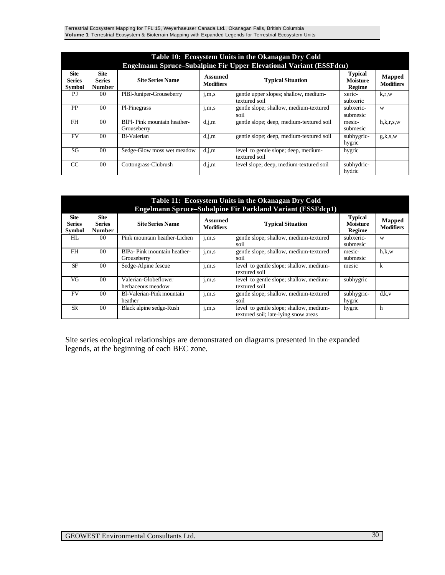Terrestrial Ecosystem Mapping for TFL 15, Weyerhaeuser Canada Ltd., Okanagan Falls, British Columbia **Volume 1**: Terrestrial Ecosystem & Bioterrain Mapping with Expanded Legends for Terrestrial Ecosystem Units

|                                               |                                               |                                             |                             | Table 10: Ecosystem Units in the Okanagan Dry Cold<br>Engelmann Spruce-Subalpine Fir Upper Elevational Variant (ESSFdcu) |                                                    |                                   |
|-----------------------------------------------|-----------------------------------------------|---------------------------------------------|-----------------------------|--------------------------------------------------------------------------------------------------------------------------|----------------------------------------------------|-----------------------------------|
| <b>Site</b><br><b>Series</b><br><b>Symbol</b> | <b>Site</b><br><b>Series</b><br><b>Number</b> | <b>Site Series Name</b>                     | Assumed<br><b>Modifiers</b> | <b>Typical Situation</b>                                                                                                 | <b>Typical</b><br><b>Moisture</b><br><b>Regime</b> | <b>Mapped</b><br><b>Modifiers</b> |
| PJ                                            | 00 <sup>2</sup>                               | PIB1-Juniper-Grouseberry                    | 1, m, s                     | gentle upper slopes; shallow, medium-<br>textured soil                                                                   | xeric-<br>subxeric                                 | k.r.w                             |
| PP                                            | 0 <sub>0</sub>                                | Pl-Pinegrass                                | j,m,s                       | gentle slope; shallow, medium-textured<br>soil                                                                           | subxeric-<br>submesic                              | W                                 |
| <b>FH</b>                                     | 0 <sub>0</sub>                                | BIPI- Pink mountain heather-<br>Grouseberry | d,j,m                       | gentle slope; deep, medium-textured soil                                                                                 | mesic-<br>submesic                                 | h, k, r, s, w                     |
| <b>FV</b>                                     | 0 <sub>0</sub>                                | <b>Bl-Valerian</b>                          | d,j,m                       | gentle slope; deep, medium-textured soil                                                                                 | subhygric-<br>hygric                               | g,k,s,w                           |
| SG                                            | 0 <sub>0</sub>                                | Sedge-Glow moss wet meadow                  | d,j,m                       | level to gentle slope; deep, medium-<br>textured soil                                                                    | hygric                                             |                                   |
| CC                                            | 00 <sup>2</sup>                               | Cottongrass-Clubrush                        | d,j,m                       | level slope; deep, medium-textured soil                                                                                  | subhydric-<br>hydric                               |                                   |

|                                               |                                               |                                             |                             | Table 11: Ecosystem Units in the Okanagan Dry Cold                                     |                                             |                            |
|-----------------------------------------------|-----------------------------------------------|---------------------------------------------|-----------------------------|----------------------------------------------------------------------------------------|---------------------------------------------|----------------------------|
| <b>Site</b><br><b>Series</b><br><b>Symbol</b> | <b>Site</b><br><b>Series</b><br><b>Number</b> | <b>Site Series Name</b>                     | Assumed<br><b>Modifiers</b> | Engelmann Spruce-Subalpine Fir Parkland Variant (ESSFdcp1)<br><b>Typical Situation</b> | <b>Typical</b><br><b>Moisture</b><br>Regime | Mapped<br><b>Modifiers</b> |
| HL                                            | 0 <sub>0</sub>                                | Pink mountain heather-Lichen                | j, m, s                     | gentle slope; shallow, medium-textured<br>soil                                         | subxeric-<br>submesic                       | W                          |
| <b>FH</b>                                     | 0 <sub>0</sub>                                | BlPa- Pink mountain heather-<br>Grouseberry | j, m, s                     | gentle slope; shallow, medium-textured<br>soil                                         | mesic-<br>submesic                          | h.k.w                      |
| <b>SF</b>                                     | 0 <sub>0</sub>                                | Sedge-Alpine fescue                         | 1, m, s                     | level to gentle slope; shallow, medium-<br>textured soil                               | mesic                                       | k                          |
| VG                                            | 0 <sub>0</sub>                                | Valerian-Globeflower<br>herbaceous meadow   | j, m, s                     | level to gentle slope; shallow, medium-<br>textured soil                               | subhygric                                   |                            |
| <b>FV</b>                                     | 0 <sub>0</sub>                                | Bl-Valerian-Pink mountain<br>heather        | j, m, s                     | gentle slope; shallow, medium-textured<br>soil                                         | subhygric-<br>hygric                        | d.k.v                      |
| <b>SR</b>                                     | 0 <sub>0</sub>                                | Black alpine sedge-Rush                     | j,m,s                       | level to gentle slope; shallow, medium-<br>textured soil; late-lying snow areas        | hygric                                      | h                          |

Site series ecological relationships are demonstrated on diagrams presented in the expanded legends, at the beginning of each BEC zone.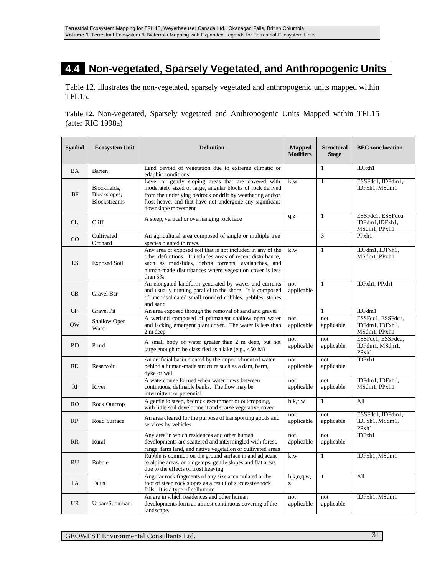#### **4.4 Non-vegetated, Sparsely Vegetated, and Anthropogenic Units**

Table 12. illustrates the non-vegetated, sparsely vegetated and anthropogenic units mapped within TFL15.

**Table 12.** Non-vegetated, Sparsely vegetated and Anthropogenic Units Mapped within TFL15 (after RIC 1998a)

| <b>Symbol</b> | <b>Ecosystem Unit</b>                               | <b>Definition</b>                                                                                                                                                                                                                                               | <b>Mapped</b><br><b>Modifiers</b> | <b>Structural</b><br><b>Stage</b> | <b>BEC</b> zone location                             |
|---------------|-----------------------------------------------------|-----------------------------------------------------------------------------------------------------------------------------------------------------------------------------------------------------------------------------------------------------------------|-----------------------------------|-----------------------------------|------------------------------------------------------|
| <b>BA</b>     | Barren                                              | Land devoid of vegetation due to extreme climatic or<br>edaphic conditions                                                                                                                                                                                      |                                   | $\mathbf{1}$                      | IDFxh1                                               |
| <b>BF</b>     | Blockfields,<br>Blockslopes,<br><b>Blockstreams</b> | Level or gently sloping areas that are covered with<br>moderately sized or large, angular blocks of rock derived<br>from the underlying bedrock or drift by weathering and/or<br>frost heave, and that have not undergone any significant<br>downslope movement | k.w                               | $\mathbf{1}$                      | ESSFdc1, IDFdm1,<br>IDFxh1, MSdm1                    |
| CL            | Cliff                                               | A steep, vertical or overhanging rock face                                                                                                                                                                                                                      | q, z                              | $\mathbf{1}$                      | ESSFdc1, ESSFdcu<br>IDFdm1,IDFxh1,<br>MSdm1, PPxh1   |
| $\rm CO$      | Cultivated<br>Orchard                               | An agricultural area composed of single or multiple tree<br>species planted in rows.                                                                                                                                                                            |                                   | 3                                 | PPxh1                                                |
| <b>ES</b>     | <b>Exposed Soil</b>                                 | Any area of exposed soil that is not included in any of the<br>other definitions. It includes areas of recent disturbance.<br>such as mudslides, debris torrents, avalanches, and<br>human-made disturbances where vegetation cover is less<br>than 5%          | k.w                               | $\overline{1}$                    | IDFdm1, IDFxh1,<br>MSdm1, PPxh1                      |
| <b>GB</b>     | Gravel Bar                                          | An elongated landform generated by waves and currents<br>and usually running parallel to the shore. It is composed<br>of unconsolidated small rounded cobbles, pebbles, stones<br>and sand                                                                      | not<br>applicable                 | $\mathbf{1}$                      | IDFxh1, PPxh1                                        |
| <b>GP</b>     | Gravel Pit                                          | An area exposed through the removal of sand and gravel                                                                                                                                                                                                          |                                   | 1                                 | IDFdm1                                               |
| <b>OW</b>     | Shallow Open<br>Water                               | A wetland composed of permanent shallow open water<br>and lacking emergent plant cover. The water is less than<br>2 m deep                                                                                                                                      | not<br>applicable                 | not<br>applicable                 | ESSFdc1, ESSFdcu,<br>IDFdm1, IDFxh1,<br>MSdm1, PPxh1 |
| <b>PD</b>     | Pond                                                | A small body of water greater than 2 m deep, but not<br>large enough to be classified as a lake $(e.g., <50$ ha)                                                                                                                                                | not<br>applicable                 | not<br>applicable                 | ESSFdc1, ESSFdcu,<br>IDFdm1, MSdm1,<br>PPxh1         |
| RE            | Reservoir                                           | An artificial basin created by the impoundment of water<br>behind a human-made structure such as a dam, berm,<br>dvke or wall                                                                                                                                   | not<br>applicable                 | not<br>applicable                 | IDFxh1                                               |
| RI            | River                                               | A watercourse formed when water flows between<br>continuous, definable banks. The flow may be<br>intermittent or perennial                                                                                                                                      | not<br>applicable                 | not<br>applicable                 | IDFdm1, IDFxh1,<br>MSdm1, PPxh1                      |
| <b>RO</b>     | <b>Rock Outcrop</b>                                 | A gentle to steep, bedrock escarpment or outcropping,<br>with little soil development and sparse vegetative cover                                                                                                                                               | h,k,r,w                           | $\mathbf{1}$                      | A11                                                  |
| RP            | Road Surface                                        | An area cleared for the purpose of transporting goods and<br>services by vehicles                                                                                                                                                                               | not<br>applicable                 | not<br>applicable                 | ESSFdc1, IDFdm1,<br>IDFxh1, MSdm1,<br>PPxh1          |
| RR            | Rural                                               | Any area in which residences and other human<br>developments are scattered and intermingled with forest,<br>range, farm land, and native vegetation or cultivated areas                                                                                         | not<br>applicable                 | not<br>applicable                 | IDFxh1                                               |
| <b>RU</b>     | Rubble                                              | Rubble is common on the ground surface in and adjacent<br>to alpine areas, on ridgetops, gentle slopes and flat areas<br>due to the effects of frost heaving                                                                                                    | k,w                               | $\mathbf{1}$                      | IDFxh1, MSdm1                                        |
| <b>TA</b>     | Talus                                               | Angular rock fragments of any size accumulated at the<br>foot of steep rock slopes as a result of successive rock<br>falls. It is a type of colluvium                                                                                                           | h, k, n, q, w,<br>z               | $\mathbf{1}$                      | All                                                  |
| <b>UR</b>     | Urban/Suburban                                      | An are in which residences and other human<br>developments form an almost continuous covering of the<br>landscape.                                                                                                                                              | not<br>applicable                 | not<br>applicable                 | IDFxh1, MSdm1                                        |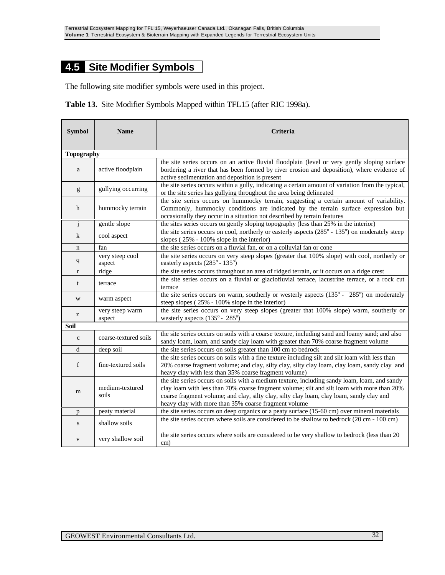### **4.5 Site Modifier Symbols**

The following site modifier symbols were used in this project.

| Table 13. Site Modifier Symbols Mapped within TFL15 (after RIC 1998a). |  |  |  |  |  |  |  |  |  |
|------------------------------------------------------------------------|--|--|--|--|--|--|--|--|--|
|------------------------------------------------------------------------|--|--|--|--|--|--|--|--|--|

| <b>Symbol</b>     | <b>Name</b><br>Criteria   |                                                                                                                                                                                                                                                                                                                                                |  |  |  |
|-------------------|---------------------------|------------------------------------------------------------------------------------------------------------------------------------------------------------------------------------------------------------------------------------------------------------------------------------------------------------------------------------------------|--|--|--|
| <b>Topography</b> |                           |                                                                                                                                                                                                                                                                                                                                                |  |  |  |
| a                 | active floodplain         | the site series occurs on an active fluvial floodplain (level or very gently sloping surface<br>bordering a river that has been formed by river erosion and deposition), where evidence of<br>active sedimentation and deposition is present                                                                                                   |  |  |  |
| g                 | gullying occurring        | the site series occurs within a gully, indicating a certain amount of variation from the typical,<br>or the site series has gullying throughout the area being delineated                                                                                                                                                                      |  |  |  |
| h                 | hummocky terrain          | the site series occurs on hummocky terrain, suggesting a certain amount of variability.<br>Commonly, hummocky conditions are indicated by the terrain surface expression but<br>occasionally they occur in a situation not described by terrain features                                                                                       |  |  |  |
|                   | gentle slope              | the sites series occurs on gently sloping topography (less than 25% in the interior)                                                                                                                                                                                                                                                           |  |  |  |
| $\bf k$           | cool aspect               | the site series occurs on cool, northerly or easterly aspects (285° - 135°) on moderately steep<br>slopes $(25\% - 100\%$ slope in the interior)                                                                                                                                                                                               |  |  |  |
| n                 | fan                       | the site series occurs on a fluvial fan, or on a colluvial fan or cone                                                                                                                                                                                                                                                                         |  |  |  |
| $\mathbf{q}$      | very steep cool<br>aspect | the site series occurs on very steep slopes (greater that 100% slope) with cool, northerly or<br>easterly aspects (285° - 135°)                                                                                                                                                                                                                |  |  |  |
| $\mathbf{r}$      | ridge                     | the site series occurs throughout an area of ridged terrain, or it occurs on a ridge crest                                                                                                                                                                                                                                                     |  |  |  |
| t                 | terrace                   | the site series occurs on a fluvial or glaciofluvial terrace, lacustrine terrace, or a rock cut<br>terrace                                                                                                                                                                                                                                     |  |  |  |
| W                 | warm aspect               | the site series occurs on warm, southerly or westerly aspects $(135^{\circ} - 285^{\circ})$ on moderately<br>steep slopes (25% - 100% slope in the interior)                                                                                                                                                                                   |  |  |  |
| Z                 | very steep warm<br>aspect | the site series occurs on very steep slopes (greater that 100% slope) warm, southerly or<br>westerly aspects $(135^{\circ} - 285^{\circ})$                                                                                                                                                                                                     |  |  |  |
| <b>Soil</b>       |                           |                                                                                                                                                                                                                                                                                                                                                |  |  |  |
| $\mathbf c$       | coarse-textured soils     | the site series occurs on soils with a coarse texture, including sand and loamy sand; and also<br>sandy loam, loam, and sandy clay loam with greater than 70% coarse fragment volume                                                                                                                                                           |  |  |  |
| d                 | deep soil                 | the site series occurs on soils greater than 100 cm to bedrock                                                                                                                                                                                                                                                                                 |  |  |  |
| f                 | fine-textured soils       | the site series occurs on soils with a fine texture including silt and silt loam with less than<br>20% coarse fragment volume; and clay, silty clay, silty clay loam, clay loam, sandy clay and<br>heavy clay with less than 35% coarse fragment volume)                                                                                       |  |  |  |
| m                 | medium-textured<br>soils  | the site series occurs on soils with a medium texture, including sandy loam, loam, and sandy<br>clay loam with less than 70% coarse fragment volume; silt and silt loam with more than 20%<br>coarse fragment volume; and clay, silty clay, silty clay loam, clay loam, sandy clay and<br>heavy clay with more than 35% coarse fragment volume |  |  |  |
| p                 | peaty material            | the site series occurs on deep organics or a peaty surface (15-60 cm) over mineral materials                                                                                                                                                                                                                                                   |  |  |  |
| S                 | shallow soils             | the site series occurs where soils are considered to be shallow to bedrock (20 cm - 100 cm)                                                                                                                                                                                                                                                    |  |  |  |
| $\mathbf{V}$      | very shallow soil         | the site series occurs where soils are considered to be very shallow to bedrock (less than 20<br>cm)                                                                                                                                                                                                                                           |  |  |  |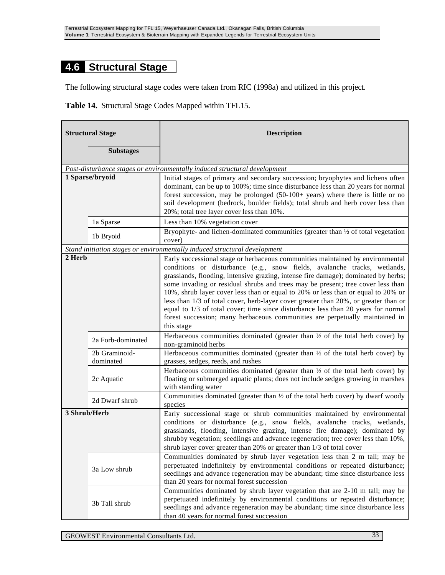#### **4.6 Structural Stage**

The following structural stage codes were taken from RIC (1998a) and utilized in this project.

**Table 14.** Structural Stage Codes Mapped within TFL15.

| <b>Structural Stage</b> |                            | <b>Description</b>                                                                                                                                                                                                                                                                                                                                                                                                                                                                                                                                                                                                                                                                                 |
|-------------------------|----------------------------|----------------------------------------------------------------------------------------------------------------------------------------------------------------------------------------------------------------------------------------------------------------------------------------------------------------------------------------------------------------------------------------------------------------------------------------------------------------------------------------------------------------------------------------------------------------------------------------------------------------------------------------------------------------------------------------------------|
|                         | <b>Substages</b>           |                                                                                                                                                                                                                                                                                                                                                                                                                                                                                                                                                                                                                                                                                                    |
|                         |                            | Post-disturbance stages or environmentally induced structural development                                                                                                                                                                                                                                                                                                                                                                                                                                                                                                                                                                                                                          |
|                         | 1 Sparse/bryoid            | Initial stages of primary and secondary succession; bryophytes and lichens often<br>dominant, can be up to 100%; time since disturbance less than 20 years for normal<br>forest succession, may be prolonged (50-100+ years) where there is little or no<br>soil development (bedrock, boulder fields); total shrub and herb cover less than<br>20%; total tree layer cover less than 10%.                                                                                                                                                                                                                                                                                                         |
|                         | 1a Sparse                  | Less than 10% vegetation cover                                                                                                                                                                                                                                                                                                                                                                                                                                                                                                                                                                                                                                                                     |
|                         | 1b Bryoid                  | Bryophyte- and lichen-dominated communities (greater than 1/2 of total vegetation<br>cover)                                                                                                                                                                                                                                                                                                                                                                                                                                                                                                                                                                                                        |
|                         |                            | Stand initiation stages or environmentally induced structural development                                                                                                                                                                                                                                                                                                                                                                                                                                                                                                                                                                                                                          |
| 2 Herb                  |                            | Early successional stage or herbaceous communities maintained by environmental<br>conditions or disturbance (e.g., snow fields, avalanche tracks, wetlands,<br>grasslands, flooding, intensive grazing, intense fire damage); dominated by herbs;<br>some invading or residual shrubs and trees may be present; tree cover less than<br>10%, shrub layer cover less than or equal to 20% or less than or equal to 20% or<br>less than 1/3 of total cover, herb-layer cover greater than 20%, or greater than or<br>equal to 1/3 of total cover; time since disturbance less than 20 years for normal<br>forest succession; many herbaceous communities are perpetually maintained in<br>this stage |
|                         | 2a Forb-dominated          | Herbaceous communities dominated (greater than $\frac{1}{2}$ of the total herb cover) by<br>non-graminoid herbs                                                                                                                                                                                                                                                                                                                                                                                                                                                                                                                                                                                    |
|                         | 2b Graminoid-<br>dominated | Herbaceous communities dominated (greater than $\frac{1}{2}$ of the total herb cover) by<br>grasses, sedges, reeds, and rushes                                                                                                                                                                                                                                                                                                                                                                                                                                                                                                                                                                     |
|                         | 2c Aquatic                 | Herbaceous communities dominated (greater than $\frac{1}{2}$ of the total herb cover) by<br>floating or submerged aquatic plants; does not include sedges growing in marshes<br>with standing water                                                                                                                                                                                                                                                                                                                                                                                                                                                                                                |
|                         | 2d Dwarf shrub             | Communities dominated (greater than 1/2 of the total herb cover) by dwarf woody<br>species                                                                                                                                                                                                                                                                                                                                                                                                                                                                                                                                                                                                         |
| 3 Shrub/Herb            |                            | Early successional stage or shrub communities maintained by environmental<br>conditions or disturbance (e.g., snow fields, avalanche tracks, wetlands,<br>grasslands, flooding, intensive grazing, intense fire damage); dominated by<br>shrubby vegetation; seedlings and advance regeneration; tree cover less than 10%,<br>shrub layer cover greater than 20% or greater than 1/3 of total cover                                                                                                                                                                                                                                                                                                |
|                         | 3a Low shrub               | Communities dominated by shrub layer vegetation less than 2 m tall; may be<br>perpetuated indefinitely by environmental conditions or repeated disturbance;<br>seedlings and advance regeneration may be abundant; time since disturbance less<br>than 20 years for normal forest succession                                                                                                                                                                                                                                                                                                                                                                                                       |
|                         | 3b Tall shrub              | Communities dominated by shrub layer vegetation that are 2-10 m tall; may be<br>perpetuated indefinitely by environmental conditions or repeated disturbance;<br>seedlings and advance regeneration may be abundant; time since disturbance less<br>than 40 years for normal forest succession                                                                                                                                                                                                                                                                                                                                                                                                     |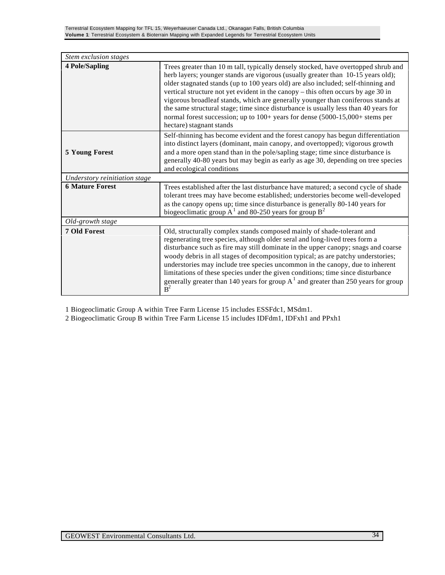| Stem exclusion stages         |                                                                                                                                                                                                                                                                                                                                                                                                                                                                                                                                                                                                                                             |
|-------------------------------|---------------------------------------------------------------------------------------------------------------------------------------------------------------------------------------------------------------------------------------------------------------------------------------------------------------------------------------------------------------------------------------------------------------------------------------------------------------------------------------------------------------------------------------------------------------------------------------------------------------------------------------------|
| <b>4 Pole/Sapling</b>         | Trees greater than 10 m tall, typically densely stocked, have overtopped shrub and<br>herb layers; younger stands are vigorous (usually greater than 10-15 years old);<br>older stagnated stands (up to 100 years old) are also included; self-thinning and<br>vertical structure not yet evident in the canopy – this often occurs by age 30 in<br>vigorous broadleaf stands, which are generally younger than coniferous stands at<br>the same structural stage; time since disturbance is usually less than 40 years for<br>normal forest succession; up to $100+$ years for dense $(5000-15,000+$ stems per<br>hectare) stagnant stands |
| <b>5 Young Forest</b>         | Self-thinning has become evident and the forest canopy has begun differentiation<br>into distinct layers (dominant, main canopy, and overtopped); vigorous growth<br>and a more open stand than in the pole/sapling stage; time since disturbance is<br>generally 40-80 years but may begin as early as age 30, depending on tree species<br>and ecological conditions                                                                                                                                                                                                                                                                      |
| Understory reinitiation stage |                                                                                                                                                                                                                                                                                                                                                                                                                                                                                                                                                                                                                                             |
| <b>6 Mature Forest</b>        | Trees established after the last disturbance have matured; a second cycle of shade<br>tolerant trees may have become established; understories become well-developed<br>as the canopy opens up; time since disturbance is generally 80-140 years for<br>biogeoclimatic group $A^1$ and 80-250 years for group $B^2$                                                                                                                                                                                                                                                                                                                         |
| Old-growth stage              |                                                                                                                                                                                                                                                                                                                                                                                                                                                                                                                                                                                                                                             |
| <b>7 Old Forest</b>           | Old, structurally complex stands composed mainly of shade-tolerant and<br>regenerating tree species, although older seral and long-lived trees form a<br>disturbance such as fire may still dominate in the upper canopy; snags and coarse<br>woody debris in all stages of decomposition typical; as are patchy understories;<br>understories may include tree species uncommon in the canopy, due to inherent<br>limitations of these species under the given conditions; time since disturbance<br>generally greater than 140 years for group $A1$ and greater than 250 years for group<br>$\mathbf{B}^2$                                |

1 Biogeoclimatic Group A within Tree Farm License 15 includes ESSFdc1, MSdm1.

2 Biogeoclimatic Group B within Tree Farm License 15 includes IDFdm1, IDFxh1 and PPxh1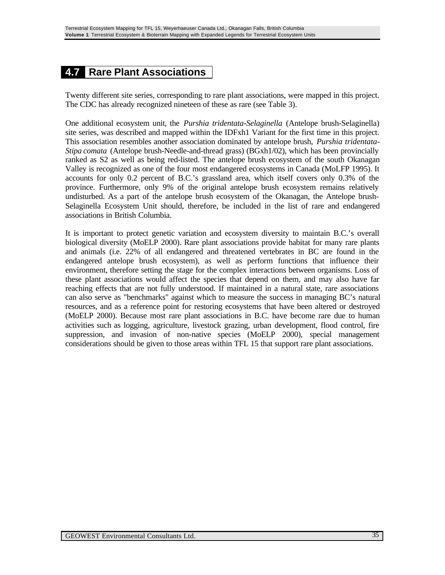#### **4.7 Rare Plant Associations**

Twenty different site series, corresponding to rare plant associations, were mapped in this project. The CDC has already recognized nineteen of these as rare (see Table 3).

One additional ecosystem unit, the *Purshia tridentata-Selaginella* (Antelope brush-Selaginella) site series, was described and mapped within the IDFxh1 Variant for the first time in this project. This association resembles another association dominated by antelope brush, *Purshia tridentata-Stipa comata* (Antelope brush-Needle-and-thread grass) (BGxh1/02), which has been provincially ranked as S2 as well as being red-listed. The antelope brush ecosystem of the south Okanagan Valley is recognized as one of the four most endangered ecosystems in Canada (MoLFP 1995). It accounts for only 0.2 percent of B.C.'s grassland area, which itself covers only 0.3% of the province. Furthermore, only 9% of the original antelope brush ecosystem remains relatively undisturbed. As a part of the antelope brush ecosystem of the Okanagan, the Antelope brush-Selaginella Ecosystem Unit should, therefore, be included in the list of rare and endangered associations in British Columbia.

It is important to protect genetic variation and ecosystem diversity to maintain B.C.'s overall biological diversity (MoELP 2000). Rare plant associations provide habitat for many rare plants and animals (i.e. 22% of all endangered and threatened vertebrates in BC are found in the endangered antelope brush ecosystem), as well as perform functions that influence their environment, therefore setting the stage for the complex interactions between organisms. Loss of these plant associations would affect the species that depend on them, and may also have far reaching effects that are not fully understood. If maintained in a natural state, rare associations can also serve as "benchmarks" against which to measure the success in managing BC's natural resources, and as a reference point for restoring ecosystems that have been altered or destroyed (MoELP 2000). Because most rare plant associations in B.C. have become rare due to human activities such as logging, agriculture, livestock grazing, urban development, flood control, fire suppression, and invasion of non-native species (MoELP 2000), special management considerations should be given to those areas within TFL 15 that support rare plant associations.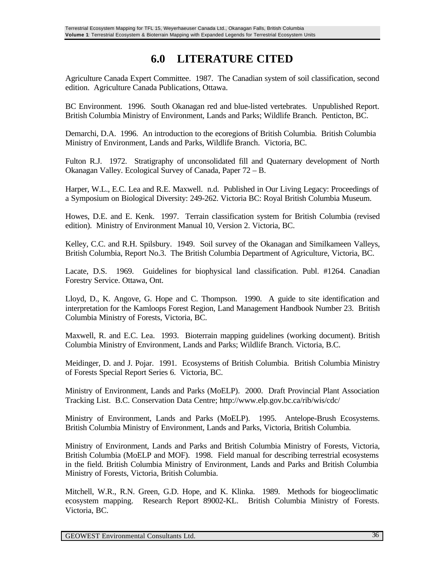## **6.0 LITERATURE CITED**

Agriculture Canada Expert Committee. 1987. The Canadian system of soil classification, second edition. Agriculture Canada Publications, Ottawa.

BC Environment. 1996. South Okanagan red and blue-listed vertebrates. Unpublished Report. British Columbia Ministry of Environment, Lands and Parks; Wildlife Branch. Penticton, BC.

Demarchi, D.A. 1996. An introduction to the ecoregions of British Columbia. British Columbia Ministry of Environment, Lands and Parks, Wildlife Branch. Victoria, BC.

Fulton R.J. 1972. Stratigraphy of unconsolidated fill and Quaternary development of North Okanagan Valley. Ecological Survey of Canada, Paper 72 – B.

Harper, W.L., E.C. Lea and R.E. Maxwell. n.d. Published in Our Living Legacy: Proceedings of a Symposium on Biological Diversity: 249-262. Victoria BC: Royal British Columbia Museum.

Howes, D.E. and E. Kenk. 1997. Terrain classification system for British Columbia (revised edition). Ministry of Environment Manual 10, Version 2. Victoria, BC.

Kelley, C.C. and R.H. Spilsbury. 1949. Soil survey of the Okanagan and Similkameen Valleys, British Columbia, Report No.3. The British Columbia Department of Agriculture, Victoria, BC.

Lacate, D.S. 1969. Guidelines for biophysical land classification. Publ. #1264. Canadian Forestry Service. Ottawa, Ont.

Lloyd, D., K. Angove, G. Hope and C. Thompson. 1990. A guide to site identification and interpretation for the Kamloops Forest Region, Land Management Handbook Number 23. British Columbia Ministry of Forests, Victoria, BC.

Maxwell, R. and E.C. Lea. 1993. Bioterrain mapping guidelines (working document). British Columbia Ministry of Environment, Lands and Parks; Wildlife Branch. Victoria, B.C.

Meidinger, D. and J. Pojar. 1991. Ecosystems of British Columbia. British Columbia Ministry of Forests Special Report Series 6. Victoria, BC.

Ministry of Environment, Lands and Parks (MoELP). 2000. Draft Provincial Plant Association Tracking List. B.C. Conservation Data Centre; http://www.elp.gov.bc.ca/rib/wis/cdc/

Ministry of Environment, Lands and Parks (MoELP). 1995. Antelope-Brush Ecosystems. British Columbia Ministry of Environment, Lands and Parks, Victoria, British Columbia.

Ministry of Environment, Lands and Parks and British Columbia Ministry of Forests, Victoria, British Columbia (MoELP and MOF). 1998. Field manual for describing terrestrial ecosystems in the field. British Columbia Ministry of Environment, Lands and Parks and British Columbia Ministry of Forests, Victoria, British Columbia.

Mitchell, W.R., R.N. Green, G.D. Hope, and K. Klinka. 1989. Methods for biogeoclimatic ecosystem mapping. Research Report 89002-KL. British Columbia Ministry of Forests. Victoria, BC.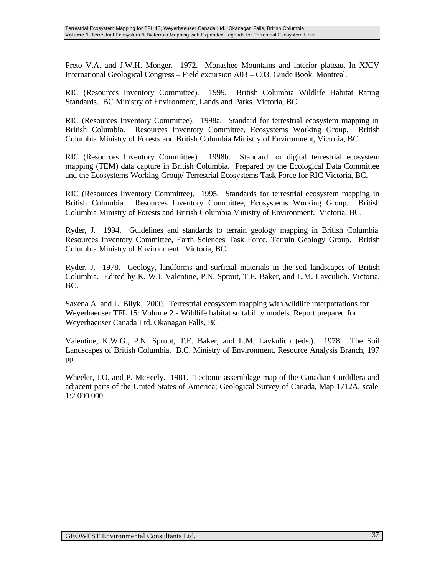Preto V.A. and J.W.H. Monger. 1972. Monashee Mountains and interior plateau. In XXIV International Geological Congress – Field excursion A03 – C03. Guide Book. Montreal.

RIC (Resources Inventory Committee). 1999. British Columbia Wildlife Habitat Rating Standards. BC Ministry of Environment, Lands and Parks. Victoria, BC

RIC (Resources Inventory Committee). 1998a. Standard for terrestrial ecosystem mapping in British Columbia. Resources Inventory Committee, Ecosystems Working Group. British Columbia Ministry of Forests and British Columbia Ministry of Environment, Victoria, BC.

RIC (Resources Inventory Committee). 1998b. Standard for digital terrestrial ecosystem mapping (TEM) data capture in British Columbia. Prepared by the Ecological Data Committee and the Ecosystems Working Group/ Terrestrial Ecosystems Task Force for RIC Victoria, BC.

RIC (Resources Inventory Committee). 1995. Standards for terrestrial ecosystem mapping in British Columbia. Resources Inventory Committee, Ecosystems Working Group. British Columbia Ministry of Forests and British Columbia Ministry of Environment. Victoria, BC.

Ryder, J. 1994. Guidelines and standards to terrain geology mapping in British Columbia Resources Inventory Committee, Earth Sciences Task Force, Terrain Geology Group. British Columbia Ministry of Environment. Victoria, BC.

Ryder, J. 1978. Geology, landforms and surficial materials in the soil landscapes of British Columbia. Edited by K. W.J. Valentine, P.N. Sprout, T.E. Baker, and L.M. Lavculich. Victoria, BC.

Saxena A. and L. Bilyk. 2000. Terrestrial ecosystem mapping with wildlife interpretations for Weyerhaeuser TFL 15: Volume 2 - Wildlife habitat suitability models. Report prepared for Weyerhaeuser Canada Ltd. Okanagan Falls, BC

Valentine, K.W.G., P.N. Sprout, T.E. Baker, and L.M. Lavkulich (eds.). 1978. The Soil Landscapes of British Columbia. B.C. Ministry of Environment, Resource Analysis Branch, 197 pp.

Wheeler, J.O. and P. McFeely. 1981. Tectonic assemblage map of the Canadian Cordillera and adjacent parts of the United States of America; Geological Survey of Canada, Map 1712A, scale 1:2 000 000.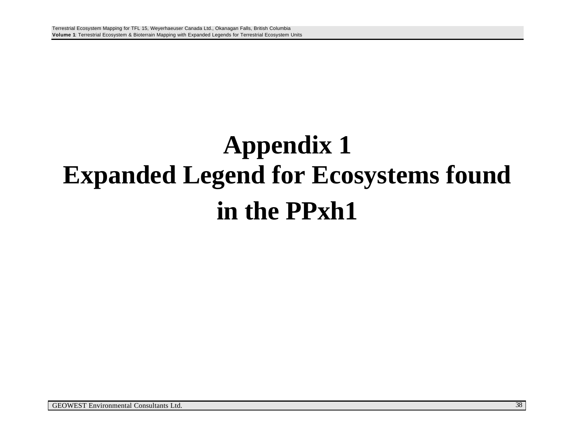# **Appendix 1 Expanded Legend for Ecosystems found in the PPxh1**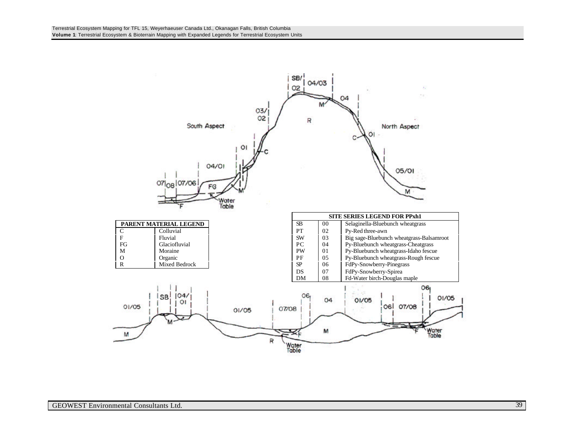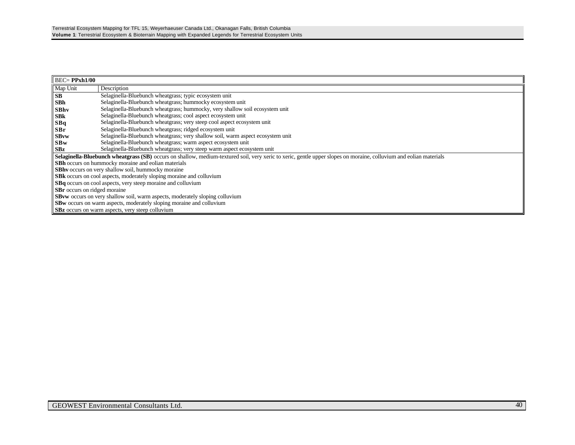| $BEC = PPxh1/00$                    |                                                                                                                                                                    |  |  |  |  |
|-------------------------------------|--------------------------------------------------------------------------------------------------------------------------------------------------------------------|--|--|--|--|
| Map Unit                            | Description                                                                                                                                                        |  |  |  |  |
| <b>SB</b>                           | Selaginella-Bluebunch wheatgrass; typic ecosystem unit                                                                                                             |  |  |  |  |
| SBh                                 | Selaginella-Bluebunch wheatgrass; hummocky ecosystem unit                                                                                                          |  |  |  |  |
| <b>SBhv</b>                         | Selaginella-Bluebunch wheatgrass; hummocky, very shallow soil ecosystem unit                                                                                       |  |  |  |  |
| <b>SBk</b>                          | Selaginella-Bluebunch wheatgrass; cool aspect ecosystem unit                                                                                                       |  |  |  |  |
| SBq                                 | Selaginella-Bluebunch wheatgrass; very steep cool aspect ecosystem unit                                                                                            |  |  |  |  |
| <b>SBr</b>                          | Selaginella-Bluebunch wheatgrass; ridged ecosystem unit                                                                                                            |  |  |  |  |
| <b>SBvw</b>                         | Selaginella-Bluebunch wheatgrass; very shallow soil, warm aspect ecosystem unit                                                                                    |  |  |  |  |
| SBw                                 | Selaginella-Bluebunch wheatgrass; warm aspect ecosystem unit                                                                                                       |  |  |  |  |
| SBz                                 | Selaginella-Bluebunch wheatgrass; very steep warm aspect ecosystem unit                                                                                            |  |  |  |  |
|                                     | Selaginella-Bluebunch wheatgrass (SB) occurs on shallow, medium-textured soil, very xeric to xeric, gentle upper slopes on moraine, colluvium and eolian materials |  |  |  |  |
|                                     | <b>SBh</b> occurs on hummocky moraine and eolian materials                                                                                                         |  |  |  |  |
|                                     | <b>SBhv</b> occurs on very shallow soil, hummocky moraine                                                                                                          |  |  |  |  |
|                                     | SBk occurs on cool aspects, moderately sloping moraine and colluvium                                                                                               |  |  |  |  |
|                                     | SBq occurs on cool aspects, very steep moraine and colluvium                                                                                                       |  |  |  |  |
| <b>SBr</b> occurs on ridged moraine |                                                                                                                                                                    |  |  |  |  |
|                                     | <b>SBvw</b> occurs on very shallow soil, warm aspects, moderately sloping colluvium                                                                                |  |  |  |  |
|                                     | SBw occurs on warm aspects, moderately sloping moraine and colluvium                                                                                               |  |  |  |  |
|                                     | <b>SBz</b> occurs on warm aspects, very steep colluvium                                                                                                            |  |  |  |  |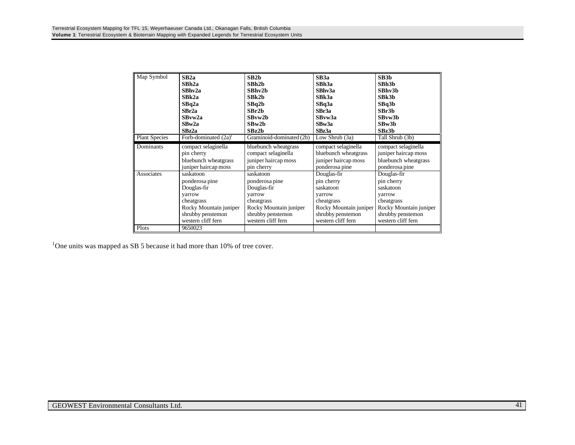| Map Symbol           | SB2a                    | SB2h                     | SB3a                   | SB3b                   |
|----------------------|-------------------------|--------------------------|------------------------|------------------------|
|                      | SBh2a                   | SBh <sub>2b</sub>        | SBh3a                  | SBh <sub>3b</sub>      |
|                      | SBhv2a                  | SBhv2b                   | SBhv3a                 | SBhv3b                 |
|                      | SBk2a                   | SBk2b                    | SBk3a                  | SBk3b                  |
|                      | SBq2a                   | SBq2b                    | SBq3a                  | SBq3b                  |
|                      | SBr2a                   | SBr2b                    | SBr3a                  | SBr3b                  |
|                      | SBvw2a                  | SBvw2b                   | SBvw3a                 | SBvw3b                 |
|                      | SBw2a                   | SBw2h                    | SBw3a                  | SBw3b                  |
|                      | SBz2a                   | SBz2b                    | SBz3a                  | SBz3b                  |
| <b>Plant Species</b> | Forb-dominated $(2a)^1$ | Graminoid-dominated (2b) | Low Shrub $(3a)$       | Tall Shrub (3b)        |
| <b>Dominants</b>     | compact selaginella     | bluebunch wheatgrass     | compact selaginella    | compact selaginella    |
|                      | pin cherry              | compact selaginella      | bluebunch wheatgrass   | juniper haircap moss   |
|                      | bluebunch wheatgrass    | juniper haircap moss     | juniper haircap moss   | bluebunch wheatgrass   |
|                      | juniper haircap moss    | pin cherry               | ponderosa pine         | ponderosa pine         |
| Associates           | saskatoon               | saskatoon                | Douglas-fir            | Douglas-fir            |
|                      | ponderosa pine          | ponderosa pine           | pin cherry             | pin cherry             |
|                      | Douglas-fir             | Douglas-fir              | saskatoon              | saskatoon              |
|                      | yarrow                  | yarrow                   | yarrow                 | yarrow                 |
|                      | cheatgrass              | cheatgrass               | cheatgrass             | cheatgrass             |
|                      | Rocky Mountain juniper  | Rocky Mountain juniper   | Rocky Mountain juniper | Rocky Mountain juniper |
|                      | shrubby penstemon       | shrubby penstemon        | shrubby penstemon      | shrubby penstemon      |
|                      | western cliff fern      | western cliff fern       | western cliff fern     | western cliff fern     |
| Plots                | 9650023                 |                          |                        |                        |

<sup>1</sup>One units was mapped as SB 5 because it had more than 10% of tree cover.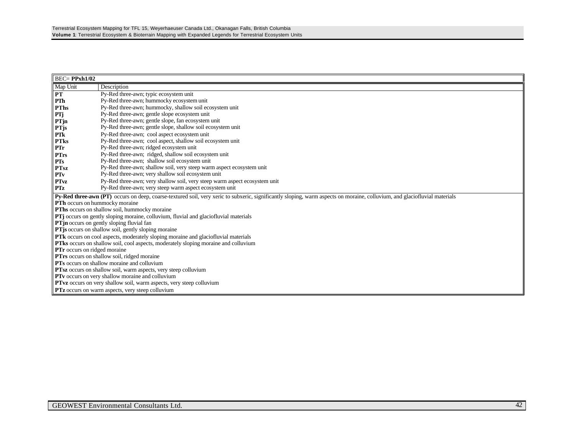| $BEC = PPxh1/02$                                   |                                                                                                                                                                            |  |  |  |  |
|----------------------------------------------------|----------------------------------------------------------------------------------------------------------------------------------------------------------------------------|--|--|--|--|
| Map Unit                                           | Description                                                                                                                                                                |  |  |  |  |
| PT                                                 | Py-Red three-awn; typic ecosystem unit                                                                                                                                     |  |  |  |  |
| PTh                                                | Py-Red three-awn; hummocky ecosystem unit                                                                                                                                  |  |  |  |  |
| <b>PThs</b>                                        | Py-Red three-awn; hummocky, shallow soil ecosystem unit                                                                                                                    |  |  |  |  |
| PTj                                                | Py-Red three-awn; gentle slope ecosystem unit                                                                                                                              |  |  |  |  |
| PTjn                                               | Py-Red three-awn; gentle slope, fan ecosystem unit                                                                                                                         |  |  |  |  |
| <b>PT</b> js                                       | Py-Red three-awn; gentle slope, shallow soil ecosystem unit                                                                                                                |  |  |  |  |
| PTk                                                | Py-Red three-awn; cool aspect ecosystem unit                                                                                                                               |  |  |  |  |
| <b>PTks</b>                                        | Py-Red three-awn; cool aspect, shallow soil ecosystem unit                                                                                                                 |  |  |  |  |
| PTr                                                | Py-Red three-awn; ridged ecosystem unit                                                                                                                                    |  |  |  |  |
| <b>PTrs</b>                                        | Py-Red three-awn; ridged, shallow soil ecosystem unit                                                                                                                      |  |  |  |  |
| PTs                                                | Py-Red three-awn; shallow soil ecosystem unit                                                                                                                              |  |  |  |  |
| <b>PTsz</b>                                        | Py-Red three-awn; shallow soil, very steep warm aspect ecosystem unit                                                                                                      |  |  |  |  |
| PT <sub>v</sub>                                    | Py-Red three-awn; very shallow soil ecosystem unit                                                                                                                         |  |  |  |  |
| <b>PTvz</b>                                        | Py-Red three-awn; very shallow soil, very steep warm aspect ecosystem unit                                                                                                 |  |  |  |  |
| <b>PTz</b>                                         | Py-Red three-awn; very steep warm aspect ecosystem unit                                                                                                                    |  |  |  |  |
|                                                    | Py-Red three-awn (PT) occurs on deep, coarse-textured soil, very xeric to subxeric, significantly sloping, warm aspects on moraine, colluvium, and glaciofluvial materials |  |  |  |  |
| PTh occurs on hummocky moraine                     |                                                                                                                                                                            |  |  |  |  |
|                                                    | PThs occurs on shallow soil, hummocky moraine                                                                                                                              |  |  |  |  |
|                                                    | PTj occurs on gently sloping moraine, colluvium, fluvial and glaciofluvial materials                                                                                       |  |  |  |  |
|                                                    | <b>PTjn</b> occurs on gently sloping fluvial fan                                                                                                                           |  |  |  |  |
|                                                    | PTjs occurs on shallow soil, gently sloping moraine                                                                                                                        |  |  |  |  |
|                                                    | PTk occurs on cool aspects, moderately sloping moraine and glaciofluvial materials                                                                                         |  |  |  |  |
|                                                    | PTks occurs on shallow soil, cool aspects, moderately sloping moraine and colluvium                                                                                        |  |  |  |  |
|                                                    | <b>PTr</b> occurs on ridged moraine                                                                                                                                        |  |  |  |  |
| PTrs occurs on shallow soil, ridged moraine        |                                                                                                                                                                            |  |  |  |  |
| <b>PTs</b> occurs on shallow moraine and colluvium |                                                                                                                                                                            |  |  |  |  |
|                                                    | <b>PTsz</b> occurs on shallow soil, warm aspects, very steep colluvium                                                                                                     |  |  |  |  |
|                                                    | PTv occurs on very shallow moraine and colluvium                                                                                                                           |  |  |  |  |
|                                                    | PTvz occurs on very shallow soil, warm aspects, very steep colluvium                                                                                                       |  |  |  |  |
|                                                    | <b>PTz</b> occurs on warm aspects, very steep colluvium                                                                                                                    |  |  |  |  |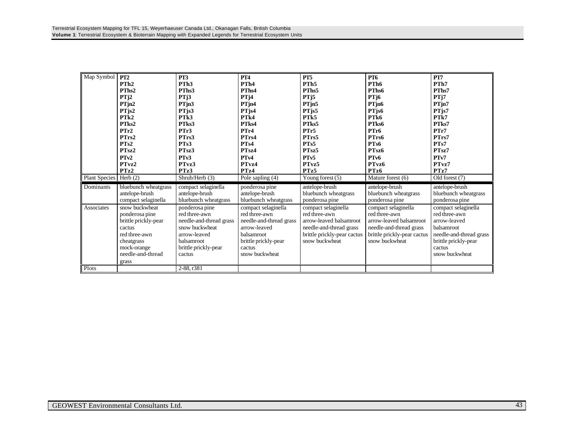| Map Symbol               | PT <sub>2</sub>      | PT3                     | <b>PT4</b>              | PT <sub>5</sub>             | <b>PT6</b>                  | PT7                     |
|--------------------------|----------------------|-------------------------|-------------------------|-----------------------------|-----------------------------|-------------------------|
|                          | PTh <sub>2</sub>     | PTh <sub>3</sub>        | PTh <sub>4</sub>        | PTh <sub>5</sub>            | PTh <sub>6</sub>            | PTh7                    |
|                          | PThs2                | PThs3                   | PThs4                   | PThs5                       | PThs6                       | PThs7                   |
|                          | PTj2                 | PTj3                    | PTj4                    | PTj5                        | PT <sub>j</sub> 6           | PTj7                    |
|                          | PTjn2                | PTjn3                   | $PT$ jn4                | PTjn5                       | PTjn6                       | PTjn7                   |
|                          | $PT$ js2             | PTjs3                   | PTjs4                   | PTjs5                       | PTjs6                       | PTjs7                   |
|                          | PT <sub>k2</sub>     | PT <sub>k3</sub>        | PT <sub>k4</sub>        | PT <sub>k5</sub>            | PT <sub>k6</sub>            | PTk7                    |
|                          | PTks2                | PTks3                   | PTks4                   | PTks5                       | PTks6                       | PTks7                   |
|                          | PTr2                 | PTr3                    | PTr4                    | PTr5                        | PTr6                        | PTr7                    |
|                          | PTrs2                | PTrs3                   | PTrs4                   | PTrs5                       | PTrs6                       | PTrs7                   |
|                          | PTs2                 | PT <sub>s</sub> 3       | PT <sub>s4</sub>        | PT <sub>s5</sub>            | PTs6                        | PT <sub>s</sub> 7       |
|                          | PT <sub>sz</sub> 2   | PT <sub>sz</sub> 3      | PT <sub>sz</sub> 4      | PT <sub>sz</sub> 5          | PT <sub>sz</sub> 6          | PTsz7                   |
|                          | PTv2                 | PTv3                    | PTv4                    | PT <sub>v5</sub>            | PT <sub>v</sub> 6           | PTv7                    |
|                          | PTvz2                | PTvz3                   | PTvz4                   | PTvz5                       | PTvz6                       | PTvz7                   |
|                          | PTz2                 | PTz3                    | PTz4                    | PTz5                        | PTz6                        | PTz7                    |
| Plant Species   Herb (2) |                      | Shrub/Herb (3)          | Pole sapling (4)        | Young forest (5)            | Mature forest (6)           | Old forest (7)          |
| Dominants                | bluebunch wheatgrass | compact selaginella     | ponderosa pine          | antelope-brush              | antelope-brush              | antelope-brush          |
|                          | antelope-brush       | antelope-brush          | antelope-brush          | bluebunch wheatgrass        | bluebunch wheatgrass        | bluebunch wheatgrass    |
|                          | compact selaginella  | bluebunch wheatgrass    | bluebunch wheatgrass    | ponderosa pine              | ponderosa pine              | ponderosa pine          |
| Associates               | snow buckwheat       | ponderosa pine          | compact selaginella     | compact selaginella         | compact selaginella         | compact selaginella     |
|                          | ponderosa pine       | red three-awn           | red three-awn           | red three-awn               | red three-awn               | red three-awn           |
|                          | brittle prickly-pear | needle-and-thread grass | needle-and-thread grass | arrow-leaved balsamroot     | arrow-leaved balsamroot     | arrow-leaved            |
|                          | cactus               | snow buckwheat          | arrow-leaved            | needle-and-thread grass     | needle-and-thread grass     | balsamroot              |
|                          | red three-awn        | arrow-leaved            | <b>balsamroot</b>       | brittle prickly-pear cactus | brittle prickly-pear cactus | needle-and-thread grass |
|                          | cheatgrass           | balsamroot              | brittle prickly-pear    | snow buckwheat              | snow buckwheat              | brittle prickly-pear    |
|                          | mock-orange          | brittle prickly-pear    | cactus                  |                             |                             | cactus                  |
|                          | needle-and-thread    | cactus                  | snow buckwheat          |                             |                             | snow buckwheat          |
|                          | grass                |                         |                         |                             |                             |                         |
| Plots                    |                      | 2-88, r381              |                         |                             |                             |                         |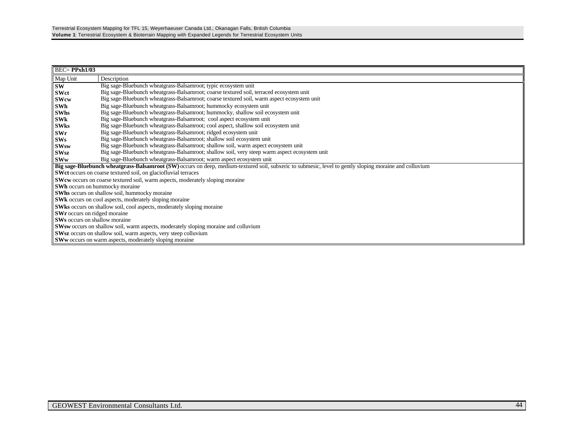| $BEC = PPxh1/03$                                                                                                                                        |                                                                                               |  |  |  |  |  |
|---------------------------------------------------------------------------------------------------------------------------------------------------------|-----------------------------------------------------------------------------------------------|--|--|--|--|--|
| Map Unit                                                                                                                                                | Description                                                                                   |  |  |  |  |  |
| <b>SW</b>                                                                                                                                               | Big sage-Bluebunch wheatgrass-Balsamroot; typic ecosystem unit                                |  |  |  |  |  |
| <b>SWct</b>                                                                                                                                             | Big sage-Bluebunch wheatgrass-Balsamroot; coarse textured soil, terraced ecosystem unit       |  |  |  |  |  |
| <b>SWcw</b>                                                                                                                                             | Big sage-Bluebunch wheatgrass-Balsamroot; coarse textured soil, warm aspect ecosystem unit    |  |  |  |  |  |
| SWh                                                                                                                                                     | Big sage-Bluebunch wheatgrass-Balsamroot; hummocky ecosystem unit                             |  |  |  |  |  |
| <b>SWhs</b>                                                                                                                                             | Big sage-Bluebunch wheatgrass-Balsamroot; hummocky, shallow soil ecosystem unit               |  |  |  |  |  |
| <b>SWk</b>                                                                                                                                              | Big sage-Bluebunch wheatgrass-Balsamroot; cool aspect ecosystem unit                          |  |  |  |  |  |
| <b>SWks</b>                                                                                                                                             | Big sage-Bluebunch wheatgrass-Balsamroot; cool aspect, shallow soil ecosystem unit            |  |  |  |  |  |
| <b>SWr</b>                                                                                                                                              | Big sage-Bluebunch wheatgrass-Balsamroot; ridged ecosystem unit                               |  |  |  |  |  |
| SWs                                                                                                                                                     | Big sage-Bluebunch wheatgrass-Balsamroot; shallow soil ecosystem unit                         |  |  |  |  |  |
| <b>SWsw</b>                                                                                                                                             | Big sage-Bluebunch wheatgrass-Balsamroot; shallow soil, warm aspect ecosystem unit            |  |  |  |  |  |
| <b>SWsz</b>                                                                                                                                             | Big sage-Bluebunch wheatgrass-Balsamroot; shallow soil, very steep warm aspect ecosystem unit |  |  |  |  |  |
| <b>SWw</b>                                                                                                                                              | Big sage-Bluebunch wheatgrass-Balsamroot; warm aspect ecosystem unit                          |  |  |  |  |  |
| Big sage-Bluebunch wheatgrass-Balsamroot (SW) occurs on deep, medium-textured soil, subxeric to submesic, level to gently sloping moraine and colluvium |                                                                                               |  |  |  |  |  |
|                                                                                                                                                         | SWct occurs on coarse textured soil, on glaciofluvial terraces                                |  |  |  |  |  |
| <b>SWew</b> occurs on coarse textured soil, warm aspects, moderately sloping moraine                                                                    |                                                                                               |  |  |  |  |  |
|                                                                                                                                                         | <b>SWh</b> occurs on hummocky moraine                                                         |  |  |  |  |  |
|                                                                                                                                                         | SWhs occurs on shallow soil, hummocky moraine                                                 |  |  |  |  |  |
|                                                                                                                                                         | <b>SWk</b> occurs on cool aspects, moderately sloping moraine                                 |  |  |  |  |  |
|                                                                                                                                                         | <b>SWks</b> occurs on shallow soil, cool aspects, moderately sloping moraine                  |  |  |  |  |  |
| <b>SWr</b> occurs on ridged moraine                                                                                                                     |                                                                                               |  |  |  |  |  |
|                                                                                                                                                         | <b>SWs</b> occurs on shallow moraine                                                          |  |  |  |  |  |
|                                                                                                                                                         | <b>SWsw</b> occurs on shallow soil, warm aspects, moderately sloping moraine and colluvium    |  |  |  |  |  |
|                                                                                                                                                         | <b>SWsz</b> occurs on shallow soil, warm aspects, very steep colluvium                        |  |  |  |  |  |
|                                                                                                                                                         | <b>SWw</b> occurs on warm aspects, moderately sloping moraine                                 |  |  |  |  |  |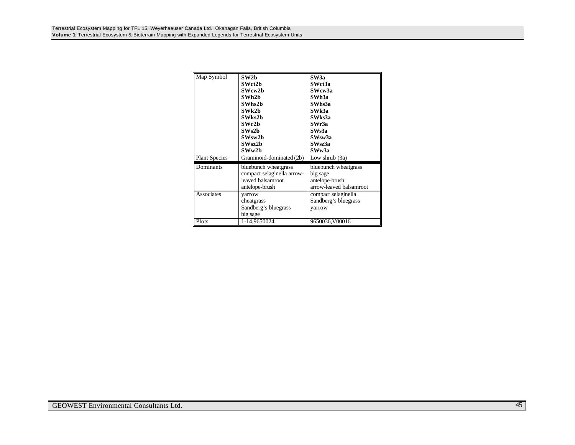| Map Symbol                        | SW2h<br>SWct2b<br>SWcw2b<br>SWh2b<br>SWhs2b<br>SWk2b<br>SWks2b<br>SWr2b<br>SWs2h<br>SWsw2b<br>SWsz2b<br>SWw2b         | SW <sub>3</sub> a<br>SWct3a<br>SWcw3a<br>SWh3a<br>SWhs3a<br>SWk3a<br>SWks3a<br>SWr3a<br>SWs3a<br>SWsw3a<br>SWsz3a<br>SWw3a |
|-----------------------------------|-----------------------------------------------------------------------------------------------------------------------|----------------------------------------------------------------------------------------------------------------------------|
| <b>Plant Species</b><br>Dominants | Graminoid-dominated (2b)<br>bluebunch wheatgrass<br>compact selaginella arrow-<br>leaved balsamroot<br>antelope-brush | Low shrub $(3a)$<br>bluebunch wheatgrass<br>big sage<br>antelope-brush<br>arrow-leaved balsamroot                          |
| Associates                        | yarrow<br>cheatgrass<br>Sandberg's bluegrass<br>big sage                                                              | compact selaginella<br>Sandberg's bluegrass<br>yarrow                                                                      |
| Plots                             | 1-14,9650024                                                                                                          | 9650036, V00016                                                                                                            |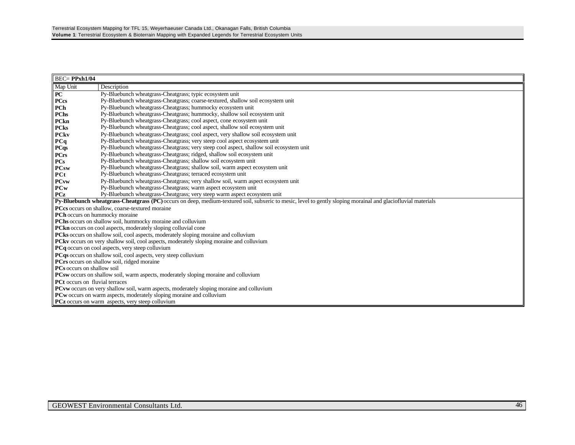| <b>BEC=PPxh1/04</b>                                                                        |                                                                                                                                                               |  |  |  |  |
|--------------------------------------------------------------------------------------------|---------------------------------------------------------------------------------------------------------------------------------------------------------------|--|--|--|--|
| Map Unit                                                                                   | Description                                                                                                                                                   |  |  |  |  |
| <b>PC</b>                                                                                  | Py-Bluebunch wheatgrass-Cheatgrass; typic ecosystem unit                                                                                                      |  |  |  |  |
| <b>PCcs</b>                                                                                | Py-Bluebunch wheatgrass-Cheatgrass; coarse-textured, shallow soil ecosystem unit                                                                              |  |  |  |  |
| PCh                                                                                        | Py-Bluebunch wheatgrass-Cheatgrass; hummocky ecosystem unit                                                                                                   |  |  |  |  |
| <b>PChs</b>                                                                                | Py-Bluebunch wheatgrass-Cheatgrass; hummocky, shallow soil ecosystem unit                                                                                     |  |  |  |  |
| PCkn                                                                                       | Py-Bluebunch wheatgrass-Cheatgrass; cool aspect, cone ecosystem unit                                                                                          |  |  |  |  |
| <b>PCks</b>                                                                                | Py-Bluebunch wheatgrass-Cheatgrass; cool aspect, shallow soil ecosystem unit                                                                                  |  |  |  |  |
| <b>PCkv</b>                                                                                | Py-Bluebunch wheatgrass-Cheatgrass; cool aspect, very shallow soil ecosystem unit                                                                             |  |  |  |  |
| PCq                                                                                        | Py-Bluebunch wheatgrass-Cheatgrass; very steep cool aspect ecosystem unit                                                                                     |  |  |  |  |
| <b>PCqs</b>                                                                                | Py-Bluebunch wheatgrass-Cheatgrass; very steep cool aspect, shallow soil ecosystem unit                                                                       |  |  |  |  |
| <b>PCrs</b>                                                                                | Py-Bluebunch wheatgrass-Cheatgrass; ridged, shallow soil ecosystem unit                                                                                       |  |  |  |  |
| <b>PCs</b>                                                                                 | Py-Bluebunch wheatgrass-Cheatgrass; shallow soil ecosystem unit                                                                                               |  |  |  |  |
| <b>PCsw</b>                                                                                | Py-Bluebunch wheatgrass-Cheatgrass; shallow soil, warm aspect ecosystem unit                                                                                  |  |  |  |  |
| PCt                                                                                        | Py-Bluebunch wheatgrass-Cheatgrass; terraced ecosystem unit                                                                                                   |  |  |  |  |
| <b>PCvw</b>                                                                                | Py-Bluebunch wheatgrass-Cheatgrass; very shallow soil, warm aspect ecosystem unit                                                                             |  |  |  |  |
| <b>PCw</b>                                                                                 | Py-Bluebunch wheatgrass-Cheatgrass; warm aspect ecosystem unit                                                                                                |  |  |  |  |
| <b>PCz</b>                                                                                 | Py-Bluebunch wheatgrass-Cheatgrass; very steep warm aspect ecosystem unit                                                                                     |  |  |  |  |
|                                                                                            | Py-Bluebunch wheatgrass-Cheatgrass (PC) occurs on deep, medium-textured soil, subxeric to mesic, level to gently sloping morainal and glaciofluvial materials |  |  |  |  |
| <b>PCcs</b> occurs on shallow, coarse-textured moraine                                     |                                                                                                                                                               |  |  |  |  |
| PCh occurs on hummocky moraine                                                             |                                                                                                                                                               |  |  |  |  |
| PChs occurs on shallow soil, hummocky moraine and colluvium                                |                                                                                                                                                               |  |  |  |  |
| <b>PCkn</b> occurs on cool aspects, moderately sloping colluvial cone                      |                                                                                                                                                               |  |  |  |  |
|                                                                                            | PCks occurs on shallow soil, cool aspects, moderately sloping moraine and colluvium                                                                           |  |  |  |  |
|                                                                                            | PCkv occurs on very shallow soil, cool aspects, moderately sloping moraine and colluvium                                                                      |  |  |  |  |
|                                                                                            | <b>PCq</b> occurs on cool aspects, very steep colluvium                                                                                                       |  |  |  |  |
|                                                                                            | PCqs occurs on shallow soil, cool aspects, very steep colluvium                                                                                               |  |  |  |  |
| PCrs occurs on shallow soil, ridged moraine                                                |                                                                                                                                                               |  |  |  |  |
| <b>PCs</b> occurs on shallow soil                                                          |                                                                                                                                                               |  |  |  |  |
| <b>PCsw</b> occurs on shallow soil, warm aspects, moderately sloping moraine and colluvium |                                                                                                                                                               |  |  |  |  |
| <b>PCt</b> occurs on fluvial terraces                                                      |                                                                                                                                                               |  |  |  |  |
|                                                                                            | <b>PCvw</b> occurs on very shallow soil, warm aspects, moderately sloping moraine and colluvium                                                               |  |  |  |  |
|                                                                                            | <b>PCw</b> occurs on warm aspects, moderately sloping moraine and colluvium                                                                                   |  |  |  |  |
|                                                                                            | <b>PCz</b> occurs on warm aspects, very steep colluvium                                                                                                       |  |  |  |  |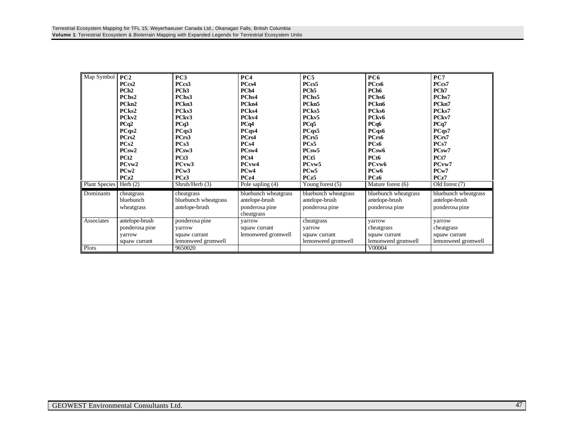| Map Symbol           | PC2               | PC <sub>3</sub>      | PC <sub>4</sub>      | PC5                  | PC6                  | PC7                  |
|----------------------|-------------------|----------------------|----------------------|----------------------|----------------------|----------------------|
|                      | PCcs2             | PCcs3                | PCcs4                | PCcs5                | PCcs6                | PCcs7                |
|                      | PCh <sub>2</sub>  | PCh <sub>3</sub>     | PCh <sub>4</sub>     | PCh <sub>5</sub>     | PCh <sub>6</sub>     | PCh <sub>7</sub>     |
|                      | PCh <sub>s2</sub> | PCh <sub>s</sub> 3   | PChs4                | PChs5                | PChs <sub>6</sub>    | PChs7                |
|                      | PCkn <sub>2</sub> | PCkn3                | PCkn4                | PCkn5                | PCkn <sub>6</sub>    | PCkn7                |
|                      | PCks2             | PCks3                | PCks4                | PCks5                | PCks6                | PCks7                |
|                      | PCkv2             | PCkv3                | PCkv4                | PCkv5                | PCkv <sub>6</sub>    | PCkv7                |
|                      | PCq2              | PCq3                 | PCq4                 | PCq5                 | PCq6                 | PCq7                 |
|                      | PCqs2             | PCqs3                | PCqs4                | PCqs5                | PCqs6                | PCqs7                |
|                      | PCrs2             | PCrs3                | PCrs4                | PCrs5                | PCrs6                | PCrs7                |
|                      | PCs2              | PCs3                 | PCs4                 | PCs5                 | PCs6                 | PCs7                 |
|                      | PCsw2             | PCsw3                | PCsw4                | PCsw5                | PCsw6                | PCsw7                |
|                      | PC <sub>t2</sub>  | PCt <sub>3</sub>     | PCt4                 | PCt <sub>5</sub>     | PCt <sub>6</sub>     | PCt7                 |
|                      | PCvw2             | PCvw <sub>3</sub>    | PCvw4                | PCvw5                | PCvw6                | PCvw7                |
|                      | PCw2              | PCw3                 | PCw4                 | PCw <sub>5</sub>     | PCw <sub>6</sub>     | PCw7                 |
|                      | PCz2              | PCz3                 | PCz4                 | PCz5                 | PCz6                 | PCz7                 |
| <b>Plant Species</b> | Herb $(2)$        | Shrub/Herb (3)       | Pole sapling (4)     | Young forest $(5)$   | Mature forest (6)    | Old forest (7)       |
| Dominants            | cheatgrass        | cheatgrass           | bluebunch wheatgrass | bluebunch wheatgrass | bluebunch wheatgrass | bluebunch wheatgrass |
|                      | bluebunch         | bluebunch wheatgrass | antelope-brush       | antelope-brush       | antelope-brush       | antelope-brush       |
|                      | wheatgrass        | antelope-brush       | ponderosa pine       | ponderosa pine       | ponderosa pine       | ponderosa pine       |
|                      |                   |                      | cheatgrass           |                      |                      |                      |
| Associates           | antelope-brush    | ponderosa pine       | varrow               | cheatgrass           | varrow               | yarrow               |
|                      | ponderosa pine    | varrow               | squaw currant        | varrow               | cheatgrass           | cheatgrass           |
|                      | varrow            | squaw currant        | lemonweed gromwell   | squaw currant        | squaw currant        | squaw currant        |
|                      | squaw currant     | lemonweed gromwell   |                      | lemonweed gromwell   | lemonweed gromwell   | lemonweed gromwell   |
| Plots                |                   | 9650020              |                      |                      | V00004               |                      |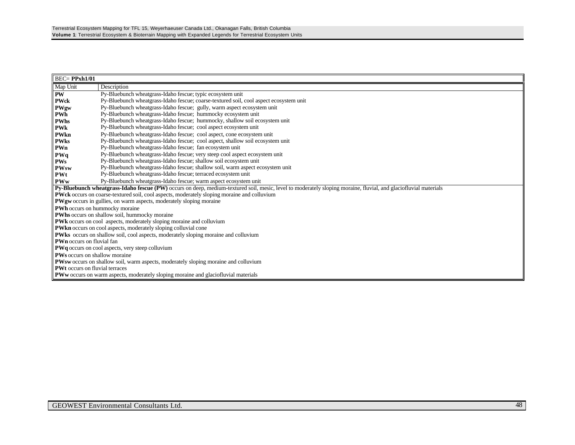| $BEC = PPxh1/01$                                                                                   |                                                                                                                                                                  |  |  |  |  |
|----------------------------------------------------------------------------------------------------|------------------------------------------------------------------------------------------------------------------------------------------------------------------|--|--|--|--|
| Map Unit                                                                                           | Description                                                                                                                                                      |  |  |  |  |
| <b>PW</b>                                                                                          | Py-Bluebunch wheatgrass-Idaho fescue; typic ecosystem unit                                                                                                       |  |  |  |  |
| <b>PWck</b>                                                                                        | Py-Bluebunch wheatgrass-Idaho fescue; coarse-textured soil, cool aspect ecosystem unit                                                                           |  |  |  |  |
| PWgw                                                                                               | Py-Bluebunch wheatgrass-Idaho fescue; gully, warm aspect ecosystem unit                                                                                          |  |  |  |  |
| <b>PWh</b>                                                                                         | Py-Bluebunch wheatgrass-Idaho fescue; hummocky ecosystem unit                                                                                                    |  |  |  |  |
| <b>PWhs</b>                                                                                        | Py-Bluebunch wheatgrass-Idaho fescue; hummocky, shallow soil ecosystem unit                                                                                      |  |  |  |  |
| <b>PWk</b>                                                                                         | Py-Bluebunch wheatgrass-Idaho fescue; cool aspect ecosystem unit                                                                                                 |  |  |  |  |
| PWkn                                                                                               | Py-Bluebunch wheatgrass-Idaho fescue; cool aspect, cone ecosystem unit                                                                                           |  |  |  |  |
| <b>PWks</b>                                                                                        | Py-Bluebunch wheatgrass-Idaho fescue; cool aspect, shallow soil ecosystem unit                                                                                   |  |  |  |  |
| PWn                                                                                                | Py-Bluebunch wheatgrass-Idaho fescue; fan ecosystem unit                                                                                                         |  |  |  |  |
| PWq                                                                                                | Py-Bluebunch wheatgrass-Idaho fescue; very steep cool aspect ecosystem unit                                                                                      |  |  |  |  |
| <b>PWs</b>                                                                                         | Py-Bluebunch wheatgrass-Idaho fescue; shallow soil ecosystem unit                                                                                                |  |  |  |  |
| <b>PWsw</b>                                                                                        | Py-Bluebunch wheatgrass-Idaho fescue; shallow soil, warm aspect ecosystem unit                                                                                   |  |  |  |  |
| <b>PWt</b>                                                                                         | Py-Bluebunch wheatgrass-Idaho fescue; terraced ecosystem unit                                                                                                    |  |  |  |  |
| <b>PWw</b>                                                                                         | Py-Bluebunch wheatgrass-Idaho fescue; warm aspect ecosystem unit                                                                                                 |  |  |  |  |
|                                                                                                    | Py-Bluebunch wheatgrass-Idaho fescue (PW) occurs on deep, medium-textured soil, mesic, level to moderately sloping moraine, fluvial, and glaciofluvial materials |  |  |  |  |
| <b>PWck</b> occurs on coarse-textured soil, cool aspects, moderately sloping moraine and colluvium |                                                                                                                                                                  |  |  |  |  |
| <b>PWgw</b> occurs in gullies, on warm aspects, moderately sloping moraine                         |                                                                                                                                                                  |  |  |  |  |
| PWh occurs on hummocky moraine                                                                     |                                                                                                                                                                  |  |  |  |  |
|                                                                                                    | PWhs occurs on shallow soil, hummocky moraine                                                                                                                    |  |  |  |  |
|                                                                                                    | PWk occurs on cool aspects, moderately sloping moraine and colluvium                                                                                             |  |  |  |  |
|                                                                                                    | PWkn occurs on cool aspects, moderately sloping colluvial cone                                                                                                   |  |  |  |  |
|                                                                                                    | PWks occurs on shallow soil, cool aspects, moderately sloping moraine and colluvium                                                                              |  |  |  |  |
| <b>PWn</b> occurs on fluvial fan                                                                   |                                                                                                                                                                  |  |  |  |  |
| <b>PWq</b> occurs on cool aspects, very steep colluvium                                            |                                                                                                                                                                  |  |  |  |  |
|                                                                                                    | <b>PWs</b> occurs on shallow moraine                                                                                                                             |  |  |  |  |
|                                                                                                    | <b>PWsw</b> occurs on shallow soil, warm aspects, moderately sloping moraine and colluvium                                                                       |  |  |  |  |
| <b>PWt</b> occurs on fluvial terraces                                                              |                                                                                                                                                                  |  |  |  |  |
|                                                                                                    | <b>PWw</b> occurs on warm aspects, moderately sloping moraine and glaciofluvial materials                                                                        |  |  |  |  |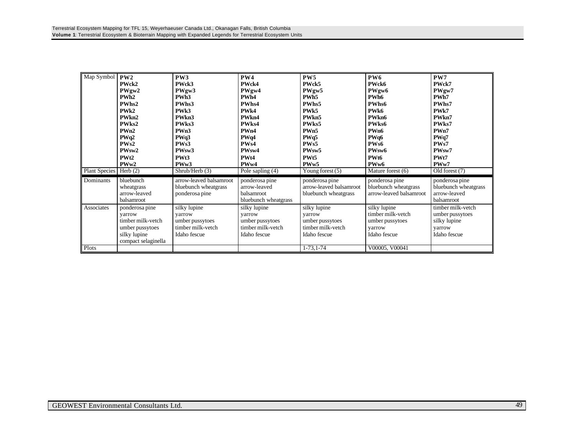| Map Symbol                            | PW2<br>PWck2<br>PWgw2<br>PWh <sub>2</sub><br>PWhs2<br>PWk2<br>PWkn2<br>PWks2<br>PWn2<br>PWq2<br>PWs2<br>PWsw2<br>PWt <sub>2</sub><br>PWw2 | PW3<br>PWck3<br>PWgw3<br>PWh <sub>3</sub><br>PWhs3<br>PW <sub>k3</sub><br>PWkn3<br>PWks3<br>PWn3<br>PWq3<br>PW <sub>s</sub> 3<br>PWsw3<br>PWt3<br>PW <sub>w</sub> 3 | PW4<br>PWck4<br>PWgw4<br>PWh4<br>PWhs4<br>PW <sub>k4</sub><br>PWkn4<br>PWks4<br>PWn4<br>PWq4<br>PW <sub>s4</sub><br>PWsw4<br>PW <sub>t4</sub><br>PW <sub>w</sub> 4 | PW5<br>PWck5<br>PWgw5<br>PWh <sub>5</sub><br>PWhs5<br>PW <sub>k5</sub><br>PWkn5<br>PWks5<br>PWn5<br>PWq5<br>PW <sub>s5</sub><br>PWsw5<br>PW <sub>t5</sub><br>PW <sub>w</sub> 5 | <b>PW6</b><br>PWck6<br>PWgw6<br>PWh <sub>6</sub><br>PWhs6<br>PW <sub>k6</sub><br>PWkn6<br>PWks6<br>PWn6<br>PWq6<br>PWs6<br>PWsw6<br>PW <sub>t6</sub><br>PW <sub>w</sub> 6 | PW7<br>PWck7<br>PWgw7<br>PWh7<br>PWhs7<br>PWk7<br>PWkn7<br>PWks7<br>PWn7<br>PWq7<br>PW <sub>s</sub> 7<br>PWsw7<br>PWt7<br>PWw7 |
|---------------------------------------|-------------------------------------------------------------------------------------------------------------------------------------------|---------------------------------------------------------------------------------------------------------------------------------------------------------------------|--------------------------------------------------------------------------------------------------------------------------------------------------------------------|--------------------------------------------------------------------------------------------------------------------------------------------------------------------------------|---------------------------------------------------------------------------------------------------------------------------------------------------------------------------|--------------------------------------------------------------------------------------------------------------------------------|
| Plant Species   Herb (2)<br>Dominants | bluebunch<br>wheatgrass<br>arrow-leaved<br>balsamroot                                                                                     | Shrub/Herb(3)<br>arrow-leaved balsamroot<br>bluebunch wheatgrass<br>ponderosa pine                                                                                  | Pole sapling (4)<br>ponderosa pine<br>arrow-leaved<br>balsamroot<br>bluebunch wheatgrass                                                                           | Young forest (5)<br>ponderosa pine<br>arrow-leaved balsamroot<br>bluebunch wheatgrass                                                                                          | Mature forest (6)<br>ponderosa pine<br>bluebunch wheatgrass<br>arrow-leaved balsamroot                                                                                    | Old forest (7)<br>ponderosa pine<br>bluebunch wheatgrass<br>arrow-leaved<br>balsamroot                                         |
| Associates                            | ponderosa pine<br>varrow<br>timber milk-vetch<br>umber pussytoes<br>silky lupine<br>compact selaginella                                   | silky lupine<br>varrow<br>umber pussytoes<br>timber milk-yetch<br>Idaho fescue                                                                                      | silky lupine<br>varrow<br>umber pussytoes<br>timber milk-yetch<br>Idaho fescue                                                                                     | silky lupine<br>varrow<br>umber pussytoes<br>timber milk-vetch<br>Idaho fescue                                                                                                 | silky lupine<br>timber milk-yetch<br>umber pussytoes<br>varrow<br>Idaho fescue                                                                                            | timber milk-yetch<br>umber pussytoes<br>silky lupine<br>varrow<br>Idaho fescue                                                 |
| Plots                                 |                                                                                                                                           |                                                                                                                                                                     |                                                                                                                                                                    | $1-73, 1-74$                                                                                                                                                                   | V00005, V00041                                                                                                                                                            |                                                                                                                                |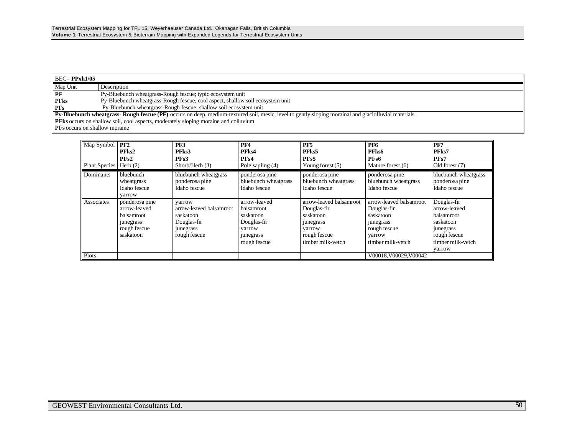| $\overline{BEC}$ PPxh1/05                                                                                                                                   |                                                                                |  |  |  |
|-------------------------------------------------------------------------------------------------------------------------------------------------------------|--------------------------------------------------------------------------------|--|--|--|
| Map Unit                                                                                                                                                    | Description                                                                    |  |  |  |
| $\mathbf{P}$                                                                                                                                                | Py-Bluebunch wheatgrass-Rough fescue; typic ecosystem unit                     |  |  |  |
| <b>PFks</b>                                                                                                                                                 | Py-Bluebunch wheatgrass-Rough fescue; cool aspect, shallow soil ecosystem unit |  |  |  |
| $l$ PFs                                                                                                                                                     | Py-Bluebunch wheatgrass-Rough fescue; shallow soil ecosystem unit              |  |  |  |
| <b>Py-Bluebunch wheatgrass- Rough fescue (PF)</b> occurs on deep, medium-textured soil, mesic, level to gently sloping morainal and glaciofluvial materials |                                                                                |  |  |  |
| <b>PFks</b> occurs on shallow soil, cool aspects, moderately sloping moraine and colluvium                                                                  |                                                                                |  |  |  |
| <b>PFs</b> occurs on shallow moraine                                                                                                                        |                                                                                |  |  |  |

| Map Symbol           | PF <sub>2</sub><br>PFks2<br>PFs2                                                              | PF3<br>PFks3<br>PF <sub>s</sub> 3                                                          | PF <sub>4</sub><br>PFks4<br>PF <sub>s4</sub>                                                         | PF <sub>5</sub><br>PFks5<br>PF <sub>s5</sub>                                                                    | PF <sub>6</sub><br>PFks6<br>PFs6                                                                                | PF7<br>PFks7<br>PFs7                                                                                               |
|----------------------|-----------------------------------------------------------------------------------------------|--------------------------------------------------------------------------------------------|------------------------------------------------------------------------------------------------------|-----------------------------------------------------------------------------------------------------------------|-----------------------------------------------------------------------------------------------------------------|--------------------------------------------------------------------------------------------------------------------|
| <b>Plant Species</b> | Herb $(2)$                                                                                    | Shrub/Herb (3)                                                                             | Pole sapling (4)                                                                                     | Young forest $(5)$                                                                                              | Mature forest (6)                                                                                               | Old forest (7)                                                                                                     |
| Dominants            | bluebunch<br>wheatgrass<br>Idaho fescue<br>varrow                                             | bluebunch wheatgrass<br>ponderosa pine<br>Idaho fescue                                     | ponderosa pine<br>bluebunch wheatgrass<br>Idaho fescue                                               | ponderosa pine<br>bluebunch wheatgrass<br>Idaho fescue                                                          | ponderosa pine<br>bluebunch wheatgrass<br>Idaho fescue                                                          | bluebunch wheatgrass<br>ponderosa pine<br>Idaho fescue                                                             |
| Associates           | ponderosa pine<br>arrow-leaved<br>balsamroot<br><i>junegrass</i><br>rough fescue<br>saskatoon | varrow<br>arrow-leaved balsamroot<br>saskatoon<br>Douglas-fir<br>junegrass<br>rough fescue | arrow-leaved<br>balsamroot<br>saskatoon<br>Douglas-fir<br>varrow<br><i>junegrass</i><br>rough fescue | arrow-leaved balsamroot<br>Douglas-fir<br>saskatoon<br>junegrass<br>varrow<br>rough fescue<br>timber milk-yetch | arrow-leaved balsamroot<br>Douglas-fir<br>saskatoon<br>junegrass<br>rough fescue<br>varrow<br>timber milk-yetch | Douglas-fir<br>arrow-leaved<br>balsamroot<br>saskatoon<br>junegrass<br>rough fescue<br>timber milk-yetch<br>varrow |
| Plots                |                                                                                               |                                                                                            |                                                                                                      |                                                                                                                 | V00018.V00029.V00042                                                                                            |                                                                                                                    |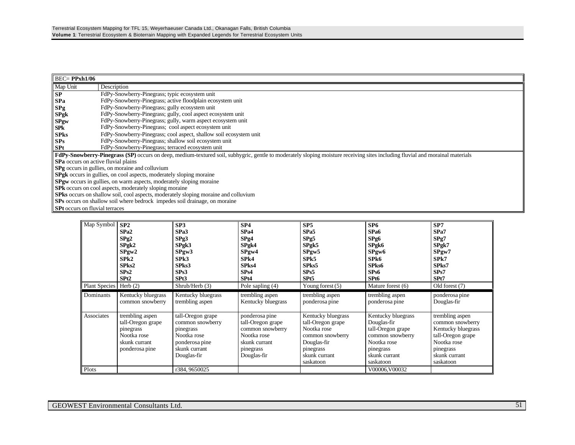| $BEC = PPxh1/06$                                                                                                                                                              |                                                                                            |  |  |  |  |
|-------------------------------------------------------------------------------------------------------------------------------------------------------------------------------|--------------------------------------------------------------------------------------------|--|--|--|--|
| Map Unit                                                                                                                                                                      | Description                                                                                |  |  |  |  |
| SP                                                                                                                                                                            | FdPy-Snowberry-Pinegrass; typic ecosystem unit                                             |  |  |  |  |
| <b>SPa</b>                                                                                                                                                                    | FdPy-Snowberry-Pinegrass; active floodplain ecosystem unit                                 |  |  |  |  |
| SPg                                                                                                                                                                           | FdPy-Snowberry-Pinegrass; gully ecosystem unit                                             |  |  |  |  |
| <b>SPgk</b>                                                                                                                                                                   | FdPy-Snowberry-Pinegrass; gully, cool aspect ecosystem unit                                |  |  |  |  |
| <b>SPgw</b>                                                                                                                                                                   | FdPy-Snowberry-Pinegrass; gully, warm aspect ecosystem unit                                |  |  |  |  |
| SPk                                                                                                                                                                           | FdPy-Snowberry-Pinegrass; cool aspect ecosystem unit                                       |  |  |  |  |
| <b>SPks</b>                                                                                                                                                                   | FdPy-Snowberry-Pinegrass; cool aspect, shallow soil ecosystem unit                         |  |  |  |  |
| SPs                                                                                                                                                                           | FdPy-Snowberry-Pinegrass; shallow soil ecosystem unit                                      |  |  |  |  |
| <b>SPt</b>                                                                                                                                                                    | FdPy-Snowberry-Pinegrass; terraced ecosystem unit                                          |  |  |  |  |
| FdPy-Snowberry-Pinegrass (SP) occurs on deep, medium-textured soil, subhygric, gentle to moderately sloping moisture receiving sites including fluvial and morainal materials |                                                                                            |  |  |  |  |
| <b>SPa</b> occurs on active fluvial plains                                                                                                                                    |                                                                                            |  |  |  |  |
| SPg occurs in gullies, on moraine and colluvium                                                                                                                               |                                                                                            |  |  |  |  |
|                                                                                                                                                                               | <b>SPgk</b> occurs in gullies, on cool aspects, moderately sloping moraine                 |  |  |  |  |
| <b>SPgw</b> occurs in gullies, on warm aspects, moderately sloping moraine                                                                                                    |                                                                                            |  |  |  |  |
| SPk occurs on cool aspects, moderately sloping moraine                                                                                                                        |                                                                                            |  |  |  |  |
|                                                                                                                                                                               | <b>SPks</b> occurs on shallow soil, cool aspects, moderately sloping moraine and colluvium |  |  |  |  |
|                                                                                                                                                                               | SPs occurs on shallow soil where bedrock impedes soil drainage, on moraine                 |  |  |  |  |
| <b>SPt</b> occurs on fluvial terraces                                                                                                                                         |                                                                                            |  |  |  |  |

| Map Symbol<br>Plant Species Herb (2) | SP2<br>SPa2<br>SPg2<br>$S$ Pg $k2$<br>SPyw2<br>SPk2<br>SPks2<br>SPs2<br>SP <sub>t2</sub>            | SP3<br>SPa3<br>SPg3<br>$S$ Pgk $3$<br>SPyw3<br>SP <sub>k3</sub><br>SPks3<br>SPs3<br>SPt3<br>Shrub/Herb (3)          | SP4<br>SPa4<br>SPg4<br>$S$ Pgk4<br>SPyw4<br>SP <sub>k4</sub><br>SPks4<br>SPs4<br>SP <sub>t4</sub><br>Pole sapling (4) | SP5<br>SPa5<br>SPg5<br>SPgk5<br>SPyw5<br>SP <sub>k5</sub><br>SPks5<br>SPs5<br>SP <sub>t5</sub><br>Young forest (5)                   | SP6<br>SP <sub>a6</sub><br>SPg6<br>$S$ Pgk $6$<br>SPyw6<br>SPk6<br>SPks6<br>SPs6<br>SPt6<br>Mature forest (6)                        | SP <sub>7</sub><br>SPa7<br>SPg7<br>SPgk7<br>SPyw7<br>SPk7<br>SPks7<br>SPs7<br>SPt7<br>Old forest (7)                                     |
|--------------------------------------|-----------------------------------------------------------------------------------------------------|---------------------------------------------------------------------------------------------------------------------|-----------------------------------------------------------------------------------------------------------------------|--------------------------------------------------------------------------------------------------------------------------------------|--------------------------------------------------------------------------------------------------------------------------------------|------------------------------------------------------------------------------------------------------------------------------------------|
| Dominants                            | Kentucky bluegrass<br>common snowberry                                                              | Kentucky bluegrass<br>trembling aspen                                                                               | trembling aspen<br>Kentucky bluegrass                                                                                 | trembling aspen<br>ponderosa pine                                                                                                    | trembling aspen<br>ponderosa pine                                                                                                    | ponderosa pine<br>Douglas-fir                                                                                                            |
| Associates                           | trembling aspen<br>tall-Oregon grape<br>pinegrass<br>Nootka rose<br>skunk currant<br>ponderosa pine | tall-Oregon grape<br>common snowberry<br>pinegrass<br>Nootka rose<br>ponderosa pine<br>skunk currant<br>Douglas-fir | ponderosa pine<br>tall-Oregon grape<br>common snowberry<br>Nootka rose<br>skunk currant<br>pinegrass<br>Douglas-fir   | Kentucky bluegrass<br>tall-Oregon grape<br>Nootka rose<br>common snowberry<br>Douglas-fir<br>pinegrass<br>skunk currant<br>saskatoon | Kentucky bluegrass<br>Douglas-fir<br>tall-Oregon grape<br>common snowberry<br>Nootka rose<br>pinegrass<br>skunk currant<br>saskatoon | trembling aspen<br>common snowberry<br>Kentucky bluegrass<br>tall-Oregon grape<br>Nootka rose<br>pinegrass<br>skunk currant<br>saskatoon |
| Plots                                |                                                                                                     | r384, 9650025                                                                                                       |                                                                                                                       |                                                                                                                                      | V00006, V00032                                                                                                                       |                                                                                                                                          |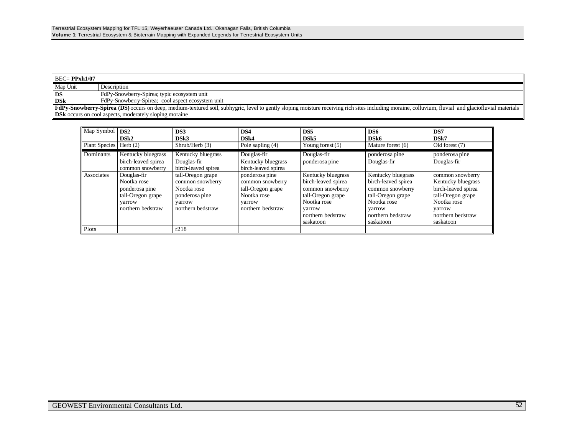| $\parallel$ BEC= PPxh1/07                                                                                                                                                                                  |                                                               |  |
|------------------------------------------------------------------------------------------------------------------------------------------------------------------------------------------------------------|---------------------------------------------------------------|--|
| Map Unit                                                                                                                                                                                                   | Description                                                   |  |
| l DS                                                                                                                                                                                                       | FdPy-Snowberry-Spirea; typic ecosystem unit                   |  |
| <b>DSk</b>                                                                                                                                                                                                 | FdPy-Snowberry-Spirea: cool aspect ecosystem unit             |  |
| <b>FdPy-Snowberry-Spirea (DS)</b> occurs on deep, medium-textured soil, subhygric, level to gently sloping moisture receiving rich sites including moraine, colluvium, fluvial and glaciofluvial materials |                                                               |  |
|                                                                                                                                                                                                            | <b>DSk</b> occurs on cool aspects, moderately sloping moraine |  |

| Map Symbol<br><b>Plant Species</b> | DS <sub>2</sub><br>DSk <sub>2</sub><br>Herb $(2)$                                                | DS3<br>DSk3<br>Shrub/Herb (3)                                                                         | DS4<br>DSk4<br>Pole sapling (4)                                                                       | DS <sub>5</sub><br>DSk5<br>Young forest $(5)$                                                                                                 | DS6<br>DSk <sub>6</sub><br>Mature forest (6)                                                                                                  | DS7<br>DSk7<br>Old forest $(7)$                                                                                                               |
|------------------------------------|--------------------------------------------------------------------------------------------------|-------------------------------------------------------------------------------------------------------|-------------------------------------------------------------------------------------------------------|-----------------------------------------------------------------------------------------------------------------------------------------------|-----------------------------------------------------------------------------------------------------------------------------------------------|-----------------------------------------------------------------------------------------------------------------------------------------------|
| Dominants                          | Kentucky bluegrass<br>birch-leaved spirea<br>common snowberry                                    | Kentucky bluegrass<br>Douglas-fir<br>birch-leaved spirea                                              | Douglas-fir<br>Kentucky bluegrass<br>birch-leaved spirea                                              | Douglas-fir<br>ponderosa pine                                                                                                                 | ponderosa pine<br>Douglas-fir                                                                                                                 | ponderosa pine<br>Douglas-fir                                                                                                                 |
| Associates                         | Douglas-fir<br>Nootka rose<br>ponderosa pine<br>tall-Oregon grape<br>varrow<br>northern bedstraw | tall-Oregon grape<br>common snowberry<br>Nootka rose<br>ponderosa pine<br>varrow<br>northern bedstraw | ponderosa pine<br>common snowberry<br>tall-Oregon grape<br>Nootka rose<br>varrow<br>northern bedstraw | Kentucky bluegrass<br>birch-leaved spirea<br>common snowberry<br>tall-Oregon grape<br>Nootka rose<br>yarrow<br>northern bedstraw<br>saskatoon | Kentucky bluegrass<br>birch-leaved spirea<br>common snowberry<br>tall-Oregon grape<br>Nootka rose<br>yarrow<br>northern bedstraw<br>saskatoon | common snowberry<br>Kentucky bluegrass<br>birch-leaved spirea<br>tall-Oregon grape<br>Nootka rose<br>varrow<br>northern bedstraw<br>saskatoon |
| Plots                              |                                                                                                  | r218                                                                                                  |                                                                                                       |                                                                                                                                               |                                                                                                                                               |                                                                                                                                               |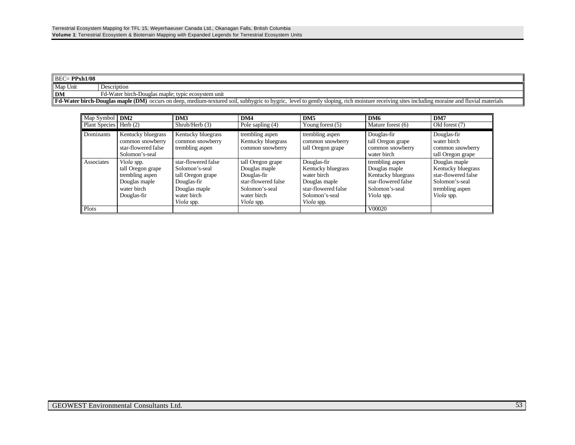| $BEC = PPxh1/08$ |                                                                                                                                                                                                    |
|------------------|----------------------------------------------------------------------------------------------------------------------------------------------------------------------------------------------------|
| Map Unit         | Description                                                                                                                                                                                        |
| $\mathbf{DM}$    | Fd-Water birch-Douglas maple; typic ecosystem unit                                                                                                                                                 |
|                  | <b>Fd-Water birch-Douglas maple (DM)</b> occurs on deep, medium-textured soil, subhygric to hygric, level to gently sloping, rich moisture receiving sites including moraine and fluvial materials |

| Map Symbol           | DM2                                                                                               | DM3                                                                                                                            | DM4                                                                                                                            | DM <sub>5</sub>                                                                                                                 | DM6                                                                                                           | DM7                                                                                                           |
|----------------------|---------------------------------------------------------------------------------------------------|--------------------------------------------------------------------------------------------------------------------------------|--------------------------------------------------------------------------------------------------------------------------------|---------------------------------------------------------------------------------------------------------------------------------|---------------------------------------------------------------------------------------------------------------|---------------------------------------------------------------------------------------------------------------|
| <b>Plant Species</b> | Herb $(2)$                                                                                        | Shrub/Herb(3)                                                                                                                  | Pole sapling $(4)$                                                                                                             | Young forest (5)                                                                                                                | Mature forest (6)                                                                                             | Old forest (7)                                                                                                |
| Dominants            | Kentucky bluegrass<br>common snowberry<br>star-flowered false<br>Solomon's-seal                   | Kentucky bluegrass<br>common snowberry<br>trembling aspen                                                                      | trembling aspen<br>Kentucky bluegrass<br>common snowberry                                                                      | trembling aspen<br>common snowberry<br>tall Oregon grape                                                                        | Douglas-fir<br>tall Oregon grape<br>common snowberry<br>water birch                                           | Douglas-fir<br>water birch<br>common snowberry<br>tall Oregon grape                                           |
| Associates           | Viola spp.<br>tall Oregon grape<br>trembling aspen<br>Douglas maple<br>water birch<br>Douglas-fir | star-flowered false<br>Solomon's-seal<br>tall Oregon grape<br>Douglas-fir<br>Douglas maple<br>water birch<br><i>Viola</i> spp. | tall Oregon grape<br>Douglas maple<br>Douglas-fir<br>star-flowered false<br>Solomon's-seal<br>water birch<br><i>Viola</i> spp. | Douglas-fir<br>Kentucky bluegrass<br>water birch<br>Douglas maple<br>star-flowered false<br>Solomon's-seal<br><i>Viola</i> spp. | trembling aspen<br>Douglas maple<br>Kentucky bluegrass<br>star-flowered false<br>Solomon's-seal<br>Viola spp. | Douglas maple<br>Kentucky bluegrass<br>star-flowered false<br>Solomon's-seal<br>trembling aspen<br>Viola spp. |
| Plots                |                                                                                                   |                                                                                                                                |                                                                                                                                |                                                                                                                                 | V00020                                                                                                        |                                                                                                               |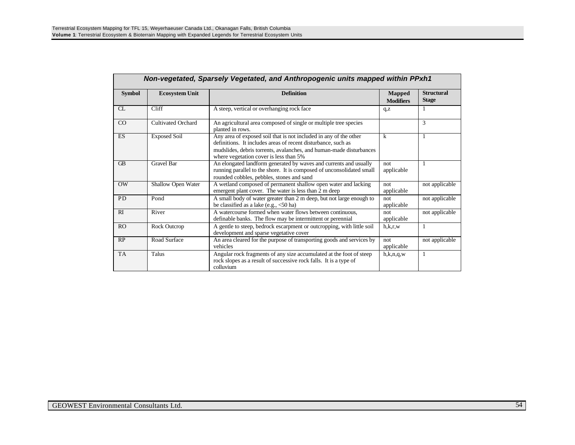|                | Non-vegetated, Sparsely Vegetated, and Anthropogenic units mapped within PPxh1 |                                                                                                                                                                                                                                                     |                                   |                                   |  |  |
|----------------|--------------------------------------------------------------------------------|-----------------------------------------------------------------------------------------------------------------------------------------------------------------------------------------------------------------------------------------------------|-----------------------------------|-----------------------------------|--|--|
| <b>Symbol</b>  | <b>Definition</b><br><b>Ecosystem Unit</b>                                     |                                                                                                                                                                                                                                                     | <b>Mapped</b><br><b>Modifiers</b> | <b>Structural</b><br><b>Stage</b> |  |  |
| CL             | Cliff                                                                          | A steep, vertical or overhanging rock face                                                                                                                                                                                                          | q, z                              | 1                                 |  |  |
| CO             | Cultivated Orchard                                                             | An agricultural area composed of single or multiple tree species<br>planted in rows.                                                                                                                                                                |                                   | 3                                 |  |  |
| <b>ES</b>      | <b>Exposed Soil</b>                                                            | Any area of exposed soil that is not included in any of the other<br>definitions. It includes areas of recent disturbance, such as<br>mudslides, debris torrents, avalanches, and human-made disturbances<br>where vegetation cover is less than 5% | k                                 | 1                                 |  |  |
| <b>GB</b>      | <b>Gravel Bar</b>                                                              | An elongated landform generated by waves and currents and usually<br>running parallel to the shore. It is composed of unconsolidated small<br>rounded cobbles, pebbles, stones and sand                                                             | not<br>applicable                 | 1                                 |  |  |
| OW             | Shallow Open Water                                                             | A wetland composed of permanent shallow open water and lacking<br>emergent plant cover. The water is less than 2 m deep                                                                                                                             | not.<br>applicable                | not applicable                    |  |  |
| <b>PD</b>      | Pond                                                                           | A small body of water greater than 2 m deep, but not large enough to<br>be classified as a lake (e.g., $<$ 50 ha)                                                                                                                                   | not.<br>applicable                | not applicable                    |  |  |
| RI             | River                                                                          | A watercourse formed when water flows between continuous.<br>definable banks. The flow may be intermittent or perennial                                                                                                                             | not<br>applicable                 | not applicable                    |  |  |
| R <sub>O</sub> | Rock Outcrop                                                                   | A gentle to steep, bedrock escarpment or outcropping, with little soil<br>development and sparse vegetative cover                                                                                                                                   | h.k.r.w                           | 1                                 |  |  |
| RP             | Road Surface                                                                   | An area cleared for the purpose of transporting goods and services by<br>vehicles                                                                                                                                                                   | not<br>applicable                 | not applicable                    |  |  |
| <b>TA</b>      | Talus                                                                          | Angular rock fragments of any size accumulated at the foot of steep<br>rock slopes as a result of successive rock falls. It is a type of<br>colluvium                                                                                               | h,k,n,q,w                         | 1                                 |  |  |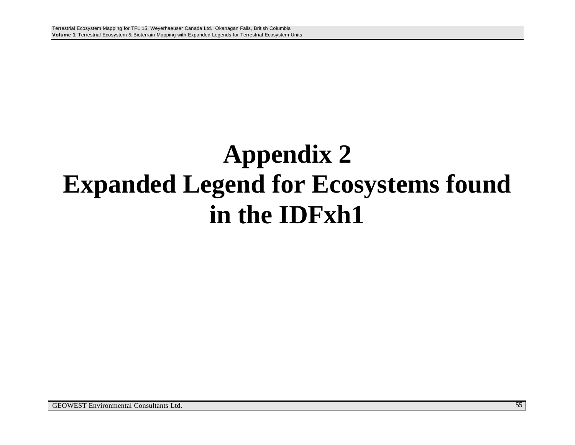# **Appendix 2 Expanded Legend for Ecosystems found in the IDFxh1**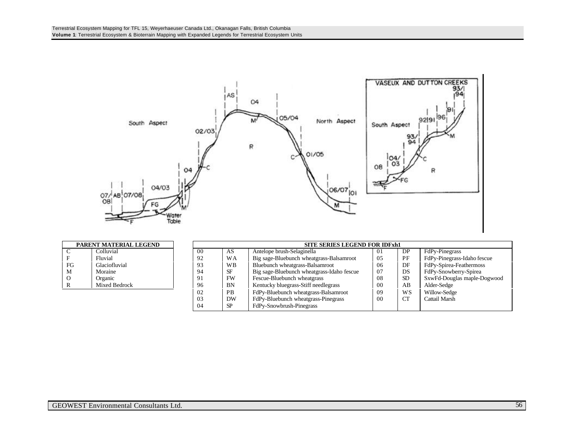

| PARENT MATERIAL LEGEND |               |  |  |
|------------------------|---------------|--|--|
| C                      | Colluvial     |  |  |
| F                      | Fluvial       |  |  |
| FG                     | Glaciofluvial |  |  |
| м                      | Moraine       |  |  |
| 0                      | Organic       |  |  |
| R                      | Mixed Bedrock |  |  |

| PARENT MATERIAL LEGEND |               |     | <b>SITE SERIES LEGEND FOR IDFxh1</b> |           |                                            |    |           |                             |
|------------------------|---------------|-----|--------------------------------------|-----------|--------------------------------------------|----|-----------|-----------------------------|
| C.                     | Colluvial     | -00 |                                      | AS        | Antelope brush-Selaginella                 | 01 | DP        | FdPy-Pinegrass              |
|                        | Fluvial       | 92  |                                      | <b>WA</b> | Big sage-Bluebunch wheatgrass-Balsamroot   | 05 | PF        | FdPy-Pinegrass-Idaho fescue |
| FG                     | Glaciofluvial | 93  |                                      | <b>WB</b> | Bluebunch wheatgrass-Balsamroot            | 06 | DF        | FdPy-Spirea-Feathermoss     |
| М                      | Moraine       | 94  |                                      | SF        | Big sage-Bluebunch wheatgrass-Idaho fescue | 07 | DS        | FdPy-Snowberry-Spirea       |
|                        | Organic       | 91  |                                      | FW        | Fescue-Bluebunch wheatgrass                | 08 | -SD       | SxwFd-Douglas maple-Dogwood |
| л.                     | Mixed Bedrock | 96  |                                      | <b>BN</b> | Kentucky bluegrass-Stiff needlegrass       | 00 | AB        | Alder-Sedge                 |
|                        |               | 02  |                                      | <b>PB</b> | FdPy-Bluebunch wheatgrass-Balsamroot       | 09 | WS        | Willow-Sedge                |
|                        |               | 03  |                                      | DW        | FdPy-Bluebunch wheatgrass-Pinegrass        | 00 | <b>CT</b> | Cattail Marsh               |
|                        |               | 04  |                                      | SP        | FdPy-Snowbrush-Pinegrass                   |    |           |                             |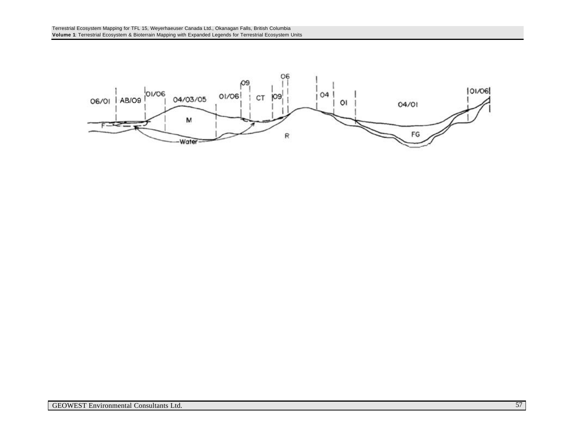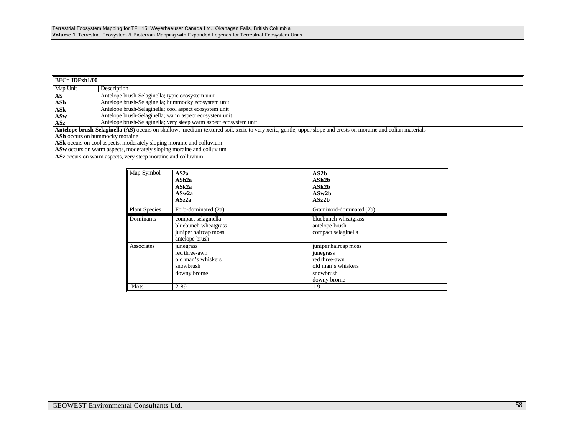| $\parallel$ BEC= IDFxh1/00                                                                                                                                   |                                                                             |  |  |
|--------------------------------------------------------------------------------------------------------------------------------------------------------------|-----------------------------------------------------------------------------|--|--|
| Map Unit                                                                                                                                                     | Description                                                                 |  |  |
| AS                                                                                                                                                           | Antelope brush-Selaginella; typic ecosystem unit                            |  |  |
| ASh                                                                                                                                                          | Antelope brush-Selaginella; hummocky ecosystem unit                         |  |  |
| ASk                                                                                                                                                          | Antelope brush-Selaginella; cool aspect ecosystem unit                      |  |  |
| ASw                                                                                                                                                          | Antelope brush-Selaginella; warm aspect ecosystem unit                      |  |  |
| ASz                                                                                                                                                          | Antelope brush-Selaginella; very steep warm aspect ecosystem unit           |  |  |
| Antelope brush-Selaginella (AS) occurs on shallow, medium-textured soil, xeric to very xeric, gentle, upper slope and crests on moraine and eolian materials |                                                                             |  |  |
| <b>ASh</b> occurs on hummocky moraine                                                                                                                        |                                                                             |  |  |
| ASK occurs on cool aspects, moderately sloping moraine and colluvium                                                                                         |                                                                             |  |  |
|                                                                                                                                                              | <b>ASw</b> occurs on warm aspects, moderately sloping moraine and colluvium |  |  |
|                                                                                                                                                              | ASz occurs on warm aspects, very steep moraine and colluvium                |  |  |

| Map Symbol           | AS <sub>2a</sub><br>ASh <sub>2a</sub><br>ASk2a<br>ASw2a<br>ASz2a                      | AS2b<br>ASh2b<br>$\bf ASk2b$<br>ASw2b<br>ASz2b                                                       |
|----------------------|---------------------------------------------------------------------------------------|------------------------------------------------------------------------------------------------------|
| <b>Plant Species</b> | Forb-dominated (2a)                                                                   | Graminoid-dominated (2b)                                                                             |
| Dominants            | compact selaginella<br>bluebunch wheatgrass<br>juniper haircap moss<br>antelope-brush | bluebunch wheatgrass<br>antelope-brush<br>compact selaginella                                        |
| Associates           | junegrass<br>red three-awn<br>old man's whiskers<br>snowbrush<br>downy brome          | juniper haircap moss<br>junegrass<br>red three-awn<br>old man's whiskers<br>snowbrush<br>downy brome |
| Plots                | $2 - 89$                                                                              | $1-9$                                                                                                |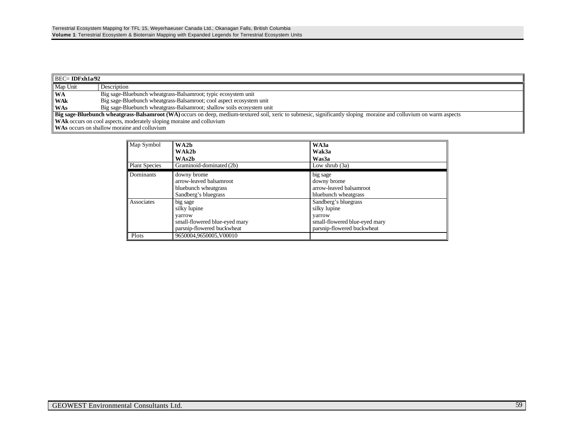| $\parallel$ BEC= IDFxh1a/92 |                                                                                                                                                                           |  |  |
|-----------------------------|---------------------------------------------------------------------------------------------------------------------------------------------------------------------------|--|--|
| Map Unit                    | Description                                                                                                                                                               |  |  |
| <b>WA</b>                   | Big sage-Bluebunch wheatgrass-Balsamroot; typic ecosystem unit                                                                                                            |  |  |
| <b>WAk</b>                  | Big sage-Bluebunch wheatgrass-Balsamroot; cool aspect ecosystem unit                                                                                                      |  |  |
| <b>WAs</b>                  | Big sage-Bluebunch wheatgrass-Balsamroot; shallow soils ecosystem unit                                                                                                    |  |  |
|                             | <b>Big sage-Bluebunch wheatgrass-Balsamroot (WA)</b> occurs on deep, medium-textured soil, xeric to submesic, significantly sloping moraine and colluvium on warm aspects |  |  |
|                             | <b>WAK</b> occurs on cool aspects, moderately sloping moraine and colluvium                                                                                               |  |  |
|                             | <b>WAs</b> occurs on shallow moraine and colluvium                                                                                                                        |  |  |

| Map Symbol<br><b>Plant Species</b> | WA2b<br>WAk2b<br>WAs2b<br>Graminoid-dominated (2b)                                                | WA3a<br>Wak3a<br>Was3a<br>Low shrub $(3a)$                                                                    |  |
|------------------------------------|---------------------------------------------------------------------------------------------------|---------------------------------------------------------------------------------------------------------------|--|
| Dominants                          | downy brome<br>arrow-leaved balsamroot<br>bluebunch wheatgrass<br>Sandberg's bluegrass            | big sage<br>downy brome<br>arrow-leaved balsamroot<br>bluebunch wheatgrass                                    |  |
| Associates                         | big sage<br>silky lupine<br>yarrow<br>small-flowered blue-eyed mary<br>parsnip-flowered buckwheat | Sandberg's bluegrass<br>silky lupine<br>varrow<br>small-flowered blue-eyed mary<br>parsnip-flowered buckwheat |  |
| Plots                              | 9650004.9650005.V00010                                                                            |                                                                                                               |  |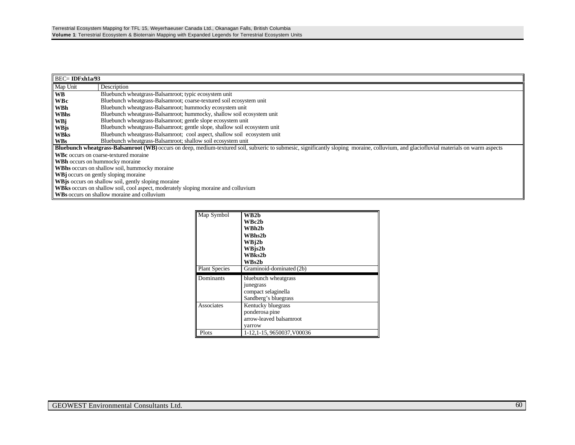| $BEC = IDFxh1a/93$                                                                                                                                                                            |                                                                                    |  |  |
|-----------------------------------------------------------------------------------------------------------------------------------------------------------------------------------------------|------------------------------------------------------------------------------------|--|--|
| Map Unit                                                                                                                                                                                      | Description                                                                        |  |  |
| <b>WB</b>                                                                                                                                                                                     | Bluebunch wheatgrass-Balsamroot; typic ecosystem unit                              |  |  |
| <b>WBc</b>                                                                                                                                                                                    | Bluebunch wheatgrass-Balsamroot; coarse-textured soil ecosystem unit               |  |  |
| WBh                                                                                                                                                                                           | Bluebunch wheatgrass-Balsamroot; hummocky ecosystem unit                           |  |  |
| <b>WBhs</b>                                                                                                                                                                                   | Bluebunch wheatgrass-Balsamroot; hummocky, shallow soil ecosystem unit             |  |  |
| <b>WBj</b>                                                                                                                                                                                    | Bluebunch wheatgrass-Balsamroot; gentle slope ecosystem unit                       |  |  |
| WBjs                                                                                                                                                                                          | Bluebunch wheatgrass-Balsamroot; gentle slope, shallow soil ecosystem unit         |  |  |
| <b>WBks</b>                                                                                                                                                                                   | Bluebunch wheatgrass-Balsamroot; cool aspect, shallow soil ecosystem unit          |  |  |
| <b>WBs</b>                                                                                                                                                                                    | Bluebunch wheatgrass-Balsamroot; shallow soil ecosystem unit                       |  |  |
| <b>Bluebunch wheatgrass-Balsamroot (WB)</b> occurs on deep, medium-textured soil, subxeric to submesic, significantly sloping moraine, colluvium, and glaciofluvial materials on warm aspects |                                                                                    |  |  |
| <b>WBc</b> occurs on coarse-textured moraine                                                                                                                                                  |                                                                                    |  |  |
| <b>WBh</b> occurs on hummocky moraine                                                                                                                                                         |                                                                                    |  |  |
| <b>WBhs</b> occurs on shallow soil, hummocky moraine                                                                                                                                          |                                                                                    |  |  |
| <b>WBj</b> occurs on gently sloping moraine                                                                                                                                                   |                                                                                    |  |  |
|                                                                                                                                                                                               | <b>WB</b> is occurs on shallow soil, gently sloping moraine                        |  |  |
|                                                                                                                                                                                               | WBks occurs on shallow soil, cool aspect, moderately sloping moraine and colluvium |  |  |
|                                                                                                                                                                                               | WBs occurs on shallow moraine and colluvium                                        |  |  |

| Map Symbol           | WB2b                     |  |
|----------------------|--------------------------|--|
|                      | WBc2b                    |  |
|                      | WBh2b                    |  |
|                      | <b>WBhs2b</b>            |  |
|                      | WB <sub>i2</sub> b       |  |
|                      | WBjs2b                   |  |
|                      | WBks2b                   |  |
|                      | WBs2b                    |  |
| <b>Plant Species</b> | Graminoid-dominated (2b) |  |
| Dominants            |                          |  |
|                      | bluebunch wheatgrass     |  |
|                      | <i>junegrass</i>         |  |
|                      | compact selaginella      |  |
|                      | Sandberg's bluegrass     |  |
| Associates           | Kentucky bluegrass       |  |
|                      | ponderosa pine           |  |
|                      | arrow-leaved balsamroot  |  |
|                      | varrow                   |  |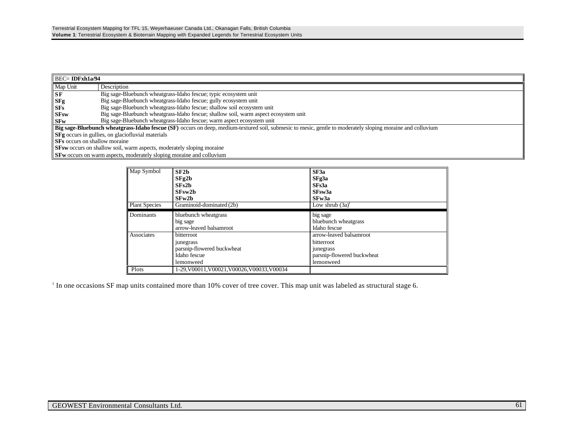| $\parallel$ BEC= IDFxh1a/94                                                                                                                                        |                                                                                      |  |
|--------------------------------------------------------------------------------------------------------------------------------------------------------------------|--------------------------------------------------------------------------------------|--|
| Map Unit                                                                                                                                                           | Description                                                                          |  |
| $S$ <b>F</b>                                                                                                                                                       | Big sage-Bluebunch wheatgrass-Idaho fescue; typic ecosystem unit                     |  |
| <b>SFg</b>                                                                                                                                                         | Big sage-Bluebunch wheatgrass-Idaho fescue; gully ecosystem unit                     |  |
| <b>SFs</b>                                                                                                                                                         | Big sage-Bluebunch wheatgrass-Idaho fescue; shallow soil ecosystem unit              |  |
| <b>SFsw</b>                                                                                                                                                        | Big sage-Bluebunch wheatgrass-Idaho fescue; shallow soil, warm aspect ecosystem unit |  |
| $S$ <b>Fw</b>                                                                                                                                                      | Big sage-Bluebunch wheatgrass-Idaho fescue; warm aspect ecosystem unit               |  |
| <b>Big sage-Bluebunch wheatgrass-Idaho fescue (SF)</b> occurs on deep, medium-textured soil, submesic to mesic, gentle to moderately sloping moraine and colluvium |                                                                                      |  |
| <b>SFg</b> occurs in gullies, on glaciofluvial materials                                                                                                           |                                                                                      |  |
| <b>SFs</b> occurs on shallow moraine                                                                                                                               |                                                                                      |  |
|                                                                                                                                                                    | <b>SFsw</b> occurs on shallow soil, warm aspects, moderately sloping moraine         |  |
|                                                                                                                                                                    | <b>SFw</b> occurs on warm aspects, moderately sloping moraine and colluvium          |  |

| Map Symbol           | SF2h<br>SFg2b<br>SFs2h<br>$S$ Fsw $2b$<br>SFw2b                                    | SF3a<br>SFg3a<br>SFs3a<br>SFsw3a<br>SFw3a                                                     |
|----------------------|------------------------------------------------------------------------------------|-----------------------------------------------------------------------------------------------|
| <b>Plant Species</b> | Graminoid-dominated (2b)                                                           | Low shrub $(3a)^1$                                                                            |
| Dominants            | bluebunch wheatgrass<br>big sage<br>arrow-leaved balsamroot                        | big sage<br>bluebunch wheatgrass<br>Idaho fescue                                              |
| Associates           | bitterroot<br>junegrass<br>parsnip-flowered buckwheat<br>Idaho fescue<br>lemonweed | arrow-leaved balsamroot<br>bitterroot<br>junegrass<br>parsnip-flowered buckwheat<br>lemonweed |
| Plots                | 1-29.V00011.V00021.V00026.V00033.V00034                                            |                                                                                               |

<sup>1</sup> In one occasions SF map units contained more than 10% cover of tree cover. This map unit was labeled as structural stage 6.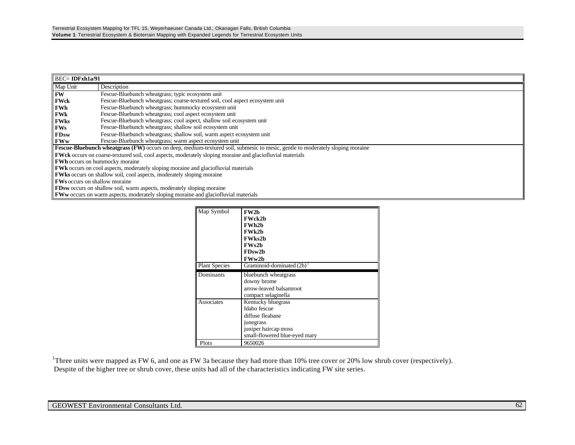| $BEC = IDFxh1a/91$                                                                                               |                                                                                                                                |  |  |
|------------------------------------------------------------------------------------------------------------------|--------------------------------------------------------------------------------------------------------------------------------|--|--|
| Map Unit                                                                                                         | Description                                                                                                                    |  |  |
| <b>FW</b>                                                                                                        | Fescue-Bluebunch wheatgrass; typic ecosystem unit                                                                              |  |  |
| <b>FWck</b>                                                                                                      | Fescue-Bluebunch wheatgrass; coarse-textured soil, cool aspect ecosystem unit                                                  |  |  |
| FWh                                                                                                              | Fescue-Bluebunch wheatgrass; hummocky ecosystem unit                                                                           |  |  |
| FWk                                                                                                              | Fescue-Bluebunch wheatgrass; cool aspect ecosystem unit                                                                        |  |  |
| <b>FWks</b>                                                                                                      | Fescue-Bluebunch wheatgrass; cool aspect, shallow soil ecosystem unit                                                          |  |  |
| <b>FWs</b>                                                                                                       | Fescue-Bluebunch wheatgrass; shallow soil ecosystem unit                                                                       |  |  |
| <b>FDsw</b>                                                                                                      | Fescue-Bluebunch wheatgrass; shallow soil, warm aspect ecosystem unit                                                          |  |  |
| <b>FWw</b>                                                                                                       | Fescue-Bluebunch wheatgrass; warm aspect ecosystem unit                                                                        |  |  |
|                                                                                                                  | Fescue-Bluebunch wheatgrass (FW) occurs on deep, medium-textured soil, submesic to mesic, gentle to moderately sloping moraine |  |  |
| <b>FWck</b> occurs on coarse-textured soil, cool aspects, moderately sloping moraine and glaciofluvial materials |                                                                                                                                |  |  |
| <b>FWh</b> occurs on hummocky moraine                                                                            |                                                                                                                                |  |  |
| <b>FWk</b> occurs on cool aspects, moderately sloping moraine and glaciofluvial materials                        |                                                                                                                                |  |  |
| <b>FWks</b> occurs on shallow soil, cool aspects, moderately sloping moraine                                     |                                                                                                                                |  |  |
| <b>FWs</b> occurs on shallow moraine                                                                             |                                                                                                                                |  |  |
| <b>FDsw</b> occurs on shallow soil, warm aspects, moderately sloping moraine                                     |                                                                                                                                |  |  |
| <b>FWw</b> occurs on warm aspects, moderately sloping moraine and glaciofluvial materials                        |                                                                                                                                |  |  |

| Map Symbol           | <b>FW2b</b>                             |
|----------------------|-----------------------------------------|
|                      | <b>FWck2b</b>                           |
|                      | <b>FWh2b</b>                            |
|                      | <b>FWk2b</b>                            |
|                      | <b>FWks2b</b>                           |
|                      | FWs2h                                   |
|                      | FDsw2b                                  |
|                      | FWw2b                                   |
| <b>Plant Species</b> | Graminoid-dominated $(2b)$ <sup>1</sup> |
| Dominants            | bluebunch wheatgrass                    |
|                      | downy brome                             |
|                      | arrow-leaved balsamroot                 |
|                      | compact selaginella                     |
| Associates           | Kentucky bluegrass                      |
|                      | Idaho fescue                            |
|                      | diffuse fleabane                        |
|                      |                                         |
|                      | junegrass                               |
|                      | juniper haircap moss                    |
|                      | small-flowered blue-eyed mary           |

<sup>1</sup>Three units were mapped as FW 6, and one as FW 3a because they had more than 10% tree cover or 20% low shrub cover (respectively). Despite of the higher tree or shrub cover, these units had all of the characteristics indicating FW site series.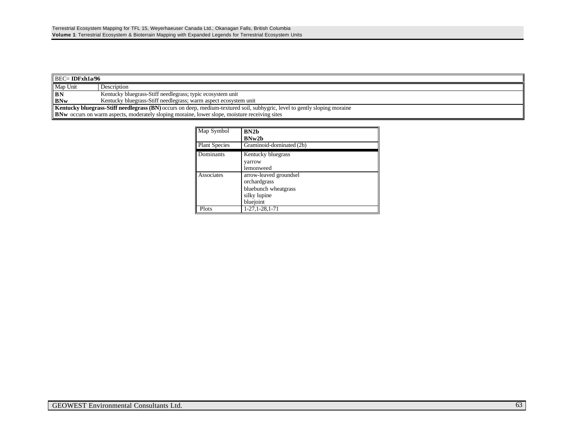| $\parallel$ BEC= IDFxh1a/96                                                                                                       |                                                                  |  |
|-----------------------------------------------------------------------------------------------------------------------------------|------------------------------------------------------------------|--|
| Map Unit                                                                                                                          | Description                                                      |  |
| $\mathbf{B}$ N                                                                                                                    | Kentucky bluegrass-Stiff needlegrass; typic ecosystem unit       |  |
| <b>BNw</b>                                                                                                                        | Kentucky bluegrass-Stiff needlegrass; warm aspect ecosystem unit |  |
| <b>Kentucky bluegrass-Stiff needlegrass (BN)</b> occurs on deep, medium-textured soil, subhygric, level to gently sloping moraine |                                                                  |  |
| <b>BNw</b> occurs on warm aspects, moderately sloping moraine, lower slope, moisture receiving sites                              |                                                                  |  |

| Map Symbol           | BN2h<br>BNw2b                                                                               |
|----------------------|---------------------------------------------------------------------------------------------|
| <b>Plant Species</b> | Graminoid-dominated (2b)                                                                    |
| Dominants            | Kentucky bluegrass<br>varrow<br>lemonweed                                                   |
| Associates           | arrow-leaved groundsel<br>orchardgrass<br>bluebunch wheatgrass<br>silky lupine<br>bluejoint |
| Plots                | 1-27, 1-28, 1-71                                                                            |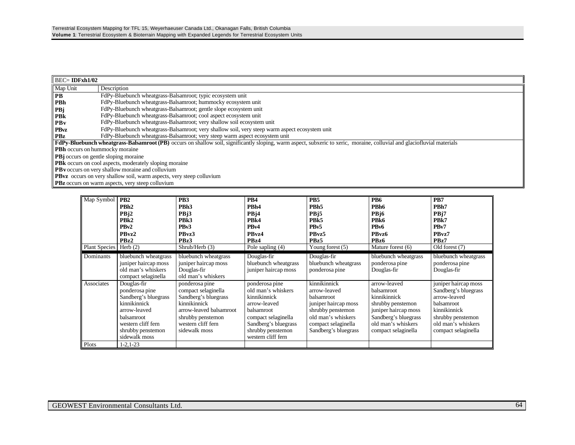| $BEC = IDFxh1/02$                                                           |                                                                                                                                                                         |  |  |
|-----------------------------------------------------------------------------|-------------------------------------------------------------------------------------------------------------------------------------------------------------------------|--|--|
| Map Unit                                                                    | Description                                                                                                                                                             |  |  |
| <b>PB</b>                                                                   | FdPy-Bluebunch wheatgrass-Balsamroot; typic ecosystem unit                                                                                                              |  |  |
| <b>PBh</b>                                                                  | FdPy-Bluebunch wheatgrass-Balsamroot; hummocky ecosystem unit                                                                                                           |  |  |
| PBj                                                                         | FdPy-Bluebunch wheatgrass-Balsamroot; gentle slope ecosystem unit                                                                                                       |  |  |
| PBk                                                                         | FdPy-Bluebunch wheatgrass-Balsamroot; cool aspect ecosystem unit                                                                                                        |  |  |
| $P$ By                                                                      | FdPy-Bluebunch wheatgrass-Balsamroot; very shallow soil ecosystem unit                                                                                                  |  |  |
| <b>PBvz</b>                                                                 | FdPy-Bluebunch wheatgrass-Balsamroot; very shallow soil, very steep warm aspect ecosystem unit                                                                          |  |  |
| <b>PBz</b>                                                                  | FdPy-Bluebunch wheatgrass-Balsamroot; very steep warm aspect ecosystem unit                                                                                             |  |  |
|                                                                             | FdPy-Bluebunch wheatgrass-Balsamroot (PB) occurs on shallow soil, significantly sloping, warm aspect, subxeric to xeric, moraine, colluvial and glaciofluvial materials |  |  |
| <b>PBh</b> occurs on hummocky moraine                                       |                                                                                                                                                                         |  |  |
|                                                                             | <b>PB</b> j occurs on gentle sloping moraine                                                                                                                            |  |  |
| PBk occurs on cool aspects, moderately sloping moraine                      |                                                                                                                                                                         |  |  |
| <b>PBv</b> occurs on very shallow moraine and colluvium                     |                                                                                                                                                                         |  |  |
| <b>PBvz</b> occurs on very shallow soil, warm aspects, very steep colluvium |                                                                                                                                                                         |  |  |
| <b>PBz</b> occurs on warm aspects, very steep colluvium                     |                                                                                                                                                                         |  |  |

| Map Symbol           | P <sub>B2</sub><br>PBh <sub>2</sub><br>PB <sub>12</sub><br>PB <sub>k2</sub><br>PB <sub>v2</sub><br>PBvz2<br>PBz2                                                | PB <sub>3</sub><br>PBh <sub>3</sub><br>PBj3<br>PB <sub>k</sub> 3<br>PB <sub>v</sub> 3<br>PBvz3<br>PBz3                                                               | PB <sub>4</sub><br>PBh4<br>PB <sub>14</sub><br>PB <sub>k4</sub><br>PB <sub>v4</sub><br>PBvz4<br>PBz4                                                                                | P <sub>B5</sub><br>PBh <sub>5</sub><br>PBj5<br>PB <sub>k5</sub><br>PB <sub>v5</sub><br>PBvz5<br>PBz5                                                         | PB <sub>6</sub><br>PBh <sub>6</sub><br>PB <sub>j</sub> 6<br>PB <sub>k6</sub><br>PB <sub>v</sub> 6<br>PBvz6<br>PB <sub>z</sub> 6                              | PB7<br>PBh7<br>PB <sub>j7</sub><br>PB <sub>k7</sub><br>PB <sub>v</sub> 7<br>PBvz7<br>PBz7                                                                    |
|----------------------|-----------------------------------------------------------------------------------------------------------------------------------------------------------------|----------------------------------------------------------------------------------------------------------------------------------------------------------------------|-------------------------------------------------------------------------------------------------------------------------------------------------------------------------------------|--------------------------------------------------------------------------------------------------------------------------------------------------------------|--------------------------------------------------------------------------------------------------------------------------------------------------------------|--------------------------------------------------------------------------------------------------------------------------------------------------------------|
| <b>Plant Species</b> | Herb $(2)$                                                                                                                                                      | Shrub/Herb (3)                                                                                                                                                       | Pole sapling $(4)$                                                                                                                                                                  | Young forest $(5)$                                                                                                                                           | Mature forest (6)                                                                                                                                            | Old forest (7)                                                                                                                                               |
| Dominants            | bluebunch wheatgrass<br>juniper haircap moss<br>old man's whiskers<br>compact selaginella                                                                       | bluebunch wheatgrass<br>juniper haircap moss<br>Douglas-fir<br>old man's whiskers                                                                                    | Douglas-fir<br>bluebunch wheatgrass<br>juniper haircap moss                                                                                                                         | Douglas-fir<br>bluebunch wheatgrass<br>ponderosa pine                                                                                                        | bluebunch wheatgrass<br>ponderosa pine<br>Douglas-fir                                                                                                        | bluebunch wheatgrass<br>ponderosa pine<br>Douglas-fir                                                                                                        |
| Associates           | Douglas-fir<br>ponderosa pine<br>Sandberg's bluegrass<br>kinnikinnick<br>arrow-leaved<br>balsamroot<br>western cliff fern<br>shrubby penstemon<br>sidewalk moss | ponderosa pine<br>compact selaginella<br>Sandberg's bluegrass<br>kinnikinnick<br>arrow-leaved balsamroot<br>shrubby penstemon<br>western cliff fern<br>sidewalk moss | ponderosa pine<br>old man's whiskers<br>kinnikinnick<br>arrow-leaved<br><b>balsamroot</b><br>compact selaginella<br>Sandberg's bluegrass<br>shrubby penstemon<br>western cliff fern | kinnikinnick<br>arrow-leaved<br>balsamroot<br>juniper haircap moss<br>shrubby penstemon<br>old man's whiskers<br>compact selaginella<br>Sandberg's bluegrass | arrow-leaved<br>balsamroot<br>kinnikinnick<br>shrubby penstemon<br>juniper haircap moss<br>Sandberg's bluegrass<br>old man's whiskers<br>compact selaginella | juniper haircap moss<br>Sandberg's bluegrass<br>arrow-leaved<br>balsamroot<br>kinnikinnick<br>shrubby penstemon<br>old man's whiskers<br>compact selaginella |
| Plots                | $1 - 2, 1 - 23$                                                                                                                                                 |                                                                                                                                                                      |                                                                                                                                                                                     |                                                                                                                                                              |                                                                                                                                                              |                                                                                                                                                              |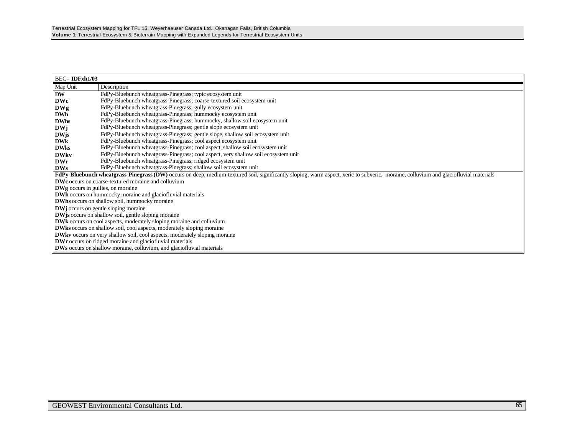|                                                                                   | $BEC = IDFxh1/03$                                                                                                                                                                    |  |  |
|-----------------------------------------------------------------------------------|--------------------------------------------------------------------------------------------------------------------------------------------------------------------------------------|--|--|
| Map Unit                                                                          | Description                                                                                                                                                                          |  |  |
| <b>DW</b>                                                                         | FdPy-Bluebunch wheatgrass-Pinegrass; typic ecosystem unit                                                                                                                            |  |  |
| <b>DWc</b>                                                                        | FdPy-Bluebunch wheatgrass-Pinegrass; coarse-textured soil ecosystem unit                                                                                                             |  |  |
| DWg                                                                               | FdPy-Bluebunch wheatgrass-Pinegrass; gully ecosystem unit                                                                                                                            |  |  |
| <b>DWh</b>                                                                        | FdPy-Bluebunch wheatgrass-Pinegrass; hummocky ecosystem unit                                                                                                                         |  |  |
| <b>DWhs</b>                                                                       | FdPy-Bluebunch wheatgrass-Pinegrass; hummocky, shallow soil ecosystem unit                                                                                                           |  |  |
| <b>DWj</b>                                                                        | FdPy-Bluebunch wheatgrass-Pinegrass; gentle slope ecosystem unit                                                                                                                     |  |  |
| <b>DWis</b>                                                                       | FdPy-Bluebunch wheatgrass-Pinegrass; gentle slope, shallow soil ecosystem unit                                                                                                       |  |  |
| <b>DWk</b>                                                                        | FdPy-Bluebunch wheatgrass-Pinegrass; cool aspect ecosystem unit                                                                                                                      |  |  |
| <b>DWks</b>                                                                       | FdPy-Bluebunch wheatgrass-Pinegrass; cool aspect, shallow soil ecosystem unit                                                                                                        |  |  |
| <b>DWkv</b>                                                                       | FdPy-Bluebunch wheatgrass-Pinegrass; cool aspect, very shallow soil ecosystem unit                                                                                                   |  |  |
| DWr                                                                               | FdPy-Bluebunch wheatgrass-Pinegrass; ridged ecosystem unit                                                                                                                           |  |  |
| <b>DWs</b>                                                                        | FdPy-Bluebunch wheatgrass-Pinegrass; shallow soil ecosystem unit                                                                                                                     |  |  |
|                                                                                   | FdPy-Bluebunch wheatgrass-Pinegrass (DW) occurs on deep, medium-textured soil, significantly sloping, warm aspect, xeric to subxeric, moraine, colluvium and glaciofluvial materials |  |  |
|                                                                                   | <b>DWc</b> occurs on coarse-textured moraine and colluvium                                                                                                                           |  |  |
| <b>DWg</b> occurs in gullies, on moraine                                          |                                                                                                                                                                                      |  |  |
|                                                                                   | <b>DWh</b> occurs on hummocky moraine and glaciofluvial materials                                                                                                                    |  |  |
|                                                                                   | <b>DWhs</b> occurs on shallow soil, hummocky moraine                                                                                                                                 |  |  |
|                                                                                   | <b>DW</b> joccurs on gentle sloping moraine                                                                                                                                          |  |  |
| <b>DW</b> is occurs on shallow soil, gentle sloping moraine                       |                                                                                                                                                                                      |  |  |
| DWk occurs on cool aspects, moderately sloping moraine and colluvium              |                                                                                                                                                                                      |  |  |
| <b>DWks</b> occurs on shallow soil, cool aspects, moderately sloping moraine      |                                                                                                                                                                                      |  |  |
| <b>DWkv</b> occurs on very shallow soil, cool aspects, moderately sloping moraine |                                                                                                                                                                                      |  |  |
| <b>DWr</b> occurs on ridged moraine and glaciofluvial materials                   |                                                                                                                                                                                      |  |  |
|                                                                                   | <b>DWs</b> occurs on shallow moraine, colluvium, and glaciofluvial materials                                                                                                         |  |  |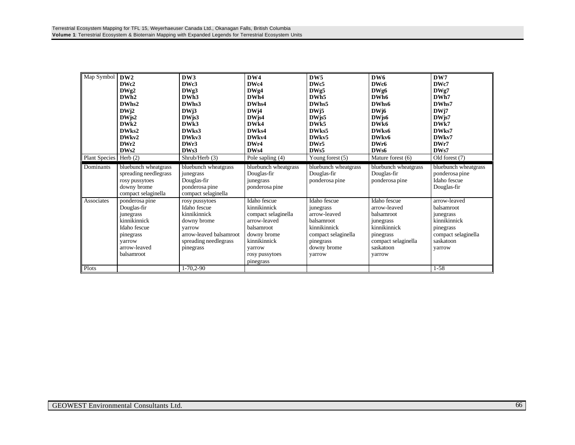| Map Symbol<br>Plant Species   Herb (2) | DW <sub>2</sub><br>DWc2<br>DWg2<br>DWh <sub>2</sub><br>DWhs2<br>DWj2<br>$DW$ js2<br>DW <sub>k2</sub><br>DWks2<br>DWkv2<br>DWr2<br>DWs2 | DW3<br>DWc3<br>DWg3<br>DWh <sub>3</sub><br>DWhs3<br>DWi3<br>$DW$ js $3$<br>DW <sub>k3</sub><br>DWks3<br>DWkv3<br>DWr3<br>DW <sub>s</sub> 3<br>Shrub/Herb (3) | DW4<br>DWc4<br>DWg4<br>DWh4<br>DWhs4<br>DW <sub>j4</sub><br>DWjs4<br>DW <sub>k4</sub><br>DW <sub>ks4</sub><br>DWkv4<br>DWr4<br>DW <sub>s4</sub><br>Pole sapling (4) | DW5<br>DW <sub>c5</sub><br>DWg5<br>DWh <sub>5</sub><br>DWhs5<br>DWj5<br>DW <sub>is5</sub><br>DW <sub>k5</sub><br>DWks5<br>DW <sub>kv5</sub><br>DWr5<br>DW <sub>s5</sub><br>Young forest $(5)$ | DW <sub>6</sub><br>DWc6<br>DWg6<br>DWh <sub>6</sub><br>DWhs6<br>DW <sub>16</sub><br>$DW$ js $6$<br>DW <sub>k6</sub><br>DWks6<br>DWky6<br>DWr6<br>DWs6<br>Mature forest (6) | DW7<br>DWc7<br>DWg7<br>DWh7<br>DWhs7<br>DWj7<br>DW <sub>is7</sub><br>DW <sub>k7</sub><br>DWks7<br>DWkv7<br>DWr7<br>DWs7<br>Old forest (7) |
|----------------------------------------|----------------------------------------------------------------------------------------------------------------------------------------|--------------------------------------------------------------------------------------------------------------------------------------------------------------|---------------------------------------------------------------------------------------------------------------------------------------------------------------------|-----------------------------------------------------------------------------------------------------------------------------------------------------------------------------------------------|----------------------------------------------------------------------------------------------------------------------------------------------------------------------------|-------------------------------------------------------------------------------------------------------------------------------------------|
| Dominants                              | bluebunch wheatgrass<br>spreading needlegrass<br>rosy pussytoes<br>downy brome<br>compact selaginella                                  | bluebunch wheatgrass<br>junegrass<br>Douglas-fir<br>ponderosa pine<br>compact selaginella                                                                    | bluebunch wheatgrass<br>Douglas-fir<br>junegrass<br>ponderosa pine                                                                                                  | bluebunch wheatgrass<br>Douglas-fir<br>ponderosa pine                                                                                                                                         | bluebunch wheatgrass<br>Douglas-fir<br>ponderosa pine                                                                                                                      | bluebunch wheatgrass<br>ponderosa pine<br>Idaho fescue<br>Douglas-fir                                                                     |
| Associates                             | ponderosa pine<br>Douglas-fir<br>junegrass<br>kinnikinnick<br>Idaho fescue<br>pinegrass<br>varrow<br>arrow-leaved<br>balsamroot        | rosy pussytoes<br>Idaho fescue<br>kinnikinnick<br>downy brome<br>varrow<br>arrow-leaved balsamroot<br>spreading needlegrass<br>pinegrass                     | Idaho fescue<br>kinnikinnick<br>compact selaginella<br>arrow-leaved<br>balsamroot<br>downy brome<br>kinnikinnick<br>varrow<br>rosy pussytoes<br>pinegrass           | Idaho fescue<br>junegrass<br>arrow-leaved<br>balsamroot<br>kinnikinnick<br>compact selaginella<br>pinegrass<br>downy brome<br>varrow                                                          | Idaho fescue<br>arrow-leaved<br>balsamroot<br>junegrass<br>kinnikinnick<br>pinegrass<br>compact selaginella<br>saskatoon<br>varrow                                         | arrow-leaved<br>balsamroot<br>junegrass<br>kinnikinnick<br>pinegrass<br>compact selaginella<br>saskatoon<br>varrow                        |
| Plots                                  |                                                                                                                                        | $1-70,2-90$                                                                                                                                                  |                                                                                                                                                                     |                                                                                                                                                                                               |                                                                                                                                                                            | $1 - 58$                                                                                                                                  |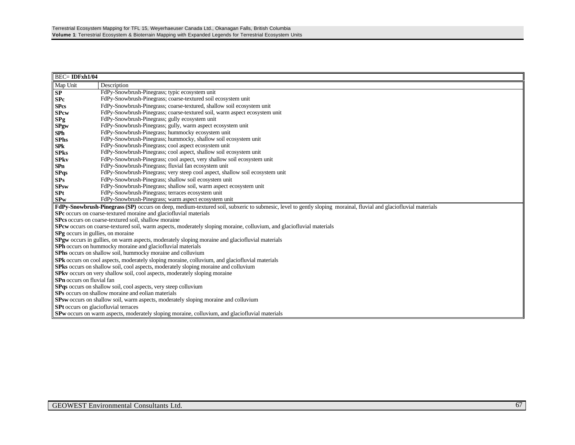| <b>BEC=IDFxh1/04</b>                                                              |                                                                                                                                                                                      |  |  |  |  |
|-----------------------------------------------------------------------------------|--------------------------------------------------------------------------------------------------------------------------------------------------------------------------------------|--|--|--|--|
| Map Unit                                                                          | Description                                                                                                                                                                          |  |  |  |  |
| ${\bf SP}$                                                                        | FdPy-Snowbrush-Pinegrass; typic ecosystem unit                                                                                                                                       |  |  |  |  |
| S <sub>Pc</sub>                                                                   | FdPy-Snowbrush-Pinegrass; coarse-textured soil ecosystem unit                                                                                                                        |  |  |  |  |
| <b>SPcs</b>                                                                       | FdPy-Snowbrush-Pinegrass; coarse-textured, shallow soil ecosystem unit                                                                                                               |  |  |  |  |
| <b>SPcw</b>                                                                       | FdPy-Snowbrush-Pinegrass; coarse-textured soil, warm aspect ecosystem unit                                                                                                           |  |  |  |  |
| SPg                                                                               | FdPy-Snowbrush-Pinegrass; gully ecosystem unit                                                                                                                                       |  |  |  |  |
| <b>SPgw</b>                                                                       | FdPy-Snowbrush-Pinegrass; gully, warm aspect ecosystem unit                                                                                                                          |  |  |  |  |
| SPh                                                                               | FdPy-Snowbrush-Pinegrass; hummocky ecosystem unit                                                                                                                                    |  |  |  |  |
| <b>SPhs</b>                                                                       | FdPy-Snowbrush-Pinegrass; hummocky, shallow soil ecosystem unit                                                                                                                      |  |  |  |  |
| <b>SPk</b>                                                                        | FdPy-Snowbrush-Pinegrass; cool aspect ecosystem unit                                                                                                                                 |  |  |  |  |
| <b>SPks</b>                                                                       | FdPy-Snowbrush-Pinegrass; cool aspect, shallow soil ecosystem unit                                                                                                                   |  |  |  |  |
| <b>SPkv</b>                                                                       | FdPy-Snowbrush-Pinegrass; cool aspect, very shallow soil ecosystem unit                                                                                                              |  |  |  |  |
| SPn                                                                               | FdPy-Snowbrush-Pinegrass; fluvial fan ecosystem unit                                                                                                                                 |  |  |  |  |
| <b>SPqs</b>                                                                       | FdPy-Snowbrush-Pinegrass; very steep cool aspect, shallow soil ecosystem unit                                                                                                        |  |  |  |  |
| SPs                                                                               | FdPy-Snowbrush-Pinegrass; shallow soil ecosystem unit                                                                                                                                |  |  |  |  |
| <b>SPsw</b>                                                                       | FdPy-Snowbrush-Pinegrass; shallow soil, warm aspect ecosystem unit                                                                                                                   |  |  |  |  |
| <b>SPt</b>                                                                        | FdPy-Snowbrush-Pinegrass; terraces ecosystem unit                                                                                                                                    |  |  |  |  |
| <b>SPw</b>                                                                        | FdPy-Snowbrush-Pinegrass; warm aspect ecosystem unit                                                                                                                                 |  |  |  |  |
|                                                                                   | FdPy-Snowbrush-Pinegrass (SP) occurs on deep, medium-textured soil, subxeric to submesic, level to gently sloping morainal, fluvial and glaciofluvial materials                      |  |  |  |  |
|                                                                                   | SPc occurs on coarse-textured moraine and glaciofluvial materials                                                                                                                    |  |  |  |  |
|                                                                                   | SPcs occurs on coarse-textured soil, shallow moraine<br><b>SPcw</b> occurs on coarse-textured soil, warm aspects, moderately sloping moraine, colluvium, and glaciofluvial materials |  |  |  |  |
|                                                                                   |                                                                                                                                                                                      |  |  |  |  |
|                                                                                   | <b>SPg</b> occurs in gullies, on moraine<br>SPgw occurs in gullies, on warm aspects, moderately sloping moraine and glaciofluvial materials                                          |  |  |  |  |
|                                                                                   | <b>SPh</b> occurs on hummocky moraine and glaciofluvial materials                                                                                                                    |  |  |  |  |
|                                                                                   | SPhs occurs on shallow soil, hummocky moraine and colluvium                                                                                                                          |  |  |  |  |
|                                                                                   | SPk occurs on cool aspects, moderately sloping moraine, colluvium, and glaciofluvial materials                                                                                       |  |  |  |  |
|                                                                                   | <b>SPks</b> occurs on shallow soil, cool aspects, moderately sloping moraine and colluvium                                                                                           |  |  |  |  |
| <b>SPkv</b> occurs on very shallow soil, cool aspects, moderately sloping moraine |                                                                                                                                                                                      |  |  |  |  |
| <b>SPn</b> occurs on fluvial fan                                                  |                                                                                                                                                                                      |  |  |  |  |
| SPqs occurs on shallow soil, cool aspects, very steep colluvium                   |                                                                                                                                                                                      |  |  |  |  |
| SPs occurs on shallow moraine and eolian materials                                |                                                                                                                                                                                      |  |  |  |  |
|                                                                                   | SPsw occurs on shallow soil, warm aspects, moderately sloping moraine and colluvium                                                                                                  |  |  |  |  |
|                                                                                   | SPt occurs on glaciofluvial terraces                                                                                                                                                 |  |  |  |  |
|                                                                                   | <b>SPw</b> occurs on warm aspects, moderately sloping moraine, colluvium, and glaciofluvial materials                                                                                |  |  |  |  |
|                                                                                   |                                                                                                                                                                                      |  |  |  |  |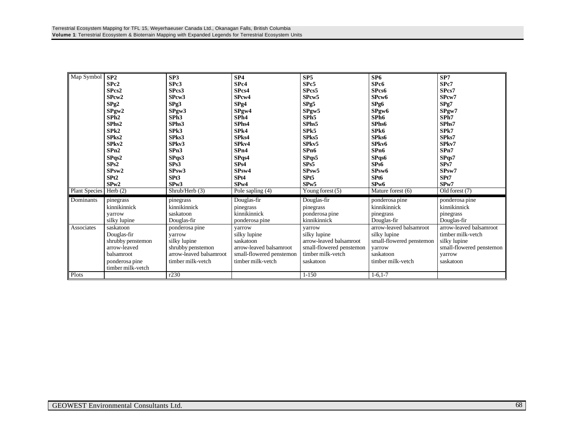| Map Symbol    | SP2               | SP3                     | SP4                      | SP5                      | SP <sub>6</sub>          | SP7                      |
|---------------|-------------------|-------------------------|--------------------------|--------------------------|--------------------------|--------------------------|
|               | SPc2              | SPc3                    | SPc4                     | SPc5                     | SPc6                     | SPc7                     |
|               | SPcs2             | SPcs3                   | SPcs4                    | SPcs5                    | SPcs6                    | SPcs7                    |
|               | SPcw2             | SPcw3                   | SP <sub>cw</sub> 4       | SPcw <sub>5</sub>        | SP <sub>cw</sub> 6       | SPcw7                    |
|               | $S$ Pg2           | Spg3                    | SPg4                     | SPg5                     | SPg6                     | SPg7                     |
|               | SPyw2             | SPyw3                   | SPyw4                    | SPyw5                    | SPgw6                    | SPyw7                    |
|               | SPh2              | SPh <sub>3</sub>        | SPh <sub>4</sub>         | SPh <sub>5</sub>         | SPh <sub>6</sub>         | SPh7                     |
|               | SPhs2             | SPhs3                   | SPhs4                    | SPhs5                    | SPhs6                    | SPhs7                    |
|               | SPk2              | SPk3                    | SPk4                     | SPk5                     | SPk6                     | SPk7                     |
|               | SPks2             | SPks3                   | SPks4                    | SPks5                    | SPks6                    | SPks7                    |
|               | SPkv2             | SPkv3                   | SPkv4                    | SPkv5                    | SP <sub>kv</sub> 6       | SPkv7                    |
|               | SPn2              | SPn3                    | SPn4                     | SP <sub>n6</sub>         | SP <sub>n6</sub>         | SPn7                     |
|               | SPqs2             | SPqs3                   | SPqs4                    | SPqs5                    | SPqs6                    | SPqs7                    |
|               | SPs2              | SPs3                    | SPs4                     | SPs5                     | SPs6                     | SPs7                     |
|               | SPsw2             | SP <sub>sw</sub> 3      | SPsw4                    | SP <sub>sw</sub> 5       | SP <sub>sw</sub> 6       | SP <sub>sw</sub> 7       |
|               | SP <sub>t2</sub>  | SPt <sub>3</sub>        | SPt4                     | SP <sub>t5</sub>         | SP <sub>t6</sub>         | SPt7                     |
|               | SPw2              | SPw3                    | SP <sub>w</sub> 4        | SPw5                     | SP <sub>w</sub> 6        | SP <sub>w</sub> 7        |
| Plant Species | Herb $(2)$        | Shrub/Herb (3)          | Pole sapling $(4)$       | Young forest $(5)$       | Mature forest (6)        | Old forest (7)           |
| Dominants     | pinegrass         | pinegrass               | Douglas-fir              | Douglas-fir              | ponderosa pine           | ponderosa pine           |
|               | kinnikinnick      | kinnikinnick            | pinegrass                | pinegrass                | kinnikinnick             | kinnikinnick             |
|               | varrow            | saskatoon               | kinnikinnick             | ponderosa pine           | pinegrass                | pinegrass                |
|               | silky lupine      | Douglas-fir             | ponderosa pine           | kinnikinnick             | Douglas-fir              | Douglas-fir              |
| Associates    | saskatoon         | ponderosa pine          | varrow                   | varrow                   | arrow-leaved balsamroot  | arrow-leaved balsamroot  |
|               | Douglas-fir       | varrow                  | silky lupine             | silky lupine             | silky lupine             | timber milk-yetch        |
|               | shrubby penstemon | silky lupine            | saskatoon                | arrow-leaved balsamroot  | small-flowered penstemon | silky lupine             |
|               | arrow-leaved      | shrubby penstemon       | arrow-leaved balsamroot  | small-flowered penstemon | yarrow                   | small-flowered penstemon |
|               | balsamroot        | arrow-leaved balsamroot | small-flowered penstemon | timber milk-yetch        | saskatoon                | yarrow                   |
|               | ponderosa pine    | timber milk-yetch       | timber milk-yetch        | saskatoon                | timber milk-vetch        | saskatoon                |
|               | timber milk-vetch |                         |                          |                          |                          |                          |
| Plots         |                   | r230                    |                          | $1 - 150$                | $1 - 6, 1 - 7$           |                          |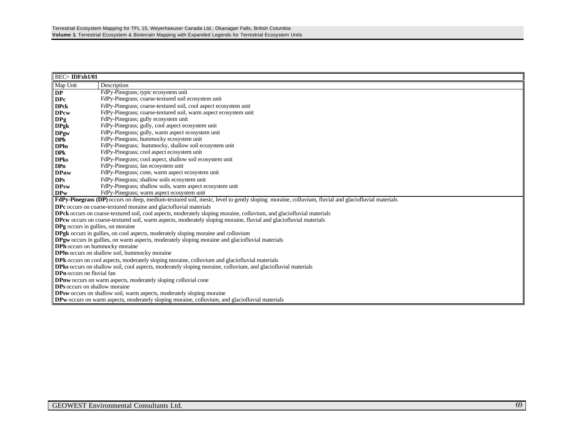| $BEC = IDFxh1/01$                                                                                                                                        |                                                                                                                                                  |  |  |  |  |
|----------------------------------------------------------------------------------------------------------------------------------------------------------|--------------------------------------------------------------------------------------------------------------------------------------------------|--|--|--|--|
| Map Unit                                                                                                                                                 | Description                                                                                                                                      |  |  |  |  |
| <b>DP</b>                                                                                                                                                | FdPy-Pinegrass; typic ecosystem unit                                                                                                             |  |  |  |  |
| <b>DPc</b>                                                                                                                                               | FdPy-Pinegrass; coarse-textured soil ecosystem unit                                                                                              |  |  |  |  |
| <b>DPck</b>                                                                                                                                              | FdPy-Pinegrass; coarse-textured soil, cool aspect ecosystem unit                                                                                 |  |  |  |  |
| <b>DPcw</b>                                                                                                                                              | FdPy-Pinegrass; coarse-textured soil, warm aspect ecosystem unit                                                                                 |  |  |  |  |
| DPg                                                                                                                                                      | FdPy-Pinegrass; gully ecosystem unit                                                                                                             |  |  |  |  |
| <b>DPgk</b>                                                                                                                                              | FdPy-Pinegrass; gully, cool aspect ecosystem unit                                                                                                |  |  |  |  |
| <b>DPgw</b>                                                                                                                                              | FdPy-Pinegrass; gully, warm aspect ecosystem unit                                                                                                |  |  |  |  |
| <b>DPh</b>                                                                                                                                               | FdPy-Pinegrass; hummocky ecosystem unit                                                                                                          |  |  |  |  |
| <b>DPhs</b>                                                                                                                                              | FdPy-Pinegrass; hummocky, shallow soil ecosystem unit                                                                                            |  |  |  |  |
| <b>DPk</b>                                                                                                                                               | FdPy-Pinegrass; cool aspect ecosystem unit                                                                                                       |  |  |  |  |
| <b>DPks</b>                                                                                                                                              | FdPy-Pinegrass; cool aspect, shallow soil ecosystem unit                                                                                         |  |  |  |  |
| <b>DPn</b>                                                                                                                                               | FdPy-Pinegrass; fan ecosystem unit                                                                                                               |  |  |  |  |
| <b>DPnw</b>                                                                                                                                              | FdPy-Pinegrass; cone, warm aspect ecosystem unit                                                                                                 |  |  |  |  |
| <b>DPs</b>                                                                                                                                               | FdPy-Pinegrass; shallow soils ecosystem unit                                                                                                     |  |  |  |  |
| <b>DPsw</b>                                                                                                                                              | FdPy-Pinegrass; shallow soils, warm aspect ecosystem unit                                                                                        |  |  |  |  |
| <b>DPw</b>                                                                                                                                               | FdPy-Pinegrass; warm aspect ecosystem unit                                                                                                       |  |  |  |  |
|                                                                                                                                                          | FdPy-Pinegrass (DP) occurs on deep, medium-textured soil, mesic, level to gently sloping moraine, colluvium, fluvial and glaciofluvial materials |  |  |  |  |
|                                                                                                                                                          | DPc occurs on coarse-textured moraine and glaciofluvial materials                                                                                |  |  |  |  |
|                                                                                                                                                          | <b>DPck</b> occurs on coarse-textured soil, cool aspects, moderately sloping moraine, colluvium, and glaciofluvial materials                     |  |  |  |  |
|                                                                                                                                                          | <b>DPcw</b> occurs on coarse-textured soil, warm aspects, moderately sloping moraine, fluvial and glaciofluvial materials                        |  |  |  |  |
| DPg occurs in gullies, on moraine                                                                                                                        |                                                                                                                                                  |  |  |  |  |
|                                                                                                                                                          | DPgk occurs in gullies, on cool aspects, moderately sloping moraine and colluvium                                                                |  |  |  |  |
|                                                                                                                                                          | <b>DPgw</b> occurs in gullies, on warm aspects, moderately sloping moraine and glaciofluvial materials                                           |  |  |  |  |
| DPh occurs on hummocky moraine                                                                                                                           |                                                                                                                                                  |  |  |  |  |
|                                                                                                                                                          | DPhs occurs on shallow soil, hummocky moraine                                                                                                    |  |  |  |  |
| <b>DPk</b> occurs on cool aspects, moderately sloping moraine, colluvium and glaciofluvial materials                                                     |                                                                                                                                                  |  |  |  |  |
| <b>DPks</b> occurs on shallow soil, cool aspects, moderately sloping moraine, colluvium, and glaciofluvial materials<br><b>DPn</b> occurs on fluvial fan |                                                                                                                                                  |  |  |  |  |
|                                                                                                                                                          | DPnw occurs on warm aspects, moderately sloping colluvial cone                                                                                   |  |  |  |  |
| DPs occurs on shallow moraine                                                                                                                            |                                                                                                                                                  |  |  |  |  |
|                                                                                                                                                          | DPsw occurs on shallow soil, warm aspects, moderately sloping moraine                                                                            |  |  |  |  |
|                                                                                                                                                          | <b>DPw</b> occurs on warm aspects, moderately sloping moraine, colluvium, and glaciofluvial materials                                            |  |  |  |  |
|                                                                                                                                                          |                                                                                                                                                  |  |  |  |  |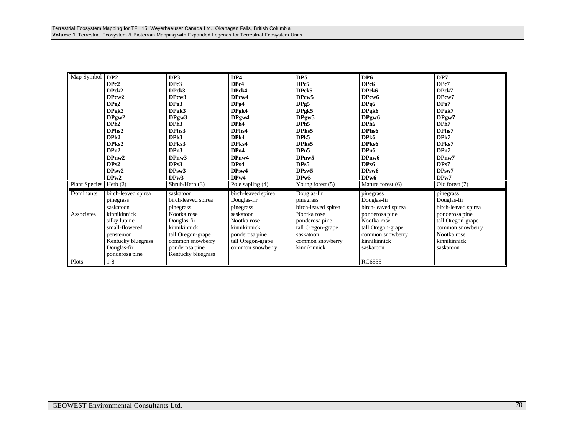| Map Symbol    | DP2                 | DP3                 | DP4                 | DP <sub>5</sub>     | DP <sub>6</sub>     | DP7                 |
|---------------|---------------------|---------------------|---------------------|---------------------|---------------------|---------------------|
|               | DPc2                | DPc3                | DPc4                | DPc5                | DPc6                | DPc7                |
|               | DPck2               | DPck3               | DPck4               | DPck5               | DPck6               | DPck7               |
|               | DPcw2               | DP <sub>cw</sub> 3  | DPcw4               | DP <sub>cw</sub> 5  | DPcw6               | DPcw7               |
|               | DPg2                | DPg3                | DPg4                | DPg5                | DPg6                | DPg7                |
|               | DPgk2               | DPgk3               | DPgk4               | DPgk5               | DPgk6               | DPgk7               |
|               | DPgw2               | DPgw3               | DPgw4               | DPgw5               | DPgw <sub>6</sub>   | DPgw7               |
|               | DPh <sub>2</sub>    | DPh <sub>3</sub>    | DPh4                | DPh <sub>5</sub>    | DPh <sub>6</sub>    | DPh7                |
|               | DPhs2               | DPhs3               | DPhs4               | DPhs5               | DPhs6               | DPhs7               |
|               | DPk2                | DP <sub>k3</sub>    | DP <sub>k4</sub>    | DPk5                | DPk6                | DPk7                |
|               | DPks2               | DPks3               | DPks4               | DPks5               | DPks6               | DPks7               |
|               | DPn2                | DPn3                | DP <sub>n4</sub>    | DPn5                | DP <sub>n6</sub>    | DPn7                |
|               | DPnw2               | DPnw <sub>3</sub>   | DPnw4               | DPnw5               | DPnw6               | DPnw7               |
|               | DPs2                | DPs3                | DPs4                | DPs5                | DPs6                | DPs7                |
|               | DPsw2               | DP <sub>sw</sub> 3  | DP <sub>sw</sub> 4  | DP <sub>sw</sub> 5  | DPsw6               | DPsw7               |
|               | DP <sub>w</sub> 2   | DPw3                | DPw4                | DPw5                | DP <sub>w</sub> 6   | DP <sub>w</sub> 7   |
| Plant Species | Herb $(2)$          | Shrub/Herb(3)       | Pole sapling (4)    | Young forest (5)    | Mature forest (6)   | Old forest (7)      |
| Dominants     | birch-leaved spirea | saskatoon           | birch-leaved spirea | Douglas-fir         | pinegrass           | pinegrass           |
|               | pinegrass           | birch-leaved spirea | Douglas-fir         | pinegrass           | Douglas-fir         | Douglas-fir         |
|               | saskatoon           | pinegrass           | pinegrass           | birch-leaved spirea | birch-leaved spirea | birch-leaved spirea |
| Associates    | kinnikinnick        | Nootka rose         | saskatoon           | Nootka rose         | ponderosa pine      | ponderosa pine      |
|               | silky lupine        | Douglas-fir         | Nootka rose         | ponderosa pine      | Nootka rose         | tall Oregon-grape   |
|               | small-flowered      | kinnikinnick        | kinnikinnick        | tall Oregon-grape   | tall Oregon-grape   | common snowberry    |
|               | penstemon           | tall Oregon-grape   | ponderosa pine      | saskatoon           | common snowberry    | Nootka rose         |
|               | Kentucky bluegrass  | common snowberry    | tall Oregon-grape   | common snowberry    | kinnikinnick        | kinnikinnick        |
|               | Douglas-fir         | ponderosa pine      | common snowberry    | kinnikinnick        | saskatoon           | saskatoon           |
|               | ponderosa pine      | Kentucky bluegrass  |                     |                     |                     |                     |
| Plots         | $1 - 8$             |                     |                     |                     | RC6535              |                     |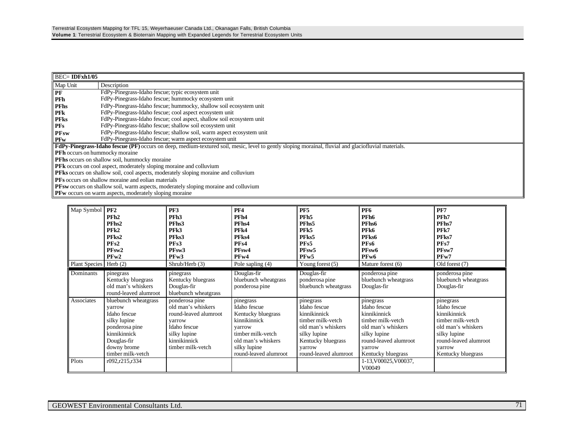| $\parallel$ BEC= IDFxh1/05            |                                                                                                                                                             |  |  |  |  |
|---------------------------------------|-------------------------------------------------------------------------------------------------------------------------------------------------------------|--|--|--|--|
| Map Unit                              | Description                                                                                                                                                 |  |  |  |  |
| PF                                    | FdPy-Pinegrass-Idaho fescue; typic ecosystem unit                                                                                                           |  |  |  |  |
| <b>PFh</b>                            | FdPy-Pinegrass-Idaho fescue; hummocky ecosystem unit                                                                                                        |  |  |  |  |
| <b>PFhs</b>                           | FdPy-Pinegrass-Idaho fescue; hummocky, shallow soil ecosystem unit                                                                                          |  |  |  |  |
| <b>PFK</b>                            | FdPy-Pinegrass-Idaho fescue; cool aspect ecosystem unit                                                                                                     |  |  |  |  |
| <b>PFks</b>                           | FdPy-Pinegrass-Idaho fescue; cool aspect, shallow soil ecosystem unit                                                                                       |  |  |  |  |
| <b>PFs</b>                            | FdPy-Pinegrass-Idaho fescue; shallow soil ecosystem unit                                                                                                    |  |  |  |  |
| <b>PFsw</b>                           | FdPy-Pinegrass-Idaho fescue; shallow soil, warm aspect ecosystem unit                                                                                       |  |  |  |  |
| <b>PFw</b>                            | FdPy-Pinegrass-Idaho fescue; warm aspect ecosystem unit                                                                                                     |  |  |  |  |
|                                       | <b>FdPy-Pinegrass-Idaho fescue (PF)</b> occurs on deep, medium-textured soil, mesic, level to gently sloping morainal, fluvial and glaciofluvial materials. |  |  |  |  |
| <b>PFh</b> occurs on hummocky moraine |                                                                                                                                                             |  |  |  |  |
|                                       | <b>PFhs</b> occurs on shallow soil, hummocky moraine                                                                                                        |  |  |  |  |
|                                       | <b>PFk</b> occurs on cool aspect, moderately sloping moraine and colluvium                                                                                  |  |  |  |  |
|                                       | PFks occurs on shallow soil, cool aspects, moderately sloping moraine and colluvium                                                                         |  |  |  |  |
|                                       | <b>PFs</b> occurs on shallow moraine and eolian materials                                                                                                   |  |  |  |  |
|                                       | PFsw occurs on shallow soil, warm aspects, moderately sloping moraine and colluvium                                                                         |  |  |  |  |
|                                       | $\mathbf{P}$ <b>PF</b> w occurs on warm aspects, moderately sloping moraine                                                                                 |  |  |  |  |

**PFw** occurs on warm aspects, moderately sloping moraine

| Map Symbol<br><b>Plant Species</b> | PF <sub>2</sub><br>PFh <sub>2</sub><br>PFhs2<br>PFk2<br>PFks2<br>PFs2<br>PFsw <sub>2</sub><br>PFw2<br>Herb $(2)$                                    | PF3<br>PFh <sub>3</sub><br>PFh <sub>s</sub> 3<br>PF <sub>k3</sub><br>PFks3<br>PF <sub>s</sub> 3<br>PFsw3<br>PFw3<br>Shrub/Herb (3)           | <b>PF4</b><br>PFh4<br>PFhs4<br>PFk4<br>PFks4<br>PF <sub>s4</sub><br>PFsw4<br>PFw4<br>Pole sapling (4)                                                         | PF5<br>PFh <sub>5</sub><br>PFhs5<br>PF <sub>k5</sub><br>PFks5<br>PFs5<br>PF <sub>sw</sub> 5<br>PF <sub>w</sub> 5<br>Young forest $(5)$                        | PF <sub>6</sub><br>PFh <sub>6</sub><br>PFhs <sub>6</sub><br>PFk6<br>PFks6<br>PF <sub>s6</sub><br>PFsw6<br>PF <sub>w</sub> 6<br>Mature forest (6)              | PF7<br>PFh7<br>PFhs7<br>PFk7<br>PFks7<br>PFs7<br>PF <sub>sw</sub> 7<br>PFw7<br>Old forest (7)                                                                 |
|------------------------------------|-----------------------------------------------------------------------------------------------------------------------------------------------------|----------------------------------------------------------------------------------------------------------------------------------------------|---------------------------------------------------------------------------------------------------------------------------------------------------------------|---------------------------------------------------------------------------------------------------------------------------------------------------------------|---------------------------------------------------------------------------------------------------------------------------------------------------------------|---------------------------------------------------------------------------------------------------------------------------------------------------------------|
| Dominants                          | pinegrass<br>Kentucky bluegrass<br>old man's whiskers<br>round-leaved alumroot                                                                      | pinegrass<br>Kentucky bluegrass<br>Douglas-fir<br>bluebunch wheatgrass                                                                       | Douglas-fir<br>bluebunch wheatgrass<br>ponderosa pine                                                                                                         | Douglas-fir<br>ponderosa pine<br>bluebunch wheatgrass                                                                                                         | ponderosa pine<br>bluebunch wheatgrass<br>Douglas-fir                                                                                                         | ponderosa pine<br>bluebunch wheatgrass<br>Douglas-fir                                                                                                         |
| Associates                         | bluebunch wheatgrass<br>varrow<br>Idaho fescue<br>silky lupine<br>ponderosa pine<br>kinnikinnick<br>Douglas-fir<br>downy brome<br>timber milk-yetch | ponderosa pine<br>old man's whiskers<br>round-leaved alumroot<br>varrow<br>Idaho fescue<br>silky lupine<br>kinnikinnick<br>timber milk-yetch | pinegrass<br>Idaho fescue<br>Kentucky bluegrass<br>kinnikinnick<br>varrow<br>timber milk-yetch<br>old man's whiskers<br>silky lupine<br>round-leaved alumroot | pinegrass<br>Idaho fescue<br>kinnikinnick<br>timber milk-yetch<br>old man's whiskers<br>silky lupine<br>Kentucky bluegrass<br>yarrow<br>round-leaved alumroot | pinegrass<br>Idaho fescue<br>kinnikinnick<br>timber milk-vetch<br>old man's whiskers<br>silky lupine<br>round-leaved alumroot<br>varrow<br>Kentucky bluegrass | pinegrass<br>Idaho fescue<br>kinnikinnick<br>timber milk-yetch<br>old man's whiskers<br>silky lupine<br>round-leaved alumroot<br>varrow<br>Kentucky bluegrass |
| Plots                              | r092,r215,r334                                                                                                                                      |                                                                                                                                              |                                                                                                                                                               |                                                                                                                                                               | 1-13, V00025, V00037,<br>V00049                                                                                                                               |                                                                                                                                                               |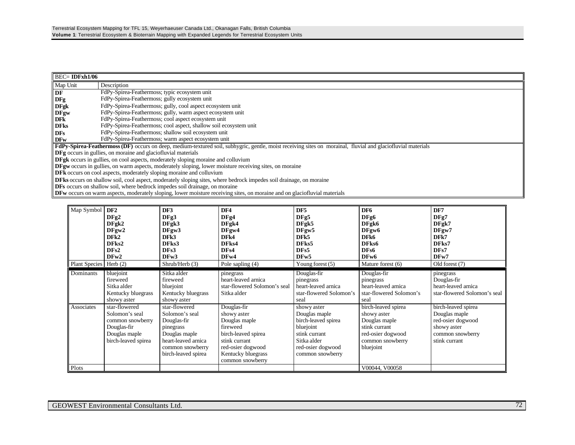| $BEC = IDFxh1/06$                                                                                              |                                                                                                                                                              |  |  |  |  |
|----------------------------------------------------------------------------------------------------------------|--------------------------------------------------------------------------------------------------------------------------------------------------------------|--|--|--|--|
| Map Unit                                                                                                       | Description                                                                                                                                                  |  |  |  |  |
| DF                                                                                                             | FdPy-Spirea-Feathermoss; typic ecosystem unit                                                                                                                |  |  |  |  |
| DFg                                                                                                            | FdPy-Spirea-Feathermoss; gully ecosystem unit                                                                                                                |  |  |  |  |
| <b>DFgk</b>                                                                                                    | FdPy-Spirea-Feathermoss; gully, cool aspect ecosystem unit                                                                                                   |  |  |  |  |
| <b>DFgw</b>                                                                                                    | FdPy-Spirea-Feathermoss; gully, warm aspect ecosystem unit                                                                                                   |  |  |  |  |
| <b>DFk</b>                                                                                                     | FdPy-Spirea-Feathermoss; cool aspect ecosystem unit                                                                                                          |  |  |  |  |
| <b>DFks</b>                                                                                                    | FdPy-Spirea-Feathermoss; cool aspect, shallow soil ecosystem unit                                                                                            |  |  |  |  |
| <b>DFs</b>                                                                                                     | FdPy-Spirea-Feathermoss; shallow soil ecosystem unit                                                                                                         |  |  |  |  |
| <b>DFw</b>                                                                                                     | FdPy-Spirea-Feathermoss; warm aspect ecosystem unit                                                                                                          |  |  |  |  |
|                                                                                                                | FdPy-Spirea-Feathermoss (DF) occurs on deep, medium-textured soil, subhygric, gentle, moist receiving sites on morainal, fluvial and glaciofluvial materials |  |  |  |  |
|                                                                                                                | <b>DFg</b> occurs in gullies, on moraine and glaciofluvial materials                                                                                         |  |  |  |  |
|                                                                                                                | <b>DFgk</b> occurs in gullies, on cool aspects, moderately sloping moraine and colluvium                                                                     |  |  |  |  |
| <b>DFgw</b> occurs in gullies, on warm aspects, moderately sloping, lower moisture receiving sites, on moraine |                                                                                                                                                              |  |  |  |  |
|                                                                                                                | <b>DFk</b> occurs on cool aspects, moderately sloping moraine and colluvium                                                                                  |  |  |  |  |
|                                                                                                                | <b>DFks</b> occurs on shallow soil, cool aspect, moderately sloping sites, where bedrock impedes soil drainage, on moraine                                   |  |  |  |  |
|                                                                                                                | <b>DFs</b> occurs on shallow soil, where bedrock impedes soil drainage, on moraine                                                                           |  |  |  |  |

**DFw** occurs on warm aspects, moderately sloping, lower moisture receiving sites, on moraine and on glaciofluvial materials

| Map Symbol             | DF <sub>2</sub><br>DFg2<br>DFgk2<br>DFgw2<br>DFk2<br>DFks2<br>DFs2<br>DFw2                                 | DF3<br>DFg3<br>DFgk3<br>DFgw3<br>DFk3<br>DFks3<br>DFs3<br>DFw3                                                                                 | DF4<br>DFg4<br>DFgk4<br>DFgw4<br>DFk4<br>DFks4<br>DFs4<br>DFw4                                                                                                 | DF <sub>5</sub><br>DFg5<br>DFgk5<br>DFgw5<br>DF <sub>k5</sub><br>DFks5<br>DFs5<br>DF <sub>w</sub> 5                                       | DF <sub>6</sub><br>DFg6<br>DFgk6<br>DFgw <sub>6</sub><br>DFk6<br>DFks6<br>DFs6<br>DF <sub>w</sub> 6                        | DF7<br>DFg7<br>DFgk7<br>DFgw7<br>DFk7<br>DFks7<br>DFs7<br>DFw7                                                |
|------------------------|------------------------------------------------------------------------------------------------------------|------------------------------------------------------------------------------------------------------------------------------------------------|----------------------------------------------------------------------------------------------------------------------------------------------------------------|-------------------------------------------------------------------------------------------------------------------------------------------|----------------------------------------------------------------------------------------------------------------------------|---------------------------------------------------------------------------------------------------------------|
| Plant Species Herb (2) |                                                                                                            | Shrub/Herb (3)                                                                                                                                 | Pole sapling (4)                                                                                                                                               | Young forest $(5)$                                                                                                                        | Mature forest (6)                                                                                                          | Old forest (7)                                                                                                |
| Dominants              | bluejoint<br>fireweed<br>Sitka alder<br>Kentucky bluegrass<br>showy aster                                  | Sitka alder<br>fireweed<br>bluejoint<br>Kentucky bluegrass<br>showy aster                                                                      | pinegrass<br>heart-leaved arnica<br>star-flowered Solomon's seal<br>Sitka alder                                                                                | Douglas-fir<br>pinegrass<br>heart-leaved arnica<br>star-flowered Solomon's<br>seal                                                        | Douglas-fir<br>pinegrass<br>heart-leaved arnica<br>star-flowered Solomon's<br>seal                                         | pinegrass<br>Douglas-fir<br>heart-leaved arnica<br>star-flowered Solomon's seal                               |
| Associates             | star-flowered<br>Solomon's seal<br>common snowberry<br>Douglas-fir<br>Douglas maple<br>birch-leaved spirea | star-flowered<br>Solomon's seal<br>Douglas-fir<br>pinegrass<br>Douglas maple<br>heart-leaved arnica<br>common snowberry<br>birch-leaved spirea | Douglas-fir<br>showy aster<br>Douglas maple<br>fireweed<br>birch-leaved spirea<br>stink currant<br>red-osier dogwood<br>Kentucky bluegrass<br>common snowberry | showy aster<br>Douglas maple<br>birch-leaved spirea<br>bluejoint<br>stink currant<br>Sitka alder<br>red-osier dogwood<br>common snowberry | birch-leaved spirea<br>showy aster<br>Douglas maple<br>stink currant<br>red-osier dogwood<br>common snowberry<br>bluejoint | birch-leaved spirea<br>Douglas maple<br>red-osier dogwood<br>showy aster<br>common snowberry<br>stink currant |
| Plots                  |                                                                                                            |                                                                                                                                                |                                                                                                                                                                |                                                                                                                                           | V00044, V00058                                                                                                             |                                                                                                               |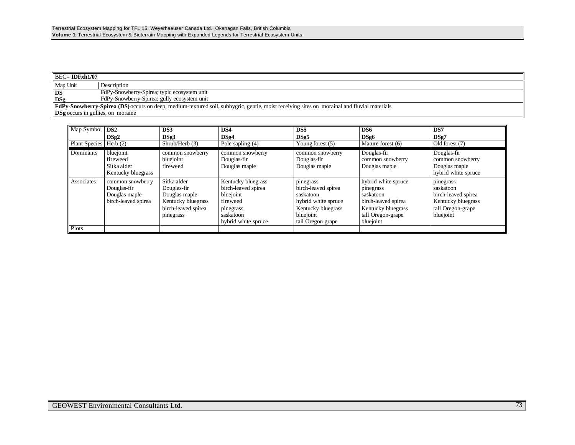| $\parallel$ BEC= IDFxh1/07               |                                                                                                                                                    |  |  |
|------------------------------------------|----------------------------------------------------------------------------------------------------------------------------------------------------|--|--|
| Map Unit                                 | Description                                                                                                                                        |  |  |
| l DS                                     | FdPy-Snowberry-Spirea; typic ecosystem unit                                                                                                        |  |  |
| $\log$                                   | FdPy-Snowberry-Spirea; gully ecosystem unit                                                                                                        |  |  |
|                                          | <b>FdPy-Snowberry-Spirea (DS)</b> occurs on deep, medium-textured soil, subhygric, gentle, moist receiving sites on morainal and fluvial materials |  |  |
| <b>DSg</b> occurs in gullies, on moraine |                                                                                                                                                    |  |  |

| Map Symbol   <b>DS2</b><br><b>Plant Species</b> | DSg2<br>Herb $(2)$                                                      | DS3<br>DSg3<br>Shrub/Herb (3)                                                                         | DS4<br>DSg4<br>Pole sapling $(4)$                                                                                   | DS <sub>5</sub><br>DSg5<br>Young forest $(5)$                                                                                | DS6<br>DSg6<br>Mature forest (6)                                                                                             | DS7<br>DSg7<br>Old forest (7)                                                                         |
|-------------------------------------------------|-------------------------------------------------------------------------|-------------------------------------------------------------------------------------------------------|---------------------------------------------------------------------------------------------------------------------|------------------------------------------------------------------------------------------------------------------------------|------------------------------------------------------------------------------------------------------------------------------|-------------------------------------------------------------------------------------------------------|
| Dominants                                       | bluejoint<br>fireweed<br>Sitka alder<br>Kentucky bluegrass              | common snowberry<br>bluejoint<br>fireweed                                                             | common snowberry<br>Douglas-fir<br>Douglas maple                                                                    | common snowberry<br>Douglas-fir<br>Douglas maple                                                                             | Douglas-fir<br>common snowberry<br>Douglas maple                                                                             | Douglas-fir<br>common snowberry<br>Douglas maple<br>hybrid white spruce                               |
| Associates                                      | common snowberry<br>Douglas-fir<br>Douglas maple<br>birch-leaved spirea | Sitka alder<br>Douglas-fir<br>Douglas maple<br>Kentucky bluegrass<br>birch-leaved spirea<br>pinegrass | Kentucky bluegrass<br>birch-leaved spirea<br>bluejoint<br>fireweed<br>pinegrass<br>saskatoon<br>hybrid white spruce | pinegrass<br>birch-leaved spirea<br>saskatoon<br>hybrid white spruce<br>Kentucky bluegrass<br>bluejoint<br>tall Oregon grape | hybrid white spruce<br>pinegrass<br>saskatoon<br>birch-leaved spirea<br>Kentucky bluegrass<br>tall Oregon-grape<br>bluejoint | pinegrass<br>saskatoon<br>birch-leaved spirea<br>Kentucky bluegrass<br>tall Oregon-grape<br>bluejoint |
| Plots                                           |                                                                         |                                                                                                       |                                                                                                                     |                                                                                                                              |                                                                                                                              |                                                                                                       |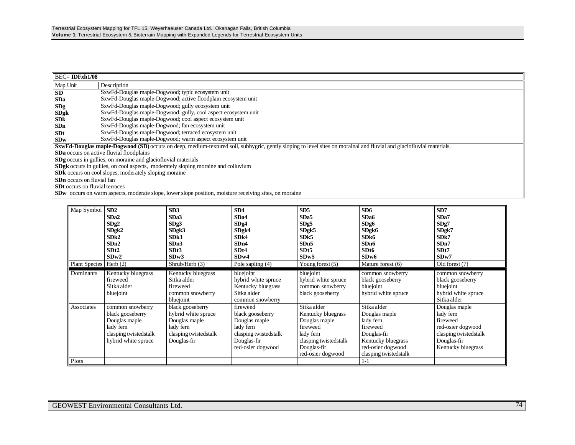| $BEC = IDFxh1/08$                     |                                                                                                                                                                             |  |  |  |  |
|---------------------------------------|-----------------------------------------------------------------------------------------------------------------------------------------------------------------------------|--|--|--|--|
| Map Unit                              | Description                                                                                                                                                                 |  |  |  |  |
| <b>SD</b>                             | SxwFd-Douglas maple-Dogwood; typic ecosystem unit                                                                                                                           |  |  |  |  |
| <b>SDa</b>                            | SxwFd-Douglas maple-Dogwood; active floodplain ecosystem unit                                                                                                               |  |  |  |  |
| SDg                                   | SxwFd-Douglas maple-Dogwood; gully ecosystem unit                                                                                                                           |  |  |  |  |
| <b>SDgk</b>                           | SxwFd-Douglas maple-Dogwood; gully, cool aspect ecosystem unit                                                                                                              |  |  |  |  |
| <b>SDk</b>                            | SxwFd-Douglas maple-Dogwood; cool aspect ecosystem unit                                                                                                                     |  |  |  |  |
| <b>SDn</b>                            | SxwFd-Douglas maple-Dogwood; fan ecosystem unit                                                                                                                             |  |  |  |  |
| <b>SDt</b>                            | SxwFd-Douglas maple-Dogwood; terraced ecosystem unit                                                                                                                        |  |  |  |  |
| <b>SDw</b>                            | SxwFd-Douglas maple-Dogwood; warm aspect ecosystem unit                                                                                                                     |  |  |  |  |
|                                       | <b>SxwFd-Douglas maple-Dogwood (SD)</b> occurs on deep, medium-textured soil, subhygric, gently sloping to level sites on morainal and fluvial and glaciofluvial materials. |  |  |  |  |
|                                       | <b>SDa</b> occurs on active fluvial floodplains                                                                                                                             |  |  |  |  |
|                                       | <b>SDg</b> occurs in gullies, on moraine and glaciofluvial materials                                                                                                        |  |  |  |  |
|                                       | SDgk occurs in gullies, on cool aspects, moderately sloping moraine and colluvium                                                                                           |  |  |  |  |
|                                       | <b>SDk</b> occurs on cool slopes, moderately sloping moraine                                                                                                                |  |  |  |  |
| <b>SDn</b> occurs on fluvial fan      |                                                                                                                                                                             |  |  |  |  |
| <b>SDt</b> occurs on fluvial terraces |                                                                                                                                                                             |  |  |  |  |
|                                       | <b>SDw</b> occurs on warm aspects, moderate slope, lower slope position, moisture receiving sites, on moraine                                                               |  |  |  |  |

**SDw** occurs on warm aspects, moderate slope, lower slope position, moisture receiving sites, on moraine

| Map Symbol<br>Plant Species Herb (2) | SD2<br>SD <sub>a2</sub><br>SDg2<br>SDgk2<br>SDk2<br>SDn2<br>SDt2<br>SDw2                                           | SD3<br>SDa3<br>SDg3<br>SDgk3<br>SDk3<br>SDn3<br>SDt3<br>SDw3<br>Shrub/Herb (3)                                | SD4<br>SD <sub>a4</sub><br>SDg4<br>SDgk4<br>SDk4<br>SDn4<br>SDt4<br>SDw4<br>Pole sapling (4)                            | SD <sub>5</sub><br>SDa5<br>SDg5<br>SDgk5<br>SD <sub>k5</sub><br>SDn5<br>SDt <sub>5</sub><br>SDw5<br>Young forest $(5)$                   | SD6<br>SD <sub>a6</sub><br>SDg6<br>SDgk6<br>SD <sub>k6</sub><br>SDn6<br>SDt6<br>SDw6<br>Mature forest (6)                                | SD7<br>SD <sub>a</sub> 7<br>SDg7<br>SDgk7<br>SD <sub>k7</sub><br>SDn7<br>SDt7<br>SDw7<br>Old forest (7)                   |
|--------------------------------------|--------------------------------------------------------------------------------------------------------------------|---------------------------------------------------------------------------------------------------------------|-------------------------------------------------------------------------------------------------------------------------|------------------------------------------------------------------------------------------------------------------------------------------|------------------------------------------------------------------------------------------------------------------------------------------|---------------------------------------------------------------------------------------------------------------------------|
|                                      |                                                                                                                    |                                                                                                               |                                                                                                                         |                                                                                                                                          |                                                                                                                                          |                                                                                                                           |
| Dominants                            | Kentucky bluegrass<br>fireweed<br>Sitka alder<br>bluejoint                                                         | Kentucky bluegrass<br>Sitka alder<br>fireweed<br>common snowberry<br>bluejoint                                | bluejoint<br>hybrid white spruce<br>Kentucky bluegrass<br>Sitka alder<br>common snowberry                               | bluejoint<br>hybrid white spruce<br>common snowberry<br>black gooseberry                                                                 | common snowberry<br>black gooseberry<br>bluejoint<br>hybrid white spruce                                                                 | common snowberry<br>black gooseberry<br>bluejoint<br>hybrid white spruce<br>Sitka alder                                   |
| Associates                           | common snowberry<br>black gooseberry<br>Douglas maple<br>lady fern<br>clasping twistedstalk<br>hybrid white spruce | black gooseberry<br>hybrid white spruce<br>Douglas maple<br>lady fern<br>clasping twistedstalk<br>Douglas-fir | fireweed<br>black gooseberry<br>Douglas maple<br>lady fern<br>clasping twistedstalk<br>Douglas-fir<br>red-osier dogwood | Sitka alder<br>Kentucky bluegrass<br>Douglas maple<br>fireweed<br>lady fern<br>clasping twistedstalk<br>Douglas-fir<br>red-osier dogwood | Sitka alder<br>Douglas maple<br>lady fern<br>fireweed<br>Douglas-fir<br>Kentucky bluegrass<br>red-osier dogwood<br>clasping twistedstalk | Douglas maple<br>lady fern<br>fireweed<br>red-osier dogwood<br>clasping twistedstalk<br>Douglas-fir<br>Kentucky bluegrass |
| Plots                                |                                                                                                                    |                                                                                                               |                                                                                                                         |                                                                                                                                          | $1 - 1$                                                                                                                                  |                                                                                                                           |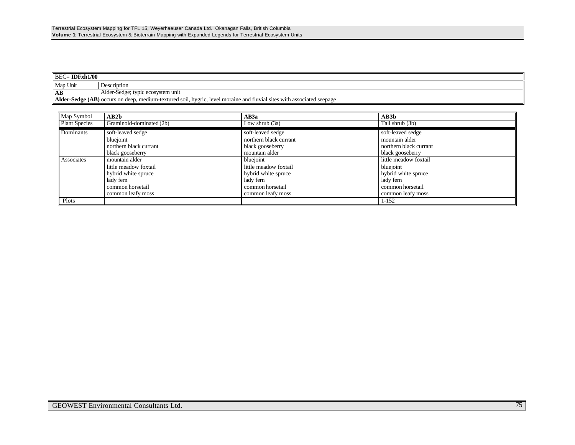| $BEC = IDFxh1/00$                                                                                                      |                                   |  |  |
|------------------------------------------------------------------------------------------------------------------------|-----------------------------------|--|--|
| Map Unit                                                                                                               | Description                       |  |  |
| AВ                                                                                                                     | Alder-Sedge; typic ecosystem unit |  |  |
| Alder-Sedge (AB) occurs on deep, medium-textured soil, hygric, level moraine and fluvial sites with associated seepage |                                   |  |  |

| Map Symbol           | AB2b                     | AB3a                   | AB3b                   |
|----------------------|--------------------------|------------------------|------------------------|
| <b>Plant Species</b> | Graminoid-dominated (2b) | Low shrub $(3a)$       | Tall shrub (3b)        |
| Dominants            | soft-leaved sedge        | soft-leaved sedge      | soft-leaved sedge      |
|                      | bluejoint                | northern black currant | mountain alder         |
|                      | northern black currant   | black gooseberry       | northern black currant |
|                      | black gooseberry         | mountain alder         | black gooseberry       |
| Associates           | mountain alder           | bluejoint              | little meadow foxtail  |
|                      | little meadow foxtail    | little meadow foxtail  | bluejoint              |
|                      | hybrid white spruce      | hybrid white spruce    | hybrid white spruce    |
|                      | lady fern                | lady fern              | lady fern              |
|                      | common horsetail         | common horsetail       | common horsetail       |
|                      | common leafy moss        | common leafy moss      | common leafy moss      |
| Plots                |                          |                        | 1-152                  |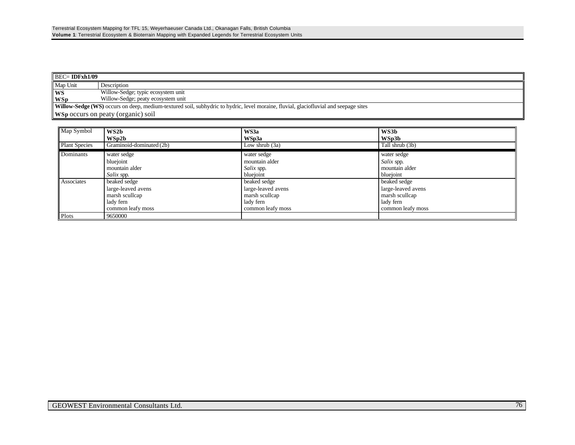| $BEC=$ IDFxh1/09                                                                                                                     |                                           |  |  |  |
|--------------------------------------------------------------------------------------------------------------------------------------|-------------------------------------------|--|--|--|
| Map Unit                                                                                                                             | Description                               |  |  |  |
| WS                                                                                                                                   | Willow-Sedge; typic ecosystem unit        |  |  |  |
| <b>WSp</b>                                                                                                                           | Willow-Sedge; peaty ecosystem unit        |  |  |  |
| Willow-Sedge (WS) occurs on deep, medium-textured soil, subhydric to hydric, level moraine, fluvial, glaciofluvial and seepage sites |                                           |  |  |  |
|                                                                                                                                      | <b>WSp occurs on peaty (organic) soil</b> |  |  |  |

| Map Symbol           | WS2b                     | WS3a               | WS3b               |
|----------------------|--------------------------|--------------------|--------------------|
|                      | WSp2b                    | WSp3a              | WSp3b              |
| <b>Plant Species</b> | Graminoid-dominated (2b) | Low shrub $(3a)$   | Tall shrub (3b)    |
| Dominants            | water sedge              | water sedge        | water sedge        |
|                      | bluejoint                | mountain alder     | Salix spp.         |
|                      | mountain alder           | Salix spp.         | mountain alder     |
|                      | Salix spp.               | bluejoint          | bluejoint          |
| Associates           | beaked sedge             | beaked sedge       | beaked sedge       |
|                      | large-leaved avens       | large-leaved avens | large-leaved avens |
|                      | marsh scullcap           | marsh scullcap     | marsh scullcap     |
|                      | lady fern                | lady fern          | lady fern          |
|                      | common leafy moss        | common leafy moss  | common leafy moss  |
| Plots                | 9650000                  |                    |                    |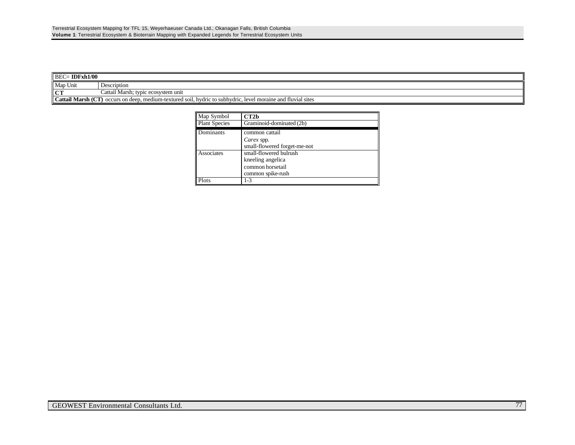| <b>IDFxh1/00</b><br>$BEC =$ |                                                                                                                     |  |  |  |
|-----------------------------|---------------------------------------------------------------------------------------------------------------------|--|--|--|
| Map Unit                    | Description                                                                                                         |  |  |  |
| $\blacksquare$              | $\cdots$<br>l Marsh; typic ecosystem unit<br>Cattail                                                                |  |  |  |
|                             | Cattail Marsh (CT)<br>l) occurs on deep, medium-textured soil, hydric to subhydric, level moraine and fluvial sites |  |  |  |

| Map Symbol           | CT2 <sub>b</sub>             |
|----------------------|------------------------------|
| <b>Plant Species</b> | Graminoid-dominated (2b)     |
| Dominants            | common cattail               |
|                      | Carex spp.                   |
|                      | small-flowered forget-me-not |
| Associates           | small-flowered bulrush       |
|                      | kneeling angelica            |
|                      | common horsetail             |
|                      | common spike-rush            |
| Plots                | $1 - 3$                      |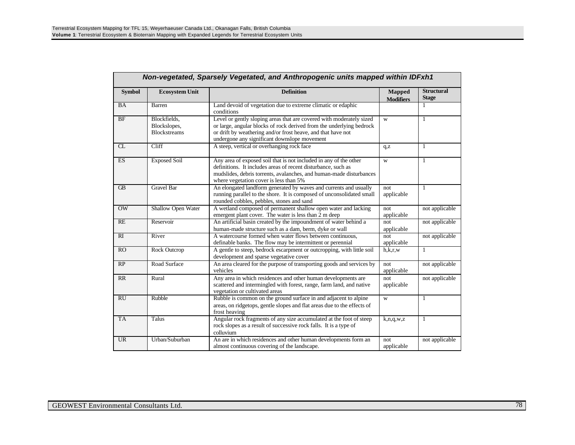| <b>Symbol</b>          | <b>Ecosystem Unit</b>                               | <b>Definition</b>                                                                                                                                                                                                                                            | <b>Mapped</b><br><b>Modifiers</b> | <b>Structural</b><br><b>Stage</b> |
|------------------------|-----------------------------------------------------|--------------------------------------------------------------------------------------------------------------------------------------------------------------------------------------------------------------------------------------------------------------|-----------------------------------|-----------------------------------|
| <b>BA</b>              | Barren                                              | Land devoid of vegetation due to extreme climatic or edaphic<br>conditions                                                                                                                                                                                   |                                   |                                   |
| BF                     | Blockfields,<br>Blockslopes,<br><b>Blockstreams</b> | Level or gently sloping areas that are covered with moderately sized<br>or large, angular blocks of rock derived from the underlying bedrock<br>or drift by weathering and/or frost heave, and that have not<br>undergone any significant downslope movement | W                                 | $\mathbf{1}$                      |
| $\overline{\text{CL}}$ | Cliff                                               | A steep, vertical or overhanging rock face                                                                                                                                                                                                                   | q, z                              | $\mathbf{1}$                      |
| <b>ES</b>              | <b>Exposed Soil</b>                                 | Any area of exposed soil that is not included in any of the other<br>definitions. It includes areas of recent disturbance, such as<br>mudslides, debris torrents, avalanches, and human-made disturbances<br>where vegetation cover is less than 5%          | W                                 | $\mathbf{1}$                      |
| $\overline{AB}$        | <b>Gravel Bar</b>                                   | An elongated landform generated by waves and currents and usually<br>running parallel to the shore. It is composed of unconsolidated small<br>rounded cobbles, pebbles, stones and sand                                                                      | not<br>applicable                 | $\mathbf{1}$                      |
| $\overline{\text{OW}}$ | Shallow Open Water                                  | A wetland composed of permanent shallow open water and lacking<br>emergent plant cover. The water is less than 2 m deep                                                                                                                                      | not<br>applicable                 | not applicable                    |
| RE                     | Reservoir                                           | An artificial basin created by the impoundment of water behind a<br>human-made structure such as a dam, berm, dyke or wall                                                                                                                                   | not<br>applicable                 | not applicable                    |
| $R_{I}$                | River                                               | A watercourse formed when water flows between continuous,<br>definable banks. The flow may be intermittent or perennial                                                                                                                                      | not<br>applicable                 | not applicable                    |
| RO                     | <b>Rock Outcrop</b>                                 | A gentle to steep, bedrock escarpment or outcropping, with little soil<br>development and sparse vegetative cover                                                                                                                                            | h,k,r,w                           | $\mathbf{1}$                      |
| RP                     | Road Surface                                        | An area cleared for the purpose of transporting goods and services by<br>vehicles                                                                                                                                                                            | not<br>applicable                 | not applicable                    |
| RR                     | Rural                                               | Any area in which residences and other human developments are<br>scattered and intermingled with forest, range, farm land, and native<br>vegetation or cultivated areas                                                                                      | not<br>applicable                 | not applicable                    |
| RU                     | Rubble                                              | Rubble is common on the ground surface in and adjacent to alpine<br>areas, on ridgetops, gentle slopes and flat areas due to the effects of<br>frost heaving                                                                                                 | W                                 | $\mathbf{1}$                      |
| <b>TA</b>              | Talus                                               | Angular rock fragments of any size accumulated at the foot of steep<br>rock slopes as a result of successive rock falls. It is a type of<br>colluvium                                                                                                        | k, n, q, w, z                     | $\mathbf{1}$                      |
| <b>UR</b>              | Urban/Suburban                                      | An are in which residences and other human developments form an<br>almost continuous covering of the landscape.                                                                                                                                              | not<br>applicable                 | not applicable                    |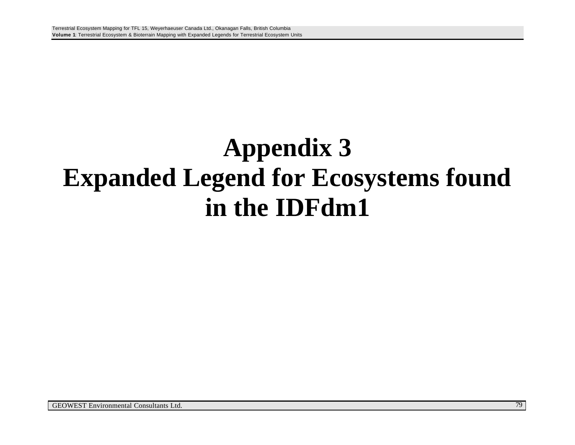## **Appendix 3 Expanded Legend for Ecosystems found in the IDFdm1**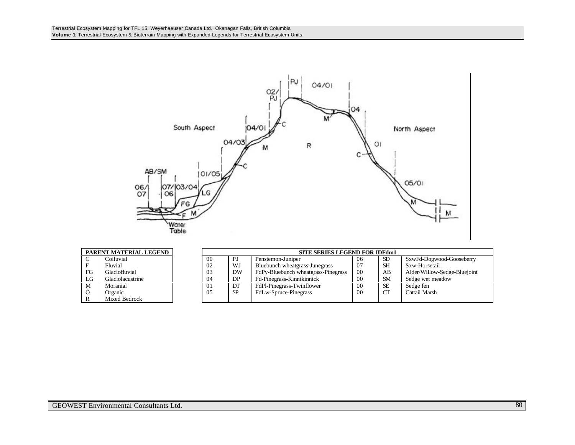

| PARENT MATERIAL LEGEND |                  |    |           | <b>SITE SERIES LEGEND FOR IDFdm1</b> |     |           |                              |
|------------------------|------------------|----|-----------|--------------------------------------|-----|-----------|------------------------------|
|                        | Colluvial        | 00 | PJ        | Penstemon-Juniper                    | -06 | -SD       | SxwFd-Dogwood-Gooseberry     |
|                        | Fluvial          | 02 | WJ        | Bluebunch wheatgrass-Junegrass       | -07 | <b>SH</b> | Sxw-Horsetail                |
| FG                     | Glaciofluvial    | 03 | DW        | FdPy-Bluebunch wheatgrass-Pinegrass  | -00 | AB        | Alder/Willow-Sedge-Bluejoint |
| LG                     | Glaciolacustrine | 04 | DP        | Fd-Pinegrass-Kinnikinnick            | 00  | <b>SM</b> | Sedge wet meadow             |
| M                      | Moranial         | 01 | DT        | FdPl-Pinegrass-Twinflower            | 00  | <b>SE</b> | Sedge fen                    |
| $\circ$                | Organic          | 05 | <b>SP</b> | FdLw-Spruce-Pinegrass                | 00  | CT        | Cattail Marsh                |
|                        | Mixed Bedrock    |    |           |                                      |     |           |                              |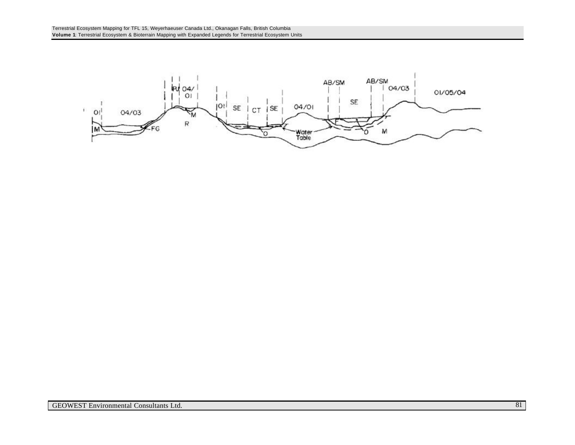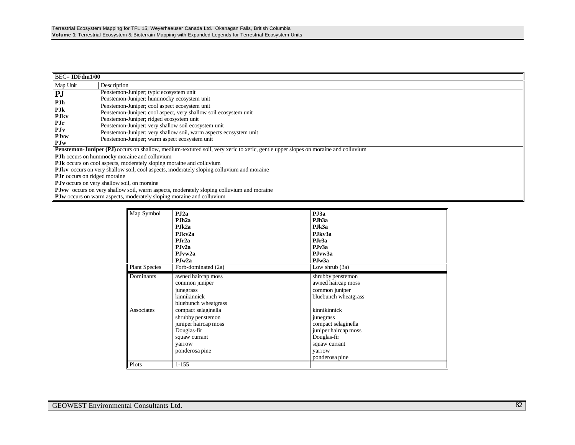|                                                                                                                                          | $BEC=$ IDFdm1/00                                                                                |  |  |  |  |  |
|------------------------------------------------------------------------------------------------------------------------------------------|-------------------------------------------------------------------------------------------------|--|--|--|--|--|
| Map Unit                                                                                                                                 | Description                                                                                     |  |  |  |  |  |
| PJ                                                                                                                                       | Penstemon-Juniper; typic ecosystem unit                                                         |  |  |  |  |  |
| PJh                                                                                                                                      | Penstemon-Juniper; hummocky ecosystem unit                                                      |  |  |  |  |  |
| PJk                                                                                                                                      | Penstemon-Juniper; cool aspect ecosystem unit                                                   |  |  |  |  |  |
| <b>PJkv</b>                                                                                                                              | Penstemon-Juniper; cool aspect, very shallow soil ecosystem unit                                |  |  |  |  |  |
| <b>PJr</b>                                                                                                                               | Penstemon-Juniper; ridged ecosystem unit                                                        |  |  |  |  |  |
|                                                                                                                                          | Penstemon-Juniper; very shallow soil ecosystem unit                                             |  |  |  |  |  |
| PJv<br><b>PJvw</b>                                                                                                                       | Penstemon-Juniper; very shallow soil, warm aspects ecosystem unit                               |  |  |  |  |  |
| PJw                                                                                                                                      | Penstemon-Juniper; warm aspect ecosystem unit                                                   |  |  |  |  |  |
| <b>Penstemon-Juniper (PJ)</b> occurs on shallow, medium-textured soil, very xeric to xeric, gentle upper slopes on moraine and colluvium |                                                                                                 |  |  |  |  |  |
|                                                                                                                                          | <b>PJh</b> occurs on hummocky moraine and colluvium                                             |  |  |  |  |  |
|                                                                                                                                          | <b>PJk</b> occurs on cool aspects, moderately sloping moraine and colluvium                     |  |  |  |  |  |
|                                                                                                                                          | <b>PJkv</b> occurs on very shallow soil, cool aspects, moderately sloping colluvium and moraine |  |  |  |  |  |
|                                                                                                                                          | <b>PJr</b> occurs on ridged moraine                                                             |  |  |  |  |  |
|                                                                                                                                          | <b>PJv</b> occurs on very shallow soil, on moraine                                              |  |  |  |  |  |
|                                                                                                                                          | <b>PJvw</b> occurs on very shallow soil, warm aspects, moderately sloping colluvium and moraine |  |  |  |  |  |
|                                                                                                                                          | <b>PJw</b> occurs on warm aspects, moderately sloping moraine and colluvium                     |  |  |  |  |  |

| Map Symbol           | $P_{\rm J}$ 2a       | PJ3a                 |
|----------------------|----------------------|----------------------|
|                      | PJh <sub>2a</sub>    | PJh <sub>3a</sub>    |
|                      | PJk2a                | PJk3a                |
|                      | P.Ikv2a              | P.Ikv3a              |
|                      | PJr2a                | PJr3a                |
|                      | PJv2a                | PJv3a                |
|                      | PJvw2a               | P.Jvw3a              |
|                      | PJw2a                | PJw3a                |
| <b>Plant Species</b> | Forb-dominated (2a)  | Low shrub (3a)       |
| Dominants            | awned haircap moss   | shrubby penstemon    |
|                      | common juniper       | awned haircap moss   |
|                      | junegrass            | common juniper       |
|                      | kinnikinnick         | bluebunch wheatgrass |
|                      | bluebunch wheatgrass |                      |
| Associates           | compact selaginella  | kinnikinnick         |
|                      | shrubby penstemon    | junegrass            |
|                      | juniper haircap moss | compact selaginella  |
|                      | Douglas-fir          | juniper haircap moss |
|                      | squaw currant        | Douglas-fir          |
|                      | yarrow               | squaw currant        |
|                      | ponderosa pine       | yarrow               |
|                      |                      | ponderosa pine       |
| Plots                | $1 - 155$            |                      |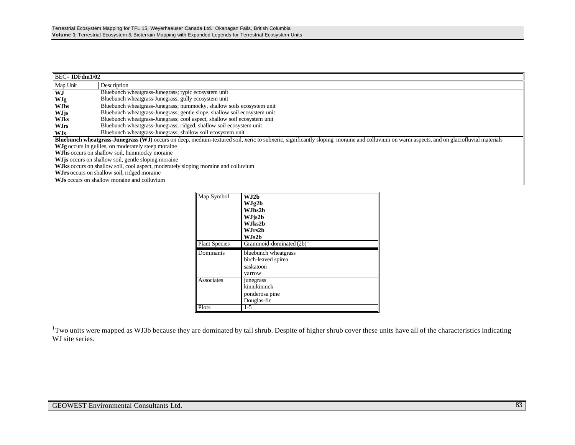| $\overline{\text{BEC}}$ IDFdm1/02 |                                                                                                                                                                                          |  |  |  |  |  |
|-----------------------------------|------------------------------------------------------------------------------------------------------------------------------------------------------------------------------------------|--|--|--|--|--|
| Map Unit                          | Description                                                                                                                                                                              |  |  |  |  |  |
| <b>WJ</b>                         | Bluebunch wheatgrass-Junegrass; typic ecosystem unit                                                                                                                                     |  |  |  |  |  |
| <b>WJg</b>                        | Bluebunch wheatgrass-Junegrass; gully ecosystem unit                                                                                                                                     |  |  |  |  |  |
| <b>WJhs</b>                       | Bluebunch wheatgrass-Junegrass; hummocky, shallow soils ecosystem unit                                                                                                                   |  |  |  |  |  |
| <b>WJjs</b>                       | Bluebunch wheatgrass-Junegrass; gentle slope, shallow soil ecosystem unit                                                                                                                |  |  |  |  |  |
| <b>WJks</b>                       | Bluebunch wheatgrass-Junegrass; cool aspect, shallow soil ecosystem unit                                                                                                                 |  |  |  |  |  |
| <b>WJrs</b>                       | Bluebunch wheatgrass-Junegrass; ridged, shallow soil ecosystem unit                                                                                                                      |  |  |  |  |  |
| WJs                               | Bluebunch wheatgrass-Junegrass; shallow soil ecosystem unit                                                                                                                              |  |  |  |  |  |
|                                   | Bluebunch wheatgrass-Junegrass (WJ) occurs on deep, medium-textured soil, xeric to subxeric, significantly sloping moraine and colluvium on warm aspects, and on glaciofluvial materials |  |  |  |  |  |
|                                   | WJg occurs in gullies, on moderately steep moraine                                                                                                                                       |  |  |  |  |  |
|                                   | W. This occurs on shallow soil, hummocky moraine                                                                                                                                         |  |  |  |  |  |
|                                   | <b>WJ</b> is occurs on shallow soil, gentle sloping moraine                                                                                                                              |  |  |  |  |  |
|                                   | WJks occurs on shallow soil, cool aspect, moderately sloping moraine and colluvium                                                                                                       |  |  |  |  |  |
|                                   | WJrs occurs on shallow soil, ridged moraine                                                                                                                                              |  |  |  |  |  |
|                                   | <b>WJs</b> occurs on shallow moraine and colluvium                                                                                                                                       |  |  |  |  |  |

| Map Symbol<br><b>Plant Species</b> | W.I2h<br>WJg2b<br>W.Jhs2b<br>WJjs2b<br>W.Jks2b<br>WJrs2b<br>WJs2b<br>Graminoid-dominated $(2b)^{1}$ |
|------------------------------------|-----------------------------------------------------------------------------------------------------|
| Dominants                          | bluebunch wheatgrass<br>birch-leaved spirea<br>saskatoon<br>yarrow                                  |
| Associates                         | junegrass<br>kinnikinnick<br>ponderosa pine<br>Douglas-fir                                          |
| Plots                              | $1 - 5$                                                                                             |

 $1$ Two units were mapped as WJ3b because they are dominated by tall shrub. Despite of higher shrub cover these units have all of the characteristics indicating WJ site series.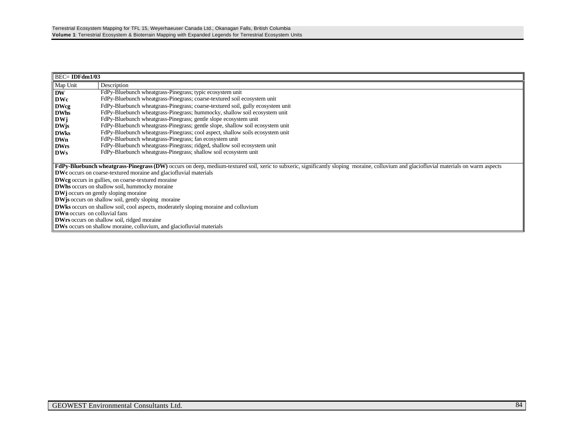| $BEC = IDFdm1/03$                                                        |                                                                                                                                                                                        |  |  |  |  |  |
|--------------------------------------------------------------------------|----------------------------------------------------------------------------------------------------------------------------------------------------------------------------------------|--|--|--|--|--|
| Map Unit                                                                 | Description                                                                                                                                                                            |  |  |  |  |  |
| <b>DW</b>                                                                | FdPy-Bluebunch wheatgrass-Pinegrass; typic ecosystem unit                                                                                                                              |  |  |  |  |  |
| <b>DWc</b>                                                               | FdPy-Bluebunch wheatgrass-Pinegrass; coarse-textured soil ecosystem unit                                                                                                               |  |  |  |  |  |
| <b>DWcg</b>                                                              | FdPy-Bluebunch wheatgrass-Pinegrass; coarse-textured soil, gully ecosystem unit                                                                                                        |  |  |  |  |  |
| <b>DWhs</b>                                                              | FdPy-Bluebunch wheatgrass-Pinegrass; hummocky, shallow soil ecosystem unit                                                                                                             |  |  |  |  |  |
| DWi                                                                      | FdPy-Bluebunch wheatgrass-Pinegrass; gentle slope ecosystem unit                                                                                                                       |  |  |  |  |  |
| <b>DWis</b>                                                              | FdPy-Bluebunch wheatgrass-Pinegrass; gentle slope, shallow soil ecosystem unit                                                                                                         |  |  |  |  |  |
| <b>DWks</b>                                                              | FdPy-Bluebunch wheatgrass-Pinegrass; cool aspect, shallow soils ecosystem unit                                                                                                         |  |  |  |  |  |
| <b>DWn</b>                                                               | FdPy-Bluebunch wheatgrass-Pinegrass; fan ecosystem unit                                                                                                                                |  |  |  |  |  |
| <b>DWrs</b>                                                              | FdPy-Bluebunch wheatgrass-Pinegrass; ridged, shallow soil ecosystem unit                                                                                                               |  |  |  |  |  |
| <b>DWs</b>                                                               | FdPy-Bluebunch wheatgrass-Pinegrass; shallow soil ecosystem unit                                                                                                                       |  |  |  |  |  |
|                                                                          |                                                                                                                                                                                        |  |  |  |  |  |
|                                                                          | FdPy-Bluebunch wheatgrass-Pinegrass (DW) occurs on deep, medium-textured soil, xeric to subxeric, significantly sloping moraine, colluvium and glaciofluvial materials on warm aspects |  |  |  |  |  |
| <b>DWc</b> occurs on coarse-textured moraine and glaciofluvial materials |                                                                                                                                                                                        |  |  |  |  |  |
| <b>DWcg</b> occurs in gullies, on coarse-textured moraine                |                                                                                                                                                                                        |  |  |  |  |  |
| <b>DWhs</b> occurs on shallow soil, hummocky moraine                     |                                                                                                                                                                                        |  |  |  |  |  |
|                                                                          | <b>DWj</b> occurs on gently sloping moraine                                                                                                                                            |  |  |  |  |  |
|                                                                          | <b>DW</b> is occurs on shallow soil, gently sloping moraine                                                                                                                            |  |  |  |  |  |
|                                                                          | <b>DWks</b> occurs on shallow soil, cool aspects, moderately sloping moraine and colluvium                                                                                             |  |  |  |  |  |
| <b>DWn</b> occurs on colluvial fans                                      |                                                                                                                                                                                        |  |  |  |  |  |
|                                                                          | <b>DWrs</b> occurs on shallow soil, ridged moraine                                                                                                                                     |  |  |  |  |  |
|                                                                          | <b>DWs</b> occurs on shallow moraine, colluvium, and glaciofluvial materials                                                                                                           |  |  |  |  |  |
|                                                                          |                                                                                                                                                                                        |  |  |  |  |  |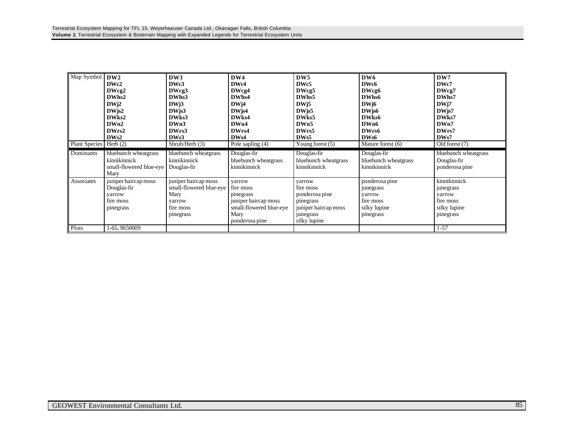| Map Symbol<br><b>Plant Species</b> | DW2<br>DWc2<br>DWcg2<br>DWhs2<br>DWj2<br>$DW$ js2<br>DW <sub>ks2</sub><br>DWn2<br>DWrs2<br>DWs2<br>Herb $(2)$ | DW3<br>DWc3<br>DWcg3<br>DWhs3<br>DWi3<br>$DW$ js $3$<br>DW <sub>ks</sub> 3<br>DWn3<br>DWrs3<br>DW <sub>s</sub> 3<br>Shrub/Herb (3) | DW4<br>DWc4<br>DWcg4<br>DWhs4<br>DW <sub>j4</sub><br>$DW$ js4<br>DW <sub>ks4</sub><br>DWn4<br>DWrs4<br>DW <sub>s4</sub><br>Pole sapling (4) | DW <sub>5</sub><br>DWc5<br>DWcg5<br>DWhs5<br>DW <sub>i5</sub><br>DW <sub>is5</sub><br>DW <sub>ks</sub> 5<br>DWn5<br>DWrs5<br>DW <sub>s5</sub><br>Young forest $(5)$ | DW <sub>6</sub><br>DWc6<br>DWcg6<br>DWhs6<br>DW <sub>16</sub><br>DW <sub>is6</sub><br>DWks6<br>DWn6<br>DWrs6<br>DW <sub>s6</sub><br>Mature forest (6) | DW7<br>DWc7<br>DWcg7<br>DWhs7<br>DW <sub>17</sub><br>DW <sub>is7</sub><br>DWks7<br>DWn7<br>DWrs7<br>DW <sub>s</sub> 7<br>Old forest (7) |
|------------------------------------|---------------------------------------------------------------------------------------------------------------|------------------------------------------------------------------------------------------------------------------------------------|---------------------------------------------------------------------------------------------------------------------------------------------|---------------------------------------------------------------------------------------------------------------------------------------------------------------------|-------------------------------------------------------------------------------------------------------------------------------------------------------|-----------------------------------------------------------------------------------------------------------------------------------------|
| Dominants                          | bluebunch wheatgrass<br>kinnikinnick<br>small-flowered blue-eye<br>Mary                                       | bluebunch wheatgrass<br>kinnikinnick<br>Douglas-fir                                                                                | Douglas-fir<br>bluebunch wheatgrass<br>kinnikinnick                                                                                         | Douglas-fir<br>bluebunch wheatgrass<br>kinnikinnick                                                                                                                 | Douglas-fir<br>bluebunch wheatgrass<br>kinnikinnick                                                                                                   | bluebunch wheatgrass<br>Douglas-fir<br>ponderosa pine                                                                                   |
| Associates                         | juniper haircap moss<br>Douglas-fir<br>yarrow<br>fire moss<br>pinegrass                                       | juniper haircap moss<br>small-flowered blue-eye<br>Mary<br>yarrow<br>fire moss<br>pinegrass                                        | varrow<br>fire moss<br>pinegrass<br>juniper haircap moss<br>small-flowered blue-eye<br>Mary<br>ponderosa pine                               | yarrow<br>fire moss<br>ponderosa pine<br>pinegrass<br>juniper haircap moss<br>junegrass<br>silky lupine                                                             | ponderosa pine<br>junegrass<br>varrow<br>fire moss<br>silky lupine<br>pinegrass                                                                       | kinnikinnick<br>junegrass<br>varrow<br>fire moss<br>silky lupine<br>pinegrass                                                           |
| Plots                              | 1-65, 9650009                                                                                                 |                                                                                                                                    |                                                                                                                                             |                                                                                                                                                                     |                                                                                                                                                       | $1 - 57$                                                                                                                                |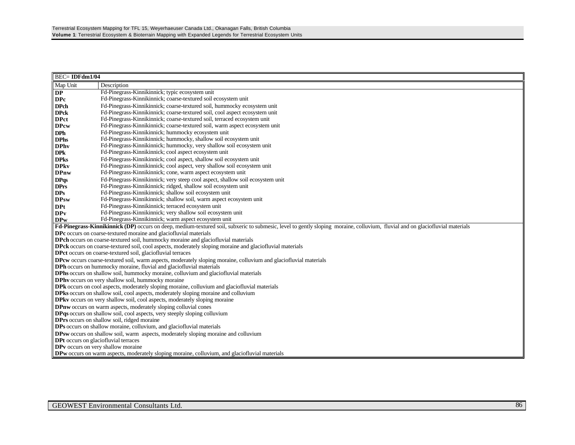| <b>BEC=IDFdm1/04</b>                                                                                                                                                                    |                                                                                                                                                                                                       |  |  |  |  |  |  |
|-----------------------------------------------------------------------------------------------------------------------------------------------------------------------------------------|-------------------------------------------------------------------------------------------------------------------------------------------------------------------------------------------------------|--|--|--|--|--|--|
| Map Unit                                                                                                                                                                                | Description                                                                                                                                                                                           |  |  |  |  |  |  |
| $\mathbf{DP}$                                                                                                                                                                           | Fd-Pinegrass-Kinnikinnick; typic ecosystem unit                                                                                                                                                       |  |  |  |  |  |  |
| <b>DPc</b>                                                                                                                                                                              | Fd-Pinegrass-Kinnikinnick; coarse-textured soil ecosystem unit                                                                                                                                        |  |  |  |  |  |  |
| <b>DPch</b>                                                                                                                                                                             | Fd-Pinegrass-Kinnikinnick; coarse-textured soil, hummocky ecosystem unit                                                                                                                              |  |  |  |  |  |  |
| <b>DPck</b>                                                                                                                                                                             | Fd-Pinegrass-Kinnikinnick; coarse-textured soil, cool aspect ecosystem unit                                                                                                                           |  |  |  |  |  |  |
| <b>DPct</b>                                                                                                                                                                             | Fd-Pinegrass-Kinnikinnick; coarse-textured soil, terraced ecosystem unit                                                                                                                              |  |  |  |  |  |  |
| <b>DPcw</b>                                                                                                                                                                             | Fd-Pinegrass-Kinnikinnick; coarse-textured soil, warm aspect ecosystem unit                                                                                                                           |  |  |  |  |  |  |
| <b>DPh</b>                                                                                                                                                                              | Fd-Pinegrass-Kinnikinnick; hummocky ecosystem unit                                                                                                                                                    |  |  |  |  |  |  |
| <b>DPhs</b>                                                                                                                                                                             | Fd-Pinegrass-Kinnikinnick; hummocky, shallow soil ecosystem unit                                                                                                                                      |  |  |  |  |  |  |
| <b>DPhy</b>                                                                                                                                                                             | Fd-Pinegrass-Kinnikinnick; hummocky, very shallow soil ecosystem unit                                                                                                                                 |  |  |  |  |  |  |
| <b>DPk</b>                                                                                                                                                                              | Fd-Pinegrass-Kinnikinnick; cool aspect ecosystem unit                                                                                                                                                 |  |  |  |  |  |  |
| <b>DPks</b>                                                                                                                                                                             | Fd-Pinegrass-Kinnikinnick; cool aspect, shallow soil ecosystem unit                                                                                                                                   |  |  |  |  |  |  |
| <b>DPkv</b>                                                                                                                                                                             | Fd-Pinegrass-Kinnikinnick; cool aspect, very shallow soil ecosystem unit                                                                                                                              |  |  |  |  |  |  |
| <b>DPnw</b>                                                                                                                                                                             | Fd-Pinegrass-Kinnikinnick; cone, warm aspect ecosystem unit                                                                                                                                           |  |  |  |  |  |  |
| <b>DPqs</b>                                                                                                                                                                             | Fd-Pinegrass-Kinnikinnick; very steep cool aspect, shallow soil ecosystem unit                                                                                                                        |  |  |  |  |  |  |
| <b>DPrs</b>                                                                                                                                                                             | Fd-Pinegrass-Kinnikinnick; ridged, shallow soil ecosystem unit                                                                                                                                        |  |  |  |  |  |  |
| <b>DPs</b>                                                                                                                                                                              | Fd-Pinegrass-Kinnikinnick; shallow soil ecosystem unit                                                                                                                                                |  |  |  |  |  |  |
| <b>DPsw</b>                                                                                                                                                                             | Fd-Pinegrass-Kinnikinnick; shallow soil, warm aspect ecosystem unit                                                                                                                                   |  |  |  |  |  |  |
| <b>DPt</b>                                                                                                                                                                              | Fd-Pinegrass-Kinnikinnick; terraced ecosystem unit                                                                                                                                                    |  |  |  |  |  |  |
| <b>DPv</b>                                                                                                                                                                              | Fd-Pinegrass-Kinnikinnick; very shallow soil ecosystem unit                                                                                                                                           |  |  |  |  |  |  |
| <b>DPw</b>                                                                                                                                                                              | Fd-Pinegrass-Kinnikinnick; warm aspect ecosystem unit                                                                                                                                                 |  |  |  |  |  |  |
|                                                                                                                                                                                         | Fd-Pinegrass-Kinnikinnick (DP) occurs on deep, medium-textured soil, subxeric to submesic, level to gently sloping moraine, colluvium, fluvial and on glaciofluvial materials                         |  |  |  |  |  |  |
|                                                                                                                                                                                         | DPc occurs on coarse-textured moraine and glaciofluvial materials                                                                                                                                     |  |  |  |  |  |  |
|                                                                                                                                                                                         | DPch occurs on coarse-textured soil, hummocky moraine and glaciofluvial materials<br><b>DPck</b> occurs on coarse-textured soil, cool aspects, moderately sloping moraine and glaciofluvial materials |  |  |  |  |  |  |
|                                                                                                                                                                                         |                                                                                                                                                                                                       |  |  |  |  |  |  |
| DPct occurs on coarse-textured soil, glaciofluvial terraces<br><b>DPcw</b> occurs coarse-textured soil, warm aspects, moderately sloping moraine, colluvium and glaciofluvial materials |                                                                                                                                                                                                       |  |  |  |  |  |  |
|                                                                                                                                                                                         | DPh occurs on hummocky moraine, fluvial and glaciofluvial materials                                                                                                                                   |  |  |  |  |  |  |
|                                                                                                                                                                                         | DPhs occurs on shallow soil, hummocky moraine, colluvium and glaciofluvial materials                                                                                                                  |  |  |  |  |  |  |
|                                                                                                                                                                                         | DPhy occurs on very shallow soil, hummocky moraine                                                                                                                                                    |  |  |  |  |  |  |
|                                                                                                                                                                                         | <b>DPk</b> occurs on cool aspects, moderately sloping moraine, colluvium and glaciofluvial materials                                                                                                  |  |  |  |  |  |  |
|                                                                                                                                                                                         | DPks occurs on shallow soil, cool aspects, moderately sloping moraine and colluvium                                                                                                                   |  |  |  |  |  |  |
|                                                                                                                                                                                         | <b>DPkv</b> occurs on very shallow soil, cool aspects, moderately sloping moraine                                                                                                                     |  |  |  |  |  |  |
|                                                                                                                                                                                         | DPnw occurs on warm aspects, moderately sloping colluvial cones                                                                                                                                       |  |  |  |  |  |  |
|                                                                                                                                                                                         | <b>DPqs</b> occurs on shallow soil, cool aspects, very steeply sloping colluvium                                                                                                                      |  |  |  |  |  |  |
|                                                                                                                                                                                         | DPrs occurs on shallow soil, ridged moraine                                                                                                                                                           |  |  |  |  |  |  |
|                                                                                                                                                                                         | DPs occurs on shallow moraine, colluvium, and glaciofluvial materials                                                                                                                                 |  |  |  |  |  |  |
|                                                                                                                                                                                         | DPsw occurs on shallow soil, warm aspects, moderately sloping moraine and colluvium                                                                                                                   |  |  |  |  |  |  |
| <b>DPt</b> occurs on glaciofluvial terraces                                                                                                                                             |                                                                                                                                                                                                       |  |  |  |  |  |  |
| DPv occurs on very shallow moraine                                                                                                                                                      |                                                                                                                                                                                                       |  |  |  |  |  |  |
|                                                                                                                                                                                         | <b>DPw</b> occurs on warm aspects, moderately sloping moraine, colluvium, and glaciofluvial materials                                                                                                 |  |  |  |  |  |  |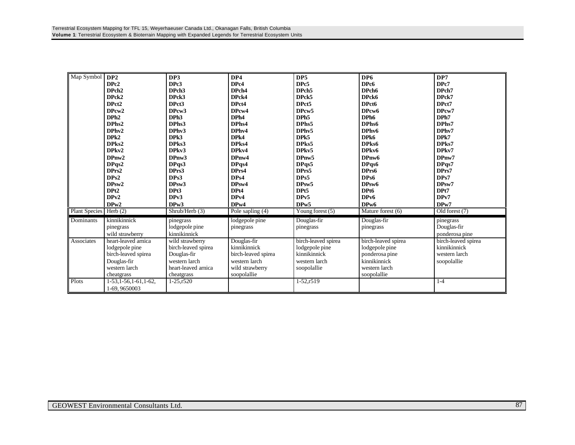| Map Symbol           | DP2                       | DP3                 | DP4                 | DP5                 | DP <sub>6</sub>     | DP7                 |
|----------------------|---------------------------|---------------------|---------------------|---------------------|---------------------|---------------------|
|                      | DPc <sub>2</sub>          | DPc3                | DPc4                | DPc5                | DPc6                | DPc7                |
|                      | DPch <sub>2</sub>         | DPch <sub>3</sub>   | DPch4               | DPch <sub>5</sub>   | DPch <sub>6</sub>   | DPch7               |
|                      | DPck2                     | DPck3               | DPck4               | DPck5               | DPck6               | DPck7               |
|                      | DPct <sub>2</sub>         | DPct3               | DPct4               | DPct5               | DPct6               | DPct7               |
|                      | DPcw <sub>2</sub>         | DPcw <sub>3</sub>   | DPcw4               | DPcw <sub>5</sub>   | DPcw6               | DPcw7               |
|                      | DPh <sub>2</sub>          | DPh <sub>3</sub>    | DPh4                | DPh <sub>5</sub>    | DPh <sub>6</sub>    | DPh7                |
|                      | DPhs2                     | DPhs3               | DPhs4               | DPhs5               | DPhs6               | DPhs7               |
|                      | DPhv2                     | DPhv3               | DPhy4               | DPhv5               | DPhv6               | DPhv7               |
|                      | DPk2                      | DPk3                | DPk4                | DPk5                | DPk6                | DPk7                |
|                      | DPks2                     | DPks3               | DPks4               | DPks5               | DPks6               | DPks7               |
|                      | DPkv2                     | DPkv3               | DPkv4               | DPkv5               | DPkv6               | DPkv7               |
|                      | DPnw2                     | DPnw3               | DPnw4               | DPnw5               | DPnw6               | DPnw7               |
|                      | DPqs2                     | DPqs3               | DPqs4               | DPqs5               | DPqs6               | DPqs7               |
|                      | DPrs2                     | DPrs3               | DPrs4               | DPrs5               | DPrs6               | DPrs7               |
|                      | DPs2                      | DPs3                | DPs4                | DPs5                | DPs6                | DPs7                |
|                      | DPsw2                     | DPsw3               | DPsw4               | DPsw5               | DPsw6               | DPsw7               |
|                      | DPt <sub>2</sub>          | DPt3                | DPt4                | DPt5                | DPt6                | DPt7                |
|                      | DPv2                      | DPv3                | DPv4                | DP <sub>v5</sub>    | DP <sub>v6</sub>    | DPv7                |
|                      | DPw2                      | DP <sub>w</sub> 3   | DP <sub>w</sub> 4   | DPw5                | DP <sub>w</sub> 6   | DPw7                |
| <b>Plant Species</b> | Herb $(2)$                | Shrub/Herb (3)      | Pole sapling (4)    | Young forest $(5)$  | Mature forest (6)   | Old forest (7)      |
| Dominants            | kinnikinnick              | pinegrass           | lodgepole pine      | Douglas-fir         | Douglas-fir         | pinegrass           |
|                      | pinegrass                 | lodgepole pine      | pinegrass           | pinegrass           | pinegrass           | Douglas-fir         |
|                      | wild strawberry           | kinnikinnick        |                     |                     |                     | ponderosa pine      |
| Associates           | heart-leaved arnica       | wild strawberry     | Douglas-fir         | birch-leaved spirea | birch-leaved spirea | birch-leaved spirea |
|                      | lodgepole pine            | birch-leaved spirea | kinnikinnick        | lodgepole pine      | lodgepole pine      | kinnikinnick        |
|                      | birch-leaved spirea       | Douglas-fir         | birch-leaved spirea | kinnikinnick        | ponderosa pine      | western larch       |
|                      | Douglas-fir               | western larch       | western larch       | western larch       | kinnikinnick        |                     |
|                      | western larch             |                     |                     |                     | western larch       | soopolallie         |
|                      |                           | heart-leaved arnica | wild strawberry     | soopolallie         |                     |                     |
|                      | cheatgrass                | cheatgrass          | soopolallie         |                     | soopolallie         |                     |
| Plots                | $1-53, 1-56, 1-61, 1-62,$ | $1 - 25, r520$      |                     | $1-52, r519$        |                     | $1 - 4$             |
|                      | 1-69, 9650003             |                     |                     |                     |                     |                     |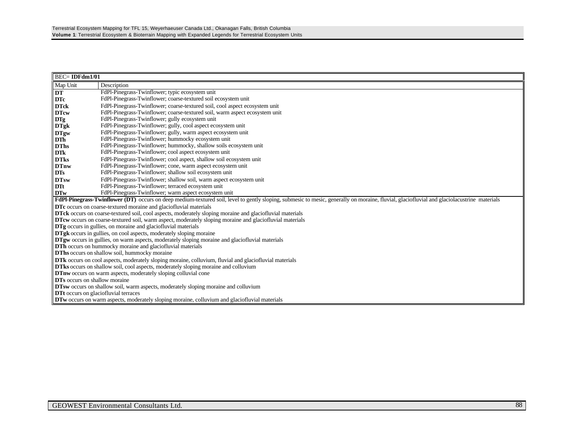| <b>BEC=IDFdm1/01</b>                 |                                                                                                                                                                                             |
|--------------------------------------|---------------------------------------------------------------------------------------------------------------------------------------------------------------------------------------------|
| Map Unit                             | Description                                                                                                                                                                                 |
| DT                                   | FdPl-Pinegrass-Twinflower; typic ecosystem unit                                                                                                                                             |
| <b>DTc</b>                           | FdPl-Pinegrass-Twinflower; coarse-textured soil ecosystem unit                                                                                                                              |
| <b>DTck</b>                          | FdPl-Pinegrass-Twinflower; coarse-textured soil, cool aspect ecosystem unit                                                                                                                 |
| <b>DTcw</b>                          | FdPl-Pinegrass-Twinflower; coarse-textured soil, warm aspect ecosystem unit                                                                                                                 |
| <b>DTg</b>                           | FdPl-Pinegrass-Twinflower; gully ecosystem unit                                                                                                                                             |
| <b>DTgk</b>                          | FdPl-Pinegrass-Twinflower; gully, cool aspect ecosystem unit                                                                                                                                |
| <b>DTgw</b>                          | FdPl-Pinegrass-Twinflower; gully, warm aspect ecosystem unit                                                                                                                                |
| DT <sub>h</sub>                      | FdPl-Pinegrass-Twinflower; hummocky ecosystem unit                                                                                                                                          |
| <b>DThs</b>                          | FdPl-Pinegrass-Twinflower; hummocky, shallow soils ecosystem unit                                                                                                                           |
| <b>DTk</b>                           | FdPl-Pinegrass-Twinflower; cool aspect ecosystem unit                                                                                                                                       |
| <b>DTks</b>                          | FdPl-Pinegrass-Twinflower; cool aspect, shallow soil ecosystem unit                                                                                                                         |
| <b>DTnw</b>                          | FdPl-Pinegrass-Twinflower; cone, warm aspect ecosystem unit                                                                                                                                 |
| <b>DTs</b>                           | FdPl-Pinegrass-Twinflower; shallow soil ecosystem unit                                                                                                                                      |
| <b>DTsw</b>                          | FdPl-Pinegrass-Twinflower; shallow soil, warm aspect ecosystem unit                                                                                                                         |
| <b>DTt</b>                           | FdPl-Pinegrass-Twinflower; terraced ecosystem unit                                                                                                                                          |
| <b>DTw</b>                           | FdPl-Pinegrass-Twinflower; warm aspect ecosystem unit                                                                                                                                       |
|                                      | FdPl-Pinegrass-Twinflower (DT) occurs on deep medium-textured soil, level to gently sloping, submesic to mesic, generally on moraine, fluvial, glaciofluvial and glaciolacustrine materials |
|                                      | DTc occurs on coarse-textured moraine and glaciofluvial materials                                                                                                                           |
|                                      | DTck occurs on coarse-textured soil, cool aspects, moderately sloping moraine and glaciofluvial materials                                                                                   |
|                                      | DTcw occurs on coarse-textured soil, warm aspect, moderately sloping moraine and glaciofluvial materials                                                                                    |
|                                      | <b>DTg</b> occurs in gullies, on moraine and glaciofluvial materials                                                                                                                        |
|                                      | <b>DTgk</b> occurs in gullies, on cool aspects, moderately sloping moraine<br><b>DTgw</b> occurs in gullies, on warm aspects, moderately sloping moraine and glaciofluvial materials        |
|                                      | <b>DTh</b> occurs on hummocky moraine and glaciofluvial materials                                                                                                                           |
|                                      | DThs occurs on shallow soil, hummocky moraine                                                                                                                                               |
|                                      | <b>DTk</b> occurs on cool aspects, moderately sloping moraine, colluvium, fluvial and glaciofluvial materials                                                                               |
|                                      | DTks occurs on shallow soil, cool aspects, moderately sloping moraine and colluvium                                                                                                         |
|                                      | DTnw occurs on warm aspects, moderately sloping colluvial cone                                                                                                                              |
| <b>DTs</b> occurs on shallow moraine |                                                                                                                                                                                             |
|                                      | <b>DTsw</b> occurs on shallow soil, warm aspects, moderately sloping moraine and colluvium                                                                                                  |
|                                      | <b>DTt</b> occurs on glaciofluvial terraces                                                                                                                                                 |
|                                      | <b>DTw</b> occurs on warm aspects, moderately sloping moraine, colluvium and glaciofluvial materials                                                                                        |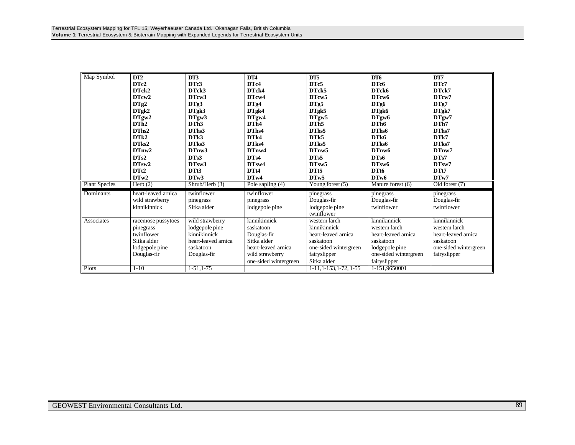| Map Symbol           | DT2                 | DT3                 | DT4                   | DT5                       | DT <sub>6</sub>       | DT7                   |
|----------------------|---------------------|---------------------|-----------------------|---------------------------|-----------------------|-----------------------|
|                      | DTc2                | DTc3                | DTc4                  | DTc5                      | DTc6                  | DTc7                  |
|                      | DTck2               | DTck3               | DTck4                 | DTck5                     | DTck6                 | DTck7                 |
|                      | DTcw2               | DTcw3               | DTcw4                 | DTcw5                     | DTcw6                 | DTcw7                 |
|                      | DTg2                | DTg3                | DTg4                  | DTg5                      | DTg6                  | DTg7                  |
|                      | DTgk2               | DTgk3               | DTgk4                 | DTgk5                     | DTgk6                 | DTgk7                 |
|                      | DTgw2               | DTgw3               | DTgw4                 | DTgw5                     | DTgw <sub>6</sub>     | DTgw7                 |
|                      | DTh2                | DTh <sub>3</sub>    | DTh <sub>4</sub>      | DTh <sub>5</sub>          | DTh <sub>6</sub>      | DTh7                  |
|                      | DThs2               | DThs3               | DThs4                 | DThs5                     | DThs6                 | DThs7                 |
|                      | DTk2                | DT <sub>k</sub> 3   | DTk4                  | DT <sub>k5</sub>          | DTk6                  | DTk7                  |
|                      | DTks2               | DTks3               | DTks4                 | DTks5                     | DTks6                 | DTks7                 |
|                      | DTnw2               | DTnw3               | DTnw4                 | DTnw5                     | DTnw6                 | DTnw7                 |
|                      | DTs2                | DTs3                | DTs4                  | DTs5                      | DTs6                  | DTs7                  |
|                      | DTsw2               | DTsw3               | DTsw4                 | DTsw5                     | DTsw6                 | DTsw7                 |
|                      | DTt <sub>2</sub>    | DTt3                | DTt4                  | DTt5                      | DT <sub>t6</sub>      | DTt7                  |
|                      | DTw2                | DTw3                | DTw4                  | DTw5                      | DTw6                  | DTw7                  |
| <b>Plant Species</b> | Herb $(2)$          | Shrub/Herb (3)      | Pole sapling (4)      | Young forest (5)          | Mature forest (6)     | Old forest (7)        |
| Dominants            | heart-leaved arnica | twinflower          | twinflower            | pinegrass                 | pinegrass             | pinegrass             |
|                      | wild strawberry     | pinegrass           | pinegrass             | Douglas-fir               | Douglas-fir           | Douglas-fir           |
|                      | kinnikinnick        | Sitka alder         | lodgepole pine        | lodgepole pine            | twinflower            | twinflower            |
|                      |                     |                     |                       | twinflower                |                       |                       |
| Associates           | racemose pussytoes  | wild strawberry     | kinnikinnick          | western larch             | kinnikinnick          | kinnikinnick          |
|                      | pinegrass           | lodgepole pine      | saskatoon             | kinnikinnick              | western larch         | western larch         |
|                      | twinflower          | kinnikinnick        | Douglas-fir           | heart-leaved arnica       | heart-leaved arnica   | heart-leaved arnica   |
|                      | Sitka alder         | heart-leaved arnica | Sitka alder           | saskatoon                 | saskatoon             | saskatoon             |
|                      | lodgepole pine      | saskatoon           | heart-leaved arnica   | one-sided wintergreen     | lodgepole pine        | one-sided wintergreen |
|                      | Douglas-fir         | Douglas-fir         | wild strawberry       | fairyslipper              | one-sided wintergreen | fairyslipper          |
|                      |                     |                     | one-sided wintergreen | Sitka alder               | fairyslipper          |                       |
| Plots                | $1 - 10$            | $1-51, 1-75$        |                       | $1-11, 1-153, 1-72, 1-55$ | 1-151,9650001         |                       |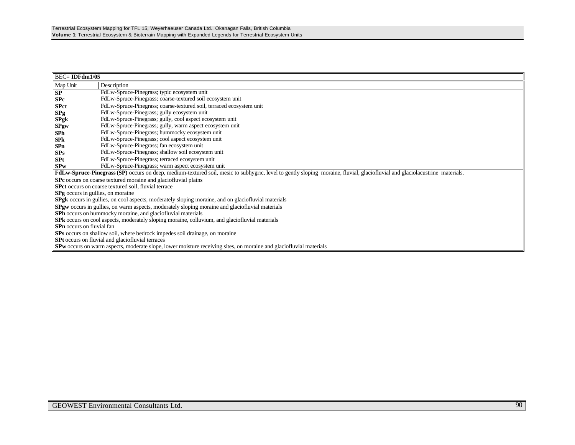| $BEC = IDFdm1/05$                                              |                                                                                                                                                                              |  |  |  |  |  |
|----------------------------------------------------------------|------------------------------------------------------------------------------------------------------------------------------------------------------------------------------|--|--|--|--|--|
| Map Unit                                                       | Description                                                                                                                                                                  |  |  |  |  |  |
| SP                                                             | FdLw-Spruce-Pinegrass; typic ecosystem unit                                                                                                                                  |  |  |  |  |  |
| S <sub>Pc</sub>                                                | FdLw-Spruce-Pinegrass; coarse-textured soil ecosystem unit                                                                                                                   |  |  |  |  |  |
| <b>SPct</b>                                                    | FdLw-Spruce-Pinegrass; coarse-textured soil, terraced ecosystem unit                                                                                                         |  |  |  |  |  |
| SPg                                                            | FdLw-Spruce-Pinegrass; gully ecosystem unit                                                                                                                                  |  |  |  |  |  |
| SPgk                                                           | FdLw-Spruce-Pinegrass; gully, cool aspect ecosystem unit                                                                                                                     |  |  |  |  |  |
| <b>SPgw</b>                                                    | FdLw-Spruce-Pinegrass; gully, warm aspect ecosystem unit                                                                                                                     |  |  |  |  |  |
| SPh                                                            | FdLw-Spruce-Pinegrass; hummocky ecosystem unit                                                                                                                               |  |  |  |  |  |
| <b>SPk</b>                                                     | FdLw-Spruce-Pinegrass; cool aspect ecosystem unit                                                                                                                            |  |  |  |  |  |
| SPn                                                            | FdLw-Spruce-Pinegrass; fan ecosystem unit                                                                                                                                    |  |  |  |  |  |
| SPs                                                            | FdLw-Spruce-Pinegrass; shallow soil ecosystem unit                                                                                                                           |  |  |  |  |  |
| SPt                                                            | FdLw-Spruce-Pinegrass; terraced ecosystem unit                                                                                                                               |  |  |  |  |  |
| <b>SPw</b>                                                     | FdLw-Spruce-Pinegrass; warm aspect ecosystem unit                                                                                                                            |  |  |  |  |  |
|                                                                | FdLw-Spruce-Pinegrass (SP) occurs on deep, medium-textured soil, mesic to subhygric, level to gently sloping moraine, fluvial, glaciofluvial and glaciolacustrine materials. |  |  |  |  |  |
| SPc occurs on coarse textured moraine and glaciofluvial plains |                                                                                                                                                                              |  |  |  |  |  |
| <b>SPct</b> occurs on coarse textured soil, fluvial terrace    |                                                                                                                                                                              |  |  |  |  |  |
| SPg occurs in gullies, on moraine                              |                                                                                                                                                                              |  |  |  |  |  |
|                                                                | <b>SPgk</b> occurs in gullies, on cool aspects, moderately sloping moraine, and on glaciofluvial materials                                                                   |  |  |  |  |  |
|                                                                | <b>SPgw</b> occurs in gullies, on warm aspects, moderately sloping moraine and glaciofluvial materials                                                                       |  |  |  |  |  |
|                                                                | <b>SPh</b> occurs on hummocky moraine, and glaciofluvial materials                                                                                                           |  |  |  |  |  |
|                                                                | SPk occurs on cool aspects, moderately sloping moraine, colluvium, and glaciofluvial materials                                                                               |  |  |  |  |  |
| <b>SPn</b> occurs on fluvial fan                               |                                                                                                                                                                              |  |  |  |  |  |
|                                                                | SPs occurs on shallow soil, where bedrock impedes soil drainage, on moraine                                                                                                  |  |  |  |  |  |
|                                                                | <b>SPt</b> occurs on fluvial and glaciofluvial terraces                                                                                                                      |  |  |  |  |  |
|                                                                | <b>SPw</b> occurs on warm aspects, moderate slope, lower moisture receiving sites, on moraine and glaciofluvial materials                                                    |  |  |  |  |  |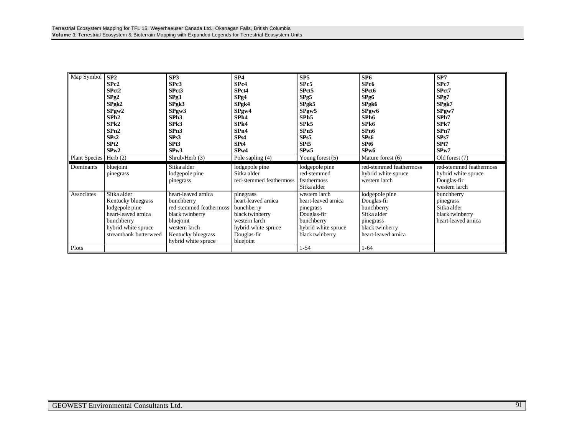| Map Symbol<br><b>Plant Species</b> | SP2<br>SPe2<br>SPct <sub>2</sub><br>SPg2<br>$S$ Pg $k2$<br>SPyw2<br>SPh2<br>SPk2<br>SPn2<br>SPs2<br>SP <sub>t2</sub><br>SPw2<br>Herb $(2)$ | SP <sub>3</sub><br>SPc3<br>SPct3<br>SPg3<br>$S$ Pgk $3$<br>SPyw3<br>SPh <sub>3</sub><br>SPk3<br>SPn3<br>SPs3<br>SPt3<br>SPw3<br>Shrub/Herb (3)             | SP4<br>SP <sub>c4</sub><br>SPct4<br>SPg4<br>$S$ Pgk4<br>SPyw4<br>SPh <sub>4</sub><br>SPk4<br>SPn4<br>SP <sub>s4</sub><br>SP <sub>t4</sub><br>SP <sub>w</sub> 4<br>Pole sapling (4) | SP <sub>5</sub><br>SPc5<br>SPct5<br>SPg5<br>SPgk5<br>SPyw5<br>SPh <sub>5</sub><br>SPk5<br>SPn5<br>SPs5<br>SPt <sub>5</sub><br>SPw5<br>Young forest $(5)$ | SP6<br>SPc6<br>SPct6<br>SPg6<br>SPgk6<br>SPgw <sub>6</sub><br>SPh <sub>6</sub><br>SPk6<br>SP <sub>n6</sub><br>SPs6<br>SP <sub>t6</sub><br>SP <sub>w</sub> 6<br>Mature forest (6) | SP7<br>SPc7<br>SPct7<br>SPg7<br>SPgk7<br>SPyw7<br>SPh7<br>SPk7<br>SPn7<br>SPs7<br>SPt7<br>SP <sub>w</sub> 7<br>Old forest (7) |
|------------------------------------|--------------------------------------------------------------------------------------------------------------------------------------------|------------------------------------------------------------------------------------------------------------------------------------------------------------|------------------------------------------------------------------------------------------------------------------------------------------------------------------------------------|----------------------------------------------------------------------------------------------------------------------------------------------------------|----------------------------------------------------------------------------------------------------------------------------------------------------------------------------------|-------------------------------------------------------------------------------------------------------------------------------|
| Dominants                          | bluejoint<br>pinegrass                                                                                                                     | Sitka alder<br>lodgepole pine<br>pinegrass                                                                                                                 | lodgepole pine<br>Sitka alder<br>red-stemmed feathermoss                                                                                                                           | lodgepole pine<br>red-stemmed<br>feathermoss                                                                                                             | red-stemmed feathermoss<br>hybrid white spruce<br>western larch                                                                                                                  | red-stemmed feathermoss<br>hybrid white spruce<br>Douglas-fir                                                                 |
| Associates                         |                                                                                                                                            |                                                                                                                                                            |                                                                                                                                                                                    | Sitka alder                                                                                                                                              |                                                                                                                                                                                  | western larch                                                                                                                 |
| Plots                              | Sitka alder<br>Kentucky bluegrass<br>lodgepole pine<br>heart-leaved arnica<br>bunchberry<br>hybrid white spruce<br>streambank butterweed   | heart-leaved arnica<br>bunchberry<br>red-stemmed feathermoss<br>black twinberry<br>bluejoint<br>western larch<br>Kentucky bluegrass<br>hybrid white spruce | pinegrass<br>heart-leaved arnica<br>bunchberry<br>black twinberry<br>western larch<br>hybrid white spruce<br>Douglas-fir<br>bluejoint                                              | western larch<br>heart-leaved arnica<br>pinegrass<br>Douglas-fir<br>bunchberry<br>hybrid white spruce<br>black twinberry<br>$1 - 54$                     | lodgepole pine<br>Douglas-fir<br>bunchberry<br>Sitka alder<br>pinegrass<br>black twinberry<br>heart-leaved arnica<br>$1 - 64$                                                    | bunchberry<br>pinegrass<br>Sitka alder<br>black twinberry<br>heart-leaved arnica                                              |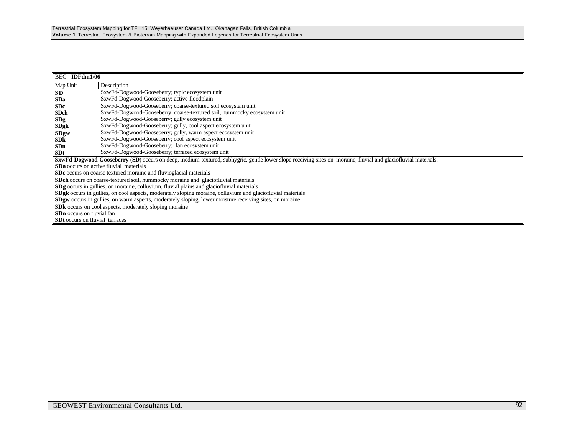| $BEC = IDFdm1/06$                                                                                                                                             |                                                                                                            |  |  |  |  |  |
|---------------------------------------------------------------------------------------------------------------------------------------------------------------|------------------------------------------------------------------------------------------------------------|--|--|--|--|--|
| Map Unit                                                                                                                                                      | Description                                                                                                |  |  |  |  |  |
| <b>SD</b>                                                                                                                                                     | SxwFd-Dogwood-Gooseberry; typic ecosystem unit                                                             |  |  |  |  |  |
| <b>SDa</b>                                                                                                                                                    | SxwFd-Dogwood-Gooseberry; active floodplain                                                                |  |  |  |  |  |
| <b>SDc</b>                                                                                                                                                    | SxwFd-Dogwood-Gooseberry; coarse-textured soil ecosystem unit                                              |  |  |  |  |  |
| <b>SDch</b>                                                                                                                                                   | SxwFd-Dogwood-Gooseberry; coarse-textured soil, hummocky ecosystem unit                                    |  |  |  |  |  |
| SDg                                                                                                                                                           | SxwFd-Dogwood-Gooseberry; gully ecosystem unit                                                             |  |  |  |  |  |
| <b>SDgk</b>                                                                                                                                                   | SxwFd-Dogwood-Gooseberry; gully, cool aspect ecosystem unit                                                |  |  |  |  |  |
| <b>SDgw</b>                                                                                                                                                   | SxwFd-Dogwood-Gooseberry; gully, warm aspect ecosystem unit                                                |  |  |  |  |  |
| <b>SDk</b>                                                                                                                                                    | SxwFd-Dogwood-Gooseberry; cool aspect ecosystem unit                                                       |  |  |  |  |  |
| SDn                                                                                                                                                           | SxwFd-Dogwood-Gooseberry; fan ecosystem unit                                                               |  |  |  |  |  |
| <b>SDt</b>                                                                                                                                                    | SxwFd-Dogwood-Gooseberry; terraced ecosystem unit                                                          |  |  |  |  |  |
| SxwFd-Dogwood-Gooseberry (SD) occurs on deep, medium-textured, subhygric, gentle lower slope receiving sites on moraine, fluvial and glaciofluvial materials. |                                                                                                            |  |  |  |  |  |
|                                                                                                                                                               | <b>SDa</b> occurs on active fluvial materials                                                              |  |  |  |  |  |
| SDc occurs on coarse textured moraine and fluvioglacial materials                                                                                             |                                                                                                            |  |  |  |  |  |
|                                                                                                                                                               | <b>SDch</b> occurs on coarse-textured soil, hummocky moraine and glaciofluvial materials                   |  |  |  |  |  |
|                                                                                                                                                               | <b>SDg</b> occurs in gullies, on moraine, colluvium, fluvial plains and glaciofluvial materials            |  |  |  |  |  |
|                                                                                                                                                               | SDgk occurs in gullies, on cool aspects, moderately sloping moraine, colluvium and glaciofluvial materials |  |  |  |  |  |
|                                                                                                                                                               | SDgw occurs in gullies, on warm aspects, moderately sloping, lower moisture receiving sites, on moraine    |  |  |  |  |  |
|                                                                                                                                                               | <b>SDk</b> occurs on cool aspects, moderately sloping moraine                                              |  |  |  |  |  |
| <b>SDn</b> occurs on fluvial fan                                                                                                                              |                                                                                                            |  |  |  |  |  |
| <b>SDt</b> occurs on fluvial terraces                                                                                                                         |                                                                                                            |  |  |  |  |  |
|                                                                                                                                                               |                                                                                                            |  |  |  |  |  |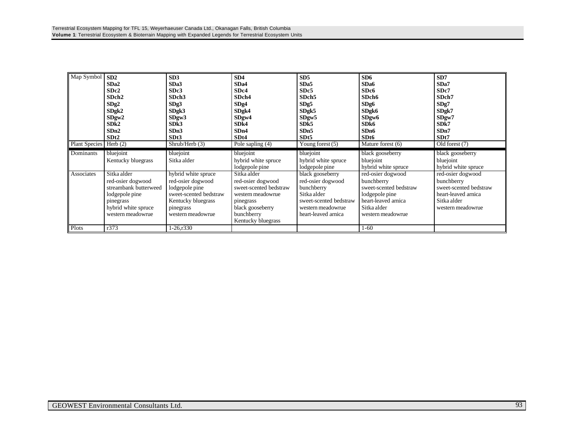| Map Symbol<br><b>Plant Species</b> | SD2<br>SD <sub>a2</sub><br>SD <sub>c</sub> 2<br>SDch <sub>2</sub><br>SDg2<br>SDgk2<br>SDgw2<br>SDk2<br>SDn2<br>SDt2<br>Herb $(2)$    | SD3<br>SDa3<br>SDc3<br>SDch <sub>3</sub><br>SDg3<br>SDgk3<br>SDgw3<br>SDk3<br>SDn3<br>SDt3<br>$\overline{\text{Shrub/Herb}}(3)$              | SD4<br>SD <sub>a4</sub><br>SD <sub>c4</sub><br>SDch4<br>SDg4<br>SDgk4<br>SDgw4<br>SDk4<br>SDn4<br>SDt4<br>Pole sapling (4)                           | SD5<br>SDa5<br>SDc5<br>SDch <sub>5</sub><br>SDg5<br>SDgk5<br>SDgw5<br>SD <sub>k5</sub><br>SDn5<br>SDt <sub>5</sub><br>Young forest $(5)$ | SD6<br>SD <sub>a6</sub><br>SD <sub>c6</sub><br>SDch6<br>SDg6<br>SDgk6<br>SDgw6<br>SD <sub>k6</sub><br>SD <sub>n6</sub><br>SD <sub>t6</sub><br>Mature forest (6) | SD7<br>SDa7<br>SD <sub>c</sub> 7<br>SDch7<br>SDg7<br>SDgk7<br>SDgw7<br>SDk7<br>SDn7<br>SDt7<br>Old forest (7)        |
|------------------------------------|--------------------------------------------------------------------------------------------------------------------------------------|----------------------------------------------------------------------------------------------------------------------------------------------|------------------------------------------------------------------------------------------------------------------------------------------------------|------------------------------------------------------------------------------------------------------------------------------------------|-----------------------------------------------------------------------------------------------------------------------------------------------------------------|----------------------------------------------------------------------------------------------------------------------|
| Dominants                          | bluejoint<br>Kentucky bluegrass                                                                                                      | bluejoint<br>Sitka alder                                                                                                                     | bluejoint<br>hybrid white spruce<br>lodgepole pine                                                                                                   | bluejoint<br>hybrid white spruce<br>lodgepole pine                                                                                       | black gooseberry<br>bluejoint<br>hybrid white spruce                                                                                                            | black gooseberry<br>bluejoint<br>hybrid white spruce                                                                 |
| Associates                         | Sitka alder<br>red-osier dogwood<br>streambank butterweed<br>lodgepole pine<br>pinegrass<br>hybrid white spruce<br>western meadowrue | hybrid white spruce<br>red-osier dogwood<br>lodgepole pine<br>sweet-scented bedstraw<br>Kentucky bluegrass<br>pinegrass<br>western meadowrue | Sitka alder<br>red-osier dogwood<br>sweet-scented bedstraw<br>western meadowrue<br>pinegrass<br>black gooseberry<br>bunchberry<br>Kentucky bluegrass | black gooseberry<br>red-osier dogwood<br>bunchberry<br>Sitka alder<br>sweet-scented bedstraw<br>western meadowrue<br>heart-leaved arnica | red-osier dogwood<br>bunchberry<br>sweet-scented bedstraw<br>lodgepole pine<br>heart-leaved arnica<br>Sitka alder<br>western meadowrue                          | red-osier dogwood<br>bunchberry<br>sweet-scented bedstraw<br>heart-leaved arnica<br>Sitka alder<br>western meadowrue |
| Plots                              | r373                                                                                                                                 | 1-26.1330                                                                                                                                    |                                                                                                                                                      |                                                                                                                                          | $1-60$                                                                                                                                                          |                                                                                                                      |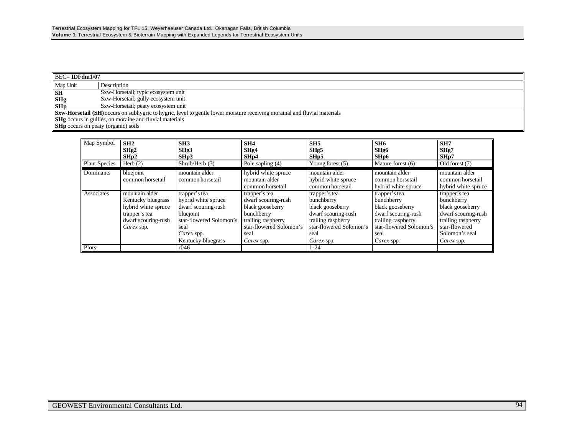| $\parallel$ BEC= IDFdm1/07                 |                                                                                                                                  |  |  |  |
|--------------------------------------------|----------------------------------------------------------------------------------------------------------------------------------|--|--|--|
| Map Unit                                   | Description                                                                                                                      |  |  |  |
| <b>SH</b>                                  | Sxw-Horsetail; typic ecosystem unit                                                                                              |  |  |  |
| <b>SHg</b>                                 | Sxw-Horsetail; gully ecosystem unit                                                                                              |  |  |  |
| <b>SHp</b>                                 | Sxw-Horsetail; peaty ecosystem unit                                                                                              |  |  |  |
|                                            | <b>Sxw-Horsetail (SH)</b> occurs on subhygric to hygric, level to gentle lower moisture receiving morainal and fluvial materials |  |  |  |
|                                            | <b>SHg</b> occurs in gullies, on moraine and fluvial materials                                                                   |  |  |  |
| <b>SHp</b> occurs on peaty (organic) soils |                                                                                                                                  |  |  |  |

| Map Symbol           | SH2<br>SHg2<br>SHp2                                                                                               | SH <sub>3</sub><br>SHg3<br>SHp3                                                                                                                 | SH4<br>SHg4<br>SH <sub>p</sub> 4                                                                                                              | SH5<br>SHg5<br>SHp5                                                                                                                           | SH <sub>6</sub><br>SHg6<br>SH <sub>p</sub> 6                                                                                                  | SH7<br>SHg7<br>SHp7                                                                                                                           |
|----------------------|-------------------------------------------------------------------------------------------------------------------|-------------------------------------------------------------------------------------------------------------------------------------------------|-----------------------------------------------------------------------------------------------------------------------------------------------|-----------------------------------------------------------------------------------------------------------------------------------------------|-----------------------------------------------------------------------------------------------------------------------------------------------|-----------------------------------------------------------------------------------------------------------------------------------------------|
| <b>Plant Species</b> | Herb $(2)$                                                                                                        | Shrub/Herb (3)                                                                                                                                  | Pole sapling $(4)$                                                                                                                            | Young forest $(5)$                                                                                                                            | Mature forest (6)                                                                                                                             | Old forest (7)                                                                                                                                |
| Dominants            | bluejoint<br>common horsetail                                                                                     | mountain alder<br>common horsetail                                                                                                              | hybrid white spruce<br>mountain alder<br>common horsetail                                                                                     | mountain alder<br>hybrid white spruce<br>common horsetail                                                                                     | mountain alder<br>common horsetail<br>hybrid white spruce                                                                                     | mountain alder<br>common horsetail<br>hybrid white spruce                                                                                     |
| Associates           | mountain alder<br>Kentucky bluegrass<br>hybrid white spruce<br>trapper's tea<br>dwarf scouring-rush<br>Carex spp. | trapper's tea<br>hybrid white spruce<br>dwarf scouring-rush<br>bluejoint<br>star-flowered Solomon's<br>seal<br>Carex spp.<br>Kentucky bluegrass | trapper's tea<br>dwarf scouring-rush<br>black gooseberry<br>bunchberry<br>trailing raspberry<br>star-flowered Solomon's<br>seal<br>Carex spp. | trapper's tea<br>bunchberry<br>black gooseberry<br>dwarf scouring-rush<br>trailing raspberry<br>star-flowered Solomon's<br>seal<br>Carex spp. | trapper's tea<br>bunchberry<br>black gooseberry<br>dwarf scouring-rush<br>trailing raspberry<br>star-flowered Solomon's<br>seal<br>Carex spp. | trapper's tea<br>bunchberry<br>black gooseberry<br>dwarf scouring-rush<br>trailing raspberry<br>star-flowered<br>Solomon's seal<br>Carex spp. |
| Plots                |                                                                                                                   | r046                                                                                                                                            |                                                                                                                                               | $1 - 24$                                                                                                                                      |                                                                                                                                               |                                                                                                                                               |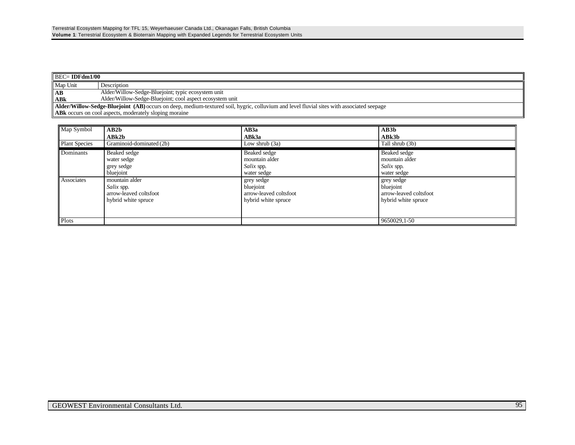| $BEC = IDFdm1/00$                                                                                                                                |                                                          |  |  |  |  |
|--------------------------------------------------------------------------------------------------------------------------------------------------|----------------------------------------------------------|--|--|--|--|
| Map Unit                                                                                                                                         | Description                                              |  |  |  |  |
| AB                                                                                                                                               | Alder/Willow-Sedge-Bluejoint; typic ecosystem unit       |  |  |  |  |
| <b>ABk</b>                                                                                                                                       | Alder/Willow-Sedge-Bluejoint; cool aspect ecosystem unit |  |  |  |  |
| <b>Alder/Willow-Sedge-Bluejoint (AB)</b> occurs on deep, medium-textured soil, hygric, colluvium and level fluvial sites with associated seepage |                                                          |  |  |  |  |
| <b>ABK</b> occurs on cool aspects, moderately sloping moraine                                                                                    |                                                          |  |  |  |  |

| Map Symbol           | AB2b                     | AB3a                   | AB3b                   |
|----------------------|--------------------------|------------------------|------------------------|
|                      | ABk2b                    | ABk3a                  | ABk3b                  |
| <b>Plant Species</b> | Graminoid-dominated (2b) | Low shrub $(3a)$       | Tall shrub (3b)        |
| <b>Dominants</b>     | Beaked sedge             | Beaked sedge           | Beaked sedge           |
|                      | water sedge              | mountain alder         | mountain alder         |
|                      | grey sedge               | Salix spp.             | Salix spp.             |
|                      | bluejoint                | water sedge            | water sedge            |
| Associates           | mountain alder           | grey sedge             | grey sedge             |
|                      | Salix spp.               | bluejoint              | bluejoint              |
|                      | arrow-leaved coltsfoot   | arrow-leaved coltsfoot | arrow-leaved coltsfoot |
|                      | hybrid white spruce      | hybrid white spruce    | hybrid white spruce    |
|                      |                          |                        |                        |
|                      |                          |                        |                        |
| Plots                |                          |                        | 9650029,1-50           |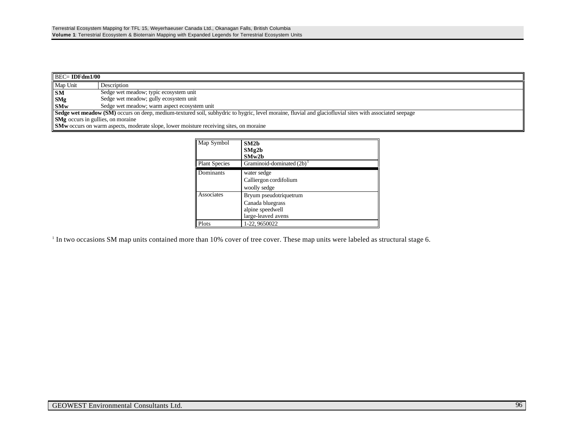| $\parallel$ BEC= IDFdm1/00                                                                                                                              |                                              |  |  |  |
|---------------------------------------------------------------------------------------------------------------------------------------------------------|----------------------------------------------|--|--|--|
| Map Unit                                                                                                                                                | Description                                  |  |  |  |
| <b>SM</b>                                                                                                                                               | Sedge wet meadow; typic ecosystem unit       |  |  |  |
| <b>SMg</b>                                                                                                                                              | Sedge wet meadow; gully ecosystem unit       |  |  |  |
| <b>SMw</b>                                                                                                                                              | Sedge wet meadow; warm aspect ecosystem unit |  |  |  |
| Sedge wet meadow (SM) occurs on deep, medium-textured soil, subhydric to hygric, level moraine, fluvial and glaciofluvial sites with associated seepage |                                              |  |  |  |
| <b>SMg</b> occurs in gullies, on moraine                                                                                                                |                                              |  |  |  |
| <b>SMw</b> occurs on warm aspects, moderate slope, lower moisture receiving sites, on moraine                                                           |                                              |  |  |  |

| Map Symbol           | SM2 <sub>b</sub><br>SMg2b<br>SMw2b                                                   |
|----------------------|--------------------------------------------------------------------------------------|
| <b>Plant Species</b> | Graminoid-dominated $(2b)$                                                           |
| Dominants            | water sedge<br>Calliergon cordifolium<br>woolly sedge                                |
| Associates           | Bryum pseudotriquetrum<br>Canada bluegrass<br>alpine speedwell<br>large-leaved avens |
| Plots                | 1-22, 9650022                                                                        |

<sup>1</sup> In two occasions SM map units contained more than 10% cover of tree cover. These map units were labeled as structural stage 6.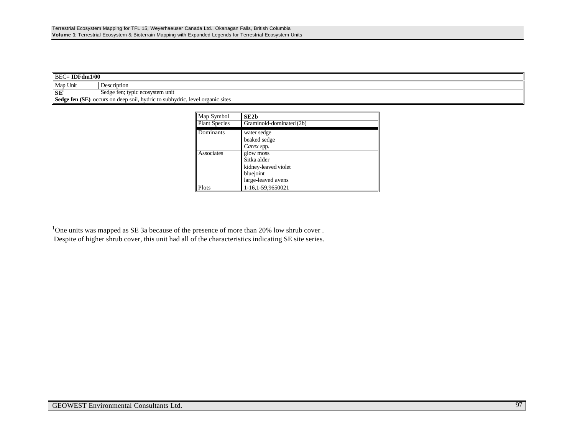| $\parallel$ BEC= IDFdm1/00                                                      |                                 |  |  |  |  |
|---------------------------------------------------------------------------------|---------------------------------|--|--|--|--|
| Map Unit                                                                        | Description                     |  |  |  |  |
| SE <sup>1</sup>                                                                 | Sedge fen; typic ecosystem unit |  |  |  |  |
| Sedge fen (SE)<br>occurs on deep soil, hydric to subhydric, level organic sites |                                 |  |  |  |  |

| Map Symbol           | SE2b                     |
|----------------------|--------------------------|
| <b>Plant Species</b> | Graminoid-dominated (2b) |
| Dominants            | water sedge              |
|                      | beaked sedge             |
|                      | Carex spp.               |
| Associates           | glow moss                |
|                      | Sitka alder              |
|                      | kidney-leaved violet     |
|                      | bluejoint                |
|                      | large-leaved avens       |
| Plots                | 1-16,1-59,9650021        |

<sup>1</sup>One units was mapped as SE 3a because of the presence of more than 20% low shrub cover. Despite of higher shrub cover, this unit had all of the characteristics indicating SE site series.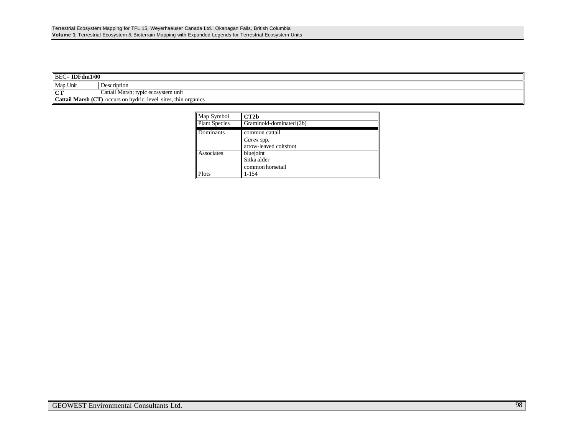| $\parallel$ BEC= IDFdm1/00                                               |                                                            |  |  |  |
|--------------------------------------------------------------------------|------------------------------------------------------------|--|--|--|
| Map Unit                                                                 | Description                                                |  |  |  |
| CT                                                                       | .<br>r; typic ecosystem unit<br>Cattail Marsh <sup>.</sup> |  |  |  |
| Cattail Marsh (CT)<br>occurs on hydric, level<br>thin organics<br>sites. |                                                            |  |  |  |

| Map Symbol              | CT2 <sub>b</sub>         |  |  |
|-------------------------|--------------------------|--|--|
| <b>Plant Species</b>    | Graminoid-dominated (2b) |  |  |
| Dominants               | common cattail           |  |  |
|                         | Carex spp.               |  |  |
|                         | arrow-leaved coltsfoot   |  |  |
| Associates<br>bluejoint |                          |  |  |
|                         | Sitka alder              |  |  |
|                         | common horsetail         |  |  |
| Plots                   | $1 - 154$                |  |  |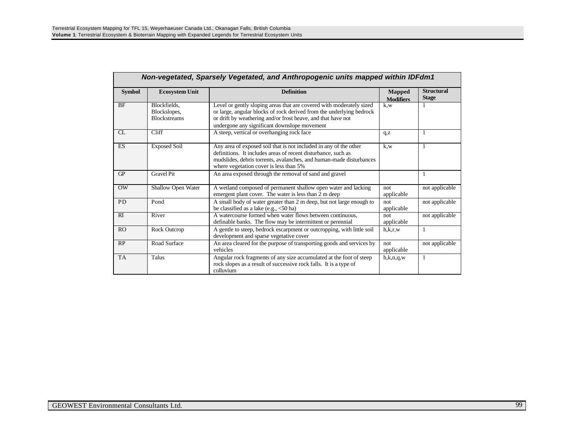| Non-vegetated, Sparsely Vegetated, and Anthropogenic units mapped within IDFdm1 |                                                     |                                                                                                                                                                                                                                                              |                                   |                                   |  |  |
|---------------------------------------------------------------------------------|-----------------------------------------------------|--------------------------------------------------------------------------------------------------------------------------------------------------------------------------------------------------------------------------------------------------------------|-----------------------------------|-----------------------------------|--|--|
| <b>Symbol</b>                                                                   | <b>Ecosystem Unit</b>                               | <b>Definition</b>                                                                                                                                                                                                                                            | <b>Mapped</b><br><b>Modifiers</b> | <b>Structural</b><br><b>Stage</b> |  |  |
| <b>BF</b>                                                                       | Blockfields.<br>Blockslopes,<br><b>Blockstreams</b> | Level or gently sloping areas that are covered with moderately sized<br>or large, angular blocks of rock derived from the underlying bedrock<br>or drift by weathering and/or frost heave, and that have not<br>undergone any significant downslope movement | k.w                               |                                   |  |  |
| $\sigma$                                                                        | Cliff                                               | A steep, vertical or overhanging rock face                                                                                                                                                                                                                   | q, z                              | 1                                 |  |  |
| ES                                                                              | <b>Exposed Soil</b>                                 | Any area of exposed soil that is not included in any of the other<br>definitions. It includes areas of recent disturbance, such as<br>mudslides, debris torrents, avalanches, and human-made disturbances<br>where vegetation cover is less than 5%          | k.w                               | -1                                |  |  |
| GP                                                                              | <b>Gravel Pit</b>                                   | An area exposed through the removal of sand and gravel                                                                                                                                                                                                       |                                   | 1                                 |  |  |
| OW                                                                              | Shallow Open Water                                  | A wetland composed of permanent shallow open water and lacking<br>emergent plant cover. The water is less than 2 m deep                                                                                                                                      | not<br>applicable                 | not applicable                    |  |  |
| <b>PD</b>                                                                       | Pond                                                | A small body of water greater than 2 m deep, but not large enough to<br>be classified as a lake (e.g., $\langle 50 \text{ ha} \rangle$ )                                                                                                                     | not.<br>applicable                | not applicable                    |  |  |
| RI                                                                              | River                                               | A watercourse formed when water flows between continuous,<br>definable banks. The flow may be intermittent or perennial                                                                                                                                      | not.<br>applicable                | not applicable                    |  |  |
| <b>RO</b>                                                                       | Rock Outcrop                                        | A gentle to steep, bedrock escarpment or outcropping, with little soil<br>development and sparse vegetative cover                                                                                                                                            | h,k,r,w                           | -1                                |  |  |
| RP                                                                              | Road Surface                                        | An area cleared for the purpose of transporting goods and services by<br>vehicles                                                                                                                                                                            | not<br>applicable                 | not applicable                    |  |  |
| <b>TA</b>                                                                       | <b>Talus</b>                                        | Angular rock fragments of any size accumulated at the foot of steep<br>rock slopes as a result of successive rock falls. It is a type of<br>colluvium                                                                                                        | h,k,n,q,w                         | 1                                 |  |  |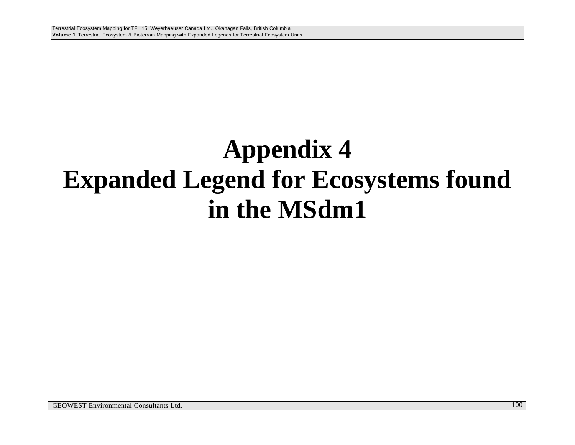## **Appendix 4 Expanded Legend for Ecosystems found in the MSdm1**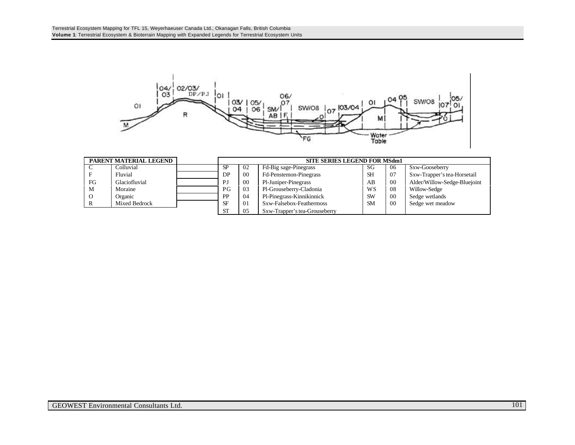

| PARENT MATERIAL LEGEND |               | <b>SITE SERIES LEGEND FOR MSdm1</b> |    |                               |           |     |                              |
|------------------------|---------------|-------------------------------------|----|-------------------------------|-----------|-----|------------------------------|
| C                      | Colluvial     | SP                                  | 02 | Fd-Big sage-Pinegrass         | SG        | 06  | Sxw-Gooseberry               |
|                        | Fluvial       | DP                                  | 00 | Fd-Penstemon-Pinegrass        | <b>SH</b> | -07 | Sxw-Trapper's tea-Horsetail  |
| FG                     | Glaciofluvial | PJ                                  | 00 | Pl-Juniper-Pinegrass          | AB        | -00 | Alder/Willow-Sedge-Bluejoint |
| M                      | Moraine       | PG                                  | 03 | Pl-Grouseberry-Cladonia       | WS        | 08  | Willow-Sedge                 |
| $\circ$                | Organic       | PP                                  | 04 | Pl-Pinegrass-Kinnikinnick     | <b>SW</b> | 00  | Sedge wetlands               |
| Mixed Bedrock<br>R     |               | SF                                  | 01 | Sxw-Falsebox-Feathermoss      | <b>SM</b> | -00 | Sedge wet meadow             |
|                        |               | <b>ST</b>                           | 05 | Sxw-Trapper's tea-Grouseberry |           |     |                              |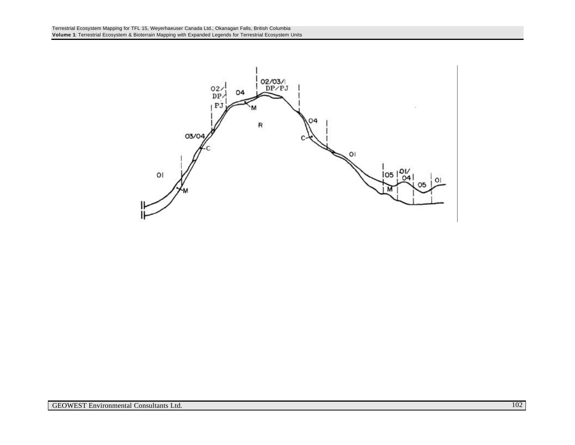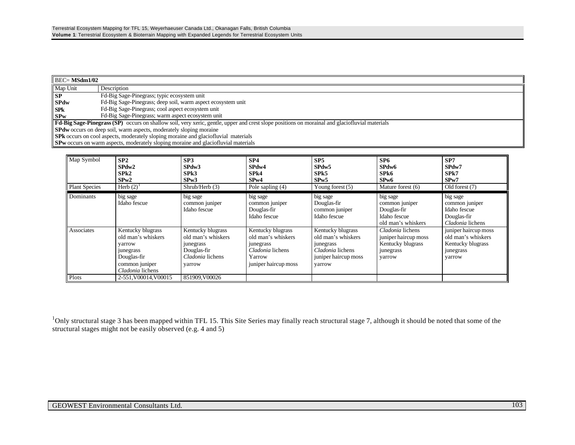| $\parallel$ BEC= MSdm1/02 |                                                                                                                                                       |  |  |  |  |
|---------------------------|-------------------------------------------------------------------------------------------------------------------------------------------------------|--|--|--|--|
| Map Unit                  | Description                                                                                                                                           |  |  |  |  |
| SP                        | Fd-Big Sage-Pinegrass; typic ecosystem unit                                                                                                           |  |  |  |  |
| <b>SPdw</b>               | Fd-Big Sage-Pinegrass; deep soil, warm aspect ecosystem unit                                                                                          |  |  |  |  |
| <b>SPk</b>                | Fd-Big Sage-Pinegrass; cool aspect ecosystem unit                                                                                                     |  |  |  |  |
| SPw                       | Fd-Big Sage-Pinegrass; warm aspect ecosystem unit                                                                                                     |  |  |  |  |
|                           | <b>Fd-Big Sage-Pinegrass (SP)</b> occurs on shallow soil, very xeric, gentle, upper and crest slope positions on morainal and glaciofluvial materials |  |  |  |  |
|                           | <b>SPdw</b> occurs on deep soil, warm aspects, moderately sloping moraine                                                                             |  |  |  |  |
|                           | <b>SPk</b> occurs on cool aspects, moderately sloping moraine and glaciofluvial materials                                                             |  |  |  |  |
|                           | <b>SPw</b> occurs on warm aspects, moderately sloping moraine and glaciofluvial materials                                                             |  |  |  |  |

| Map Symbol<br><b>Plant Species</b> | SP2<br>SPdw2<br>SPk2<br>SPw2<br>Herb $(2)$                                                                                 | SP3<br>SPdw3<br>SPk3<br>SPw3<br>Shrub/Herb $(3)$                                                  | SP4<br>SPdw4<br>SPk4<br>SPw4<br>Pole sapling (4)                                                           | SP5<br>SPdw5<br>SP <sub>k5</sub><br>SPw5<br>Young forest $(5)$                                             | SP <sub>6</sub><br>SPdw6<br>SPk6<br>SPw6<br>Mature forest (6)                        | SP7<br>SPdw7<br>SPk7<br>SPw7<br>Old forest (7)                                         |
|------------------------------------|----------------------------------------------------------------------------------------------------------------------------|---------------------------------------------------------------------------------------------------|------------------------------------------------------------------------------------------------------------|------------------------------------------------------------------------------------------------------------|--------------------------------------------------------------------------------------|----------------------------------------------------------------------------------------|
| Dominants                          | big sage<br>Idaho fescue                                                                                                   | big sage<br>common juniper<br>Idaho fescue                                                        | big sage<br>common juniper<br>Douglas-fir<br>Idaho fescue                                                  | big sage<br>Douglas-fir<br>common juniper<br>Idaho fescue                                                  | big sage<br>common juniper<br>Douglas-fir<br>Idaho fescue<br>old man's whiskers      | big sage<br>common juniper<br>Idaho fescue<br>Douglas-fir<br>Cladonia lichens          |
| Associates                         | Kentucky blugrass<br>old man's whiskers<br>varrow<br><i>junegrass</i><br>Douglas-fir<br>common juniper<br>Cladonia lichens | Kentucky blugrass<br>old man's whiskers<br>junegrass<br>Douglas-fir<br>Cladonia lichens<br>varrow | Kentucky blugrass<br>old man's whiskers<br>junegrass<br>Cladonia lichens<br>Yarrow<br>juniper haircup moss | Kentucky blugrass<br>old man's whiskers<br>junegrass<br>Cladonia lichens<br>juniper haircup moss<br>varrow | Cladonia lichens<br>juniper haircup moss<br>Kentucky blugrass<br>junegrass<br>varrow | juniper haircup moss<br>old man's whiskers<br>Kentucky blugrass<br>junegrass<br>varrow |
| Plots                              | 2-551.V00014.V00015                                                                                                        | 851909.V00026                                                                                     |                                                                                                            |                                                                                                            |                                                                                      |                                                                                        |

<sup>1</sup>Only structural stage 3 has been mapped within TFL 15. This Site Series may finally reach structural stage 7, although it should be noted that some of the structural stages might not be easily observed (e.g. 4 and 5)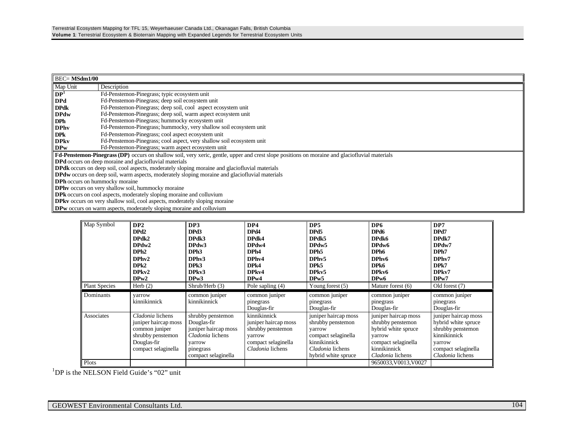| <b>BEC= MSdm1/00</b>                               |                                                                                                                                                |  |  |  |  |
|----------------------------------------------------|------------------------------------------------------------------------------------------------------------------------------------------------|--|--|--|--|
| Map Unit                                           | Description                                                                                                                                    |  |  |  |  |
| DP <sup>1</sup>                                    | Fd-Penstemon-Pinegrass; typic ecosystem unit                                                                                                   |  |  |  |  |
| <b>DPd</b>                                         | Fd-Penstemon-Pinegrass; deep soil ecosystem unit                                                                                               |  |  |  |  |
| <b>DPdk</b>                                        | Fd-Penstemon-Pinegrass; deep soil, cool aspect ecosystem unit                                                                                  |  |  |  |  |
| <b>DPdw</b>                                        | Fd-Penstemon-Pinegrass; deep soil, warm aspect ecosystem unit                                                                                  |  |  |  |  |
| <b>DPh</b>                                         | Fd-Penstemon-Pinegrass; hummocky ecosystem unit                                                                                                |  |  |  |  |
| <b>DPhy</b>                                        | Fd-Penstemon-Pinegrass; hummocky, very shallow soil ecosystem unit                                                                             |  |  |  |  |
| <b>DPk</b>                                         | Fd-Penstemon-Pinegrass; cool aspect ecosystem unit                                                                                             |  |  |  |  |
| <b>DPkv</b>                                        | Fd-Penstemon-Pinegrass; cool aspect, very shallow soil ecosystem unit                                                                          |  |  |  |  |
| <b>DPw</b>                                         | Fd-Penstemon-Pinegrass; warm aspect ecosystem unit                                                                                             |  |  |  |  |
|                                                    | Fd-Penstemon-Pinegrass (DP) occurs on shallow soil, very xeric, gentle, upper and crest slope positions on moraine and glaciofluvial materials |  |  |  |  |
|                                                    | <b>DPd</b> occurs on deep moraine and glaciofluvial materials                                                                                  |  |  |  |  |
|                                                    | <b>DPdk</b> occurs on deep soil, cool aspects, moderately sloping moraine and glaciofluvial materials                                          |  |  |  |  |
|                                                    | DPdw occurs on deep soil, warm aspects, moderately sloping moraine and glaciofluvial materials                                                 |  |  |  |  |
|                                                    | <b>DPh</b> occurs on hummocky moraine                                                                                                          |  |  |  |  |
| DPhv occurs on very shallow soil, hummocky moraine |                                                                                                                                                |  |  |  |  |
|                                                    | <b>DPk</b> occurs on cool aspects, moderately sloping moraine and colluvium                                                                    |  |  |  |  |
|                                                    | <b>DPkv</b> occurs on very shallow soil, cool aspects, moderately sloping moraine                                                              |  |  |  |  |
|                                                    | <b>DPw</b> occurs on warm aspects, moderately sloping moraine and colluvium                                                                    |  |  |  |  |

| Map Symbol<br><b>Plant Species</b> | DP <sub>2</sub><br>DPd2<br>DPdk2<br>DPdw2<br>DPh2<br>DPhv2<br>DPk2<br>DPkv2<br>DPw2<br>Herb $(2)$                     | DP3<br>DPd3<br>DPdk3<br>DPdw3<br>DPh <sub>3</sub><br>DPhv3<br>DPk3<br>DPkv3<br>DPw3<br>Shrub/Herb(3)                       | DP4<br>DPd4<br>DPdk4<br>DPdw4<br>DPh4<br>DPhy4<br>DPk4<br>DP <sub>kv4</sub><br>DPw4<br>Pole sapling $(4)$      | DP <sub>5</sub><br>DPd5<br>DPdk5<br>DPdw5<br>DPh <sub>5</sub><br>DPhv5<br>DPk5<br>DPkv5<br>DPw5<br>Young forest $(5)$                 | DP6<br>DPd6<br>DPdk6<br>DPdw6<br>DPh <sub>6</sub><br>DPhv6<br>DPk6<br>DPkv6<br>DP <sub>w</sub> 6<br>Mature forest (6)                 | DP7<br>DPd7<br>DPdk7<br>DPdw7<br>DPh7<br>DPhv7<br>DPk7<br>DPkv7<br>DPw7<br>Old forest (7)                                             |
|------------------------------------|-----------------------------------------------------------------------------------------------------------------------|----------------------------------------------------------------------------------------------------------------------------|----------------------------------------------------------------------------------------------------------------|---------------------------------------------------------------------------------------------------------------------------------------|---------------------------------------------------------------------------------------------------------------------------------------|---------------------------------------------------------------------------------------------------------------------------------------|
|                                    |                                                                                                                       |                                                                                                                            |                                                                                                                |                                                                                                                                       |                                                                                                                                       |                                                                                                                                       |
| Dominants                          | yarrow<br>kinnikinnick                                                                                                | common juniper<br>kinnikinnick                                                                                             | common juniper<br>pinegrass<br>Douglas-fir                                                                     | common juniper<br>pinegrass<br>Douglas-fir                                                                                            | common juniper<br>pinegrass<br>Douglas-fir                                                                                            | common juniper<br>pinegrass<br>Douglas-fir                                                                                            |
| Associates                         | Cladonia lichens<br>juniper haircap moss<br>common juniper<br>shrubby penstemon<br>Douglas-fir<br>compact selaginella | shrubby penstemon<br>Douglas-fir<br>juniper haircap moss<br>Cladonia lichens<br>varrow<br>pinegrass<br>compact selaginella | kinnikinnick<br>juniper haircap moss<br>shrubby penstemon<br>varrow<br>compact selaginella<br>Cladonia lichens | juniper haircap moss<br>shrubby penstemon<br>varrow<br>compact selaginella<br>kinnikinnick<br>Cladonia lichens<br>hybrid white spruce | juniper haircap moss<br>shrubby penstemon<br>hybrid white spruce<br>yarrow<br>compact selaginella<br>kinnikinnick<br>Cladonia lichens | juniper haircap moss<br>hybrid white spruce<br>shrubby penstemon<br>kinnikinnick<br>varrow<br>compact selaginella<br>Cladonia lichens |
| Plots                              |                                                                                                                       |                                                                                                                            |                                                                                                                |                                                                                                                                       | 9650033, V0013, V0027                                                                                                                 |                                                                                                                                       |

<sup>1</sup>DP is the NELSON Field Guide's "02" unit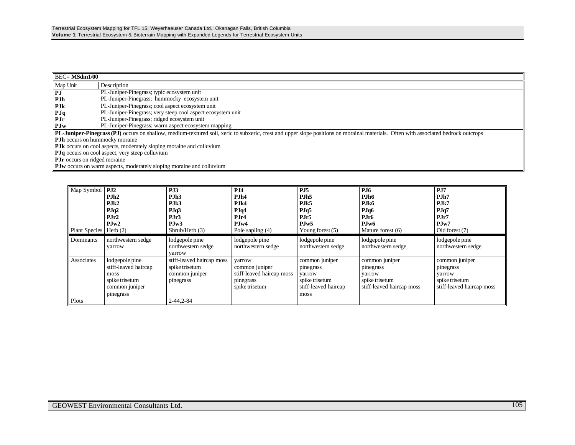| $\overline{BEC} = \overline{MSdm1/00}$                 |                                                                                                                                                                                     |  |  |  |  |
|--------------------------------------------------------|-------------------------------------------------------------------------------------------------------------------------------------------------------------------------------------|--|--|--|--|
| Map Unit                                               | Description                                                                                                                                                                         |  |  |  |  |
| PJ                                                     | PL-Juniper-Pinegrass; typic ecosystem unit                                                                                                                                          |  |  |  |  |
| PJh                                                    | PL-Juniper-Pinegrass; hummocky ecosystem unit                                                                                                                                       |  |  |  |  |
| <b>PJk</b>                                             | PL-Juniper-Pinegrass; cool aspect ecosystem unit                                                                                                                                    |  |  |  |  |
| Plq                                                    | PL-Juniper-Pinegrass; very steep cool aspect ecosystem unit                                                                                                                         |  |  |  |  |
| PJr                                                    | PL-Juniper-Pinegrass; ridged ecosystem unit                                                                                                                                         |  |  |  |  |
| PJw                                                    | PL-Juniper-Pinegrass; warm aspect ecosystem mapping                                                                                                                                 |  |  |  |  |
|                                                        | PL-Juniper-Pinegrass (PJ) occurs on shallow, medium-textured soil, xeric to subxeric, crest and upper slope positions on morainal materials. Often with associated bedrock outcrops |  |  |  |  |
| <b>PJh</b> occurs on hummocky moraine                  |                                                                                                                                                                                     |  |  |  |  |
|                                                        | <b>PJk</b> occurs on cool aspects, moderately sloping moraine and colluvium                                                                                                         |  |  |  |  |
| <b>PJq</b> occurs on cool aspect, very steep colluvium |                                                                                                                                                                                     |  |  |  |  |
| <b>PJr</b> occurs on ridged moraine                    |                                                                                                                                                                                     |  |  |  |  |
|                                                        | PJw occurs on warm aspects, moderately sloping moraine and colluvium                                                                                                                |  |  |  |  |

| Map Symbol           | PJ2<br>PJh2<br>P.Ik2<br>PJq2<br>PJr2<br>PJw2                                                    | PJ3<br>PJh3<br>PJk3<br>PJq3<br>PJr3<br>PJw3                                | PJ4<br>PJh4<br>PJk4<br>PJq4<br>PJr4<br>PJw4                                          | PJ5<br>PJh <sub>5</sub><br>PJk5<br>PJq5<br>PJr5<br>PJw5                                 | <b>PJ6</b><br>PJh6<br>PJk6<br>PJq6<br>PJr <sub>6</sub><br>PJw6                       | PJ7<br>PJh7<br>PJk7<br>PJq7<br>PJr7<br>PJw7                                          |
|----------------------|-------------------------------------------------------------------------------------------------|----------------------------------------------------------------------------|--------------------------------------------------------------------------------------|-----------------------------------------------------------------------------------------|--------------------------------------------------------------------------------------|--------------------------------------------------------------------------------------|
| <b>Plant Species</b> | Herb $(2)$                                                                                      | Shrub/Herb (3)                                                             | Pole sapling (4)                                                                     | Young forest $(5)$                                                                      | Mature forest (6)                                                                    | Old forest (7)                                                                       |
| Dominants            | northwestern sedge<br>yarrow                                                                    | lodgepole pine<br>northwestern sedge<br>varrow                             | lodgepole pine<br>northwestern sedge                                                 | lodgepole pine<br>northwestern sedge                                                    | lodgepole pine<br>northwestern sedge                                                 | lodgepole pine<br>northwestern sedge                                                 |
| Associates           | lodgepole pine<br>stiff-leaved haircap<br>moss<br>spike trisetum<br>common juniper<br>pinegrass | stiff-leaved haircap moss<br>spike trisetum<br>common juniper<br>pinegrass | varrow<br>common juniper<br>stiff-leaved haircap moss<br>pinegrass<br>spike trisetum | common juniper<br>pinegrass<br>varrow<br>spike trisetum<br>stiff-leaved haircap<br>moss | common juniper<br>pinegrass<br>varrow<br>spike trisetum<br>stiff-leaved haircap moss | common juniper<br>pinegrass<br>varrow<br>spike trisetum<br>stiff-leaved haircap moss |
| Plots                |                                                                                                 | $2 - 44, 2 - 84$                                                           |                                                                                      |                                                                                         |                                                                                      |                                                                                      |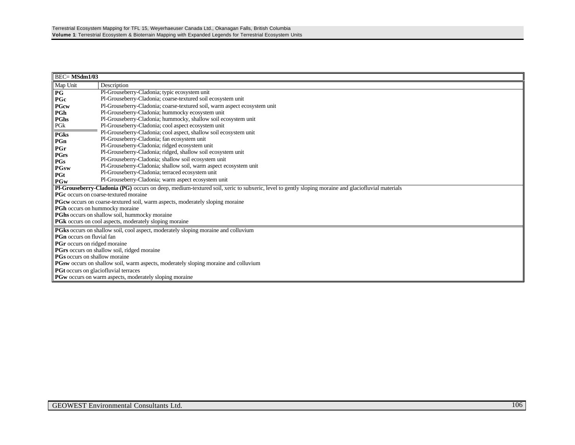| <b>BEC=MSdm1/03</b>                                |                                                                                                                                                   |  |  |  |  |  |
|----------------------------------------------------|---------------------------------------------------------------------------------------------------------------------------------------------------|--|--|--|--|--|
| Map Unit                                           | Description                                                                                                                                       |  |  |  |  |  |
| P G                                                | Pl-Grouseberry-Cladonia; typic ecosystem unit                                                                                                     |  |  |  |  |  |
| PGc                                                | Pl-Grouseberry-Cladonia; coarse-textured soil ecosystem unit                                                                                      |  |  |  |  |  |
| <b>PGcw</b>                                        | Pl-Grouseberry-Cladonia; coarse-textured soil, warm aspect ecosystem unit                                                                         |  |  |  |  |  |
| PGh                                                | Pl-Grouseberry-Cladonia; hummocky ecosystem unit                                                                                                  |  |  |  |  |  |
| PGhs                                               | Pl-Grouseberry-Cladonia; hummocky, shallow soil ecosystem unit                                                                                    |  |  |  |  |  |
| PGk                                                | Pl-Grouseberry-Cladonia; cool aspect ecosystem unit                                                                                               |  |  |  |  |  |
| <b>PGks</b>                                        | Pl-Grouseberry-Cladonia; cool aspect, shallow soil ecosystem unit                                                                                 |  |  |  |  |  |
| PGn                                                | Pl-Grouseberry-Cladonia; fan ecosystem unit                                                                                                       |  |  |  |  |  |
| PGr                                                | Pl-Grouseberry-Cladonia; ridged ecosystem unit                                                                                                    |  |  |  |  |  |
| PGrs                                               | Pl-Grouseberry-Cladonia; ridged, shallow soil ecosystem unit                                                                                      |  |  |  |  |  |
| PGs                                                | Pl-Grouseberry-Cladonia; shallow soil ecosystem unit                                                                                              |  |  |  |  |  |
| <b>PGsw</b>                                        | Pl-Grouseberry-Cladonia; shallow soil, warm aspect ecosystem unit                                                                                 |  |  |  |  |  |
| PGt                                                | Pl-Grouseberry-Cladonia; terraced ecosystem unit                                                                                                  |  |  |  |  |  |
| PGw                                                | Pl-Grouseberry-Cladonia; warm aspect ecosystem unit                                                                                               |  |  |  |  |  |
|                                                    | Pl-Grouseberry-Cladonia (PG) occurs on deep, medium-textured soil, xeric to subxeric, level to gently sloping moraine and glaciofluvial materials |  |  |  |  |  |
|                                                    | <b>PGc</b> occurs on coarse-textured moraine                                                                                                      |  |  |  |  |  |
|                                                    | PGcw occurs on coarse-textured soil, warm aspects, moderately sloping moraine                                                                     |  |  |  |  |  |
| <b>PGh</b> occurs on hummocky moraine              |                                                                                                                                                   |  |  |  |  |  |
|                                                    | <b>PGhs</b> occurs on shallow soil, hummocky moraine                                                                                              |  |  |  |  |  |
|                                                    | PGk occurs on cool aspects, moderately sloping moraine                                                                                            |  |  |  |  |  |
|                                                    | PGks occurs on shallow soil, cool aspect, moderately sloping moraine and colluvium                                                                |  |  |  |  |  |
| PGn occurs on fluvial fan                          |                                                                                                                                                   |  |  |  |  |  |
| <b>PGr</b> occurs on ridged moraine                |                                                                                                                                                   |  |  |  |  |  |
| <b>PGrs</b> occurs on shallow soil, ridged moraine |                                                                                                                                                   |  |  |  |  |  |
|                                                    | <b>PGs</b> occurs on shallow moraine                                                                                                              |  |  |  |  |  |
|                                                    | <b>PGsw</b> occurs on shallow soil, warm aspects, moderately sloping moraine and colluvium                                                        |  |  |  |  |  |
| <b>PGt</b> occurs on glaciofluvial terraces        |                                                                                                                                                   |  |  |  |  |  |
|                                                    | PGw occurs on warm aspects, moderately sloping moraine                                                                                            |  |  |  |  |  |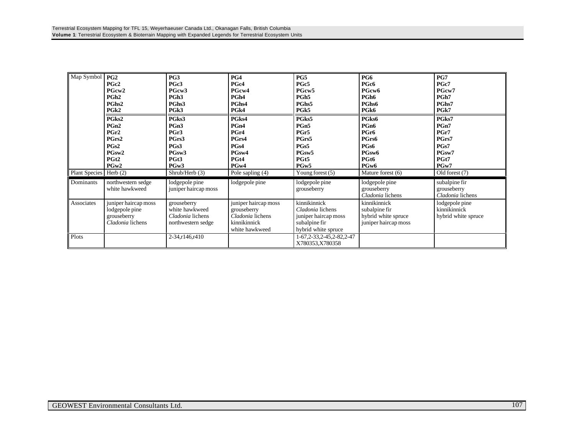| Map Symbol               | PG2<br>PGc2<br>PGcw <sub>2</sub><br>PGh <sub>2</sub><br>PGhs2<br>PG <sub>k2</sub><br>PGks2<br>PGn <sub>2</sub><br>PGr2<br>PGrs2<br>PGs2<br>PGsw2<br>PGt <sub>2</sub><br>PGw2 | PG3<br>PGc3<br>PGcw3<br>PGh <sub>3</sub><br>PGhs3<br>PG <sub>k</sub> 3<br>PGks3<br>PGn3<br>PGr3<br>PGrs3<br>PGs3<br>PGsw <sub>3</sub><br>PGt3<br>PGw3 | PG4<br>PGc4<br>PGcw4<br>PGh <sub>4</sub><br>PGhs4<br>PG <sub>k4</sub><br>PGks4<br>PGn4<br>PGr4<br>PGrs4<br>PGs4<br>PGsw4<br>PGt4<br>PGw4 | PG5<br>PGc5<br>PGcw5<br>PGh <sub>5</sub><br>PGhs5<br>PG <sub>k5</sub><br>PGks5<br>PGn5<br>PGr5<br>PGrs5<br>PGs5<br>PGsw5<br>PGt5<br>PGw5 | PG6<br>PGc6<br>PGcw6<br>PGh <sub>6</sub><br>PGhs6<br>PGk6<br>PGks6<br>PGn6<br>PGr6<br>PGrs6<br>PGs6<br>PGsw6<br>PGt6<br>PGw6 | PG7<br>PGc7<br>PGcw7<br>PGh7<br>PGhs7<br>PGk7<br>PGks7<br>PGn7<br>PGr7<br>PGrs7<br>PGs7<br>PGsw7<br>PGt7<br>PGw7 |
|--------------------------|------------------------------------------------------------------------------------------------------------------------------------------------------------------------------|-------------------------------------------------------------------------------------------------------------------------------------------------------|------------------------------------------------------------------------------------------------------------------------------------------|------------------------------------------------------------------------------------------------------------------------------------------|------------------------------------------------------------------------------------------------------------------------------|------------------------------------------------------------------------------------------------------------------|
| Plant Species   Herb (2) |                                                                                                                                                                              | Shrub/Herb $(3)$                                                                                                                                      | Pole sapling (4)                                                                                                                         | Young forest $(5)$                                                                                                                       | Mature forest (6)                                                                                                            | Old forest (7)                                                                                                   |
| Dominants                | northwestern sedge<br>white hawkweed                                                                                                                                         | lodgepole pine<br>juniper haircap moss                                                                                                                | lodgepole pine                                                                                                                           | lodgepole pine<br>grouseberry                                                                                                            | lodgepole pine<br>grouseberry<br>Cladonia lichens                                                                            | subalpine fir<br>grouseberry<br>Cladonia lichens                                                                 |
| Associates               | juniper haircap moss<br>lodgepole pine<br>grouseberry<br>Cladonia lichens                                                                                                    | grouseberry<br>white hawkweed<br>Cladonia lichens<br>northwestern sedge                                                                               | juniper haircap moss<br>grouseberry<br>Cladonia lichens<br>kinnikinnick<br>white hawkweed                                                | kinnikinnick<br>Cladonia lichens<br>juniper haircap moss<br>subalpine fir<br>hybrid white spruce                                         | kinnikinnick<br>subalpine fir<br>hybrid white spruce<br>juniper haircap moss                                                 | lodgepole pine<br>kinnikinnick<br>hybrid white spruce                                                            |
| Plots                    |                                                                                                                                                                              | 2-34, r146, r410                                                                                                                                      |                                                                                                                                          | 1-67, 2-33, 2-45, 2-82, 2-47<br>X780353,X780358                                                                                          |                                                                                                                              |                                                                                                                  |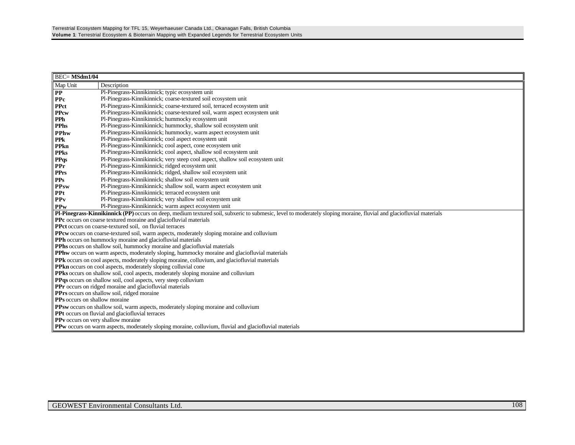| <b>BEC=MSdm1/04</b>                       |                                                                                                                                                                            |  |  |  |  |  |
|-------------------------------------------|----------------------------------------------------------------------------------------------------------------------------------------------------------------------------|--|--|--|--|--|
| Map Unit                                  | Description                                                                                                                                                                |  |  |  |  |  |
| $\bf PP$                                  | Pl-Pinegrass-Kinnikinnick; typic ecosystem unit                                                                                                                            |  |  |  |  |  |
| <b>PPc</b>                                | Pl-Pinegrass-Kinnikinnick; coarse-textured soil ecosystem unit                                                                                                             |  |  |  |  |  |
| <b>PPct</b>                               | Pl-Pinegrass-Kinnikinnick; coarse-textured soil, terraced ecosystem unit                                                                                                   |  |  |  |  |  |
| <b>PPcw</b>                               | Pl-Pinegrass-Kinnikinnick; coarse-textured soil, warm aspect ecosystem unit                                                                                                |  |  |  |  |  |
| <b>PPh</b>                                | Pl-Pinegrass-Kinnikinnick; hummocky ecosystem unit                                                                                                                         |  |  |  |  |  |
| <b>PPhs</b>                               | Pl-Pinegrass-Kinnikinnick; hummocky, shallow soil ecosystem unit                                                                                                           |  |  |  |  |  |
| <b>PPhw</b>                               | Pl-Pinegrass-Kinnikinnick; hummocky, warm aspect ecosystem unit                                                                                                            |  |  |  |  |  |
| <b>PPk</b>                                | Pl-Pinegrass-Kinnikinnick; cool aspect ecosystem unit                                                                                                                      |  |  |  |  |  |
| <b>PPkn</b>                               | Pl-Pinegrass-Kinnikinnick; cool aspect, cone ecosystem unit                                                                                                                |  |  |  |  |  |
| <b>PPks</b>                               | Pl-Pinegrass-Kinnikinnick; cool aspect, shallow soil ecosystem unit                                                                                                        |  |  |  |  |  |
| <b>PPqs</b>                               | Pl-Pinegrass-Kinnikinnick; very steep cool aspect, shallow soil ecosystem unit                                                                                             |  |  |  |  |  |
| PPr                                       | Pl-Pinegrass-Kinnikinnick; ridged ecosystem unit                                                                                                                           |  |  |  |  |  |
| <b>PPrs</b>                               | Pl-Pinegrass-Kinnikinnick; ridged, shallow soil ecosystem unit                                                                                                             |  |  |  |  |  |
| <b>PPs</b>                                | Pl-Pinegrass-Kinnikinnick; shallow soil ecosystem unit                                                                                                                     |  |  |  |  |  |
| <b>PPsw</b>                               | Pl-Pinegrass-Kinnikinnick; shallow soil, warm aspect ecosystem unit                                                                                                        |  |  |  |  |  |
| <b>PPt</b>                                | Pl-Pinegrass-Kinnikinnick; terraced ecosystem unit                                                                                                                         |  |  |  |  |  |
| PPv                                       | Pl-Pinegrass-Kinnikinnick; very shallow soil ecosystem unit                                                                                                                |  |  |  |  |  |
| <b>PPw</b>                                | Pl-Pinegrass-Kinnikinnick; warm aspect ecosystem unit                                                                                                                      |  |  |  |  |  |
|                                           | Pl-Pinegrass-Kinnikinnick (PP) occurs on deep, medium textured soil, subxeric to submesic, level to moderately sloping moraine, fluvial and glaciofluvial materials        |  |  |  |  |  |
|                                           | PPc occurs on coarse textured moraine and glaciofluvial materials<br>PPct occurs on coarse-textured soil, on fluvial terraces                                              |  |  |  |  |  |
|                                           |                                                                                                                                                                            |  |  |  |  |  |
|                                           | PPcw occurs on coarse-textured soil, warm aspects, moderately sloping moraine and colluvium                                                                                |  |  |  |  |  |
|                                           | PPh occurs on hummocky moraine and glaciofluvial materials                                                                                                                 |  |  |  |  |  |
|                                           | PPhs occurs on shallow soil, hummocky moraine and glaciofluvial materials<br>PPhw occurs on warm aspects, moderately sloping, hummocky moraine and glaciofluvial materials |  |  |  |  |  |
|                                           | PPk occurs on cool aspects, moderately sloping moraine, colluvium, and glaciofluvial materials                                                                             |  |  |  |  |  |
|                                           | <b>PPkn</b> occurs on cool aspects, moderately sloping colluvial cone                                                                                                      |  |  |  |  |  |
|                                           | <b>PPks</b> occurs on shallow soil, cool aspects, moderately sloping moraine and colluvium                                                                                 |  |  |  |  |  |
|                                           | PPqs occurs on shallow soil, cool aspects, very steep colluvium                                                                                                            |  |  |  |  |  |
|                                           | <b>PPr</b> occurs on ridged moraine and glaciofluvial materials                                                                                                            |  |  |  |  |  |
|                                           | <b>PPrs</b> occurs on shallow soil, ridged moraine                                                                                                                         |  |  |  |  |  |
|                                           | PPs occurs on shallow moraine                                                                                                                                              |  |  |  |  |  |
|                                           | PPsw occurs on shallow soil, warm aspects, moderately sloping moraine and colluvium                                                                                        |  |  |  |  |  |
|                                           | PPt occurs on fluvial and glaciofluvial terraces                                                                                                                           |  |  |  |  |  |
| <b>PPv</b> occurs on very shallow moraine |                                                                                                                                                                            |  |  |  |  |  |
|                                           | <b>PPw</b> occurs on warm aspects, moderately sloping moraine, colluvium, fluvial and glaciofluvial materials                                                              |  |  |  |  |  |
|                                           |                                                                                                                                                                            |  |  |  |  |  |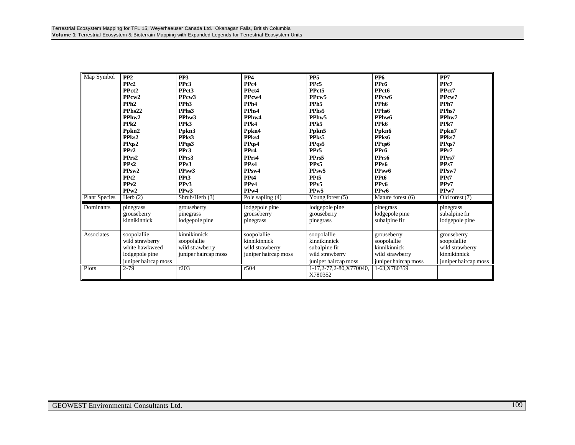| Map Symbol<br><b>Plant Species</b> | PP <sub>2</sub><br>PPc <sub>2</sub><br>PPct <sub>2</sub><br>PPcw <sub>2</sub><br>PPh <sub>2</sub><br>PPhs <sub>22</sub><br>PPhw2<br>PPk <sub>2</sub><br>Ppkn2<br>PPks2<br>PPqs2<br>PPr2<br>PPrs2<br>PPs2<br>PP <sub>sw</sub> 2<br>PP <sub>t2</sub><br>PPv2<br>PPw2<br>Herb $(2)$ | PP <sub>3</sub><br>PPc <sub>3</sub><br>PPct <sub>3</sub><br>PPcw3<br>PPh <sub>3</sub><br>PPhs3<br>PPhw3<br>PP <sub>k3</sub><br>Ppkn3<br>PPks3<br>PPqs3<br>PPr3<br>PPrs3<br>PPs3<br>PPsw <sub>3</sub><br>PPt <sub>3</sub><br>PP <sub>v</sub> 3<br>PP <sub>w</sub> 3<br>Shrub/Herb (3) | PP <sub>4</sub><br>PP <sub>c4</sub><br>PPct4<br>PPcw4<br>PPh <sub>4</sub><br>PPhs4<br>PPhw4<br>PPk4<br>Ppkn4<br>PPks4<br>PPqs4<br>PPr4<br>PPrs4<br>PP <sub>s4</sub><br>PP <sub>sw</sub> 4<br>PPt4<br>PP <sub>v4</sub><br>PP <sub>w</sub> 4<br>Pole sapling (4) | PP <sub>5</sub><br>PPc5<br>PPct5<br>PPcw <sub>5</sub><br>PPh <sub>5</sub><br>PPhs5<br>PPhw5<br>PP <sub>k5</sub><br>Ppkn5<br>PPks5<br>PPqs5<br>PPr <sub>5</sub><br>PPrs5<br>PPs5<br>PPsw <sub>5</sub><br>PPt5<br>PP <sub>v5</sub><br>PP <sub>w</sub> 5<br>Young forest $(5)$ | <b>PP6</b><br>PPc6<br>PPct6<br>PPcw <sub>6</sub><br>PPh6<br>PPhs6<br>PPhw6<br>PPk6<br>Ppkn6<br>PPks6<br>PPqs6<br>PPr6<br>PPrs6<br>PP <sub>s6</sub><br>PPsw <sub>6</sub><br>PPt6<br>PP <sub>v6</sub><br>PP <sub>w</sub> 6<br>Mature forest (6) | PP7<br>PP <sub>c</sub> 7<br>PPct7<br>PPcw7<br>PPh7<br>PPhs7<br>PPhw7<br>PPk7<br>Ppkn7<br>PPks7<br>PPqs7<br>PPr7<br>PPrs7<br>PPs7<br>PPsw7<br>PPt7<br>PP <sub>v</sub> 7<br>PP <sub>w</sub> 7<br>Old forest (7) |
|------------------------------------|----------------------------------------------------------------------------------------------------------------------------------------------------------------------------------------------------------------------------------------------------------------------------------|--------------------------------------------------------------------------------------------------------------------------------------------------------------------------------------------------------------------------------------------------------------------------------------|----------------------------------------------------------------------------------------------------------------------------------------------------------------------------------------------------------------------------------------------------------------|-----------------------------------------------------------------------------------------------------------------------------------------------------------------------------------------------------------------------------------------------------------------------------|-----------------------------------------------------------------------------------------------------------------------------------------------------------------------------------------------------------------------------------------------|---------------------------------------------------------------------------------------------------------------------------------------------------------------------------------------------------------------|
| Dominants                          | pinegrass<br>grouseberry<br>kinnikinnick                                                                                                                                                                                                                                         | grouseberry<br>pinegrass<br>lodgepole pine                                                                                                                                                                                                                                           | lodgepole pine<br>grouseberry<br>pinegrass                                                                                                                                                                                                                     | lodgepole pine<br>grouseberry<br>pinegrass                                                                                                                                                                                                                                  | pinegrass<br>lodgepole pine<br>subalpine fir                                                                                                                                                                                                  | pinegrass<br>subalpine fir<br>lodgepole pine                                                                                                                                                                  |
| Associates                         | soopolallie<br>wild strawberry<br>white hawkweed<br>lodgepole pine<br>juniper haircap moss                                                                                                                                                                                       | kinnikinnick<br>soopolallie<br>wild strawberry<br>juniper haircap moss                                                                                                                                                                                                               | soopolallie<br>kinnikinnick<br>wild strawberry<br>juniper haircap moss                                                                                                                                                                                         | soopolallie<br>kinnikinnick<br>subalpine fir<br>wild strawberry<br>juniper haircap moss                                                                                                                                                                                     | grouseberry<br>soopolallie<br>kinnikinnick<br>wild strawberry<br>juniper haircap moss                                                                                                                                                         | grouseberry<br>soopolallie<br>wild strawberry<br>kinnikinnick<br>juniper haircap moss                                                                                                                         |
| Plots                              | $2 - 79$                                                                                                                                                                                                                                                                         | r203                                                                                                                                                                                                                                                                                 | r504                                                                                                                                                                                                                                                           | 1-17,2-77,2-80,X770040,<br>X780352                                                                                                                                                                                                                                          | 1-63.X780359                                                                                                                                                                                                                                  |                                                                                                                                                                                                               |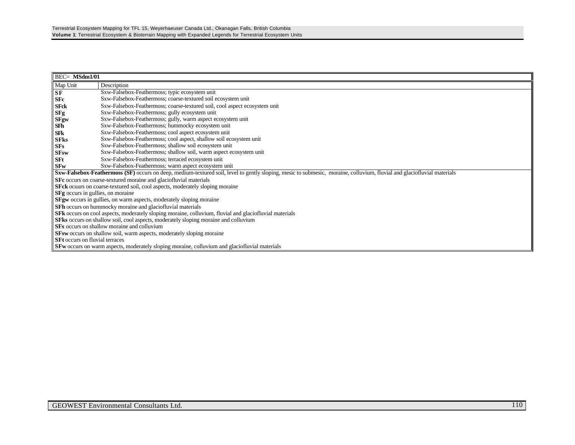| BEC= MSdm1/01                                                                                          |                                                                                                                                                                                |  |  |  |  |
|--------------------------------------------------------------------------------------------------------|--------------------------------------------------------------------------------------------------------------------------------------------------------------------------------|--|--|--|--|
| Map Unit                                                                                               | Description                                                                                                                                                                    |  |  |  |  |
| <b>SF</b>                                                                                              | Sxw-Falsebox-Feathermoss; typic ecosystem unit                                                                                                                                 |  |  |  |  |
| <b>SFc</b>                                                                                             | Sxw-Falsebox-Feathermoss; coarse-textured soil ecosystem unit                                                                                                                  |  |  |  |  |
| <b>SFck</b>                                                                                            | Sxw-Falsebox-Feathermoss; coarse-textured soil, cool aspect ecosystem unit                                                                                                     |  |  |  |  |
| <b>SFg</b>                                                                                             | Sxw-Falsebox-Feathermoss; gully ecosystem unit                                                                                                                                 |  |  |  |  |
| SFgw                                                                                                   | Sxw-Falsebox-Feathermoss; gully, warm aspect ecosystem unit                                                                                                                    |  |  |  |  |
| SFh                                                                                                    | Sxw-Falsebox-Feathermoss; hummocky ecosystem unit                                                                                                                              |  |  |  |  |
| <b>SFk</b>                                                                                             | Sxw-Falsebox-Feathermoss; cool aspect ecosystem unit                                                                                                                           |  |  |  |  |
| <b>SFks</b>                                                                                            | Sxw-Falsebox-Feathermoss; cool aspect, shallow soil ecosystem unit                                                                                                             |  |  |  |  |
| <b>SFs</b>                                                                                             | Sxw-Falsebox-Feathermoss; shallow soil ecosystem unit                                                                                                                          |  |  |  |  |
| <b>SFsw</b>                                                                                            | Sxw-Falsebox-Feathermoss; shallow soil, warm aspect ecosystem unit                                                                                                             |  |  |  |  |
| <b>SFt</b>                                                                                             | Sxw-Falsebox-Feathermoss; terraced ecosystem unit                                                                                                                              |  |  |  |  |
| <b>SFw</b>                                                                                             | Sxw-Falsebox-Feathermoss; warm aspect ecosystem unit                                                                                                                           |  |  |  |  |
|                                                                                                        | <b>Sxw-Falsebox-Feathermoss (SF)</b> occurs on deep, medium-textured soil, level to gently sloping, mesic to submesic, moraine, colluvium, fluvial and glaciofluvial materials |  |  |  |  |
|                                                                                                        | SFc occurs on coarse-textured moraine and glaciofluvial materials                                                                                                              |  |  |  |  |
|                                                                                                        | <b>SFck</b> ocuurs on coarse-textured soil, cool aspects, moderately sloping moraine                                                                                           |  |  |  |  |
| <b>SFg</b> occurs in gullies, on moraine                                                               |                                                                                                                                                                                |  |  |  |  |
|                                                                                                        | <b>SFgw</b> occurs in gullies, on warm aspects, moderately sloping moraine                                                                                                     |  |  |  |  |
|                                                                                                        | SFh occurs on hummocky moraine and glaciofluvial materials                                                                                                                     |  |  |  |  |
| SFk occurs on cool aspects, moderately sloping moraine, colluvium, fluvial and glaciofluvial materials |                                                                                                                                                                                |  |  |  |  |
| <b>SFks</b> occurs on shallow soil, cool aspects, moderately sloping moraine and colluvium             |                                                                                                                                                                                |  |  |  |  |
|                                                                                                        | <b>SFs</b> occurs on shallow moraine and colluvium                                                                                                                             |  |  |  |  |
|                                                                                                        | SFsw occurs on shallow soil, warm aspects, moderately sloping moraine                                                                                                          |  |  |  |  |
| <b>SFt</b> occurs on fluvial terraces                                                                  |                                                                                                                                                                                |  |  |  |  |
|                                                                                                        | <b>SFw</b> occurs on warm aspects, moderately sloping moraine, colluvium and glaciofluvial materials                                                                           |  |  |  |  |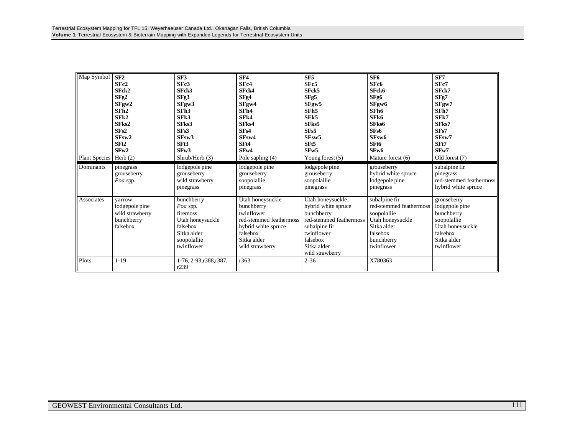| Map Symbol    | SF2              | SF3                       | SF <sub>4</sub>         | SF <sub>5</sub>         | SF6                      | SF7                     |
|---------------|------------------|---------------------------|-------------------------|-------------------------|--------------------------|-------------------------|
|               | SFc2             | SFc3                      | SFc4                    | SFc5                    | SFc6                     | SFc7                    |
|               | SFck2            | SFck3                     | SFck4                   | SFck5                   | SFck6                    | SFck7                   |
|               | SFg2             | SFg3                      | SFg4                    | SFg5                    | SFg6                     | SFg7                    |
|               | SFgw2            | SFgw3                     | SFgw4                   | SFgw5                   | SFgw6                    | SFgw7                   |
|               | SFh <sub>2</sub> | SFh3                      | SFh4                    | SF <sub>h5</sub>        | SFh <sub>6</sub>         | SFh7                    |
|               | SFR2             | SF <sub>k3</sub>          | SF <sub>k4</sub>        | SF <sub>k5</sub>        | SFk6                     | SFk7                    |
|               | SFks2            | SFks3                     | SFks4                   | SFks5                   | SFks6                    | SFks7                   |
|               | SFs2             | SF <sub>s3</sub>          | SF <sub>s4</sub>        | SF <sub>s5</sub>        | SFs6                     | SFs7                    |
|               | SFsw2            | SF <sub>sw</sub> 3        | SFsw4                   | SF <sub>sw</sub> 5      | SFsw6                    | SFsw7                   |
|               | SF <sub>t2</sub> | SFt3                      | SF <sub>t4</sub>        | SF <sub>t5</sub>        | SF <sub>t6</sub>         | SFt7                    |
|               | SFw2             | SFw3                      | SF <sub>w4</sub>        | SF <sub>w</sub> 5       | SF <sub>w</sub> 6        | SF <sub>w</sub> 7       |
| Plant Species | Herb $(2)$       | Shrub/Herb (3)            | Pole sapling (4)        | Young forest (5)        | Mature forest (6)        | Old forest (7)          |
| Dominants     | pinegrass        | lodgepole pine            | lodgepole pine          | lodgepole pine          | grouseberry              | subalpine fir           |
|               | grouseberry      | grouseberry               | grouseberry             | grouseberry             | hybrid white spruce      | pinegrass               |
|               | Poa spp.         | wild strawberry           | soopolallie             | soopolallie             | lodgepole pine           | red-stemmed feathermoss |
|               |                  | pinegrass                 | pinegrass               | pinegrass               | pinegrass                | hybrid white spruce     |
| Associates    | varrow           | bunchberry                | Utah honeysuckle        | Utah honeysuckle        | subalpine fir            | grouseberry             |
|               | lodgepole pine   | Poa spp.                  | bunchberry              | hybrid white spruce     | red-stemmed feathermoss  | lodgepole pine          |
|               | wild strawberry  | firemoss                  | twinflower              | bunchberry              | soopolallie              | bunchberry              |
|               | bunchberry       | Utah honeysuckle          | red-stemmed feathermoss | red-stemmed feathermoss | Utah honeysuckle         | soopolallie             |
|               | falsebox         | falsebox                  | hybrid white spruce     | subalpine fir           | Sitka alder              | Utah honeysuckle        |
|               |                  | Sitka alder               | falsebox                | twinflower              | falsebox                 | falsebox                |
|               |                  |                           | Sitka alder             | falsebox                |                          | Sitka alder             |
|               |                  | soopolallie<br>twinflower |                         | Sitka alder             | bunchberry<br>twinflower | twinflower              |
|               |                  |                           | wild strawberry         |                         |                          |                         |
|               |                  |                           |                         | wild strawberry         |                          |                         |
| Plots         | $1 - 19$         | 1-76, 2-93, r388, r387,   | r363                    | $2 - 36$                | X780363                  |                         |
|               |                  | r239                      |                         |                         |                          |                         |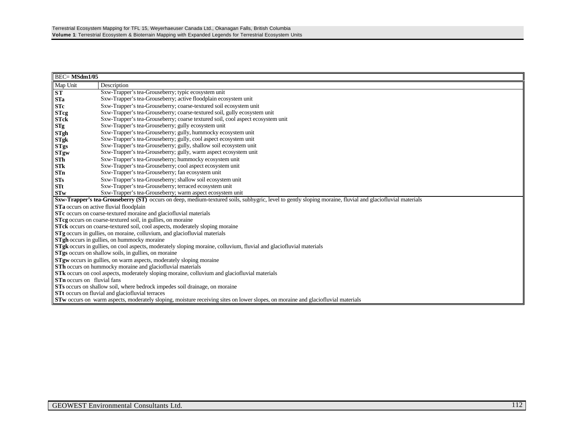| <b>BEC=MSdm1/05</b>                                                                                                                       |                                                                                                                                                                  |  |  |  |
|-------------------------------------------------------------------------------------------------------------------------------------------|------------------------------------------------------------------------------------------------------------------------------------------------------------------|--|--|--|
| Map Unit                                                                                                                                  | Description                                                                                                                                                      |  |  |  |
| ST                                                                                                                                        | Sxw-Trapper's tea-Grouseberry; typic ecosystem unit                                                                                                              |  |  |  |
| <b>STa</b>                                                                                                                                | Sxw-Trapper's tea-Grouseberry; active floodplain ecosystem unit                                                                                                  |  |  |  |
| <b>STc</b>                                                                                                                                | Sxw-Trapper's tea-Grouseberry; coarse-textured soil ecosystem unit                                                                                               |  |  |  |
| <b>STcg</b>                                                                                                                               | Sxw-Trapper's tea-Grouseberry; coarse-textured soil, gully ecosystem unit                                                                                        |  |  |  |
| <b>STck</b>                                                                                                                               | Sxw-Trapper's tea-Grouseberry; coarse textured soil, cool aspect ecosystem unit                                                                                  |  |  |  |
| STg                                                                                                                                       | Sxw-Trapper's tea-Grouseberry; gully ecosystem unit                                                                                                              |  |  |  |
| <b>STgh</b>                                                                                                                               | Sxw-Trapper's tea-Grouseberry; gully, hummocky ecosystem unit                                                                                                    |  |  |  |
| <b>STgk</b>                                                                                                                               | Sxw-Trapper's tea-Grouseberry; gully, cool aspect ecosystem unit                                                                                                 |  |  |  |
| <b>STgs</b>                                                                                                                               | Sxw-Trapper's tea-Grouseberry; gully, shallow soil ecosystem unit                                                                                                |  |  |  |
| <b>STgw</b>                                                                                                                               | Sxw-Trapper's tea-Grouseberry; gully, warm aspect ecosystem unit                                                                                                 |  |  |  |
| ${\bf S} {\bf Th}$                                                                                                                        | Sxw-Trapper's tea-Grouseberry; hummocky ecosystem unit                                                                                                           |  |  |  |
| STk                                                                                                                                       | Sxw-Trapper's tea-Grouseberry; cool aspect ecosystem unit                                                                                                        |  |  |  |
| STn                                                                                                                                       | Sxw-Trapper's tea-Grouseberry; fan ecosystem unit                                                                                                                |  |  |  |
| ${\bf STs}$                                                                                                                               | Sxw-Trapper's tea-Grouseberry; shallow soil ecosystem unit                                                                                                       |  |  |  |
| STt                                                                                                                                       | Sxw-Trapper's tea-Grouseberry; terraced ecosystem unit                                                                                                           |  |  |  |
| <b>STw</b>                                                                                                                                | Sxw-Trapper's tea-Grouseberry; warm aspect ecosystem unit                                                                                                        |  |  |  |
|                                                                                                                                           | <b>Sxw-Trapper's tea-Grouseberry (ST)</b> occurs on deep, medium-textured soils, subhygric, level to gently sloping moraine, fluvial and glaciofluvial materials |  |  |  |
|                                                                                                                                           | STa occurs on active fluvial floodplain                                                                                                                          |  |  |  |
| STc occurs on coarse-textured moraine and glaciofluvial materials                                                                         |                                                                                                                                                                  |  |  |  |
| <b>STcg</b> occurs on coarse-textured soil, in gullies, on moraine                                                                        |                                                                                                                                                                  |  |  |  |
| STck occurs on coarse-textured soil, cool aspects, moderately sloping moraine                                                             |                                                                                                                                                                  |  |  |  |
|                                                                                                                                           | STg occurs in gullies, on moraine, colluvium, and glaciofluvial materials                                                                                        |  |  |  |
|                                                                                                                                           | <b>STgh</b> occurs in gullies, on hummocky moraine                                                                                                               |  |  |  |
|                                                                                                                                           | STgk occurs in gullies, on cool aspects, moderately sloping moraine, colluvium, fluvial and glaciofluvial materials                                              |  |  |  |
|                                                                                                                                           | <b>STgs</b> occurs on shallow soils, in gullies, on moraine                                                                                                      |  |  |  |
|                                                                                                                                           | <b>STgw</b> occurs in gullies, on warm aspects, moderately sloping moraine<br>STh occurs on hummocky moraine and glaciofluvial materials                         |  |  |  |
|                                                                                                                                           |                                                                                                                                                                  |  |  |  |
| <b>STK</b> occurs on cool aspects, moderately sloping moraine, colluvium and glaciofluvial materials<br><b>STn</b> occurs on fluvial fans |                                                                                                                                                                  |  |  |  |
|                                                                                                                                           |                                                                                                                                                                  |  |  |  |
| STs occurs on shallow soil, where bedrock impedes soil drainage, on moraine                                                               |                                                                                                                                                                  |  |  |  |
|                                                                                                                                           | <b>STt</b> occurs on fluvial and glaciofluvial terraces                                                                                                          |  |  |  |
|                                                                                                                                           | <b>STw</b> occurs on warm aspects, moderately sloping, moisture receiving sites on lower slopes, on moraine and glaciofluvial materials                          |  |  |  |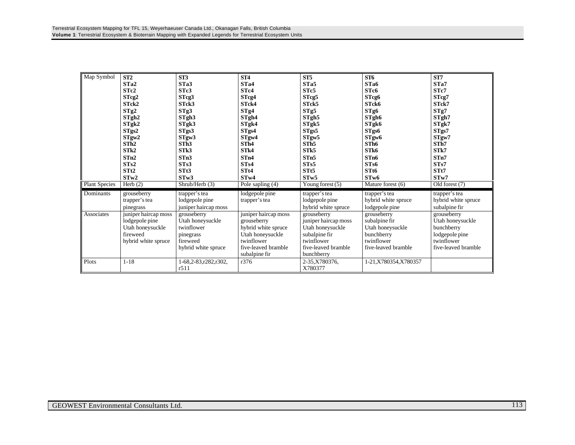| Map Symbol           | ST2                  | ST3                  | ST4                  | ST5                  | ST <sub>6</sub>        | ST7                 |
|----------------------|----------------------|----------------------|----------------------|----------------------|------------------------|---------------------|
|                      | ST <sub>a</sub> 2    | ST <sub>a</sub> 3    | STa4                 | STa5                 | STa6                   | ST <sub>a</sub> 7   |
|                      | STc2                 | STc3                 | ST <sub>c4</sub>     | STc5                 | STc6                   | ST <sub>c</sub> 7   |
|                      | STcg2                | STcg3                | STcg4                | STcg5                | STcg6                  | STcg7               |
|                      | STck2                | STck3                | ST <sub>ck4</sub>    | STck5                | STck6                  | STck7               |
|                      | STg2                 | STg3                 | STg4                 | STg5                 | STg6                   | STg7                |
|                      | STgh <sub>2</sub>    | STgh <sub>3</sub>    | STgh4                | STgh5                | STgh <sub>6</sub>      | STgh7               |
|                      | STgk2                | STgk3                | STgk4                | STgk5                | STgk6                  | STgk7               |
|                      | STgs2                | STgs3                | STgs4                | STgs5                | STgs6                  | STgs7               |
|                      | STgw2                | STgw3                | STgw4                | STgw5                | STgw <sub>6</sub>      | STgw7               |
|                      | STh2                 | STh3                 | STh4                 | STh <sub>5</sub>     | STh <sub>6</sub>       | STh7                |
|                      | STk2                 | STk3                 | STk4                 | STk5                 | STk6                   | STk7                |
|                      | STn2                 | STn3                 | STn4                 | ST <sub>n5</sub>     | ST <sub>n6</sub>       | STn7                |
|                      | STs2                 | STs3                 | STs4                 | STs5                 | ST <sub>s6</sub>       | STs7                |
|                      | STt2                 | STt3                 | STt4                 | ST <sub>t5</sub>     | STt6                   | STt7                |
|                      | STw2                 | STw3                 | STw4                 | STw5                 | STw6                   | STw7                |
| <b>Plant Species</b> | Herb $(2)$           | Shrub/Herb (3)       | Pole sapling $(4)$   | Young forest $(5)$   | Mature forest (6)      | Old forest (7)      |
| Dominants            | grouseberry          | trapper's tea        | lodgepole pine       | trapper's tea        | trapper's tea          | trapper's tea       |
|                      | trapper's tea        | lodgepole pine       | trapper's tea        | lodgepole pine       | hybrid white spruce    | hybrid white spruce |
|                      | pinegrass            | juniper haircap moss |                      | hybrid white spruce  | lodgepole pine         | subalpine fir       |
| Associates           | juniper haircap moss | grouseberry          | juniper haircap moss | grouseberry          | grouseberry            | grouseberry         |
|                      | lodgepole pine       | Utah honeysuckle     | grouseberry          | juniper haircap moss | subalpine fir          | Utah honeysuckle    |
|                      | Utah honeysuckle     | twinflower           | hybrid white spruce  | Utah honeysuckle     | Utah honeysuckle       | bunchberry          |
|                      | fireweed             | pinegrass            | Utah honeysuckle     | subalpine fir        | bunchberry             | lodgepole pine      |
|                      | hybrid white spruce  | fireweed             | twinflower           | twinflower           | twinflower             | twinflower          |
|                      |                      | hybrid white spruce  | five-leaved bramble  | five-leaved bramble  | five-leaved bramble    | five-leaved bramble |
|                      |                      |                      | subalpine fir        | bunchberry           |                        |                     |
| Plots                | $1 - 18$             | 1-68,2-83,r282,r302, | r376                 | 2-35, X780376,       | 1-21, X780354, X780357 |                     |
|                      |                      | r511                 |                      | X780377              |                        |                     |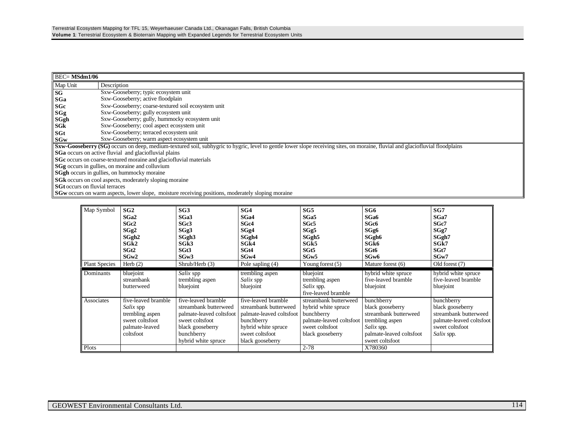|          | BEC= MSdm1/06                                                                                                                                                                 |  |  |  |
|----------|-------------------------------------------------------------------------------------------------------------------------------------------------------------------------------|--|--|--|
| Map Unit | Description                                                                                                                                                                   |  |  |  |
| SG       | Sxw-Gooseberry; typic ecosystem unit                                                                                                                                          |  |  |  |
| SGa      | Sxw-Gooseberry; active floodplain                                                                                                                                             |  |  |  |
| SGc      | Sxw-Gooseberry; coarse-textured soil ecosystem unit                                                                                                                           |  |  |  |
| SGg      | Sxw-Gooseberry; gully ecosystem unit                                                                                                                                          |  |  |  |
| SGgh     | Sxw-Gooseberry; gully, hummocky ecosystem unit                                                                                                                                |  |  |  |
| SGk      | Sxw-Gooseberry; cool aspect ecosystem unit                                                                                                                                    |  |  |  |
| SGt      | Sxw-Gooseberry; terraced ecosystem unit                                                                                                                                       |  |  |  |
| SGw      | Sxw-Gooseberry; warm aspect ecosystem unit                                                                                                                                    |  |  |  |
|          | Sxw-Gooseberry (SG) occurs on deep, medium-textured soil, subhygric to hygric, level to gentle lower slope receiving sites, on moraine, fluvial and glaciofluvial floodplains |  |  |  |
|          | SGa occurs on active fluvial and glaciofluvial plains                                                                                                                         |  |  |  |
|          | SGc occurs on coarse-textured moraine and glaciofluvial materials                                                                                                             |  |  |  |
|          | <b>SGg</b> occurs in gullies, on moraine and colluvium                                                                                                                        |  |  |  |
|          | <b>SGgh</b> occurs in gullies, on hummocky moraine                                                                                                                            |  |  |  |
|          | <b>SGk</b> occurs on cool aspects, moderately sloping moraine                                                                                                                 |  |  |  |
|          | <b>SGt</b> occurs on fluvial terraces                                                                                                                                         |  |  |  |
|          | <b>SGw</b> occurs on warm aspects, lower slope, moisture receiving positions, moderately sloping moraine                                                                      |  |  |  |

| Map Symbol           | SG2                 | SG3                      | SG4                      | SG5                      | SG6                      | SG7                      |
|----------------------|---------------------|--------------------------|--------------------------|--------------------------|--------------------------|--------------------------|
|                      | SGa2                | SGa3                     | SG <sub>a4</sub>         | SGa5                     | SG <sub>a6</sub>         | SGa7                     |
|                      | SGc2                | SGc3                     | SG <sub>c4</sub>         | SGc5                     | SGc6                     | SGc7                     |
|                      | SGg <sub>2</sub>    | SGg3                     | SGg4                     | SGg5                     | SGg6                     | SGg7                     |
|                      | SGgh <sub>2</sub>   | SGgh <sub>3</sub>        | SGgh4                    | SGgh5                    | SGgh <sub>6</sub>        | SGgh7                    |
|                      | SGk2                | SG <sub>k</sub> 3        | SG <sub>k4</sub>         | SG <sub>k5</sub>         | SGk6                     | SGk7                     |
|                      | SGt <sub>2</sub>    | SGt3                     | SGt4                     | SGt5                     | SGt6                     | SGt7                     |
|                      | SGw2                | SGw3                     | SGw4                     | SGw <sub>5</sub>         | SG <sub>w</sub> 6        | SGw7                     |
| <b>Plant Species</b> | Herb $(2)$          | Shrub/Herb (3)           | Pole sapling (4)         | Young forest $(5)$       | Mature forest (6)        | Old forest (7)           |
| Dominants            | bluejoint           | Salix spp                | trembling aspen          | bluejoint                | hybrid white spruce      | hybrid white spruce      |
|                      | streambank          | trembling aspen          | Salix spp                | trembling aspen          | five-leaved bramble      | five-leaved bramble      |
|                      | butterweed          | bluejoint                | bluejoint                | Salix spp.               | bluejoint                | bluejoint                |
|                      |                     |                          |                          | five-leaved bramble      |                          |                          |
| Associates           | five-leaved bramble | five-leaved bramble      | five-leaved bramble      | streambank butterweed    | bunchberry               | bunchberry               |
|                      | Salix spp           | streambank butterweed    | streambank butterweed    | hybrid white spruce      | black gooseberry         | black gooseberry         |
|                      | trembling aspen     | palmate-leaved coltsfoot | palmate-leaved coltsfoot | bunchberry               | streambank butterweed    | streambank butterweed    |
|                      | sweet coltsfoot     | sweet coltsfoot          | bunchberry               | palmate-leaved coltsfoot | trembling aspen          | palmate-leaved coltsfoot |
|                      | palmate-leaved      | black gooseberry         | hybrid white spruce      | sweet coltsfoot          | Salix spp.               | sweet coltsfoot          |
|                      | coltsfoot           | bunchberry               | sweet coltsfoot          | black gooseberry         | palmate-leaved coltsfoot | <i>Salix</i> spp.        |
|                      |                     | hybrid white spruce      | black gooseberry         |                          | sweet coltsfoot          |                          |
| Plots                |                     |                          |                          | $2 - 78$                 | X780360                  |                          |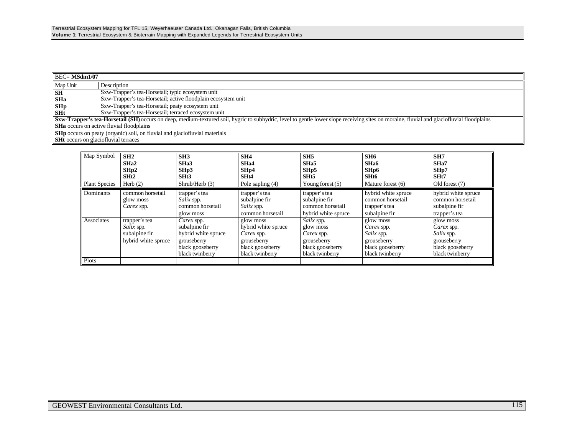| $\overline{\text{BEC}}$ MSdm1/07                                                  |                                                                                                                                                                                                  |  |
|-----------------------------------------------------------------------------------|--------------------------------------------------------------------------------------------------------------------------------------------------------------------------------------------------|--|
| Map Unit                                                                          | Description                                                                                                                                                                                      |  |
| <b>SH</b>                                                                         | Sxw-Trapper's tea-Horsetail; typic ecosystem unit                                                                                                                                                |  |
| <b>SHa</b>                                                                        | Sxw-Trapper's tea-Horsetail; active floodplain ecosystem unit                                                                                                                                    |  |
| SH <sub>p</sub><br>SH <sub>t</sub>                                                | Sxw-Trapper's tea-Horsetail; peaty ecosystem unit                                                                                                                                                |  |
|                                                                                   | Sxw-Trapper's tea-Horsetail; terraced ecosystem unit                                                                                                                                             |  |
|                                                                                   | <b>Sxw-Trapper's tea-Horsetail (SH)</b> occurs on deep, medium-textured soil, hygric to subhydric, level to gentle lower slope receiving sites on moraine, fluvial and glaciofluvial floodplains |  |
|                                                                                   | <b>SHa</b> occurs on active fluvial floodplains                                                                                                                                                  |  |
| <b>SHp</b> occurs on peaty (organic) soil, on fluvial and glaciofluvial materials |                                                                                                                                                                                                  |  |
| <b>SHt</b> occurs on glaciofluvial terraces                                       |                                                                                                                                                                                                  |  |

| Map Symbol           | SH2<br>SH <sub>a</sub> 2<br>SHp2<br>SHt2                            | SH <sub>3</sub><br>SH <sub>a</sub> 3<br>SHp3<br>SHt <sub>3</sub>                                         | SH4<br>SHa4<br>SHp4<br>SHt4                                                                          | SH <sub>5</sub><br>SH <sub>a5</sub><br>SHp5<br>SHt <sub>5</sub>                             | SH6<br>SH <sub>a6</sub><br>SH <sub>p6</sub><br>SHt6                                                | SH7<br>SH <sub>a</sub> 7<br>SHp7<br>SHt7                                                           |
|----------------------|---------------------------------------------------------------------|----------------------------------------------------------------------------------------------------------|------------------------------------------------------------------------------------------------------|---------------------------------------------------------------------------------------------|----------------------------------------------------------------------------------------------------|----------------------------------------------------------------------------------------------------|
| <b>Plant Species</b> | Herb $(2)$                                                          | Shrub/Herb (3)                                                                                           | Pole sapling $(4)$                                                                                   | Young forest $(5)$                                                                          | Mature forest (6)                                                                                  | Old forest (7)                                                                                     |
| <b>Dominants</b>     | common horsetail<br>glow moss<br>Carex spp.                         | trapper's tea<br><i>Salix</i> spp.<br>common horsetail<br>glow moss                                      | trapper's tea<br>subalpine fir<br><i>Salix</i> spp.<br>common horsetail                              | trapper's tea<br>subalpine fir<br>common horsetail<br>hybrid white spruce                   | hybrid white spruce<br>common horsetail<br>trapper's tea<br>subalpine fir                          | hybrid white spruce<br>common horsetail<br>subalpine fir<br>trapper's tea                          |
| Associates           | trapper's tea<br>Salix spp.<br>subalpine fir<br>hybrid white spruce | Carex spp.<br>subalpine fir<br>hybrid white spruce<br>grouseberry<br>black gooseberry<br>black twinberry | glow moss<br>hybrid white spruce<br>Carex spp.<br>grouseberry<br>black gooseberry<br>black twinberry | Salix spp.<br>glow moss<br>Carex spp.<br>grouseberry<br>black gooseberry<br>black twinberry | glow moss<br>Carex spp.<br><i>Salix</i> spp.<br>grouseberry<br>black gooseberry<br>black twinberry | glow moss<br>Carex spp.<br><i>Salix</i> spp.<br>grouseberry<br>black gooseberry<br>black twinberry |
| Plots                |                                                                     |                                                                                                          |                                                                                                      |                                                                                             |                                                                                                    |                                                                                                    |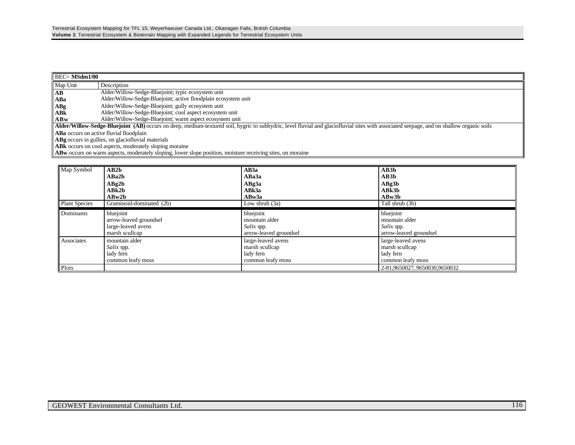| $\parallel$ BEC= MSdm1/00                                     |                                                                                                                                                                                          |  |  |
|---------------------------------------------------------------|------------------------------------------------------------------------------------------------------------------------------------------------------------------------------------------|--|--|
| Map Unit                                                      | Description                                                                                                                                                                              |  |  |
| AB                                                            | Alder/Willow-Sedge-Bluejoint; typic ecosystem unit                                                                                                                                       |  |  |
| ABa                                                           | Alder/Willow-Sedge-Bluejoint; active floodplain ecosystem unit                                                                                                                           |  |  |
| ABg                                                           | Alder/Willow-Sedge-Bluejoint; gully ecosystem unit                                                                                                                                       |  |  |
| ABk                                                           | Alder/Willow-Sedge-Bluejoint; cool aspect ecosystem unit                                                                                                                                 |  |  |
| ABw                                                           | Alder/Willow-Sedge-Bluejoint; warm aspect ecosystem unit                                                                                                                                 |  |  |
|                                                               | Alder/Willow-Sedge-Bluejoint (AB) occurs on deep, medium-textured soil, hygric to subhydric, level fluvial and glaciofluvial sites with associated seepage, and on shallow organic soils |  |  |
| <b>ABa</b> occurs on active fluvial floodplain                |                                                                                                                                                                                          |  |  |
| ABg occurs in gullies, on glaciofluvial materials             |                                                                                                                                                                                          |  |  |
| <b>ABK</b> occurs on cool aspects, moderately sloping moraine |                                                                                                                                                                                          |  |  |
|                                                               | <b>ABw</b> occurs on warm aspects, moderately sloping, lower slope position, moisture receiving sites, on moraine                                                                        |  |  |

| Map Symbol           | AB2b                     | AB3a                   | AB3b                          |
|----------------------|--------------------------|------------------------|-------------------------------|
|                      | ABa2b                    | ABa3a                  | AB3b                          |
|                      | ABg2b                    | ABg3a                  | ABg3b                         |
|                      | ABk2b                    | ABk3a                  | ABk3b                         |
|                      | ABw2b                    | ABw3a                  | ABw3b                         |
| <b>Plant Species</b> | Graminoid-dominated (2b) | Low shrub (3a)         | Tall shrub (3b)               |
| Dominants            | bluejoint                | bluejoint              | bluejoint                     |
|                      | arrow-leaved groundsel   | mountain alder         | mountain alder                |
|                      | large-leaved avens       | Salix spp.             | Salix spp.                    |
|                      | marsh scullcap           | arrow-leaved groundsel | arrow-leaved groundsel        |
| Associates           | mountain alder           | large-leaved avens     | large-leaved avens            |
|                      | <i>Salix</i> spp.        | marsh scullcap         | marsh scullcap                |
|                      | lady fern                | lady fern              | lady fern                     |
|                      | common leafy moss        | common leafy moss      | common leafy moss             |
| Plots                |                          |                        | 2-81,9650027, 9650030,9650032 |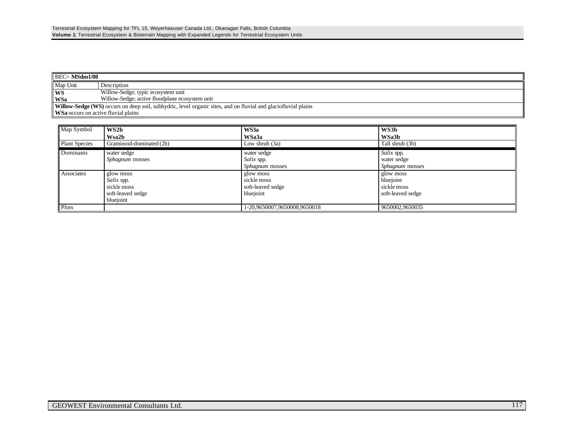| $BEC = MSdm1/08$                                                                                                      |                                                |  |  |
|-----------------------------------------------------------------------------------------------------------------------|------------------------------------------------|--|--|
| Map Unit                                                                                                              | Description                                    |  |  |
| WS                                                                                                                    | Willow-Sedge; typic ecosystem unit             |  |  |
| WSa                                                                                                                   | Willow-Sedge; active floodplane ecosystem unit |  |  |
| <b>Willow-Sedge (WS)</b> occurs on deep soil, subhydric, level organic sites, and on fluvial and glaciofluvial plains |                                                |  |  |
| <b>WSa</b> occurs on active fluvial plains                                                                            |                                                |  |  |

| Map Symbol           | WS2b                     | WS3a                         | WS3b                   |
|----------------------|--------------------------|------------------------------|------------------------|
|                      | Wsa2b                    | WSa3a                        | WSa3b                  |
| <b>Plant Species</b> | Graminoid-dominated (2b) | Low shrub (3a)               | Tall shrub (3b)        |
| Dominants            | water sedge              | water sedge                  | Salix spp.             |
|                      | <i>Sphagnum</i> mosses   | <i>Salix</i> spp.            | water sedge            |
|                      |                          | <i>Sphagnum</i> mosses       | <i>Sphagnum</i> mosses |
| Associates           | glow moss                | glow moss                    | glow moss              |
|                      | <i>Salix</i> spp.        | sickle moss                  | bluejoint              |
|                      | sickle moss              | soft-leaved sedge            | sickle moss            |
|                      | soft-leaved sedge        | bluejoint                    | soft-leaved sedge      |
|                      | bluejoint                |                              |                        |
| Plots                |                          | 1-20,9650007,9650008,9650018 | 9650002,9650035        |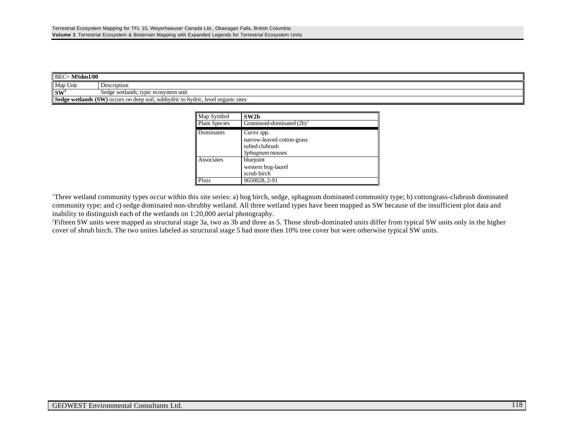| - MSdm1/00<br>$BEC =$    |                                                                                   |  |
|--------------------------|-----------------------------------------------------------------------------------|--|
| Map Unit                 | Description                                                                       |  |
| $\mathbf{S}\mathbf{W}^1$ | Sedge wetlands; typic ecosystem unit                                              |  |
|                          | Sedge wetlands (SW) occurs on deep soil, subhydric to hydric, level organic sites |  |

| Map Symbol           | SW <sub>2</sub> b                                                              |  |
|----------------------|--------------------------------------------------------------------------------|--|
| <b>Plant Species</b> | Graminoid-dominated $(2b)^2$                                                   |  |
| Dominants            | Carex spp.<br>narrow-leaved cotton-grass<br>tufted clubrush<br>Sphagnum mosses |  |
| Associates           | bluejoint<br>western bog-laurel<br>scrub birch                                 |  |
| Plots                | 9650028, 2-91                                                                  |  |

<sup>1</sup>Three wetland community types occur within this site series: a) bog birch, sedge, sphagnum dominated community type; b) cottongrass-clubrush dominated community type; and c) sedge dominated non-shrubby wetland. All three wetland types have been mapped as SW because of the insufficient plot data and inability to distinguish each of the wetlands on 1:20,000 aerial photography.

<sup>2</sup>Fifteen SW units were mapped as structural stage 3a, two as 3b and three as 5. Those shrub-dominated units differ from typical SW units only in the higher cover of shrub birch. The two unites labeled as structural stage 5 had more then 10% tree cover but were otherwise typical SW units.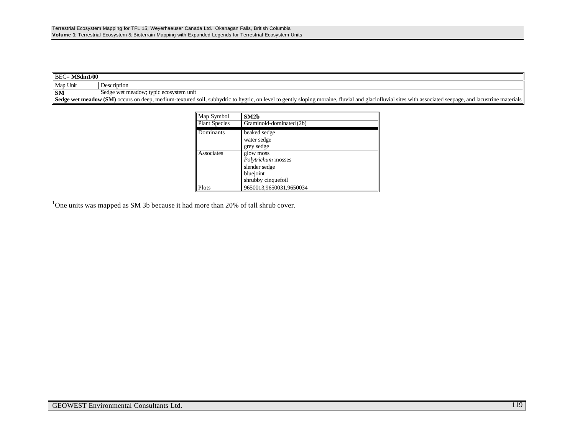| MSdm1/00<br>$BEC =$                                                                                                                                                                                         |                                        |  |  |  |
|-------------------------------------------------------------------------------------------------------------------------------------------------------------------------------------------------------------|----------------------------------------|--|--|--|
| Map Unit                                                                                                                                                                                                    | Description                            |  |  |  |
| <b>SM</b>                                                                                                                                                                                                   | Sedge wet meadow; typic ecosystem unit |  |  |  |
| Sedge wet meadow (SM) occurs on deep, medium-textured soil, subhydric to hygric,<br>, on level to gently sloping moraine, fluvial and glaciofluvial sites with associated seepage, and lacustrine materials |                                        |  |  |  |

| Map Symbol           | SM2 <sub>b</sub>                                                                    |
|----------------------|-------------------------------------------------------------------------------------|
| <b>Plant Species</b> | Graminoid-dominated (2b)                                                            |
| Dominants            | beaked sedge<br>water sedge<br>grey sedge                                           |
| Associates           | glow moss<br>Polytrichum mosses<br>slender sedge<br>bluejoint<br>shrubby cinquefoil |
| Plots                | 9650013,9650031,9650034                                                             |

 $1$ One units was mapped as SM 3b because it had more than 20% of tall shrub cover.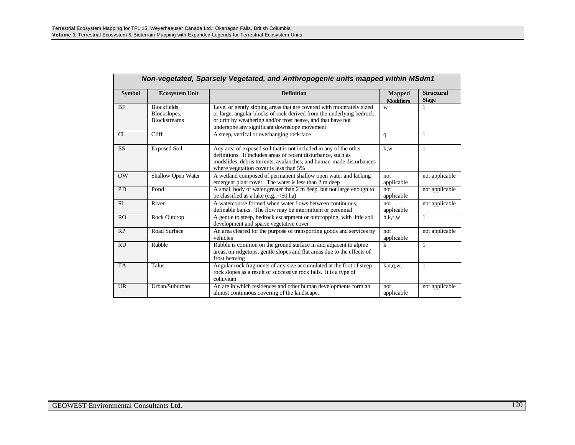| Non-vegetated, Sparsely Vegetated, and Anthropogenic units mapped within MSdm1 |                                                     |                                                                                                                                                                                                                                                              |                            |                                   |  |
|--------------------------------------------------------------------------------|-----------------------------------------------------|--------------------------------------------------------------------------------------------------------------------------------------------------------------------------------------------------------------------------------------------------------------|----------------------------|-----------------------------------|--|
| <b>Symbol</b>                                                                  | <b>Ecosystem Unit</b>                               | <b>Definition</b>                                                                                                                                                                                                                                            | Mapped<br><b>Modifiers</b> | <b>Structural</b><br><b>Stage</b> |  |
| <b>BF</b>                                                                      | Blockfields.<br>Blockslopes,<br><b>Blockstreams</b> | Level or gently sloping areas that are covered with moderately sized<br>or large, angular blocks of rock derived from the underlying bedrock<br>or drift by weathering and/or frost heave, and that have not<br>undergone any significant downslope movement | W                          | 1                                 |  |
| CL                                                                             | Cliff                                               | A steep, vertical or overhanging rock face                                                                                                                                                                                                                   | q                          | 1                                 |  |
| ES                                                                             | <b>Exposed Soil</b>                                 | Any area of exposed soil that is not included in any of the other<br>definitions. It includes areas of recent disturbance, such as<br>mudslides, debris torrents, avalanches, and human-made disturbances<br>where vegetation cover is less than 5%          | k,w                        | 1                                 |  |
| OW                                                                             | Shallow Open Water                                  | A wetland composed of permanent shallow open water and lacking<br>emergent plant cover. The water is less than 2 m deep                                                                                                                                      | not<br>applicable          | not applicable                    |  |
| <b>PD</b>                                                                      | Pond                                                | A small body of water greater than 2 m deep, but not large enough to<br>be classified as a lake (e.g., $<$ 50 ha)                                                                                                                                            | not<br>applicable          | not applicable                    |  |
| RI                                                                             | River                                               | A watercourse formed when water flows between continuous,<br>definable banks. The flow may be intermittent or perennial                                                                                                                                      | not<br>applicable          | not applicable                    |  |
| <b>RO</b>                                                                      | <b>Rock Outcrop</b>                                 | A gentle to steep, bedrock escarpment or outcropping, with little soil<br>development and sparse vegetative cover                                                                                                                                            | h.k.r.w                    | 1                                 |  |
| RP                                                                             | Road Surface                                        | An area cleared for the purpose of transporting goods and services by<br>vehicles                                                                                                                                                                            | not<br>applicable          | not applicable                    |  |
| <b>RU</b>                                                                      | Rubble                                              | Rubble is common on the ground surface in and adjacent to alpine<br>areas, on ridgetops, gentle slopes and flat areas due to the effects of<br>frost heaving                                                                                                 | k                          | 1                                 |  |
| <b>TA</b>                                                                      | <b>Talus</b>                                        | Angular rock fragments of any size accumulated at the foot of steep<br>rock slopes as a result of successive rock falls. It is a type of<br>colluvium                                                                                                        | k,n,q,w,                   | $\mathbf{1}$                      |  |
| UR                                                                             | Urban/Suburban                                      | An are in which residences and other human developments form an<br>almost continuous covering of the landscape.                                                                                                                                              | not<br>applicable          | not applicable                    |  |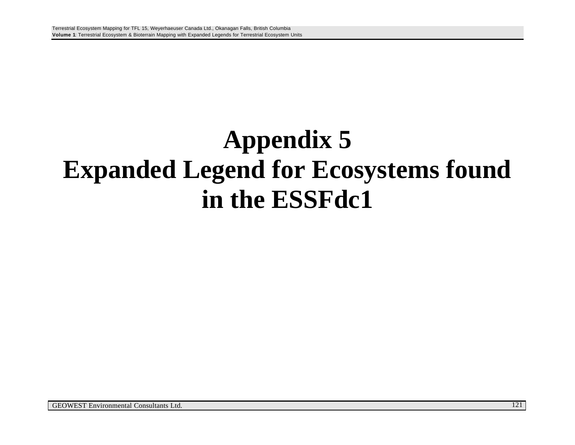## **Appendix 5 Expanded Legend for Ecosystems found in the ESSFdc1**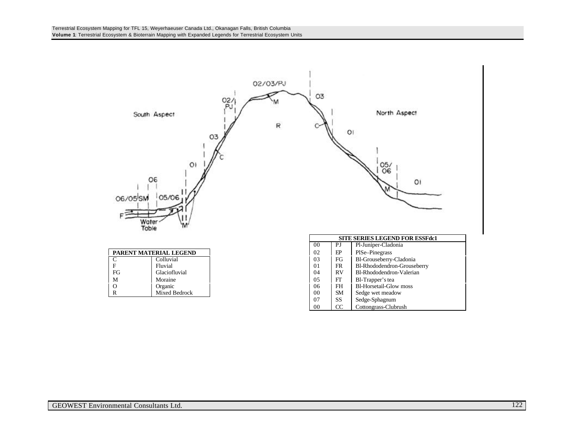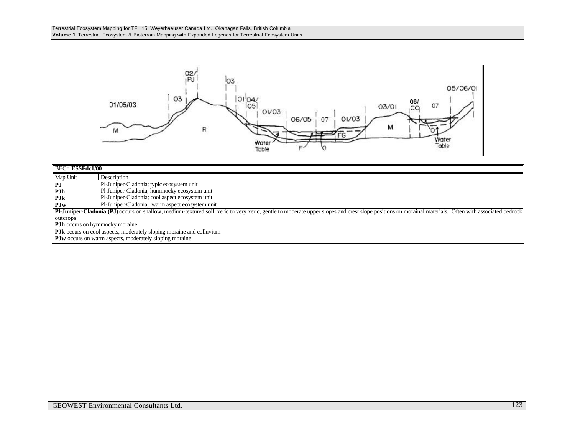

|                       | $\overline{BEC}$ ESSFdc1/00                                                                                                                                                                           |  |  |  |  |
|-----------------------|-------------------------------------------------------------------------------------------------------------------------------------------------------------------------------------------------------|--|--|--|--|
| Map Unit              | Description                                                                                                                                                                                           |  |  |  |  |
| $\ $ PJ               | Pl-Juniper-Cladonia; typic ecosystem unit                                                                                                                                                             |  |  |  |  |
| $\blacksquare$ PJh    | Pl-Juniper-Cladonia; hummocky ecosystem unit                                                                                                                                                          |  |  |  |  |
| l P.Jk                | Pl-Juniper-Cladonia; cool aspect ecosystem unit                                                                                                                                                       |  |  |  |  |
| $\blacksquare$ P. I w | Pl-Juniper-Cladonia; warm aspect ecosystem unit                                                                                                                                                       |  |  |  |  |
|                       | PH-Juniper-Cladonia (PJ) occurs on shallow, medium-textured soil, xeric to very xeric, gentle to moderate upper slopes and crest slope positions on morainal materials. Often with associated bedrock |  |  |  |  |
| outcrops              |                                                                                                                                                                                                       |  |  |  |  |
|                       | <b>PJh</b> occurs on hymmocky moraine                                                                                                                                                                 |  |  |  |  |
|                       | <b>PJk</b> occurs on cool aspects, moderately sloping moraine and colluvium                                                                                                                           |  |  |  |  |
|                       | <b>PJw</b> occurs on warm aspects, moderately sloping moraine                                                                                                                                         |  |  |  |  |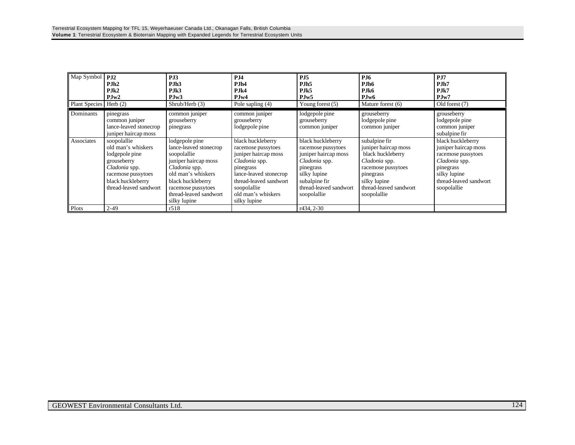| Map Symbol<br>Plant Species   Herb (2) | PJ2<br>PJh2<br>PJk2<br>PJw2                                                                                                                              | PJ3<br>P.Jh <sub>3</sub><br>PJK3<br>PJw3<br>Shrub/Herb (3)                                                                                                                                                  | PJ4<br>PJh4<br>PJk4<br>PJw4<br>Pole sapling (4)                                                                                                                                                        | P <sub>J5</sub><br>PJh <sub>5</sub><br>PJk5<br>PJw5<br>Young forest $(5)$                                                                                               | <b>PJ6</b><br>PJh6<br>PJk6<br>PJw6<br>Mature forest (6)                                                                                                                 | PJ7<br>PJh7<br>PJk7<br>PJw7<br>Old forest (7)                                                                                                          |
|----------------------------------------|----------------------------------------------------------------------------------------------------------------------------------------------------------|-------------------------------------------------------------------------------------------------------------------------------------------------------------------------------------------------------------|--------------------------------------------------------------------------------------------------------------------------------------------------------------------------------------------------------|-------------------------------------------------------------------------------------------------------------------------------------------------------------------------|-------------------------------------------------------------------------------------------------------------------------------------------------------------------------|--------------------------------------------------------------------------------------------------------------------------------------------------------|
| Dominants                              | pinegrass<br>common juniper<br>lance-leaved stonecrop<br>juniper haircap moss                                                                            | common juniper<br>grouseberry<br>pinegrass                                                                                                                                                                  | common juniper<br>grouseberry<br>lodgepole pine                                                                                                                                                        | lodgepole pine<br>grouseberry<br>common juniper                                                                                                                         | grouseberry<br>lodgepole pine<br>common juniper                                                                                                                         | grouseberry<br>lodgepole pine<br>common juniper<br>subalpine fir                                                                                       |
| Associates                             | soopolallie<br>old man's whiskers<br>lodgepole pine<br>grouseberry<br>Cladonia spp.<br>racemose pussytoes<br>black huckleberry<br>thread-leaved sandwort | lodgepole pine<br>lance-leaved stonecrop<br>soopolallie<br>juniper haircap moss<br>Cladonia spp.<br>old man's whiskers<br>black huckleberry<br>racemose pussytoes<br>thread-leaved sandwort<br>silky lupine | black huckleberry<br>racemose pussytoes<br>juniper haircap moss<br>Cladonia spp.<br>pinegrass<br>lance-leaved stonecrop<br>thread-leaved sandwort<br>soopolallie<br>old man's whiskers<br>silky lupine | black huckleberry<br>racemose pussytoes<br>juniper haircap moss<br>Cladonia spp.<br>pinegrass<br>silky lupine<br>subalpine fir<br>thread-leaved sandwort<br>soopolallie | subalpine fir<br>juniper haircap moss<br>black huckleberry<br>Cladonia spp.<br>racemose pussytoes<br>pinegrass<br>silky lupine<br>thread-leaved sandwort<br>soopolallie | black huckleberry<br>juniper haircap moss<br>racemose pussytoes<br>Cladonia spp.<br>pinegrass<br>silky lupine<br>thread-leaved sandwort<br>soopolallie |
| Plots                                  | $2 - 49$                                                                                                                                                 | r518                                                                                                                                                                                                        |                                                                                                                                                                                                        | r434, 2-30                                                                                                                                                              |                                                                                                                                                                         |                                                                                                                                                        |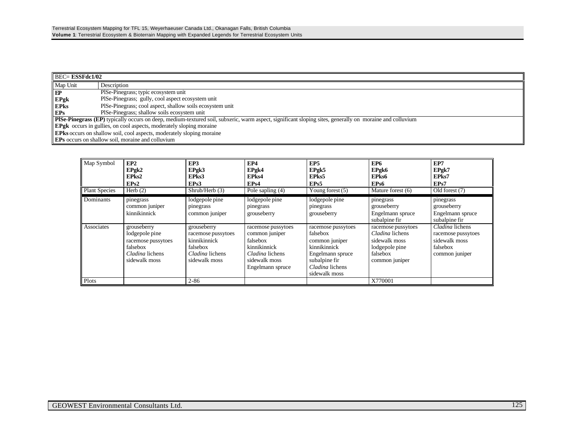|              | $\parallel$ BEC= <b>ESSFdc1/02</b>                                                                                                                              |  |  |  |  |
|--------------|-----------------------------------------------------------------------------------------------------------------------------------------------------------------|--|--|--|--|
| Map Unit     | Description                                                                                                                                                     |  |  |  |  |
| $\mathbf{E}$ | PISe-Pinegrass; typic ecosystem unit                                                                                                                            |  |  |  |  |
| EPgk         | PISe-Pinegrass; gully, cool aspect ecosystem unit                                                                                                               |  |  |  |  |
| <b>EPRS</b>  | PISe-Pinegrass; cool aspect, shallow soils ecosystem unit                                                                                                       |  |  |  |  |
| EPs          | PISe-Pinegrass; shallow soils ecosystem unit                                                                                                                    |  |  |  |  |
|              | <b>PISe-Pinegrass (EP)</b> typically occurs on deep, medium-textured soil, subxeric, warm aspect, significant sloping sites, generally on moraine and colluvium |  |  |  |  |
|              | <b>EPgk</b> occurs in gullies, on cool aspects, moderately sloping moraine                                                                                      |  |  |  |  |
|              | <b>EPks</b> occurs on shallow soil, cool aspects, moderately sloping moraine                                                                                    |  |  |  |  |
|              | <b>EPs</b> occurs on shallow soil, moraine and colluvium                                                                                                        |  |  |  |  |

| Map Symbol                        | EP2<br>EPgk2<br>EPks2<br>EPs2                                                                       | EP3<br>EPgk3<br>EPks3<br>EP <sub>s</sub> 3                                                        | EP4<br>EPgk4<br>EPks4<br>EP <sub>s4</sub>                                                                                | EP <sub>5</sub><br>EPgk5<br>EPks5<br>EP <sub>s5</sub>                                                                                     | EP <sub>6</sub><br>EPgk6<br>EPks6<br>EP <sub>s6</sub>                                                  | EP7<br>EPgk7<br>EPks7<br>EPs7                                                        |
|-----------------------------------|-----------------------------------------------------------------------------------------------------|---------------------------------------------------------------------------------------------------|--------------------------------------------------------------------------------------------------------------------------|-------------------------------------------------------------------------------------------------------------------------------------------|--------------------------------------------------------------------------------------------------------|--------------------------------------------------------------------------------------|
| <b>Plant Species</b><br>Dominants | Herb $(2)$<br>pinegrass<br>common juniper<br>kinnikinnick                                           | Shrub/Herb (3)<br>lodgepole pine<br>pinegrass<br>common juniper                                   | Pole sapling (4)<br>lodgepole pine<br>pinegrass<br>grouseberry                                                           | Young forest $(5)$<br>lodgepole pine<br>pinegrass<br>grouseberry                                                                          | Mature forest (6)<br>pinegrass<br>grouseberry<br>Engelmann spruce<br>subalpine fir                     | Old forest (7)<br>pinegrass<br>grouseberry<br>Engelmann spruce<br>subalpine fir      |
| Associates                        | grouseberry<br>lodgepole pine<br>racemose pussytoes<br>falsebox<br>Cladina lichens<br>sidewalk moss | grouseberry<br>racemose pussytoes<br>kinnikinnick<br>falsebox<br>Cladina lichens<br>sidewalk moss | racemose pussytoes<br>common juniper<br>falsebox<br>kinnikinnick<br>Cladina lichens<br>sidewalk moss<br>Engelmann spruce | racemose pussytoes<br>falsebox<br>common juniper<br>kinnikinnick<br>Engelmann spruce<br>subalpine fir<br>Cladina lichens<br>sidewalk moss | racemose pussytoes<br>Cladina lichens<br>sidewalk moss<br>lodgepole pine<br>falsebox<br>common juniper | Cladina lichens<br>racemose pussytoes<br>sidewalk moss<br>falsebox<br>common juniper |
| Plots                             |                                                                                                     | $2 - 86$                                                                                          |                                                                                                                          |                                                                                                                                           | X770001                                                                                                |                                                                                      |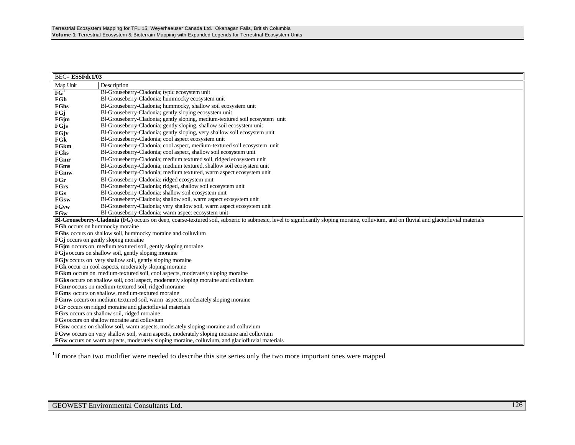| <b>BEC=ESSFdc1/03</b>                                                         |                                                                                                                                                                                        |  |  |  |  |
|-------------------------------------------------------------------------------|----------------------------------------------------------------------------------------------------------------------------------------------------------------------------------------|--|--|--|--|
| Map Unit                                                                      | Description                                                                                                                                                                            |  |  |  |  |
| FG <sup>1</sup>                                                               | Bl-Grouseberry-Cladonia; typic ecosystem unit                                                                                                                                          |  |  |  |  |
| FGh                                                                           | Bl-Grouseberry-Cladonia; hummocky ecosystem unit                                                                                                                                       |  |  |  |  |
| FGhs                                                                          | Bl-Grouseberry-Cladonia; hummocky, shallow soil ecosystem unit                                                                                                                         |  |  |  |  |
| FGi                                                                           | Bl-Grouseberry-Cladonia; gently sloping ecosystem unit                                                                                                                                 |  |  |  |  |
| FGjm                                                                          | Bl-Grouseberry-Cladonia; gently sloping, medium-textured soil ecosystem unit                                                                                                           |  |  |  |  |
| FGjs                                                                          | Bl-Grouseberry-Cladonia; gently sloping, shallow soil ecosystem unit                                                                                                                   |  |  |  |  |
| FGjv                                                                          | Bl-Grouseberry-Cladonia; gently sloping, very shallow soil ecosystem unit                                                                                                              |  |  |  |  |
| FGk                                                                           | Bl-Grouseberry-Cladonia; cool aspect ecosystem unit                                                                                                                                    |  |  |  |  |
| FGkm                                                                          | Bl-Grouseberry-Cladonia; cool aspect, medium-textured soil ecosystem unit                                                                                                              |  |  |  |  |
| FGks                                                                          | Bl-Grouseberry-Cladonia; cool aspect, shallow soil ecosystem unit                                                                                                                      |  |  |  |  |
| FGmr                                                                          | Bl-Grouseberry-Cladonia; medium textured soil, ridged ecosystem unit                                                                                                                   |  |  |  |  |
| FGms                                                                          | Bl-Grouseberry-Cladonia; medium textured, shallow soil ecosystem unit                                                                                                                  |  |  |  |  |
| FGmw                                                                          | Bl-Grouseberry-Cladonia; medium textured, warm aspect ecosystem unit                                                                                                                   |  |  |  |  |
| FGr                                                                           | Bl-Grouseberry-Cladonia; ridged ecosystem unit                                                                                                                                         |  |  |  |  |
| <b>FGrs</b>                                                                   | Bl-Grouseberry-Cladonia; ridged, shallow soil ecosystem unit                                                                                                                           |  |  |  |  |
| FGs                                                                           | Bl-Grouseberry-Cladonia; shallow soil ecosystem unit                                                                                                                                   |  |  |  |  |
| FGsw                                                                          | Bl-Grouseberry-Cladonia; shallow soil, warm aspect ecosystem unit                                                                                                                      |  |  |  |  |
| <b>FGvw</b>                                                                   | Bl-Grouseberry-Cladonia; very shallow soil, warm aspect ecosystem unit                                                                                                                 |  |  |  |  |
| FGw                                                                           | Bl-Grouseberry-Cladonia; warm aspect ecosystem unit                                                                                                                                    |  |  |  |  |
|                                                                               | Bl-Grouseberry-Cladonia (FG) occurs on deep, coarse-textured soil, subxeric to submesic, level to significantly sloping moraine, colluvium, and on fluvial and glaciofluvial materials |  |  |  |  |
| FGh occurs on hummocky moraine                                                |                                                                                                                                                                                        |  |  |  |  |
| FGhs occurs on shallow soil, hummocky moraine and colluvium                   |                                                                                                                                                                                        |  |  |  |  |
| <b>FG</b> occurs on gently sloping moraine                                    |                                                                                                                                                                                        |  |  |  |  |
|                                                                               | FGjm occurs on medium textured soil, gently sloping moraine                                                                                                                            |  |  |  |  |
|                                                                               | <b>FGjs</b> occurs on shallow soil, gently sloping moraine                                                                                                                             |  |  |  |  |
|                                                                               | <b>FGjv</b> occurs on very shallow soil, gently sloping moraine                                                                                                                        |  |  |  |  |
|                                                                               | FGk occur on cool aspects, moderately sloping moraine                                                                                                                                  |  |  |  |  |
|                                                                               | FGkm occurs on medium-textured soil, cool aspects, moderately sloping moraine                                                                                                          |  |  |  |  |
|                                                                               | FGks occurs on shallow soil, cool aspect, moderately sloping moraine and colluvium                                                                                                     |  |  |  |  |
| <b>FGmr</b> occurs on medium-textured soil, ridged moraine                    |                                                                                                                                                                                        |  |  |  |  |
| FGms occurs on shallow, medium-textured moraine                               |                                                                                                                                                                                        |  |  |  |  |
| FGmw occurs on medium textured soil, warm aspects, moderately sloping moraine |                                                                                                                                                                                        |  |  |  |  |
| FGr occurs on ridged moraine and glaciofluvial materials                      |                                                                                                                                                                                        |  |  |  |  |
| FGrs occurs on shallow soil, ridged moraine                                   |                                                                                                                                                                                        |  |  |  |  |
|                                                                               | FGs occurs on shallow moraine and colluvium<br><b>FGsw</b> occurs on shallow soil, warm aspects, moderately sloping moraine and colluvium                                              |  |  |  |  |
|                                                                               | <b>FGvw</b> occurs on very shallow soil, warm aspects, moderately sloping moraine and colluvium                                                                                        |  |  |  |  |
|                                                                               | <b>FGw</b> occurs on warm aspects, moderately sloping moraine, colluvium, and glaciofluvial materials                                                                                  |  |  |  |  |
|                                                                               |                                                                                                                                                                                        |  |  |  |  |

<sup>1</sup>If more than two modifier were needed to describe this site series only the two more important ones were mapped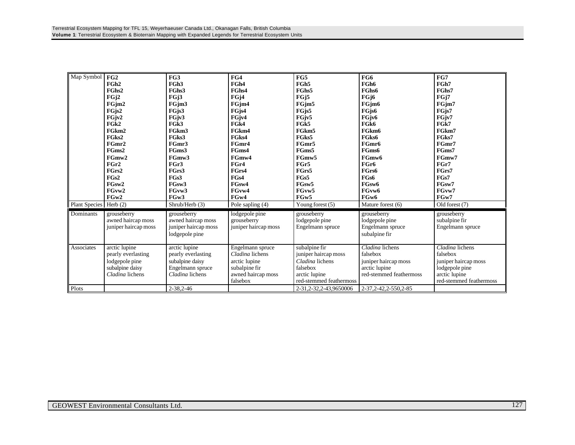| Map Symbol           | FG2                  | FG3                  | FG4                  | FG5                       | FG6                     | FG7                     |
|----------------------|----------------------|----------------------|----------------------|---------------------------|-------------------------|-------------------------|
|                      | FGh2                 | FGh <sub>3</sub>     | FGh4                 | FGh5                      | FGh6                    | FGh7                    |
|                      | FGhs2                | FGhs3                | FGhs4                | FGhs5                     | FGhs6                   | FGhs7                   |
|                      | FGj2                 | FGj3                 | FGj4                 | FGj5                      | FGj6                    | FGj7                    |
|                      | FGjm2                | FGjm3                | FGjm4                | FGim5                     | FGim <sub>6</sub>       | FGim7                   |
|                      | FG <sub>is2</sub>    | FGjs3                | FGjs4                | FG <sub>is5</sub>         | FG <sub>is6</sub>       | FG <sub>is7</sub>       |
|                      | FGjv2                | FGjv3                | FGjv4                | FGjv5                     | FGjv6                   | FGjv7                   |
|                      | FG <sub>k2</sub>     | FGk3                 | FG <sub>k4</sub>     | FGk5                      | FGk6                    | FGk7                    |
|                      | FGkm2                | FGkm3                | FGkm4                | FGkm5                     | FGkm6                   | FGkm7                   |
|                      | FGks2                | FGks3                | FGks4                | FGks5                     | FGks6                   | FGks7                   |
|                      | FGmr2                | FGmr3                | FGmr4                | FGmr5                     | FGmr6                   | FGmr7                   |
|                      | FGms2                | FGms3                | FGms4                | FGms5                     | FGms6                   | FGms7                   |
|                      | FGmw2                | FGmw3                | FGmw4                | FGmw5                     | FGmw6                   | FGmw7                   |
|                      | FGr2                 | FGr3                 | FGr4                 | FGr5                      | FGr6                    | FGr7                    |
|                      | FGrs2                | FGrs3                | FGrs4                | FGrs5                     | FGrs6                   | FGrs7                   |
|                      | FG <sub>s2</sub>     | FGs3                 | FGs4                 | FGs5                      | FGs6                    | FGs7                    |
|                      | FGsw2                | FGsw3                | FGsw4                | FGsw5                     | FGsw <sub>6</sub>       | FGsw7                   |
|                      | FGvw2                | FGvw3                | FGvw4                | FGvw5                     | FGvw6                   | FGvw7                   |
|                      | FGw2                 | FGw3                 | FGw4                 | FGw5                      | FGw6                    | FGw7                    |
| <b>Plant Species</b> | Herb $(2)$           | Shrub/Herb (3)       | Pole sapling (4)     | Young forest $(5)$        | Mature forest (6)       | Old forest (7)          |
|                      |                      |                      |                      |                           |                         |                         |
| Dominants            | grouseberry          | grouseberry          | lodgepole pine       | grouseberry               | grouseberry             | grouseberry             |
|                      | awned haircap moss   | awned haircap moss   | grouseberry          | lodgepole pine            | lodgepole pine          | subalpine fir           |
|                      | juniper haircap moss | juniper haircap moss | juniper haircap moss | Engelmann spruce          | Engelmann spruce        | Engelmann spruce        |
|                      |                      | lodgepole pine       |                      |                           | subalpine fir           |                         |
|                      |                      |                      |                      |                           |                         |                         |
| Associates           | arctic lupine        | arctic lupine        | Engelmann spruce     | subalpine fir             | Cladina lichens         | Cladina lichens         |
|                      | pearly everlasting   | pearly everlasting   | Cladina lichens      | juniper haircap moss      | falsebox                | falsebox                |
|                      | lodgepole pine       | subalpine daisy      | arctic lupine        | Cladina lichens           | juniper haircap moss    | juniper haircap moss    |
|                      | subalpine daisy      | Engelmann spruce     | subalpine fir        | falsebox                  | arctic lupine           | lodgepole pine          |
|                      | Cladina lichens      | Cladina lichens      | awned haircap moss   | arctic lupine             | red-stemmed feathermoss | arctic lupine           |
|                      |                      |                      | falsebox             | red-stemmed feathermoss   |                         | red-stemmed feathermoss |
| Plots                |                      | $2 - 38, 2 - 46$     |                      | 2-31, 2-32, 2-43, 9650006 | 2-37, 2-42, 2-550, 2-85 |                         |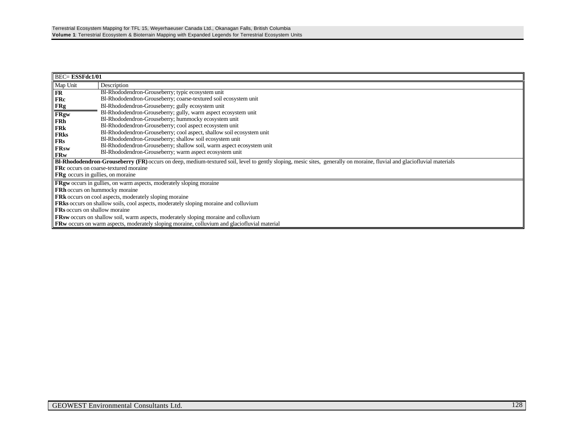|                                          | $BEC = ESSFdc1/01$                                                                                                                                                            |  |  |  |  |  |
|------------------------------------------|-------------------------------------------------------------------------------------------------------------------------------------------------------------------------------|--|--|--|--|--|
| Map Unit                                 | Description                                                                                                                                                                   |  |  |  |  |  |
| FR                                       | Bl-Rhododendron-Grouseberry; typic ecosystem unit                                                                                                                             |  |  |  |  |  |
| <b>FRc</b>                               | Bl-Rhododendron-Grouseberry; coarse-textured soil ecosystem unit                                                                                                              |  |  |  |  |  |
| <b>FRg</b>                               | Bl-Rhododendron-Grouseberry; gully ecosystem unit                                                                                                                             |  |  |  |  |  |
| <b>FRgw</b>                              | Bl-Rhododendron-Grouseberry; gully, warm aspect ecosystem unit                                                                                                                |  |  |  |  |  |
| FRh                                      | Bl-Rhododendron-Grouseberry; hummocky ecosystem unit                                                                                                                          |  |  |  |  |  |
| FRk                                      | Bl-Rhododendron-Grouseberry; cool aspect ecosystem unit                                                                                                                       |  |  |  |  |  |
| <b>FRks</b>                              | Bl-Rhododendron-Grouseberry; cool aspect, shallow soil ecosystem unit                                                                                                         |  |  |  |  |  |
| FRs                                      | Bl-Rhododendron-Grouseberry; shallow soil ecosystem unit                                                                                                                      |  |  |  |  |  |
| <b>FRsw</b>                              | Bl-Rhododendron-Grouseberry; shallow soil, warm aspect ecosystem unit                                                                                                         |  |  |  |  |  |
| <b>FRw</b>                               | Bl-Rhododendron-Grouseberry; warm aspect ecosystem unit                                                                                                                       |  |  |  |  |  |
|                                          | <b>BI-Rhododendron-Grouseberry (FR)</b> occurs on deep, medium-textured soil, level to gently sloping, mesic sites, generally on moraine, fluvial and glaciofluvial materials |  |  |  |  |  |
|                                          | <b>FRc</b> occurs on coarse-textured moraine                                                                                                                                  |  |  |  |  |  |
| <b>FRg</b> occurs in gullies, on moraine |                                                                                                                                                                               |  |  |  |  |  |
|                                          | <b>FRgw</b> occurs in gullies, on warm aspects, moderately sloping moraine                                                                                                    |  |  |  |  |  |
| <b>FRh</b> occurs on hummocky moraine    |                                                                                                                                                                               |  |  |  |  |  |
|                                          | <b>FRk</b> occurs on cool aspects, moderately sloping moraine                                                                                                                 |  |  |  |  |  |
|                                          | FRks occurs on shallow soils, cool aspects, moderately sloping moraine and colluvium                                                                                          |  |  |  |  |  |
| <b>FRs</b> occurs on shallow moraine     |                                                                                                                                                                               |  |  |  |  |  |
|                                          | <b>FRsw</b> occurs on shallow soil, warm aspects, moderately sloping moraine and colluvium                                                                                    |  |  |  |  |  |
|                                          | <b>FRw</b> occurs on warm aspects, moderately sloping moraine, colluvium and glaciofluvial material                                                                           |  |  |  |  |  |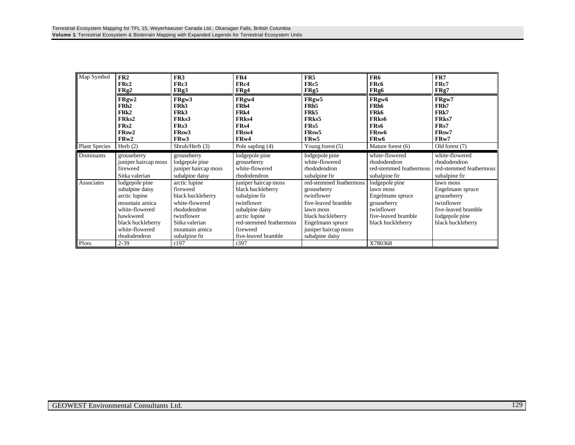| Map Symbol           | FR2                                                                                                                                                        | FR <sub>3</sub>                                                                                                                                      | FR4                                                                                                                                                                        | FR5                                                                                                                                                                          | FR6                                                                                                                      | FR7                                                                                                                      |
|----------------------|------------------------------------------------------------------------------------------------------------------------------------------------------------|------------------------------------------------------------------------------------------------------------------------------------------------------|----------------------------------------------------------------------------------------------------------------------------------------------------------------------------|------------------------------------------------------------------------------------------------------------------------------------------------------------------------------|--------------------------------------------------------------------------------------------------------------------------|--------------------------------------------------------------------------------------------------------------------------|
|                      | FRc2                                                                                                                                                       | FRc3                                                                                                                                                 | FRc4                                                                                                                                                                       | FRc5                                                                                                                                                                         | FRc6                                                                                                                     | FRc7                                                                                                                     |
|                      | FRg2                                                                                                                                                       | FRg3                                                                                                                                                 | FRg4                                                                                                                                                                       | FRg5                                                                                                                                                                         | FRg6                                                                                                                     | FRg7                                                                                                                     |
| <b>Plant Species</b> | FRgw2                                                                                                                                                      | FRgw3                                                                                                                                                | FRgw4                                                                                                                                                                      | FRgw5                                                                                                                                                                        | FRgw6                                                                                                                    | FRgw7                                                                                                                    |
|                      | FR <sub>h2</sub>                                                                                                                                           | FRh <sub>3</sub>                                                                                                                                     | FR <sub>h4</sub>                                                                                                                                                           | FR <sub>h5</sub>                                                                                                                                                             | FR <sub>h6</sub>                                                                                                         | FR <sub>h</sub> 7                                                                                                        |
|                      | FRk2                                                                                                                                                       | FRk3                                                                                                                                                 | FR <sub>k4</sub>                                                                                                                                                           | FR <sub>k5</sub>                                                                                                                                                             | FR <sub>k6</sub>                                                                                                         | FR <sub>k</sub> 7                                                                                                        |
|                      | FRks2                                                                                                                                                      | FR <sub>ks</sub> 3                                                                                                                                   | FR <sub>ks4</sub>                                                                                                                                                          | FR <sub>ks</sub> 5                                                                                                                                                           | FR <sub>ks</sub> 6                                                                                                       | FRks7                                                                                                                    |
|                      | FR <sub>s2</sub>                                                                                                                                           | FR <sub>s</sub> 3                                                                                                                                    | FR <sub>s4</sub>                                                                                                                                                           | FR <sub>s5</sub>                                                                                                                                                             | FR <sub>s6</sub>                                                                                                         | FRs7                                                                                                                     |
|                      | FR <sub>sw</sub> 2                                                                                                                                         | FR <sub>sw</sub> 3                                                                                                                                   | FR <sub>sw</sub> 4                                                                                                                                                         | FR <sub>sw</sub> 5                                                                                                                                                           | FR <sub>sw</sub> 6                                                                                                       | FR <sub>sw</sub> 7                                                                                                       |
|                      | FR <sub>w</sub> 2                                                                                                                                          | FRw3                                                                                                                                                 | FR <sub>w</sub> 4                                                                                                                                                          | FRw5                                                                                                                                                                         | FR <sub>w</sub> 6                                                                                                        | FRw7                                                                                                                     |
|                      | Herb $(2)$                                                                                                                                                 | Shrub/Herb (3)                                                                                                                                       | Pole sapling (4)                                                                                                                                                           | Young forest $(5)$                                                                                                                                                           | Mature forest (6)                                                                                                        | Old forest (7)                                                                                                           |
| Dominants            | grouseberry                                                                                                                                                | grouseberry                                                                                                                                          | lodgepole pine                                                                                                                                                             | lodgepole pine                                                                                                                                                               | white-flowered                                                                                                           | white-flowered                                                                                                           |
|                      | juniper haircap moss                                                                                                                                       | lodgepole pine                                                                                                                                       | grouseberry                                                                                                                                                                | white-flowered                                                                                                                                                               | rhododendron                                                                                                             | rhododendron                                                                                                             |
|                      | fireweed                                                                                                                                                   | juniper haircap moss                                                                                                                                 | white-flowered                                                                                                                                                             | rhododendron                                                                                                                                                                 | red-stemmed feathermoss                                                                                                  | red-stemmed feathermoss                                                                                                  |
|                      | Sitka valerian                                                                                                                                             | subalpine daisy                                                                                                                                      | rhododendron                                                                                                                                                               | subalpine fir                                                                                                                                                                | subalpine fir                                                                                                            | subalpine fir                                                                                                            |
| Associates           | lodgepole pine<br>subalpine daisy<br>arctic lupine<br>mountain arnica<br>white-flowered<br>hawkweed<br>black huckleberry<br>white-flowered<br>rhododendron | arctic lupine<br>fireweed<br>black huckleberry<br>white-flowered<br>rhododendron<br>twinflower<br>Sitka valerian<br>mountain arnica<br>subalpine fir | juniper haircap moss<br>black huckleberry<br>subalpine fir<br>twinflower<br>subalpine daisy<br>arctic lupine<br>red-stemmed feathermoss<br>fireweed<br>five-leaved bramble | red-stemmed feathermoss<br>grouseberry<br>twinflower<br>five-leaved bramble<br>lawn moss<br>black huckleberry<br>Engelmann spruce<br>juniper haircap moss<br>subalpine daisy | lodgepole pine<br>lawn moss<br>Engelmann spruce<br>grouseberry<br>twinflower<br>five-leaved bramble<br>black huckleberry | lawn moss<br>Engelmann spruce<br>grouseberry<br>twinflower<br>five-leaved bramble<br>lodgepole pine<br>black huckleberry |
| Plots                | $2 - 39$                                                                                                                                                   | r197                                                                                                                                                 | r397                                                                                                                                                                       |                                                                                                                                                                              | X780368                                                                                                                  |                                                                                                                          |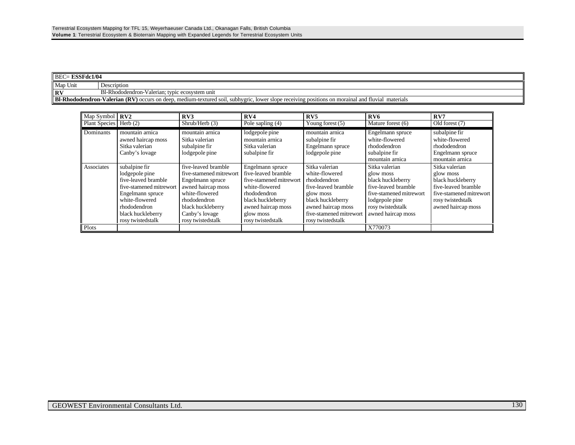| $\parallel$ BEC= <b>ESSFdc1/04</b> |                                                                                                                                                       |  |  |
|------------------------------------|-------------------------------------------------------------------------------------------------------------------------------------------------------|--|--|
| Map Unit                           | Description                                                                                                                                           |  |  |
| <b>RV</b>                          | Bl-Rhododendron-Valerian; typic ecosystem unit                                                                                                        |  |  |
|                                    | BI-Rhododendron-Valerian (RV) occurs on deep, medium-textured soil, subhygric, lower slope receiving positions on morainal and fluvial r<br>materials |  |  |

| Map Symbol           | RV2                                                                                                                                                                               | RV3                                                                                                                                                                                    | RV4                                                                                                                                                                               | RV5                                                                                                                                                                             | RV6                                                                                                                                                             | RV7                                                                                                                                           |
|----------------------|-----------------------------------------------------------------------------------------------------------------------------------------------------------------------------------|----------------------------------------------------------------------------------------------------------------------------------------------------------------------------------------|-----------------------------------------------------------------------------------------------------------------------------------------------------------------------------------|---------------------------------------------------------------------------------------------------------------------------------------------------------------------------------|-----------------------------------------------------------------------------------------------------------------------------------------------------------------|-----------------------------------------------------------------------------------------------------------------------------------------------|
| <b>Plant Species</b> | Herb $(2)$                                                                                                                                                                        | Shrub/Herb(3)                                                                                                                                                                          | Pole sapling (4)                                                                                                                                                                  | Young forest $(5)$                                                                                                                                                              | Mature forest (6)                                                                                                                                               | Old forest (7)                                                                                                                                |
| <b>Dominants</b>     | mountain arnica<br>awned haircap moss<br>Sitka valerian<br>Canby's lovage                                                                                                         | mountain arnica<br>Sitka valerian<br>subalpine fir<br>lodgepole pine                                                                                                                   | lodgepole pine<br>mountain arnica<br>Sitka valerian<br>subalpine fir                                                                                                              | mountain arnica<br>subalpine fir<br>Engelmann spruce<br>lodgepole pine                                                                                                          | Engelmann spruce<br>white-flowered<br>rhododendron<br>subalpine fir<br>mountain arnica                                                                          | subalpine fir<br>white-flowered<br>rhododendron<br>Engelmann spruce<br>mountain arnica                                                        |
| Associates           | subalpine fir<br>lodgepole pine<br>five-leaved bramble<br>five-stamened mitrewort<br>Engelmann spruce<br>white-flowered<br>rhododendron<br>black huckleberry<br>rosy twistedstalk | five-leaved bramble<br>five-stamened mitrewort<br>Engelmann spruce<br>awned haircap moss<br>white-flowered<br>rhododendron<br>black huckleberry<br>Canby's lovage<br>rosy twistedstalk | Engelmann spruce<br>five-leaved bramble<br>five-stamened mitrewort<br>white-flowered<br>rhododendron<br>black huckleberry<br>awned haircap moss<br>glow moss<br>rosy twistedstalk | Sitka valerian<br>white-flowered<br>rhododendron<br>five-leaved bramble<br>glow moss<br>black huckleberry<br>awned haircap moss<br>five-stamened mitrewort<br>rosy twistedstalk | Sitka valerian<br>glow moss<br>black huckleberry<br>five-leaved bramble<br>five-stamened mitrewort<br>lodgepole pine<br>rosy twistedstalk<br>awned haircap moss | Sitka valerian<br>glow moss<br>black huckleberry<br>five-leaved bramble<br>five-stamened mitrewort<br>rosy twistedstalk<br>awned haircap moss |
| Plots                |                                                                                                                                                                                   |                                                                                                                                                                                        |                                                                                                                                                                                   |                                                                                                                                                                                 | X770073                                                                                                                                                         |                                                                                                                                               |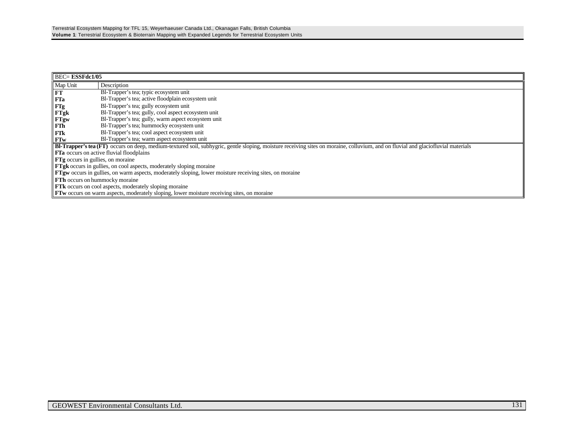| <b>BEC= ESSFdc1/05</b>                   |                                                                                                                                                                                   |  |  |
|------------------------------------------|-----------------------------------------------------------------------------------------------------------------------------------------------------------------------------------|--|--|
| Map Unit                                 | Description                                                                                                                                                                       |  |  |
| FT                                       | Bl-Trapper's tea; typic ecosystem unit                                                                                                                                            |  |  |
| FTa                                      | Bl-Trapper's tea; active floodplain ecosystem unit                                                                                                                                |  |  |
| FTg                                      | Bl-Trapper's tea; gully ecosystem unit                                                                                                                                            |  |  |
| FTgk                                     | Bl-Trapper's tea; gully, cool aspect ecosystem unit                                                                                                                               |  |  |
| <b>FTgw</b>                              | Bl-Trapper's tea; gully, warm aspect ecosystem unit                                                                                                                               |  |  |
| FTh                                      | Bl-Trapper's tea; hummocky ecosystem unit                                                                                                                                         |  |  |
| FTk                                      | Bl-Trapper's tea; cool aspect ecosystem unit                                                                                                                                      |  |  |
| <b>FTw</b>                               | Bl-Trapper's tea; warm aspect ecosystem unit                                                                                                                                      |  |  |
|                                          | Bl-Trapper's tea (FT) occurs on deep, medium-textured soil, subhygric, gentle sloping, moisture receiving sites on moraine, colluvium, and on fluvial and glaciofluvial materials |  |  |
|                                          | <b>FTa</b> occurs on active fluvial floodplains                                                                                                                                   |  |  |
| <b>FTg</b> occurs in gullies, on moraine |                                                                                                                                                                                   |  |  |
|                                          | <b>FTgk</b> occurs in gullies, on cool aspects, moderately sloping moraine                                                                                                        |  |  |
|                                          | <b>FTgw</b> occurs in gullies, on warm aspects, moderately sloping, lower moisture receiving sites, on moraine                                                                    |  |  |
|                                          | <b>FTh</b> occurs on hummocky moraine                                                                                                                                             |  |  |
|                                          | <b>FTK</b> occurs on cool aspects, moderately sloping moraine                                                                                                                     |  |  |
|                                          | <b>FTw</b> occurs on warm aspects, moderately sloping, lower moisture receiving sites, on moraine                                                                                 |  |  |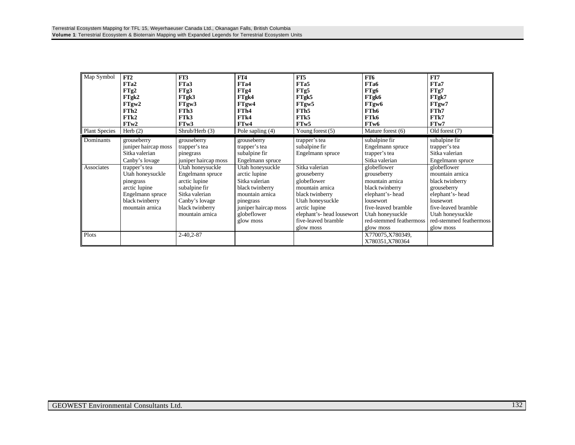| Map Symbol<br><b>Plant Species</b> | FT2<br>FTa2<br>FTg2<br>FTgk2<br>FTgw2<br>FTh <sub>2</sub><br>FTk2<br>FTw2<br>Herb $(2)$                                   | FT3<br>FTa3<br>FTg3<br>FTgk3<br>FTgw3<br>FTh <sub>3</sub><br>FT <sub>k3</sub><br>FTw3<br>Shrub/Herb $(3)$                                        | FT4<br>FT <sub>a4</sub><br>FTg4<br>FTgk4<br>FTgw4<br>FTh4<br>FT <sub>k4</sub><br>FTw4<br>Pole sapling (4)                                                  | FT5<br>FTa5<br>FTg5<br>FTgk5<br>FTgw5<br>FTh <sub>5</sub><br>FT <sub>k5</sub><br>FT <sub>w</sub> 5<br>Young forest $(5)$                                                                  | FT6<br>FTa6<br>FTg6<br>FTgk6<br>FTgw6<br>FTh6<br>FTk6<br>FT <sub>w</sub> 6<br>Mature forest (6)                                                                                     | FT7<br>FTa7<br>FTg7<br>FTgk7<br>FTgw7<br>FTh7<br>FTk7<br>FTw7<br>Old forest (7)                                                                                                     |
|------------------------------------|---------------------------------------------------------------------------------------------------------------------------|--------------------------------------------------------------------------------------------------------------------------------------------------|------------------------------------------------------------------------------------------------------------------------------------------------------------|-------------------------------------------------------------------------------------------------------------------------------------------------------------------------------------------|-------------------------------------------------------------------------------------------------------------------------------------------------------------------------------------|-------------------------------------------------------------------------------------------------------------------------------------------------------------------------------------|
| Dominants                          | grouseberry<br>juniper haircap moss<br>Sitka valerian<br>Canby's lovage                                                   | grouseberry<br>trapper's tea<br>pinegrass<br>juniper haircap moss                                                                                | grouseberry<br>trapper's tea<br>subalpine fir<br>Engelmann spruce                                                                                          | trapper's tea<br>subalpine fir<br>Engelmann spruce                                                                                                                                        | subalpine fir<br>Engelmann spruce<br>trapper's tea<br>Sitka valerian                                                                                                                | subalpine fir<br>trapper's tea<br>Sitka valerian<br>Engelmann spruce                                                                                                                |
| Associates                         | trapper's tea<br>Utah honeysuckle<br>pinegrass<br>arctic lupine<br>Engelmann spruce<br>black twinberry<br>mountain arnica | Utah honeysuckle<br>Engelmann spruce<br>arctic lupine<br>subalpine fir<br>Sitka valerian<br>Canby's lovage<br>black twinberry<br>mountain arnica | Utah honeysuckle<br>arctic lupine<br>Sitka valerian<br>black twinberry<br>mountain arnica<br>pinegrass<br>juniper haircap moss<br>globeflower<br>glow moss | Sitka valerian<br>grouseberry<br>globeflower<br>mountain arnica<br>black twinberry<br>Utah honeysuckle<br>arctic lupine<br>elephant's- head lousewort<br>five-leaved bramble<br>glow moss | globeflower<br>grouseberry<br>mountain arnica<br>black twinberry<br>elephant's-head<br>lousewort<br>five-leaved bramble<br>Utah honeysuckle<br>red-stemmed feathermoss<br>glow moss | globeflower<br>mountain arnica<br>black twinberry<br>grouseberry<br>elephant's-head<br>lousewort<br>five-leaved bramble<br>Utah honeysuckle<br>red-stemmed feathermoss<br>glow moss |
| Plots                              |                                                                                                                           | $2 - 40, 2 - 87$                                                                                                                                 |                                                                                                                                                            |                                                                                                                                                                                           | X770075, X780349,<br>X780351, X780364                                                                                                                                               |                                                                                                                                                                                     |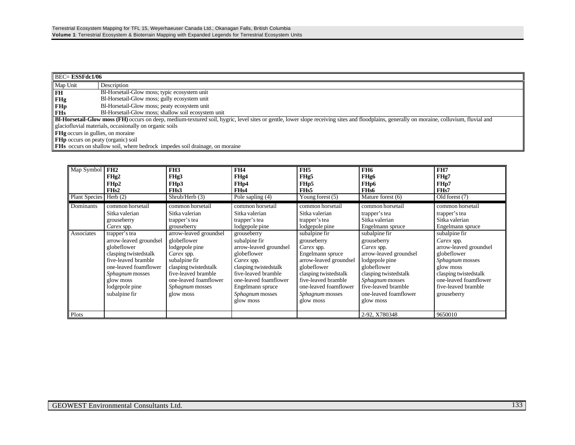|                                           | $BEC = ESSFdc1/06$                                                                                                                                                                                |  |  |  |
|-------------------------------------------|---------------------------------------------------------------------------------------------------------------------------------------------------------------------------------------------------|--|--|--|
| Map Unit                                  | Description                                                                                                                                                                                       |  |  |  |
| FH                                        | Bl-Horsetail-Glow moss; typic ecosystem unit                                                                                                                                                      |  |  |  |
| <b>FHg</b>                                | Bl-Horsetail-Glow moss; gully ecosystem unit                                                                                                                                                      |  |  |  |
| <b>FHp</b>                                | Bl-Horsetail-Glow moss; peaty ecosystem unit                                                                                                                                                      |  |  |  |
| <b>FHs</b>                                | Bl-Horsetail-Glow moss; shallow soil ecosystem unit                                                                                                                                               |  |  |  |
|                                           | <b>BI-Horsetail-Glow moss (FH)</b> occurs on deep, medium-textured soil, hygric, level sites or gentle, lower slope receiving sites and floodplains, generally on moraine, colluvium, fluvial and |  |  |  |
|                                           | glaciofluvial materials, occasionally on organic soils                                                                                                                                            |  |  |  |
|                                           | <b>FHg</b> occurs in gullies, on moraine                                                                                                                                                          |  |  |  |
| <b>FHp</b> occurs on peaty (organic) soil |                                                                                                                                                                                                   |  |  |  |
|                                           | <b>FHs</b> occurs on shallow soil, where bedrock impedes soil drainage, on moraine                                                                                                                |  |  |  |

| Map Symbol              | FH2<br>FHg <sub>2</sub><br>FHp2<br>FH <sub>s2</sub>                                                                                                                               | FH <sub>3</sub><br>FHg3<br>FH <sub>p</sub> 3<br>FH <sub>s</sub> 3                                                                                                            | FH <sub>4</sub><br>FHg4<br>FH <sub>p4</sub><br>FH <sub>s4</sub>                                                                                                                                          | FH <sub>5</sub><br>FHg5<br>FH <sub>p5</sub><br>FH <sub>s5</sub>                                                                                                                                        | FH <sub>6</sub><br>FHg6<br>FH <sub>p6</sub><br>FH <sub>s6</sub>                                                                                                                               | FH7<br>FHg7<br>FH <sub>p</sub> 7<br>FH <sub>s</sub> 7                                                                                                                       |
|-------------------------|-----------------------------------------------------------------------------------------------------------------------------------------------------------------------------------|------------------------------------------------------------------------------------------------------------------------------------------------------------------------------|----------------------------------------------------------------------------------------------------------------------------------------------------------------------------------------------------------|--------------------------------------------------------------------------------------------------------------------------------------------------------------------------------------------------------|-----------------------------------------------------------------------------------------------------------------------------------------------------------------------------------------------|-----------------------------------------------------------------------------------------------------------------------------------------------------------------------------|
| <b>Plant Species</b>    | Herb $(2)$                                                                                                                                                                        | Shrub/Herb (3)                                                                                                                                                               | Pole sapling (4)                                                                                                                                                                                         | Young forest $(5)$                                                                                                                                                                                     | Mature forest (6)                                                                                                                                                                             | Old forest (7)                                                                                                                                                              |
| Dominants<br>Associates | common horsetail<br>Sitka valerian<br>grouseberry<br>Carex spp.<br>trapper's tea                                                                                                  | common horsetail<br>Sitka valerian<br>trapper's tea<br>grouseberry<br>arrow-leaved groundsel                                                                                 | common horsetail<br>Sitka valerian<br>trapper's tea<br>lodgepole pine<br>grouseberry                                                                                                                     | common horsetail<br>Sitka valerian<br>trapper's tea<br>lodgepole pine<br>subalpine fir                                                                                                                 | common horsetail<br>trapper's tea<br>Sitka valerian<br>Engelmann spruce<br>subalpine fir                                                                                                      | common horsetail<br>trapper's tea<br>Sitka valerian<br>Engelmann spruce<br>subalpine fir                                                                                    |
|                         | arrow-leaved groundsel<br>globeflower<br>clasping twistedstalk<br>five-leaved bramble<br>one-leaved foamflower<br>Sphagnum mosses<br>glow moss<br>lodgepole pine<br>subalpine fir | globeflower<br>lodgepole pine<br>Carex spp.<br>subalpine fir<br>clasping twistedstalk<br>five-leaved bramble<br>one-leaved foamflower<br><i>Sphagnum</i> mosses<br>glow moss | subalpine fir<br>arrow-leaved groundsel<br>globeflower<br>Carex spp.<br>clasping twistedstalk<br>five-leaved bramble<br>one-leaved foamflower<br>Engelmann spruce<br><i>Sphagnum</i> mosses<br>glow moss | grouseberry<br>Carex spp.<br>Engelmann spruce<br>arrow-leaved groundsel<br>globeflower<br>clasping twistedstalk<br>five-leaved bramble<br>one-leaved foamflower<br><i>Sphagnum</i> mosses<br>glow moss | grouseberry<br>Carex spp.<br>arrow-leaved groundsel<br>lodgepole pine<br>globeflower<br>clasping twistedstalk<br>Sphagnum mosses<br>five-leaved bramble<br>one-leaved foamflower<br>glow moss | Carex spp.<br>arrow-leaved groundsel<br>globeflower<br>Sphagnum mosses<br>glow moss<br>clasping twistedstalk<br>one-leaved foamflower<br>five-leaved bramble<br>grouseberry |
| Plots                   |                                                                                                                                                                                   |                                                                                                                                                                              |                                                                                                                                                                                                          |                                                                                                                                                                                                        | 2-92, X780348                                                                                                                                                                                 | 9650010                                                                                                                                                                     |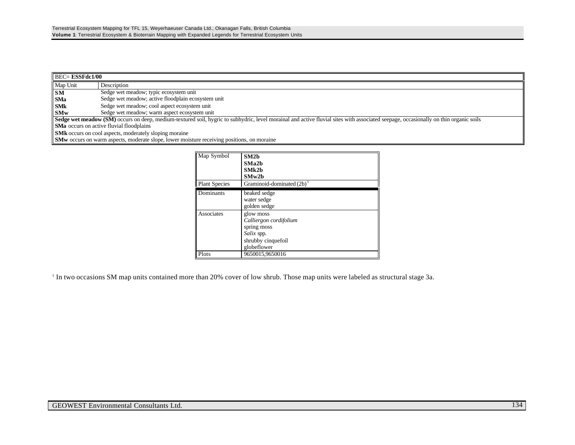| $\overline{\text{BEC}}$ <b>ESSFdc1/00</b> |                                                                                                                                                                                             |  |  |
|-------------------------------------------|---------------------------------------------------------------------------------------------------------------------------------------------------------------------------------------------|--|--|
| Map Unit                                  | Description                                                                                                                                                                                 |  |  |
| <b>SM</b>                                 | Sedge wet meadow; typic ecosystem unit                                                                                                                                                      |  |  |
| <b>SMa</b>                                | Sedge wet meadow; active floodplain ecosystem unit                                                                                                                                          |  |  |
| <b>SMk</b>                                | Sedge wet meadow; cool aspect ecosystem unit                                                                                                                                                |  |  |
| <b>SMw</b>                                | Sedge wet meadow; warm aspect ecosystem unit                                                                                                                                                |  |  |
|                                           | <b>Sedge wet meadow (SM)</b> occurs on deep, medium-textured soil, hygric to subhydric, level morainal and active fluvial sites with associated seepage, occasionally on thin organic soils |  |  |
|                                           | <b>SMa</b> occurs on active fluvial floodplains                                                                                                                                             |  |  |
|                                           | <b>SMk</b> occurs on cool aspects, moderately sloping moraine                                                                                                                               |  |  |
|                                           | <b>SMw</b> occurs on warm aspects, moderate slope, lower moisture receiving positions, on moraine                                                                                           |  |  |

| Map Symbol           | SM2 <sub>b</sub><br>SMa2b<br>SMk2b<br>SMw2b                                                           |
|----------------------|-------------------------------------------------------------------------------------------------------|
| <b>Plant Species</b> | Graminoid-dominated $(2b)^{1}$                                                                        |
| Dominants            | beaked sedge<br>water sedge<br>golden sedge                                                           |
| Associates           | glow moss<br>Calliergon cordifolium<br>spring moss<br>Salix spp.<br>shrubby cinquefoil<br>globeflower |
| Plots                | 9650015,9650016                                                                                       |

<sup>1</sup> In two occasions SM map units contained more than 20% cover of low shrub. Those map units were labeled as structural stage 3a.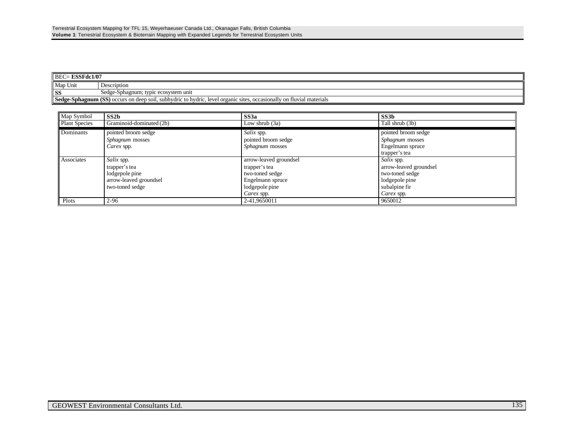| $BEC = ESSFdc1/07$ |                                                                                                                      |  |  |
|--------------------|----------------------------------------------------------------------------------------------------------------------|--|--|
| Map Unit           | Description                                                                                                          |  |  |
| SS                 | Sedge-Sphagnum: typic ecosystem unit                                                                                 |  |  |
|                    | Sedge-Sphagnum (SS) occurs on deep soil, subhydric to hydric, level organic sites, occasionally on fluvial materials |  |  |

| Map Symbol           | SS2b                                                 | SS3a                                 | SS3b                   |
|----------------------|------------------------------------------------------|--------------------------------------|------------------------|
| <b>Plant Species</b> | Graminoid-dominated (2b)                             | Low shrub (3a)                       | Tall shrub (3b)        |
| Dominants            | pointed broom sedge                                  | Salix spp.                           | pointed broom sedge    |
|                      | <i>Sphagnum</i> mosses                               | pointed broom sedge                  | <i>Sphagnum</i> mosses |
|                      | Carex spp.                                           | <i>Sphagnum</i> mosses               | Engelmann spruce       |
|                      |                                                      |                                      | trapper's tea          |
| Associates           | Salix spp.                                           | Salix spp.<br>arrow-leaved groundsel |                        |
| trapper's tea        |                                                      | trapper's tea                        | arrow-leaved groundsel |
|                      | lodgepole pine<br>two-toned sedge<br>two-toned sedge |                                      |                        |
|                      | arrow-leaved groundsel                               | Engelmann spruce                     | lodgepole pine         |
|                      | two-toned sedge                                      | lodgepole pine                       | subalpine fir          |
|                      |                                                      | Carex spp.                           | Carex spp.             |
| Plots                | $2 - 96$                                             | 2-41,9650011                         | 9650012                |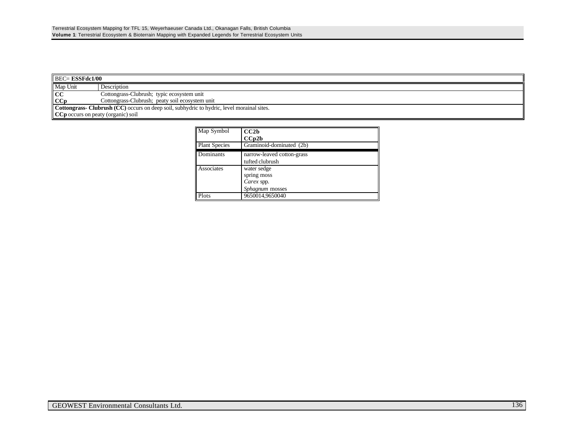| $\parallel$ BEC= <b>ESSFdc1/00</b>                         |                                                                                                  |  |  |
|------------------------------------------------------------|--------------------------------------------------------------------------------------------------|--|--|
| Map Unit                                                   | Description                                                                                      |  |  |
| CC                                                         | Cottongrass-Clubrush; typic ecosystem unit                                                       |  |  |
| CCp                                                        | Cottongrass-Clubrush; peaty soil ecosystem unit                                                  |  |  |
|                                                            | <b>Cottongrass-Clubrush (CC)</b> occurs on deep soil, subhydric to hydric, level morainal sites. |  |  |
| $\parallel$ CC <sub>p</sub> occurs on peaty (organic) soil |                                                                                                  |  |  |

| Map Symbol           | CC2b                       |
|----------------------|----------------------------|
|                      | CCp2b                      |
| <b>Plant Species</b> | Graminoid-dominated (2b)   |
| Dominants            | narrow-leaved cotton-grass |
|                      | tufted clubrush            |
| Associates           | water sedge                |
|                      | spring moss                |
|                      | Carex spp.                 |
|                      | Sphagnum mosses            |
| Plots                | 9650014,9650040            |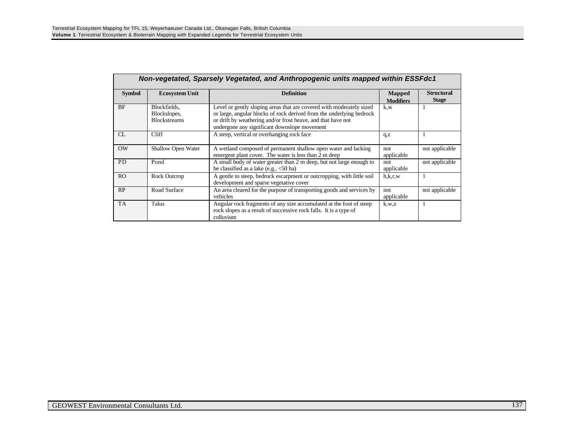|                | Non-vegetated, Sparsely Vegetated, and Anthropogenic units mapped within ESSFdc1 |                                                                                                                                                                                                                                                              |                            |                                   |  |  |
|----------------|----------------------------------------------------------------------------------|--------------------------------------------------------------------------------------------------------------------------------------------------------------------------------------------------------------------------------------------------------------|----------------------------|-----------------------------------|--|--|
| <b>Symbol</b>  | <b>Ecosystem Unit</b>                                                            | <b>Definition</b>                                                                                                                                                                                                                                            | Mapped<br><b>Modifiers</b> | <b>Structural</b><br><b>Stage</b> |  |  |
| <b>BF</b>      | Blockfields.<br>Blockslopes,<br><b>Blockstreams</b>                              | Level or gently sloping areas that are covered with moderately sized<br>or large, angular blocks of rock derived from the underlying bedrock<br>or drift by weathering and/or frost heave, and that have not<br>undergone any significant downslope movement | k,w                        |                                   |  |  |
| CL             | Cliff                                                                            | A steep, vertical or overhanging rock face                                                                                                                                                                                                                   | q, z                       |                                   |  |  |
| OW             | <b>Shallow Open Water</b>                                                        | A wetland composed of permanent shallow open water and lacking<br>emergent plant cover. The water is less than 2 m deep                                                                                                                                      | not<br>applicable          | not applicable                    |  |  |
| <b>PD</b>      | Pond                                                                             | A small body of water greater than 2 m deep, but not large enough to<br>be classified as a lake (e.g., $<$ 50 ha)                                                                                                                                            | not<br>applicable          | not applicable                    |  |  |
| R <sub>O</sub> | Rock Outcrop                                                                     | A gentle to steep, bedrock escarpment or outcropping, with little soil<br>development and sparse vegetative cover                                                                                                                                            | h,k,r,w                    |                                   |  |  |
| RP             | Road Surface                                                                     | An area cleared for the purpose of transporting goods and services by<br>vehicles                                                                                                                                                                            | not<br>applicable          | not applicable                    |  |  |
| <b>TA</b>      | Talus                                                                            | Angular rock fragments of any size accumulated at the foot of steep<br>rock slopes as a result of successive rock falls. It is a type of<br>colluvium                                                                                                        | k, w, z                    |                                   |  |  |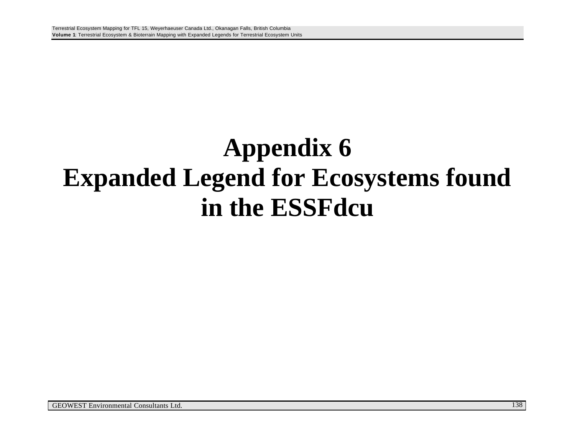## **Appendix 6 Expanded Legend for Ecosystems found in the ESSFdcu**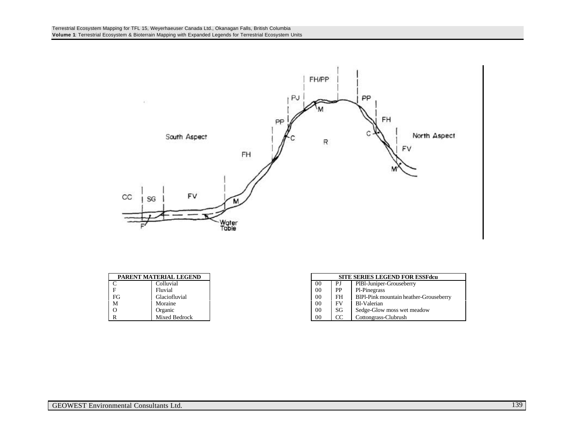

| PARENT MATERIAL LEGEND |               |
|------------------------|---------------|
|                        | Colluvial     |
|                        | Fluvial       |
| FG                     | Glaciofluvial |
| M                      | Moraine       |
| $\Omega$               | Organic       |
| R                      | Mixed Bedrock |

| PARENT MATERIAL LEGEND |               | <b>SITE SERIES LEGEND FOR ESSFdcu</b> |    |                                        |
|------------------------|---------------|---------------------------------------|----|----------------------------------------|
| $\sim$<br>◡            | Colluvial     | -00                                   | PJ | PIBI-Juniper-Grouseberry               |
| F                      | Fluvial       | 0 <sup>0</sup>                        | PP | Pl-Pinegrass                           |
| FG                     | Glaciofluvial | 0 <sup>0</sup>                        | FH | BIPI-Pink mountain heather-Grouseberry |
| М                      | Moraine       | 0 <sup>0</sup>                        | FV | Bl-Valerian                            |
| О                      | Organic       | 00                                    | SG | Sedge-Glow moss wet meadow             |
| R                      | Mixed Bedrock | 00                                    | CC | Cottongrass-Clubrush                   |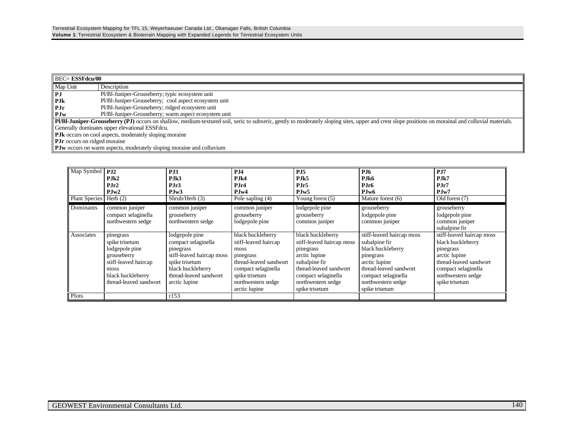| <b>BEC= ESSFdcu/00</b>              |                                                                                                                                                                                                     |  |  |  |  |
|-------------------------------------|-----------------------------------------------------------------------------------------------------------------------------------------------------------------------------------------------------|--|--|--|--|
| Map Unit                            | Description                                                                                                                                                                                         |  |  |  |  |
| $\ $ PJ                             | Pl/Bl-Juniper-Grouseberry; typic ecosystem unit                                                                                                                                                     |  |  |  |  |
| $\parallel$ PJ <sub>k</sub>         | Pl/Bl-Juniper-Grouseberry; cool aspect ecosystem unit                                                                                                                                               |  |  |  |  |
| $\parallel$ PJr                     | Pl/Bl-Juniper-Grouseberry; ridged ecosystem unit                                                                                                                                                    |  |  |  |  |
| $\blacksquare$ PJw                  | Pl/Bl-Juniper-Grouseberry; warm aspect ecosystem unit                                                                                                                                               |  |  |  |  |
|                                     | Pl/Bl-Juniper-Grouseberry (PJ) occurs on shallow, medium-textured soil, xeric to subxeric, gently to moderately sloping sites, upper and crest slope positions on morainal and colluvial materials. |  |  |  |  |
|                                     | Generally dominates upper elevational ESSF dcu.                                                                                                                                                     |  |  |  |  |
|                                     | <b>PJk</b> occurs on cool aspects, moderately sloping moraine                                                                                                                                       |  |  |  |  |
| <b>PJr</b> occurs on ridged moraine |                                                                                                                                                                                                     |  |  |  |  |
|                                     | <b>PJw</b> occurs on warm aspects, moderately sloping moraine and colluvium                                                                                                                         |  |  |  |  |

| Map Symbol<br><b>Plant Species</b> | <b>P.I2</b><br>$P_{\rm J}$ k2<br>PJr2<br>PJw2<br>Herb $(2)$                                                                                 | PJ3<br>PJk3<br>PJr3<br>PJw3<br>Shrub/Herb (3)                                                                                                                     | <b>P.I4</b><br>P <sub>II</sub> <sub>k4</sub><br>$P$ . Ir $4$<br>PJw4<br>Pole sapling (4)                                                                                 | <b>P.I5</b><br>P <sub>IIk5</sub><br>PJr5<br>PJw5<br>Young forest $(5)$                                                                                                                 | <b>P.I6</b><br>P.Ik6<br>P.Ir6<br>P.Iw <sub>6</sub><br>Mature forest (6)                                                                                                                | <b>P.I7</b><br>$P_{\rm Jk7}$<br>$P.\mathrm{Ir}7$<br>PJw7<br>Old forest (7)                                                                                            |
|------------------------------------|---------------------------------------------------------------------------------------------------------------------------------------------|-------------------------------------------------------------------------------------------------------------------------------------------------------------------|--------------------------------------------------------------------------------------------------------------------------------------------------------------------------|----------------------------------------------------------------------------------------------------------------------------------------------------------------------------------------|----------------------------------------------------------------------------------------------------------------------------------------------------------------------------------------|-----------------------------------------------------------------------------------------------------------------------------------------------------------------------|
| Dominants                          | common juniper<br>compact selaginella<br>northwestern sedge                                                                                 | common juniper<br>grouseberry<br>northwestern sedge                                                                                                               | common juniper<br>grouseberry<br>lodgepole pine                                                                                                                          | lodgepole pine<br>grouseberry<br>common juniper                                                                                                                                        | grouseberry<br>lodgepole pine<br>common juniper                                                                                                                                        | grouseberry<br>lodgepole pine<br>common juniper<br>subalpine fir                                                                                                      |
| Associates                         | pinegrass<br>spike trisetum<br>lodgepole pine<br>grouseberry<br>stiff-leaved haircap<br>moss<br>black huckleberry<br>thread-leaved sandwort | lodgepole pine<br>compact selaginella<br>pinegrass<br>stiff-leaved haircap moss<br>spike trisetum<br>black huckleberry<br>thread-leaved sandwort<br>arctic lupine | black huckleberry<br>stiff-leaved haircap<br>moss<br>pinegrass<br>thread-leaved sandwort<br>compact selaginella<br>spike trisetum<br>northwestern sedge<br>arctic lupine | black huckleberry<br>stiff-leaved haircap moss<br>pinegrass<br>arctic lupine<br>subalpine fir<br>thread-leaved sandwort<br>compact selaginella<br>northwestern sedge<br>spike trisetum | stiff-leaved haircap moss<br>subalpine fir<br>black huckleberry<br>pinegrass<br>arctic lupine<br>thread-leaved sandwort<br>compact selaginella<br>northwestern sedge<br>spike trisetum | stiff-leaved haircap moss<br>black huckleberry<br>pinegrass<br>arctic lupine<br>thread-leaved sandwort<br>compact selaginella<br>northwestern sedge<br>spike trisetum |
| Plots                              |                                                                                                                                             | r153                                                                                                                                                              |                                                                                                                                                                          |                                                                                                                                                                                        |                                                                                                                                                                                        |                                                                                                                                                                       |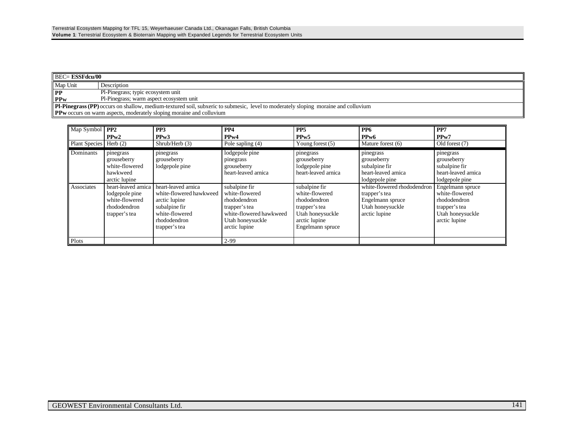|                                                                                                                                           | $\parallel$ BEC= <b>ESSFdcu/00</b>                                          |  |  |  |  |  |
|-------------------------------------------------------------------------------------------------------------------------------------------|-----------------------------------------------------------------------------|--|--|--|--|--|
| Map Unit                                                                                                                                  | Description                                                                 |  |  |  |  |  |
| PP                                                                                                                                        | Pl-Pinegrass; typic ecosystem unit                                          |  |  |  |  |  |
| <b>PPw</b>                                                                                                                                | Pl-Pinegrass; warm aspect ecosystem unit                                    |  |  |  |  |  |
| <b>Pl-Pinegrass (PP)</b> occurs on shallow, medium-textured soil, subxeric to submesic, level to moderately sloping moraine and colluvium |                                                                             |  |  |  |  |  |
|                                                                                                                                           | <b>PPw</b> occurs on warm aspects, moderately sloping moraine and colluvium |  |  |  |  |  |

| Map Symbol           | PP2                                                                                      | PP <sub>3</sub>                                                                                                                     | PP <sub>4</sub>                                                                                                                  | PP <sub>5</sub>                                                                                                           | PP <sub>6</sub>                                                                                       | PP7                                                                                                      |
|----------------------|------------------------------------------------------------------------------------------|-------------------------------------------------------------------------------------------------------------------------------------|----------------------------------------------------------------------------------------------------------------------------------|---------------------------------------------------------------------------------------------------------------------------|-------------------------------------------------------------------------------------------------------|----------------------------------------------------------------------------------------------------------|
|                      | PPw2                                                                                     | PPw3                                                                                                                                | PPw4                                                                                                                             | PP <sub>w</sub> 5                                                                                                         | PP <sub>w</sub> 6                                                                                     | PPw7                                                                                                     |
| <b>Plant Species</b> | Herb $(2)$                                                                               | Shrub/Herb (3)                                                                                                                      | Pole sapling (4)                                                                                                                 | Young forest (5)                                                                                                          | Mature forest (6)                                                                                     | Old forest (7)                                                                                           |
| Dominants            | pinegrass<br>grouseberry<br>white-flowered<br>hawkweed<br>arctic lupine                  | pinegrass<br>grouseberry<br>lodgepole pine                                                                                          | lodgepole pine<br>pinegrass<br>grouseberry<br>heart-leaved arnica                                                                | pinegrass<br>grouseberry<br>lodgepole pine<br>heart-leaved arnica                                                         | pinegrass<br>grouseberry<br>subalpine fir<br>heart-leaved arnica<br>lodgepole pine                    | pinegrass<br>grouseberry<br>subalpine fir<br>heart-leaved arnica<br>lodgepole pine                       |
| Associates           | heart-leaved arnica<br>lodgepole pine<br>white-flowered<br>rhododendron<br>trapper's tea | heart-leaved arnica<br>white-flowered hawkweed<br>arctic lupine<br>subalpine fir<br>white-flowered<br>rhododendron<br>trapper's tea | subalpine fir<br>white-flowered<br>rhododendron<br>trapper's tea<br>white-flowered hawkweed<br>Utah honeysuckle<br>arctic lupine | subalpine fir<br>white-flowered<br>rhododendron<br>trapper's tea<br>Utah honeysuckle<br>arctic lupine<br>Engelmann spruce | white-flowered rhododendron<br>trapper's tea<br>Engelmann spruce<br>Utah honeysuckle<br>arctic lupine | Engelmann spruce<br>white-flowered<br>rhododendron<br>trapper's tea<br>Utah honeysuckle<br>arctic lupine |
| Plots                |                                                                                          |                                                                                                                                     | $2 - 99$                                                                                                                         |                                                                                                                           |                                                                                                       |                                                                                                          |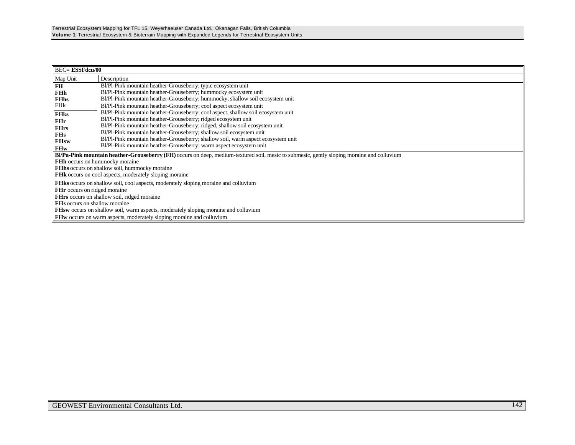|                                     | <b>BEC= ESSFdcu/00</b>                                                                                                                            |  |  |  |  |  |  |
|-------------------------------------|---------------------------------------------------------------------------------------------------------------------------------------------------|--|--|--|--|--|--|
| Map Unit                            | Description                                                                                                                                       |  |  |  |  |  |  |
| FH                                  | Bl/Pl-Pink mountain heather-Grouseberry; typic ecosystem unit                                                                                     |  |  |  |  |  |  |
| <b>FHh</b>                          | Bl/Pl-Pink mountain heather-Grouseberry; hummocky ecosystem unit                                                                                  |  |  |  |  |  |  |
| <b>FH<sub>hs</sub></b>              | Bl/Pl-Pink mountain heather-Grouseberry; hummocky, shallow soil ecosystem unit                                                                    |  |  |  |  |  |  |
| FHk                                 | Bl/Pl-Pink mountain heather-Grouseberry; cool aspect ecosystem unit                                                                               |  |  |  |  |  |  |
| <b>FHks</b>                         | Bl/Pl-Pink mountain heather-Grouseberry; cool aspect, shallow soil ecosystem unit                                                                 |  |  |  |  |  |  |
| FHr                                 | Bl/Pl-Pink mountain heather-Grouseberry; ridged ecosystem unit                                                                                    |  |  |  |  |  |  |
| <b>FHrs</b>                         | Bl/Pl-Pink mountain heather-Grouseberry; ridged, shallow soil ecosystem unit                                                                      |  |  |  |  |  |  |
| <b>FHs</b>                          | Bl/Pl-Pink mountain heather-Grouseberry; shallow soil ecosystem unit                                                                              |  |  |  |  |  |  |
| <b>FHsw</b>                         | Bl/Pl-Pink mountain heather-Grouseberry; shallow soil, warm aspect ecosystem unit                                                                 |  |  |  |  |  |  |
| <b>FHw</b>                          | Bl/Pl-Pink mountain heather-Grouseberry; warm aspect ecosystem unit                                                                               |  |  |  |  |  |  |
|                                     | <b>Bl/Pa-Pink mountain heather-Grouseberry (FH)</b> occurs on deep, medium-textured soil, mesic to submesic, gently sloping moraine and colluvium |  |  |  |  |  |  |
|                                     | FHh occurs on hummocky moraine                                                                                                                    |  |  |  |  |  |  |
|                                     | <b>FHhs</b> occurs on shallow soil, hummocky moraine                                                                                              |  |  |  |  |  |  |
|                                     | <b>FHK</b> occurs on cool aspects, moderately sloping moraine                                                                                     |  |  |  |  |  |  |
|                                     | <b>FHks</b> occurs on shallow soil, cool aspects, moderately sloping moraine and colluvium                                                        |  |  |  |  |  |  |
| <b>FHr</b> occurs on ridged moraine |                                                                                                                                                   |  |  |  |  |  |  |
|                                     | <b>FHrs</b> occurs on shallow soil, ridged moraine                                                                                                |  |  |  |  |  |  |
|                                     | <b>FHs</b> occurs on shallow moraine                                                                                                              |  |  |  |  |  |  |
|                                     | <b>FHsw</b> occurs on shallow soil, warm aspects, moderately sloping moraine and colluvium                                                        |  |  |  |  |  |  |
|                                     | <b>FHw</b> occurs on warm aspects, moderately sloping moraine and colluvium                                                                       |  |  |  |  |  |  |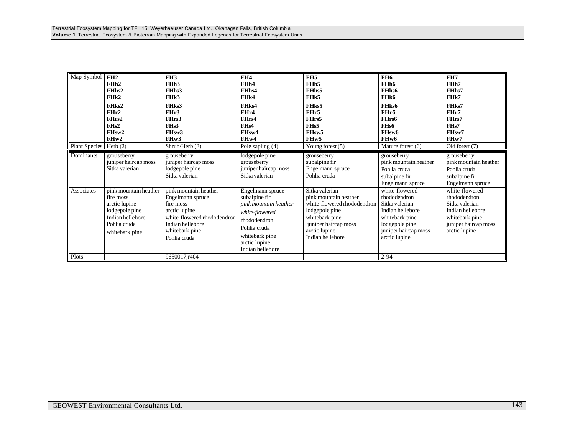| Map Symbol               | FH2<br>FHh2<br>FH <sub>hs2</sub><br>FHk2<br>FHks2<br>FHr2<br>FHrs2<br>FH <sub>s2</sub><br>FH <sub>sw</sub> 2<br>FHw2        | FH <sub>3</sub><br>FHh <sub>3</sub><br>FHhs3<br>FH <sub>k</sub> 3<br>FH <sub>ks</sub> 3<br>FHr3<br>FHrs3<br>FH <sub>s</sub> 3<br>FH <sub>sw</sub> 3<br>FH <sub>w</sub> 3 | FH <sub>4</sub><br>FHh4<br>FH <sub>hs4</sub><br>FH <sub>k4</sub><br>FHks4<br>FHr4<br>FHrs4<br>FH <sub>s4</sub><br>FH <sub>sw</sub> 4<br>FH <sub>w</sub> 4           | FH <sub>5</sub><br>FHh <sub>5</sub><br>FH <sub>hs5</sub><br>FH <sub>k5</sub><br>FH <sub>ks</sub> 5<br>FHr5<br>FHrs5<br>FH <sub>s5</sub><br>FH <sub>sw</sub> 5<br>FH <sub>w</sub> 5 | FH <sub>6</sub><br>FHh6<br><b>FHhs6</b><br>FHk6<br>FH <sub>ks</sub> 6<br>FHr6<br>FHrs6<br>FH <sub>s6</sub><br>FH <sub>sw</sub> 6<br>FH <sub>w</sub> 6 | FH7<br>FH <sub>h7</sub><br>FH <sub>hs</sub> 7<br>FH <sub>k</sub> 7<br>FHks7<br>FHr7<br>FHrs7<br>FH <sub>s7</sub><br>FH <sub>sw</sub> 7<br>FHw7 |
|--------------------------|-----------------------------------------------------------------------------------------------------------------------------|--------------------------------------------------------------------------------------------------------------------------------------------------------------------------|---------------------------------------------------------------------------------------------------------------------------------------------------------------------|------------------------------------------------------------------------------------------------------------------------------------------------------------------------------------|-------------------------------------------------------------------------------------------------------------------------------------------------------|------------------------------------------------------------------------------------------------------------------------------------------------|
| Plant Species   Herb (2) |                                                                                                                             | Shrub/Herb (3)                                                                                                                                                           | Pole sapling (4)                                                                                                                                                    | Young forest $(5)$                                                                                                                                                                 | Mature forest (6)                                                                                                                                     | Old forest (7)                                                                                                                                 |
| Dominants                | grouseberry<br>juniper haircap moss<br>Sitka valerian                                                                       | grouseberry<br>juniper haircap moss<br>lodgepole pine<br>Sitka valerian                                                                                                  | lodgepole pine<br>grouseberry<br>juniper haircap moss<br>Sitka valerian                                                                                             | grouseberry<br>subalpine fir<br>Engelmann spruce<br>Pohlia cruda                                                                                                                   | grouseberry<br>pink mountain heather<br>Pohlia cruda<br>subalpine fir<br>Engelmann spruce                                                             | grouseberry<br>pink mountain heather<br>Pohlia cruda<br>subalpine fir<br>Engelmann spruce                                                      |
| Associates               | pink mountain heather<br>fire moss<br>arctic lupine<br>lodgepole pine<br>Indian hellebore<br>Pohlia cruda<br>whitebark pine | pink mountain heather<br>Engelmann spruce<br>fire moss<br>arctic lupine<br>white-flowered rhododendron<br>Indian hellebore<br>whitebark pine<br>Pohlia cruda             | Engelmann spruce<br>subalpine fir<br>pink mountain heather<br>white-flowered<br>rhododendron<br>Pohlia cruda<br>whitebark pine<br>arctic lupine<br>Indian hellebore | Sitka valerian<br>pink mountain heather<br>white-flowered rhododendron<br>lodgepole pine<br>whitebark pine<br>juniper haircap moss<br>arctic lupine<br>Indian hellebore            | white-flowered<br>rhododendron<br>Sitka valerian<br>Indian hellebore<br>whitebark pine<br>lodgepole pine<br>juniper haircap moss<br>arctic lupine     | white-flowered<br>rhododendron<br>Sitka valerian<br>Indian hellebore<br>whitebark pine<br>juniper haircap moss<br>arctic lupine                |
| Plots                    |                                                                                                                             | 9650017,r404                                                                                                                                                             |                                                                                                                                                                     |                                                                                                                                                                                    | $2 - 94$                                                                                                                                              |                                                                                                                                                |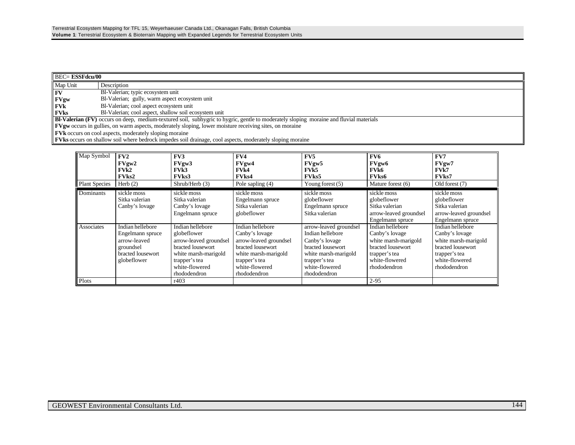| <b>BEC= ESSFdcu/00</b>                                                                                         |                                                                                                                                               |  |  |  |  |  |
|----------------------------------------------------------------------------------------------------------------|-----------------------------------------------------------------------------------------------------------------------------------------------|--|--|--|--|--|
| Map Unit                                                                                                       | Description                                                                                                                                   |  |  |  |  |  |
| <b>FV</b>                                                                                                      | Bl-Valerian; typic ecosystem unit                                                                                                             |  |  |  |  |  |
| $\mathbf{F}V$ gw                                                                                               | Bl-Valerian; gully, warm aspect ecosystem unit                                                                                                |  |  |  |  |  |
| l FVk                                                                                                          | Bl-Valerian; cool aspect ecosystem unit                                                                                                       |  |  |  |  |  |
| <b>FVks</b>                                                                                                    | Bl-Valerian; cool aspect, shallow soil ecosystem unit                                                                                         |  |  |  |  |  |
|                                                                                                                | <b>BI-Valerian (FV)</b> occurs on deep, medium-textured soil, subhygric to hygric, gentle to moderately sloping moraine and fluvial materials |  |  |  |  |  |
| <b>FVgw</b> occurs in gullies, on warm aspects, moderately sloping, lower moisture receiving sites, on moraine |                                                                                                                                               |  |  |  |  |  |
|                                                                                                                | <b>FVk</b> occurs on cool aspects, moderately sloping moraine                                                                                 |  |  |  |  |  |
|                                                                                                                | <b>FVks</b> occurs on shallow soil where bedrock impedes soil drainage, cool aspects, moderately sloping moraine                              |  |  |  |  |  |

| Map Symbol           | FV2               | FV3                    | FV4                    | FV5                    | FV6                    | FV7                    |
|----------------------|-------------------|------------------------|------------------------|------------------------|------------------------|------------------------|
|                      | FVgw2             | FVgw3                  | FVgw4                  | FVgw5                  | FVgw6                  | FVgw7                  |
|                      | FVR2              | FVk3                   | FVk4                   | FVk5                   | FVk6                   | <b>FVk7</b>            |
|                      | <b>FVks2</b>      | <b>FVks3</b>           | <b>FVks4</b>           | <b>FVks5</b>           | <b>FVks6</b>           | <b>FVks7</b>           |
| <b>Plant Species</b> | Herb $(2)$        | Shrub/Herb $(3)$       | Pole sapling (4)       | Young forest $(5)$     | Mature forest (6)      | Old forest (7)         |
| <b>Dominants</b>     | sickle moss       | sickle moss            | sickle moss            | sickle moss            | sickle moss            | sickle moss            |
|                      | Sitka valerian    | Sitka valerian         | Engelmann spruce       | globeflower            | globeflower            | globeflower            |
|                      | Canby's lovage    | Canby's lovage         | Sitka valerian         | Engelmann spruce       | Sitka valerian         | Sitka valerian         |
|                      |                   | Engelmann spruce       | globeflower            | Sitka valerian         | arrow-leaved groundsel | arrow-leaved groundsel |
|                      |                   |                        |                        |                        | Engelmann spruce       | Engelmann spruce       |
| Associates           | Indian hellebore  | Indian hellebore       | Indian hellebore       | arrow-leaved groundsel | Indian hellebore       | Indian hellebore       |
|                      | Engelmann spruce  | globeflower            | Canby's lovage         | Indian hellebore       | Canby's lovage         | Canby's lovage         |
|                      | arrow-leaved      | arrow-leaved groundsel | arrow-leaved groundsel | Canby's lovage         | white marsh-marigold   | white marsh-marigold   |
|                      | groundsel         | bracted lousewort      | bracted lousewort      | bracted lousewort      | bracted lousewort      | bracted lousewort      |
|                      | bracted lousewort | white marsh-marigold   | white marsh-marigold   | white marsh-marigold   | trapper's tea          | trapper's tea          |
|                      | globeflower       | trapper's tea          | trapper's tea          | trapper's tea          | white-flowered         | white-flowered         |
|                      |                   | white-flowered         | white-flowered         | white-flowered         | rhododendron           | rhododendron           |
|                      |                   | rhododendron           | rhododendron           | rhododendron           |                        |                        |
| Plots                |                   | r403                   |                        |                        | $2 - 95$               |                        |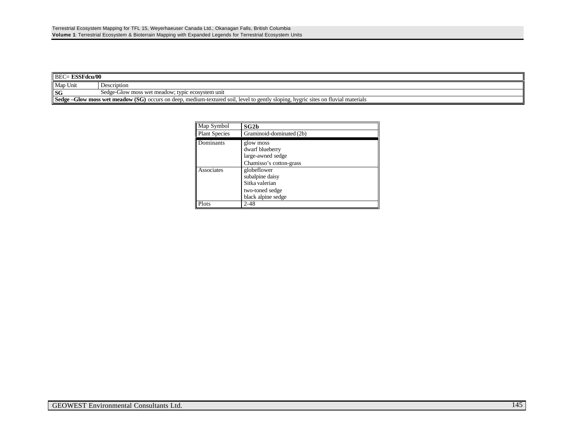| <b>BEC= ESSFdcu/00</b>                                                                                                                   |                                                  |  |  |  |
|------------------------------------------------------------------------------------------------------------------------------------------|--------------------------------------------------|--|--|--|
| Map Unit                                                                                                                                 | Description                                      |  |  |  |
| <b>SG</b>                                                                                                                                | Sedge-Glow moss wet meadow; typic ecosystem unit |  |  |  |
| <b>Sedge -Glow moss wet meadow (SG)</b> occurs on deep, medium-textured soil, level to gently sloping, hygric sites on fluvial materials |                                                  |  |  |  |

| Map Symbol           | SG2b                                                                                      |
|----------------------|-------------------------------------------------------------------------------------------|
| <b>Plant Species</b> | Graminoid-dominated (2b)                                                                  |
| Dominants            | glow moss<br>dwarf blueberry<br>large-awned sedge<br>Chamisso's cotton-grass              |
| Associates           | globeflower<br>subalpine daisy<br>Sitka valerian<br>two-toned sedge<br>black alpine sedge |
| Plots                | $2 - 48$                                                                                  |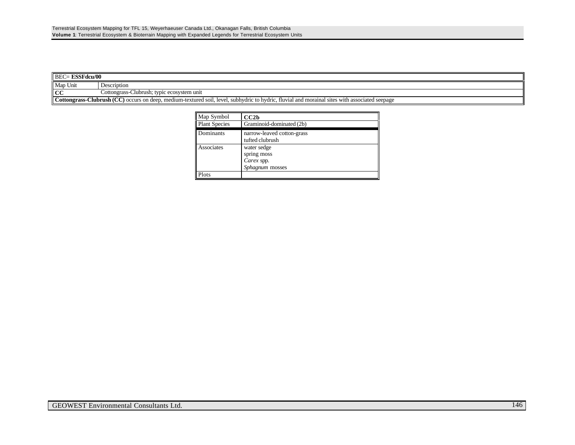| <b>BEC= ESSFdcu/00</b>                                                                                                                         |             |  |
|------------------------------------------------------------------------------------------------------------------------------------------------|-------------|--|
| Map Unit                                                                                                                                       | Description |  |
| $\mathsf{ICC}$<br>Cottongrass-Clubrush; typic ecosystem unit                                                                                   |             |  |
| Cottongrass-Clubrush (CC) occurs on deep, medium-textured soil, level, subhydric to hydric, fluvial and morainal sites with associated seepage |             |  |

| Map Symbol           | CC2b                       |
|----------------------|----------------------------|
| <b>Plant Species</b> | Graminoid-dominated (2b)   |
| Dominants            | narrow-leaved cotton-grass |
|                      | tufted clubrush            |
| <b>Associates</b>    | water sedge                |
|                      | spring moss                |
|                      | Carex spp.                 |
|                      | Sphagnum mosses            |
| Plots                |                            |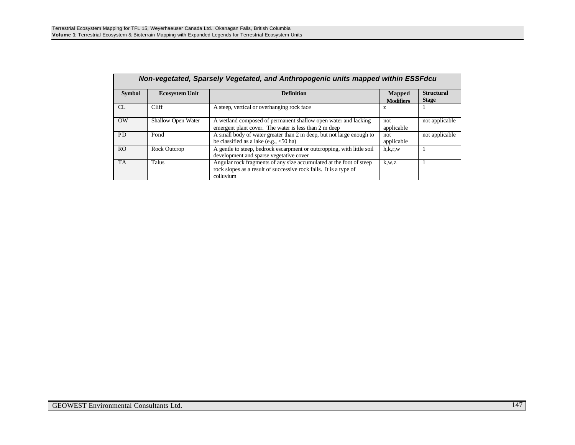|                | Non-vegetated, Sparsely Vegetated, and Anthropogenic units mapped within ESSFdcu |                                                                                                                                                       |                                   |                                   |  |  |  |
|----------------|----------------------------------------------------------------------------------|-------------------------------------------------------------------------------------------------------------------------------------------------------|-----------------------------------|-----------------------------------|--|--|--|
| <b>Symbol</b>  | <b>Ecosystem Unit</b>                                                            | <b>Definition</b>                                                                                                                                     | <b>Mapped</b><br><b>Modifiers</b> | <b>Structural</b><br><b>Stage</b> |  |  |  |
| CL             | Cliff                                                                            | A steep, vertical or overhanging rock face                                                                                                            | z                                 |                                   |  |  |  |
| <b>OW</b>      | Shallow Open Water                                                               | A wetland composed of permanent shallow open water and lacking<br>emergent plant cover. The water is less than 2 m deep                               | not<br>applicable                 | not applicable                    |  |  |  |
| <b>PD</b>      | Pond                                                                             | A small body of water greater than 2 m deep, but not large enough to<br>be classified as a lake (e.g., <50 ha)                                        | not<br>applicable                 | not applicable                    |  |  |  |
| R <sub>O</sub> | Rock Outcrop                                                                     | A gentle to steep, bedrock escarpment or outcropping, with little soil<br>development and sparse vegetative cover                                     | h,k,r,w                           |                                   |  |  |  |
| <b>TA</b>      | Talus                                                                            | Angular rock fragments of any size accumulated at the foot of steep<br>rock slopes as a result of successive rock falls. It is a type of<br>colluvium | k,w,z                             |                                   |  |  |  |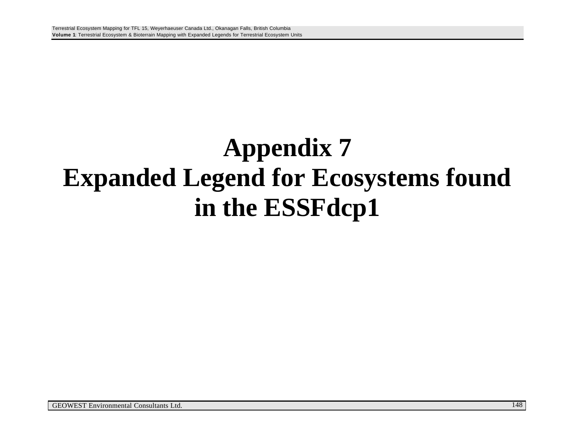## **Appendix 7 Expanded Legend for Ecosystems found in the ESSFdcp1**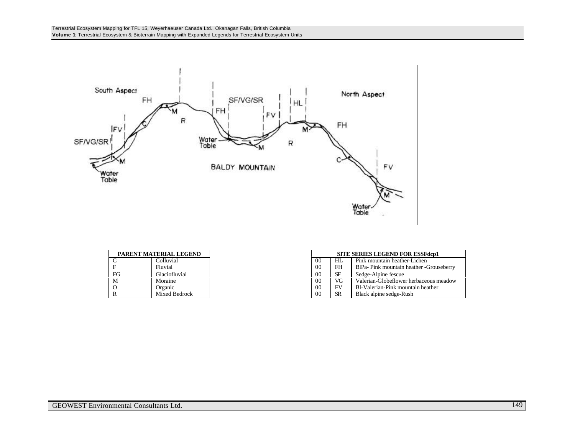

| PARENT MATERIAL LEGEND |    |               |                |           | <b>SITE SERIES LEGEND F</b> |
|------------------------|----|---------------|----------------|-----------|-----------------------------|
|                        |    | Colluvial     | 00             | HL        | Pink mountain heath         |
|                        |    | Fluvial       | 0 <sup>0</sup> | FH        | BlPa-Pink mountain          |
|                        | FG | Glaciofluvial | 00             | SF        | Sedge-Alpine fescue         |
|                        | M  | Moraine       | 00             | VG        | Valerian-Globeflowe         |
|                        |    | Organic       | 00             | FV        | Bl-Valerian-Pink mo         |
|                        |    | Mixed Bedrock | 00             | <b>SR</b> | Black alpine sedge-F        |

| PARENT MATERIAL LEGEND |               |                |           | <b>SITE SERIES LEGEND FOR ESSFdcp1</b>   |
|------------------------|---------------|----------------|-----------|------------------------------------------|
| $\sim$<br>◡            | Colluvial     | 0 <sup>0</sup> | HL        | Pink mountain heather-Lichen             |
| F                      | Fluvial       | 0 <sup>0</sup> | FH        | BlPa- Pink mountain heather -Grouseberry |
| FG                     | Glaciofluvial | 0 <sup>0</sup> | SF        | Sedge-Alpine fescue                      |
| M                      | Moraine       | 0 <sup>0</sup> | VG        | Valerian-Globeflower herbaceous meadow   |
| О                      | Organic       | 0 <sub>0</sub> | FV        | Bl-Valerian-Pink mountain heather        |
| R.                     | Mixed Bedrock | 00             | <b>SR</b> | Black alpine sedge-Rush                  |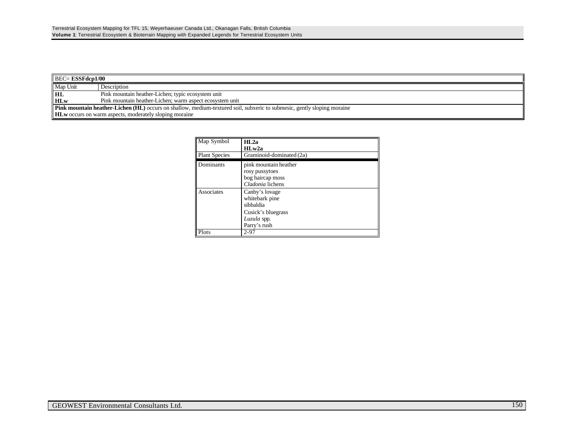| $\parallel$ BEC= <b>ESSFdcp1/00</b>                                                                                            |                                                          |  |
|--------------------------------------------------------------------------------------------------------------------------------|----------------------------------------------------------|--|
| Map Unit                                                                                                                       | Description                                              |  |
| HL                                                                                                                             | Pink mountain heather-Lichen; typic ecosystem unit       |  |
| <b>HLw</b>                                                                                                                     | Pink mountain heather-Lichen; warm aspect ecosystem unit |  |
| <b>Pink mountain heather-Lichen (HL)</b> occurs on shallow, medium-textured soil, subxeric to submesic, gently sloping moraine |                                                          |  |
| <b>HLw</b> occurs on warm aspects, moderately sloping moraine                                                                  |                                                          |  |

| Map Symbol           | HI <sub>.2a</sub><br>H L w 2a                                                                      |
|----------------------|----------------------------------------------------------------------------------------------------|
| <b>Plant Species</b> | Graminoid-dominated (2a)                                                                           |
| Dominants            | pink mountain heather<br>rosy pussytoes<br>bog haircap moss<br>Cladonia lichens                    |
| Associates           | Canby's lovage<br>whitebark pine<br>sibbaldia<br>Cusick's bluegrass<br>Luzula spp.<br>Parry's rush |
| Plots                | 2-97                                                                                               |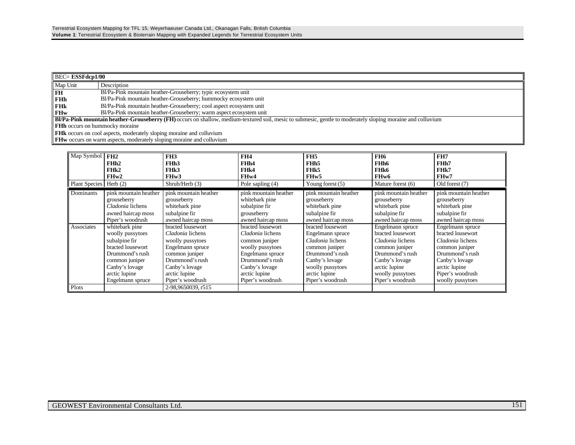| $\parallel$ BEC= <b>ESSFdcp1/00</b>                                                                                                                         |                                                                     |  |  |
|-------------------------------------------------------------------------------------------------------------------------------------------------------------|---------------------------------------------------------------------|--|--|
| Map Unit                                                                                                                                                    | Description                                                         |  |  |
| <b>I</b> FH                                                                                                                                                 | Bl/Pa-Pink mountain heather-Grouseberry; typic ecosystem unit       |  |  |
| <b>FHh</b>                                                                                                                                                  | Bl/Pa-Pink mountain heather-Grouseberry; hummocky ecosystem unit    |  |  |
| <b>FHK</b>                                                                                                                                                  | Bl/Pa-Pink mountain heather-Grouseberry; cool aspect ecosystem unit |  |  |
| <b>FHw</b>                                                                                                                                                  | Bl/Pa-Pink mountain heather-Grouseberry; warm aspect ecosystem unit |  |  |
| BI/Pa-Pink mountain heather-Grouseberry (FH) occurs on shallow, medium-textured soil, mesic to submesic, gentle to moderately sloping moraine and colluvium |                                                                     |  |  |
| <b>FHh</b> occurs on hummocky moraine                                                                                                                       |                                                                     |  |  |
| <b>FHK</b> occurs on cool aspects, moderately sloping moraine and colluvium                                                                                 |                                                                     |  |  |

**FHw** occurs on warm aspects, moderately sloping moraine and colluvium

| Map Symbol             | FH2                   | FH <sub>3</sub>       | FH4                   | FH <sub>5</sub>       | FH <sub>6</sub>       | FH7                   |
|------------------------|-----------------------|-----------------------|-----------------------|-----------------------|-----------------------|-----------------------|
|                        | FHh2                  | FH <sub>h</sub> 3     | FH <sub>h4</sub>      | FH <sub>h5</sub>      | FH <sub>h6</sub>      | FHh7                  |
|                        | FH <sub>k2</sub>      | FH <sub>k</sub> 3     | FH <sub>k4</sub>      | FH <sub>k5</sub>      | FHk6                  | FHk7                  |
|                        | FHw2                  | FH <sub>w</sub> 3     | FH <sub>w</sub> 4     | FH <sub>w</sub> 5     | FH <sub>w</sub> 6     | FH <sub>w</sub> 7     |
| Plant Species Herb (2) |                       | Shrub/Herb (3)        | Pole sapling (4)      | Young forest $(5)$    | Mature forest (6)     | Old forest (7)        |
| Dominants              | pink mountain heather | pink mountain heather | pink mountain heather | pink mountain heather | pink mountain heather | pink mountain heather |
|                        | grouseberry           | grouseberry           | whitebark pine        | grouseberry           | grouseberry           | grouseberry           |
|                        | Cladonia lichens      | whitebark pine        | subalpine fir         | whitebark pine        | whitebark pine        | whitebark pine        |
|                        | awned haircap moss    | subalpine fir         | grouseberry           | subalpine fir         | subalpine fir         | subalpine fir         |
|                        | Piper's woodrush      | awned haircap moss    | awned haircap moss    | awned haircap moss    | awned haircap moss    | awned haircap moss    |
| Associates             | whitebark pine        | bracted lousewort     | bracted lousewort     | bracted lousewort     | Engelmann spruce      | Engelmann spruce      |
|                        | woolly pussytoes      | Cladonia lichens      | Cladonia lichens      | Engelmann spruce      | bracted lousewort     | bracted lousewort     |
|                        | subalpine fir         | woolly pussytoes      | common juniper        | Cladonia lichens      | Cladonia lichens      | Cladonia lichens      |
|                        | bracted lousewort     | Engelmann spruce      | woolly pussytoes      | common juniper        | common juniper        | common juniper        |
|                        | Drummond's rush       | common juniper        | Engelmann spruce      | Drummond's rush       | Drummond's rush       | Drummond's rush       |
|                        | common juniper        | Drummond's rush       | Drummond's rush       | Canby's lovage        | Canby's lovage        | Canby's lovage        |
|                        | Canby's lovage        | Canby's lovage        | Canby's lovage        | woolly pussytoes      | arctic lupine         | arctic lupine         |
|                        | arctic lupine         | arctic lupine         | arctic lupine         | arctic lupine         | woolly pussytoes      | Piper's woodrush      |
|                        | Engelmann spruce      | Piper's woodrush      | Piper's woodrush      | Piper's woodrush      | Piper's woodrush      | woolly pussytoes      |
| Plots                  |                       | 2-98.9650039.r515     |                       |                       |                       |                       |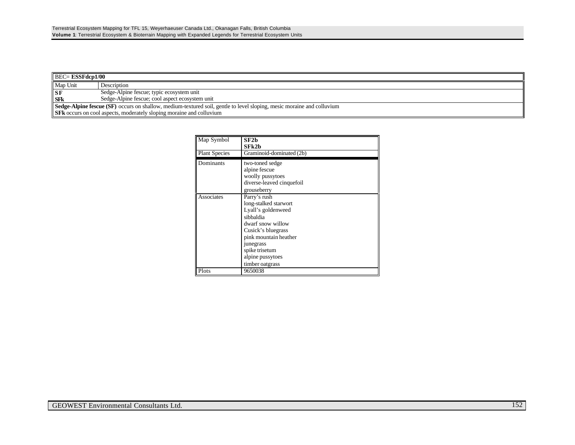| $\parallel$ BEC= <b>ESSFdcp1/00</b>                                                                                           |                                                 |  |
|-------------------------------------------------------------------------------------------------------------------------------|-------------------------------------------------|--|
| Map Unit                                                                                                                      | Description                                     |  |
| $S$ F                                                                                                                         | Sedge-Alpine fescue; typic ecosystem unit       |  |
| <b>SFk</b>                                                                                                                    | Sedge-Alpine fescue; cool aspect ecosystem unit |  |
| <b>Sedge-Alpine fescue (SF)</b> occurs on shallow, medium-textured soil, gentle to level sloping, mesic moraine and colluvium |                                                 |  |
| <b>SFR</b> occurs on cool aspects, moderately sloping moraine and colluvium                                                   |                                                 |  |

| Map Symbol           | SF2h<br>SFk2b                                                                                                                                                                                                      |
|----------------------|--------------------------------------------------------------------------------------------------------------------------------------------------------------------------------------------------------------------|
| <b>Plant Species</b> | Graminoid-dominated (2b)                                                                                                                                                                                           |
| Dominants            | two-toned sedge<br>alpine fescue<br>woolly pussytoes<br>diverse-leaved cinquefoil<br>grouseberry                                                                                                                   |
| Associates           | Parry's rush<br>long-stalked starwort<br>Lyall's goldenweed<br>sibbaldia<br>dwarf snow willow<br>Cusick's bluegrass<br>pink mountain heather<br>junegrass<br>spike trisetum<br>alpine pussytoes<br>timber oatgrass |
| Plots                | 9650038                                                                                                                                                                                                            |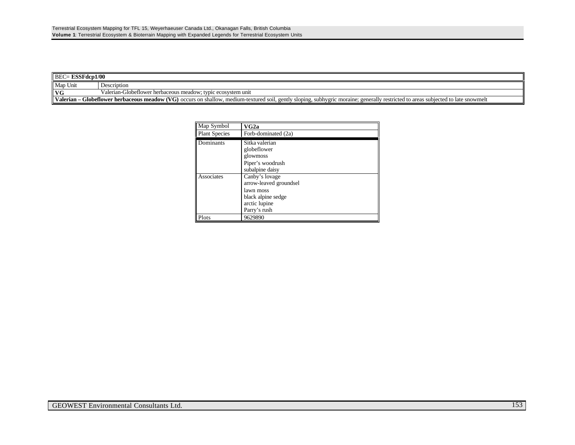| $\parallel$ BEC= <b>ESSFdcp1/00</b>                                                                                                                                                       |                                                              |  |  |
|-------------------------------------------------------------------------------------------------------------------------------------------------------------------------------------------|--------------------------------------------------------------|--|--|
| Map Unit                                                                                                                                                                                  | Description                                                  |  |  |
| I VG                                                                                                                                                                                      | Valerian-Globeflower herbaceous meadow; typic ecosystem unit |  |  |
| <b>Nalerian – Globeflower herbaceous meadow (VG)</b> occurs on shallow, medium-textured soil, gently sloping, subhygric moraine; generally restricted to areas subjected to late snowmelt |                                                              |  |  |

| Map Symbol           | VG2a                                                                                                         |
|----------------------|--------------------------------------------------------------------------------------------------------------|
| <b>Plant Species</b> | Forb-dominated (2a)                                                                                          |
| Dominants            | Sitka valerian<br>globeflower<br>glowmoss<br>Piper's woodrush<br>subalpine daisy                             |
| Associates           | Canby's lovage<br>arrow-leaved groundsel<br>lawn moss<br>black alpine sedge<br>arctic lupine<br>Parry's rush |
| Plots                | 9629890                                                                                                      |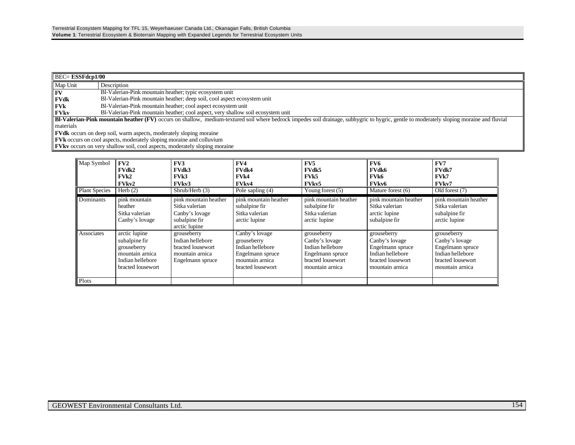| $\overline{\phantom{a}}$ BEC= <b>ESSFdcp1/00</b>                                                                                                                                          |                                                                                  |  |
|-------------------------------------------------------------------------------------------------------------------------------------------------------------------------------------------|----------------------------------------------------------------------------------|--|
| $Map$ Unit                                                                                                                                                                                | Description                                                                      |  |
| <b>FV</b>                                                                                                                                                                                 | Bl-Valerian-Pink mountain heather; typic ecosystem unit                          |  |
| <b>FVdk</b>                                                                                                                                                                               | Bl-Valerian-Pink mountain heather; deep soil, cool aspect ecosystem unit         |  |
| <b>FVk</b>                                                                                                                                                                                | Bl-Valerian-Pink mountain heather; cool aspect ecosystem unit                    |  |
| <b>FVkv</b>                                                                                                                                                                               | Bl-Valerian-Pink mountain heather; cool aspect, very shallow soil ecosystem unit |  |
| BI-Valerian-Pink mountain heather (FV) occurs on shallow, medium-textured soil where bedrock impedes soil drainage, subhygric to hygric, gentle to moderately sloping moraine and fluvial |                                                                                  |  |
| materials                                                                                                                                                                                 |                                                                                  |  |
|                                                                                                                                                                                           | <b>FVdk</b> occurs on deep soil, warm aspects, moderately sloping moraine        |  |
| <b>FVk</b> occurs on cool aspects, moderately sloping moraine and colluvium                                                                                                               |                                                                                  |  |

**FVkv** occurs on very shallow soil, cool aspects, moderately sloping moraine

| Map Symbol<br><b>Plant Species</b> | FV2<br><b>FVdk2</b><br>FVR2<br><b>FVkv2</b><br>Herb $(2)$                                                 | $\bf FV3$<br><b>FVdk3</b><br>FVR3<br><b>FVkv3</b><br>Shrub/Herb $(3)$                       | FV4<br><b>FVdk4</b><br>FVk4<br>FVkv4<br>Pole sapling $(4)$                                                    | FV <sub>5</sub><br><b>FVdk5</b><br><b>FVk5</b><br><b>FVkv5</b><br>Young forest $(5)$                          | <b>FV6</b><br><b>FVdk6</b><br><b>FVk6</b><br>FVkv6<br>Mature forest (6)                                       | FV7<br><b>FVdk7</b><br>FVk7<br><b>FVkv7</b><br>Old forest (7)                                                 |
|------------------------------------|-----------------------------------------------------------------------------------------------------------|---------------------------------------------------------------------------------------------|---------------------------------------------------------------------------------------------------------------|---------------------------------------------------------------------------------------------------------------|---------------------------------------------------------------------------------------------------------------|---------------------------------------------------------------------------------------------------------------|
| Dominants                          | pink mountain<br>heather<br>Sitka valerian<br>Canby's lovage                                              | pink mountain heather<br>Sitka valerian<br>Canby's lovage<br>subalpine fir<br>arctic lupine | pink mountain heather<br>subalpine fir<br>Sitka valerian<br>arctic lupine                                     | pink mountain heather<br>subalpine fir<br>Sitka valerian<br>arctic lupine                                     | pink mountain heather<br>Sitka valerian<br>arctic lupine<br>subalpine fir                                     | pink mountain heather<br>Sitka valerian<br>subalpine fir<br>arctic lupine                                     |
| Associates                         | arctic lupine<br>subalpine fir<br>grouseberry<br>mountain arnica<br>Indian hellebore<br>bracted lousewort | grouseberry<br>Indian hellebore<br>bracted lousewort<br>mountain arnica<br>Engelmann spruce | Canby's lovage<br>grouseberry<br>Indian hellebore<br>Engelmann spruce<br>mountain arnica<br>bracted lousewort | grouseberry<br>Canby's lovage<br>Indian hellebore<br>Engelmann spruce<br>bracted lousewort<br>mountain arnica | grouseberry<br>Canby's lovage<br>Engelmann spruce<br>Indian hellebore<br>bracted lousewort<br>mountain arnica | grouseberry<br>Canby's lovage<br>Engelmann spruce<br>Indian hellebore<br>bracted lousewort<br>mountain arnica |
| Plots                              |                                                                                                           |                                                                                             |                                                                                                               |                                                                                                               |                                                                                                               |                                                                                                               |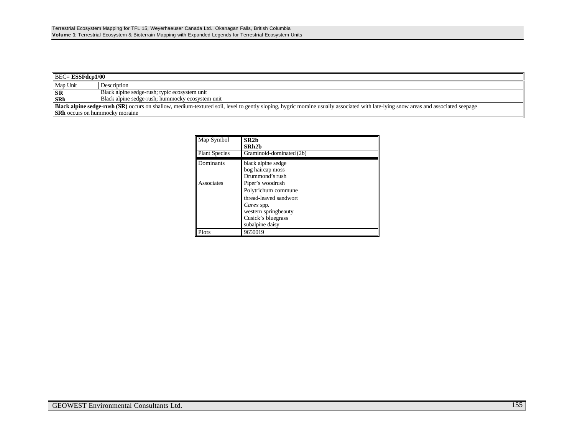| $\parallel$ BEC= <b>ESSFdcp1/00</b>                                                                                                                                                       |                                                  |  |
|-------------------------------------------------------------------------------------------------------------------------------------------------------------------------------------------|--------------------------------------------------|--|
| Map Unit                                                                                                                                                                                  | Description                                      |  |
| <b>SR</b>                                                                                                                                                                                 | Black alpine sedge-rush; typic ecosystem unit    |  |
| <b>SRh</b>                                                                                                                                                                                | Black alpine sedge-rush; hummocky ecosystem unit |  |
| <b>Black alpine sedge-rush (SR)</b> occurs on shallow, medium-textured soil, level to gently sloping, hygric moraine usually associated with late-lying snow areas and associated seepage |                                                  |  |
| <b>SRh</b> occurs on hummocky moraine                                                                                                                                                     |                                                  |  |

| Map Symbol           | SR2h<br>SRh2b                                                                                                                                    |  |
|----------------------|--------------------------------------------------------------------------------------------------------------------------------------------------|--|
| <b>Plant Species</b> | Graminoid-dominated (2b)                                                                                                                         |  |
| Dominants            | black alpine sedge<br>bog haircap moss<br>Drummond's rush                                                                                        |  |
| Associates           | Piper's woodrush<br>Polytrichum commune<br>thread-leaved sandwort<br>Carex spp.<br>western springbeauty<br>Cusick's bluegrass<br>subalpine daisy |  |
| Plots                | 9650019                                                                                                                                          |  |